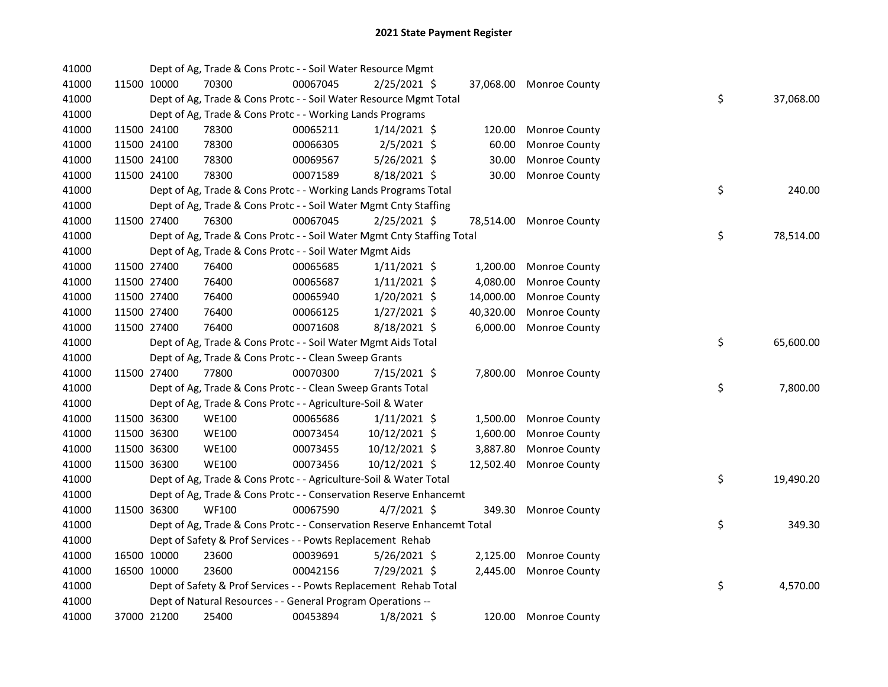| 41000 |             |             | Dept of Ag, Trade & Cons Protc - - Soil Water Resource Mgmt             |          |                |           |                         |    |           |
|-------|-------------|-------------|-------------------------------------------------------------------------|----------|----------------|-----------|-------------------------|----|-----------|
| 41000 |             | 11500 10000 | 70300                                                                   | 00067045 | $2/25/2021$ \$ |           | 37,068.00 Monroe County |    |           |
| 41000 |             |             | Dept of Ag, Trade & Cons Protc - - Soil Water Resource Mgmt Total       |          |                |           |                         | \$ | 37,068.00 |
| 41000 |             |             | Dept of Ag, Trade & Cons Protc - - Working Lands Programs               |          |                |           |                         |    |           |
| 41000 |             | 11500 24100 | 78300                                                                   | 00065211 | $1/14/2021$ \$ | 120.00    | Monroe County           |    |           |
| 41000 |             | 11500 24100 | 78300                                                                   | 00066305 | $2/5/2021$ \$  | 60.00     | Monroe County           |    |           |
| 41000 |             | 11500 24100 | 78300                                                                   | 00069567 | 5/26/2021 \$   | 30.00     | Monroe County           |    |           |
| 41000 | 11500 24100 |             | 78300                                                                   | 00071589 | 8/18/2021 \$   | 30.00     | Monroe County           |    |           |
| 41000 |             |             | Dept of Ag, Trade & Cons Protc - - Working Lands Programs Total         |          |                |           |                         | \$ | 240.00    |
| 41000 |             |             | Dept of Ag, Trade & Cons Protc - - Soil Water Mgmt Cnty Staffing        |          |                |           |                         |    |           |
| 41000 |             | 11500 27400 | 76300                                                                   | 00067045 | 2/25/2021 \$   | 78,514.00 | Monroe County           |    |           |
| 41000 |             |             | Dept of Ag, Trade & Cons Protc - - Soil Water Mgmt Cnty Staffing Total  |          |                |           |                         | \$ | 78,514.00 |
| 41000 |             |             | Dept of Ag, Trade & Cons Protc - - Soil Water Mgmt Aids                 |          |                |           |                         |    |           |
| 41000 |             | 11500 27400 | 76400                                                                   | 00065685 | $1/11/2021$ \$ | 1,200.00  | Monroe County           |    |           |
| 41000 |             | 11500 27400 | 76400                                                                   | 00065687 | $1/11/2021$ \$ | 4,080.00  | Monroe County           |    |           |
| 41000 |             | 11500 27400 | 76400                                                                   | 00065940 | $1/20/2021$ \$ | 14,000.00 | Monroe County           |    |           |
| 41000 |             | 11500 27400 | 76400                                                                   | 00066125 | $1/27/2021$ \$ | 40,320.00 | Monroe County           |    |           |
| 41000 |             | 11500 27400 | 76400                                                                   | 00071608 | 8/18/2021 \$   | 6,000.00  | Monroe County           |    |           |
| 41000 |             |             | Dept of Ag, Trade & Cons Protc - - Soil Water Mgmt Aids Total           |          |                |           |                         | \$ | 65,600.00 |
| 41000 |             |             | Dept of Ag, Trade & Cons Protc - - Clean Sweep Grants                   |          |                |           |                         |    |           |
| 41000 |             | 11500 27400 | 77800                                                                   | 00070300 | 7/15/2021 \$   |           | 7,800.00 Monroe County  |    |           |
| 41000 |             |             | Dept of Ag, Trade & Cons Protc - - Clean Sweep Grants Total             |          |                |           |                         | \$ | 7,800.00  |
| 41000 |             |             | Dept of Ag, Trade & Cons Protc - - Agriculture-Soil & Water             |          |                |           |                         |    |           |
| 41000 |             | 11500 36300 | <b>WE100</b>                                                            | 00065686 | $1/11/2021$ \$ | 1,500.00  | <b>Monroe County</b>    |    |           |
| 41000 |             | 11500 36300 | <b>WE100</b>                                                            | 00073454 | 10/12/2021 \$  | 1,600.00  | Monroe County           |    |           |
| 41000 |             | 11500 36300 | <b>WE100</b>                                                            | 00073455 | 10/12/2021 \$  | 3,887.80  | Monroe County           |    |           |
| 41000 |             | 11500 36300 | <b>WE100</b>                                                            | 00073456 | 10/12/2021 \$  | 12,502.40 | Monroe County           |    |           |
| 41000 |             |             | Dept of Ag, Trade & Cons Protc - - Agriculture-Soil & Water Total       |          |                |           |                         | \$ | 19,490.20 |
| 41000 |             |             | Dept of Ag, Trade & Cons Protc - - Conservation Reserve Enhancemt       |          |                |           |                         |    |           |
| 41000 |             | 11500 36300 | <b>WF100</b>                                                            | 00067590 | $4/7/2021$ \$  | 349.30    | Monroe County           |    |           |
| 41000 |             |             | Dept of Ag, Trade & Cons Protc - - Conservation Reserve Enhancemt Total |          |                |           |                         | \$ | 349.30    |
| 41000 |             |             | Dept of Safety & Prof Services - - Powts Replacement Rehab              |          |                |           |                         |    |           |
| 41000 |             | 16500 10000 | 23600                                                                   | 00039691 | $5/26/2021$ \$ | 2,125.00  | Monroe County           |    |           |
| 41000 |             | 16500 10000 | 23600                                                                   | 00042156 | 7/29/2021 \$   | 2,445.00  | Monroe County           |    |           |
| 41000 |             |             | Dept of Safety & Prof Services - - Powts Replacement Rehab Total        |          |                |           |                         | \$ | 4,570.00  |
| 41000 |             |             | Dept of Natural Resources - - General Program Operations --             |          |                |           |                         |    |           |
| 41000 |             | 37000 21200 | 25400                                                                   | 00453894 | $1/8/2021$ \$  | 120.00    | Monroe County           |    |           |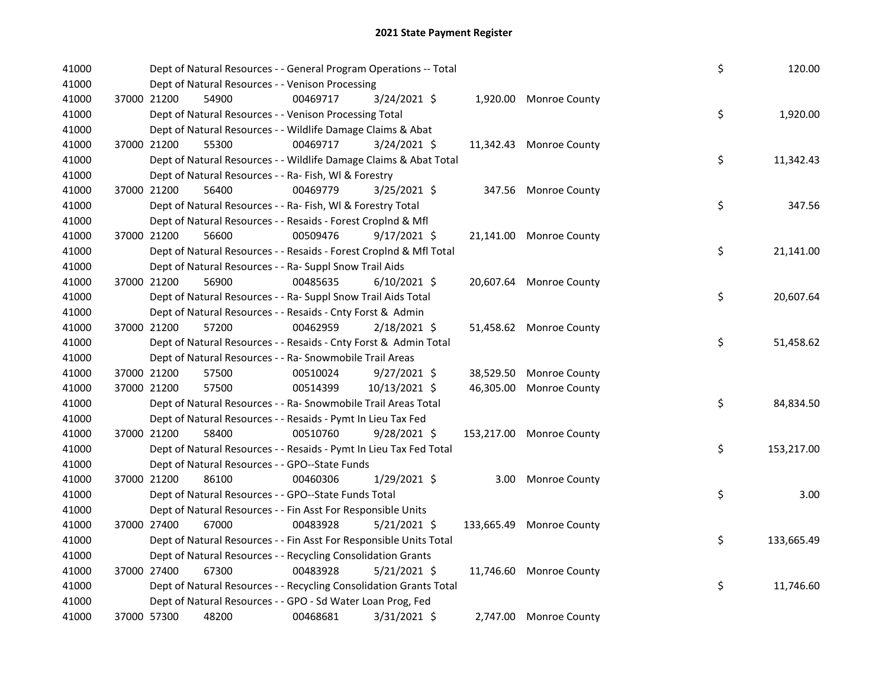| 41000 | Dept of Natural Resources - - General Program Operations -- Total  |          |                |           |                          | \$<br>120.00     |
|-------|--------------------------------------------------------------------|----------|----------------|-----------|--------------------------|------------------|
| 41000 | Dept of Natural Resources - - Venison Processing                   |          |                |           |                          |                  |
| 41000 | 37000 21200<br>54900                                               | 00469717 | 3/24/2021 \$   |           | 1,920.00 Monroe County   |                  |
| 41000 | Dept of Natural Resources - - Venison Processing Total             |          |                |           |                          | \$<br>1,920.00   |
| 41000 | Dept of Natural Resources - - Wildlife Damage Claims & Abat        |          |                |           |                          |                  |
| 41000 | 37000 21200<br>55300                                               | 00469717 | $3/24/2021$ \$ |           | 11,342.43 Monroe County  |                  |
| 41000 | Dept of Natural Resources - - Wildlife Damage Claims & Abat Total  |          |                |           |                          | \$<br>11,342.43  |
| 41000 | Dept of Natural Resources - - Ra- Fish, WI & Forestry              |          |                |           |                          |                  |
| 41000 | 56400<br>37000 21200                                               | 00469779 | $3/25/2021$ \$ |           | 347.56 Monroe County     |                  |
| 41000 | Dept of Natural Resources - - Ra- Fish, WI & Forestry Total        |          |                |           |                          | \$<br>347.56     |
| 41000 | Dept of Natural Resources - - Resaids - Forest Croplnd & Mfl       |          |                |           |                          |                  |
| 41000 | 37000 21200<br>56600                                               | 00509476 | $9/17/2021$ \$ |           | 21,141.00 Monroe County  |                  |
| 41000 | Dept of Natural Resources - - Resaids - Forest CropInd & Mfl Total |          |                |           |                          | \$<br>21,141.00  |
| 41000 | Dept of Natural Resources - - Ra- Suppl Snow Trail Aids            |          |                |           |                          |                  |
| 41000 | 56900<br>37000 21200                                               | 00485635 | $6/10/2021$ \$ |           | 20,607.64 Monroe County  |                  |
| 41000 | Dept of Natural Resources - - Ra- Suppl Snow Trail Aids Total      |          |                |           |                          | \$<br>20,607.64  |
| 41000 | Dept of Natural Resources - - Resaids - Cnty Forst & Admin         |          |                |           |                          |                  |
| 41000 | 37000 21200<br>57200                                               | 00462959 | 2/18/2021 \$   |           | 51,458.62 Monroe County  |                  |
| 41000 | Dept of Natural Resources - - Resaids - Cnty Forst & Admin Total   |          |                |           |                          | \$<br>51,458.62  |
| 41000 | Dept of Natural Resources - - Ra- Snowmobile Trail Areas           |          |                |           |                          |                  |
| 41000 | 37000 21200<br>57500                                               | 00510024 | $9/27/2021$ \$ | 38,529.50 | Monroe County            |                  |
| 41000 | 37000 21200<br>57500                                               | 00514399 | 10/13/2021 \$  | 46,305.00 | Monroe County            |                  |
| 41000 | Dept of Natural Resources - - Ra- Snowmobile Trail Areas Total     |          |                |           |                          | \$<br>84,834.50  |
| 41000 | Dept of Natural Resources - - Resaids - Pymt In Lieu Tax Fed       |          |                |           |                          |                  |
| 41000 | 37000 21200<br>58400                                               | 00510760 | 9/28/2021 \$   |           | 153,217.00 Monroe County |                  |
| 41000 | Dept of Natural Resources - - Resaids - Pymt In Lieu Tax Fed Total |          |                |           |                          | \$<br>153,217.00 |
| 41000 | Dept of Natural Resources - - GPO--State Funds                     |          |                |           |                          |                  |
| 41000 | 37000 21200<br>86100                                               | 00460306 | 1/29/2021 \$   | 3.00      | <b>Monroe County</b>     |                  |
| 41000 | Dept of Natural Resources - - GPO--State Funds Total               |          |                |           |                          | \$<br>3.00       |
| 41000 | Dept of Natural Resources - - Fin Asst For Responsible Units       |          |                |           |                          |                  |
| 41000 | 37000 27400<br>67000                                               | 00483928 | $5/21/2021$ \$ |           | 133,665.49 Monroe County |                  |
| 41000 | Dept of Natural Resources - - Fin Asst For Responsible Units Total |          |                |           |                          | \$<br>133,665.49 |
| 41000 | Dept of Natural Resources - - Recycling Consolidation Grants       |          |                |           |                          |                  |
| 41000 | 37000 27400<br>67300                                               | 00483928 | $5/21/2021$ \$ |           | 11,746.60 Monroe County  |                  |
| 41000 | Dept of Natural Resources - - Recycling Consolidation Grants Total |          |                |           |                          | \$<br>11,746.60  |
| 41000 | Dept of Natural Resources - - GPO - Sd Water Loan Prog, Fed        |          |                |           |                          |                  |
| 41000 | 37000 57300<br>48200                                               | 00468681 | 3/31/2021 \$   |           | 2,747.00 Monroe County   |                  |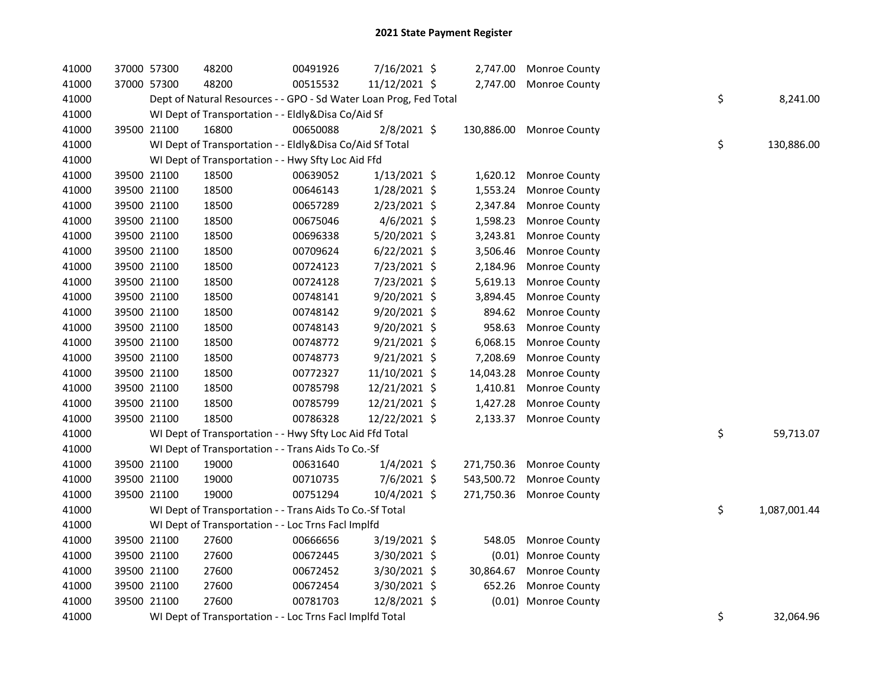| 41000 | 37000 57300 |             | 48200                                                             | 00491926 | 7/16/2021 \$   |            | 2,747.00 Monroe County |    |              |
|-------|-------------|-------------|-------------------------------------------------------------------|----------|----------------|------------|------------------------|----|--------------|
| 41000 |             | 37000 57300 | 48200                                                             | 00515532 | 11/12/2021 \$  |            | 2,747.00 Monroe County |    |              |
| 41000 |             |             | Dept of Natural Resources - - GPO - Sd Water Loan Prog, Fed Total |          |                |            |                        | \$ | 8,241.00     |
| 41000 |             |             | WI Dept of Transportation - - Eldly&Disa Co/Aid Sf                |          |                |            |                        |    |              |
| 41000 |             | 39500 21100 | 16800                                                             | 00650088 | 2/8/2021 \$    | 130,886.00 | <b>Monroe County</b>   |    |              |
| 41000 |             |             | WI Dept of Transportation - - Eldly&Disa Co/Aid Sf Total          |          |                |            |                        | \$ | 130,886.00   |
| 41000 |             |             | WI Dept of Transportation - - Hwy Sfty Loc Aid Ffd                |          |                |            |                        |    |              |
| 41000 |             | 39500 21100 | 18500                                                             | 00639052 | $1/13/2021$ \$ | 1,620.12   | Monroe County          |    |              |
| 41000 |             | 39500 21100 | 18500                                                             | 00646143 | 1/28/2021 \$   | 1,553.24   | Monroe County          |    |              |
| 41000 |             | 39500 21100 | 18500                                                             | 00657289 | 2/23/2021 \$   | 2,347.84   | Monroe County          |    |              |
| 41000 |             | 39500 21100 | 18500                                                             | 00675046 | $4/6/2021$ \$  | 1,598.23   | Monroe County          |    |              |
| 41000 |             | 39500 21100 | 18500                                                             | 00696338 | 5/20/2021 \$   | 3,243.81   | Monroe County          |    |              |
| 41000 |             | 39500 21100 | 18500                                                             | 00709624 | $6/22/2021$ \$ | 3,506.46   | Monroe County          |    |              |
| 41000 |             | 39500 21100 | 18500                                                             | 00724123 | 7/23/2021 \$   | 2,184.96   | Monroe County          |    |              |
| 41000 |             | 39500 21100 | 18500                                                             | 00724128 | 7/23/2021 \$   | 5,619.13   | Monroe County          |    |              |
| 41000 |             | 39500 21100 | 18500                                                             | 00748141 | 9/20/2021 \$   | 3,894.45   | Monroe County          |    |              |
| 41000 |             | 39500 21100 | 18500                                                             | 00748142 | 9/20/2021 \$   | 894.62     | Monroe County          |    |              |
| 41000 |             | 39500 21100 | 18500                                                             | 00748143 | 9/20/2021 \$   | 958.63     | Monroe County          |    |              |
| 41000 |             | 39500 21100 | 18500                                                             | 00748772 | $9/21/2021$ \$ | 6,068.15   | Monroe County          |    |              |
| 41000 |             | 39500 21100 | 18500                                                             | 00748773 | 9/21/2021 \$   | 7,208.69   | Monroe County          |    |              |
| 41000 |             | 39500 21100 | 18500                                                             | 00772327 | 11/10/2021 \$  | 14,043.28  | Monroe County          |    |              |
| 41000 |             | 39500 21100 | 18500                                                             | 00785798 | 12/21/2021 \$  | 1,410.81   | Monroe County          |    |              |
| 41000 |             | 39500 21100 | 18500                                                             | 00785799 | 12/21/2021 \$  | 1,427.28   | Monroe County          |    |              |
| 41000 |             | 39500 21100 | 18500                                                             | 00786328 | 12/22/2021 \$  | 2,133.37   | Monroe County          |    |              |
| 41000 |             |             | WI Dept of Transportation - - Hwy Sfty Loc Aid Ffd Total          |          |                |            |                        | \$ | 59,713.07    |
| 41000 |             |             | WI Dept of Transportation - - Trans Aids To Co.-Sf                |          |                |            |                        |    |              |
| 41000 |             | 39500 21100 | 19000                                                             | 00631640 | $1/4/2021$ \$  | 271,750.36 | Monroe County          |    |              |
| 41000 |             | 39500 21100 | 19000                                                             | 00710735 | 7/6/2021 \$    | 543,500.72 | Monroe County          |    |              |
| 41000 |             | 39500 21100 | 19000                                                             | 00751294 | 10/4/2021 \$   | 271,750.36 | Monroe County          |    |              |
| 41000 |             |             | WI Dept of Transportation - - Trans Aids To Co.-Sf Total          |          |                |            |                        | \$ | 1,087,001.44 |
| 41000 |             |             | WI Dept of Transportation - - Loc Trns Facl Implfd                |          |                |            |                        |    |              |
| 41000 |             | 39500 21100 | 27600                                                             | 00666656 | 3/19/2021 \$   | 548.05     | Monroe County          |    |              |
| 41000 |             | 39500 21100 | 27600                                                             | 00672445 | 3/30/2021 \$   | (0.01)     | Monroe County          |    |              |
| 41000 |             | 39500 21100 | 27600                                                             | 00672452 | 3/30/2021 \$   | 30,864.67  | Monroe County          |    |              |
| 41000 |             | 39500 21100 | 27600                                                             | 00672454 | 3/30/2021 \$   | 652.26     | Monroe County          |    |              |
| 41000 |             | 39500 21100 | 27600                                                             | 00781703 | 12/8/2021 \$   |            | (0.01) Monroe County   |    |              |
| 41000 |             |             | WI Dept of Transportation - - Loc Trns Facl Implfd Total          |          |                |            |                        | \$ | 32,064.96    |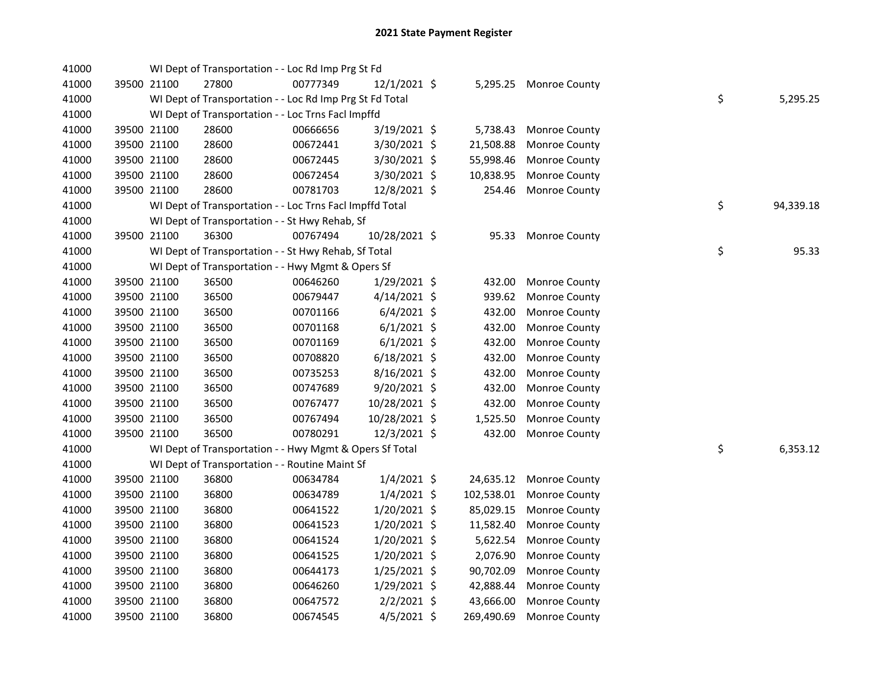| 41000 |             | WI Dept of Transportation - - Loc Rd Imp Prg St Fd       |          |                |            |                        |    |           |
|-------|-------------|----------------------------------------------------------|----------|----------------|------------|------------------------|----|-----------|
| 41000 | 39500 21100 | 27800                                                    | 00777349 | 12/1/2021 \$   |            | 5,295.25 Monroe County |    |           |
| 41000 |             | WI Dept of Transportation - - Loc Rd Imp Prg St Fd Total |          |                |            |                        | \$ | 5,295.25  |
| 41000 |             | WI Dept of Transportation - - Loc Trns Facl Impffd       |          |                |            |                        |    |           |
| 41000 | 39500 21100 | 28600                                                    | 00666656 | 3/19/2021 \$   | 5,738.43   | <b>Monroe County</b>   |    |           |
| 41000 | 39500 21100 | 28600                                                    | 00672441 | $3/30/2021$ \$ | 21,508.88  | Monroe County          |    |           |
| 41000 | 39500 21100 | 28600                                                    | 00672445 | 3/30/2021 \$   | 55,998.46  | Monroe County          |    |           |
| 41000 | 39500 21100 | 28600                                                    | 00672454 | 3/30/2021 \$   | 10,838.95  | Monroe County          |    |           |
| 41000 | 39500 21100 | 28600                                                    | 00781703 | 12/8/2021 \$   | 254.46     | Monroe County          |    |           |
| 41000 |             | WI Dept of Transportation - - Loc Trns Facl Impffd Total |          |                |            |                        | \$ | 94,339.18 |
| 41000 |             | WI Dept of Transportation - - St Hwy Rehab, Sf           |          |                |            |                        |    |           |
| 41000 | 39500 21100 | 36300                                                    | 00767494 | 10/28/2021 \$  |            | 95.33 Monroe County    |    |           |
| 41000 |             | WI Dept of Transportation - - St Hwy Rehab, Sf Total     |          |                |            |                        | \$ | 95.33     |
| 41000 |             | WI Dept of Transportation - - Hwy Mgmt & Opers Sf        |          |                |            |                        |    |           |
| 41000 | 39500 21100 | 36500                                                    | 00646260 | $1/29/2021$ \$ | 432.00     | Monroe County          |    |           |
| 41000 | 39500 21100 | 36500                                                    | 00679447 | 4/14/2021 \$   | 939.62     | Monroe County          |    |           |
| 41000 | 39500 21100 | 36500                                                    | 00701166 | $6/4/2021$ \$  | 432.00     | Monroe County          |    |           |
| 41000 | 39500 21100 | 36500                                                    | 00701168 | $6/1/2021$ \$  | 432.00     | Monroe County          |    |           |
| 41000 | 39500 21100 | 36500                                                    | 00701169 | $6/1/2021$ \$  | 432.00     | Monroe County          |    |           |
| 41000 | 39500 21100 | 36500                                                    | 00708820 | $6/18/2021$ \$ | 432.00     | Monroe County          |    |           |
| 41000 | 39500 21100 | 36500                                                    | 00735253 | 8/16/2021 \$   | 432.00     | Monroe County          |    |           |
| 41000 | 39500 21100 | 36500                                                    | 00747689 | 9/20/2021 \$   | 432.00     | Monroe County          |    |           |
| 41000 | 39500 21100 | 36500                                                    | 00767477 | 10/28/2021 \$  | 432.00     | Monroe County          |    |           |
| 41000 | 39500 21100 | 36500                                                    | 00767494 | 10/28/2021 \$  | 1,525.50   | Monroe County          |    |           |
| 41000 | 39500 21100 | 36500                                                    | 00780291 | 12/3/2021 \$   | 432.00     | Monroe County          |    |           |
| 41000 |             | WI Dept of Transportation - - Hwy Mgmt & Opers Sf Total  |          |                |            |                        | \$ | 6,353.12  |
| 41000 |             | WI Dept of Transportation - - Routine Maint Sf           |          |                |            |                        |    |           |
| 41000 | 39500 21100 | 36800                                                    | 00634784 | $1/4/2021$ \$  | 24,635.12  | Monroe County          |    |           |
| 41000 | 39500 21100 | 36800                                                    | 00634789 | $1/4/2021$ \$  | 102,538.01 | Monroe County          |    |           |
| 41000 | 39500 21100 | 36800                                                    | 00641522 | 1/20/2021 \$   | 85,029.15  | Monroe County          |    |           |
| 41000 | 39500 21100 | 36800                                                    | 00641523 | $1/20/2021$ \$ | 11,582.40  | Monroe County          |    |           |
| 41000 | 39500 21100 | 36800                                                    | 00641524 | $1/20/2021$ \$ | 5,622.54   | Monroe County          |    |           |
| 41000 | 39500 21100 | 36800                                                    | 00641525 | 1/20/2021 \$   | 2,076.90   | Monroe County          |    |           |
| 41000 | 39500 21100 | 36800                                                    | 00644173 | $1/25/2021$ \$ | 90,702.09  | Monroe County          |    |           |
| 41000 | 39500 21100 | 36800                                                    | 00646260 | $1/29/2021$ \$ | 42,888.44  | Monroe County          |    |           |
| 41000 | 39500 21100 | 36800                                                    | 00647572 | $2/2/2021$ \$  | 43,666.00  | Monroe County          |    |           |
| 41000 | 39500 21100 | 36800                                                    | 00674545 | $4/5/2021$ \$  | 269,490.69 | <b>Monroe County</b>   |    |           |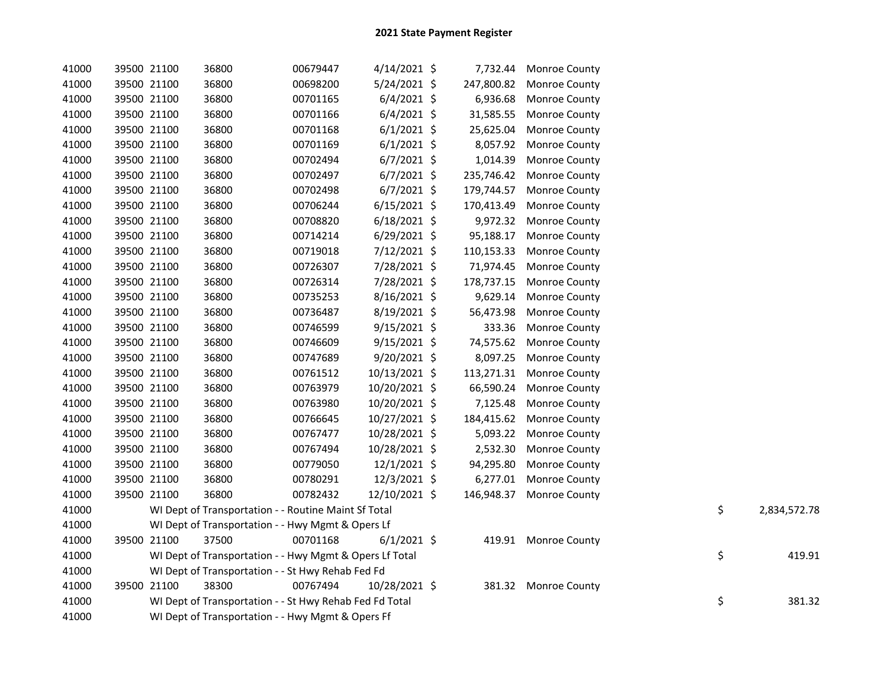| 41000 | 39500 21100 | 36800                                                   | 00679447 | 4/14/2021 \$   |            | 7,732.44 Monroe County   |    |              |
|-------|-------------|---------------------------------------------------------|----------|----------------|------------|--------------------------|----|--------------|
| 41000 | 39500 21100 | 36800                                                   | 00698200 | $5/24/2021$ \$ | 247,800.82 | <b>Monroe County</b>     |    |              |
| 41000 | 39500 21100 | 36800                                                   | 00701165 | $6/4/2021$ \$  | 6,936.68   | Monroe County            |    |              |
| 41000 | 39500 21100 | 36800                                                   | 00701166 | $6/4/2021$ \$  | 31,585.55  | Monroe County            |    |              |
| 41000 | 39500 21100 | 36800                                                   | 00701168 | $6/1/2021$ \$  | 25,625.04  | Monroe County            |    |              |
| 41000 | 39500 21100 | 36800                                                   | 00701169 | $6/1/2021$ \$  | 8,057.92   | <b>Monroe County</b>     |    |              |
| 41000 | 39500 21100 | 36800                                                   | 00702494 | $6/7/2021$ \$  | 1,014.39   | Monroe County            |    |              |
| 41000 | 39500 21100 | 36800                                                   | 00702497 | $6/7/2021$ \$  |            | 235,746.42 Monroe County |    |              |
| 41000 | 39500 21100 | 36800                                                   | 00702498 | $6/7/2021$ \$  | 179,744.57 | Monroe County            |    |              |
| 41000 | 39500 21100 | 36800                                                   | 00706244 | $6/15/2021$ \$ | 170,413.49 | Monroe County            |    |              |
| 41000 | 39500 21100 | 36800                                                   | 00708820 | $6/18/2021$ \$ |            | 9,972.32 Monroe County   |    |              |
| 41000 | 39500 21100 | 36800                                                   | 00714214 | $6/29/2021$ \$ | 95,188.17  | <b>Monroe County</b>     |    |              |
| 41000 | 39500 21100 | 36800                                                   | 00719018 | 7/12/2021 \$   | 110,153.33 | <b>Monroe County</b>     |    |              |
| 41000 | 39500 21100 | 36800                                                   | 00726307 | 7/28/2021 \$   | 71,974.45  | Monroe County            |    |              |
| 41000 | 39500 21100 | 36800                                                   | 00726314 | 7/28/2021 \$   | 178,737.15 | Monroe County            |    |              |
| 41000 | 39500 21100 | 36800                                                   | 00735253 | 8/16/2021 \$   | 9,629.14   | Monroe County            |    |              |
| 41000 | 39500 21100 | 36800                                                   | 00736487 | 8/19/2021 \$   | 56,473.98  | Monroe County            |    |              |
| 41000 | 39500 21100 | 36800                                                   | 00746599 | $9/15/2021$ \$ | 333.36     | Monroe County            |    |              |
| 41000 | 39500 21100 | 36800                                                   | 00746609 | $9/15/2021$ \$ | 74,575.62  | Monroe County            |    |              |
| 41000 | 39500 21100 | 36800                                                   | 00747689 | 9/20/2021 \$   | 8,097.25   | Monroe County            |    |              |
| 41000 | 39500 21100 | 36800                                                   | 00761512 | 10/13/2021 \$  | 113,271.31 | Monroe County            |    |              |
| 41000 | 39500 21100 | 36800                                                   | 00763979 | 10/20/2021 \$  | 66,590.24  | Monroe County            |    |              |
| 41000 | 39500 21100 | 36800                                                   | 00763980 | 10/20/2021 \$  | 7,125.48   | Monroe County            |    |              |
| 41000 | 39500 21100 | 36800                                                   | 00766645 | 10/27/2021 \$  | 184,415.62 | Monroe County            |    |              |
| 41000 | 39500 21100 | 36800                                                   | 00767477 | 10/28/2021 \$  | 5,093.22   | Monroe County            |    |              |
| 41000 | 39500 21100 | 36800                                                   | 00767494 | 10/28/2021 \$  | 2,532.30   | <b>Monroe County</b>     |    |              |
| 41000 | 39500 21100 | 36800                                                   | 00779050 | 12/1/2021 \$   | 94,295.80  | Monroe County            |    |              |
| 41000 | 39500 21100 | 36800                                                   | 00780291 | 12/3/2021 \$   | 6,277.01   | Monroe County            |    |              |
| 41000 | 39500 21100 | 36800                                                   | 00782432 | 12/10/2021 \$  |            | 146,948.37 Monroe County |    |              |
| 41000 |             | WI Dept of Transportation - - Routine Maint Sf Total    |          |                |            |                          | \$ | 2,834,572.78 |
| 41000 |             | WI Dept of Transportation - - Hwy Mgmt & Opers Lf       |          |                |            |                          |    |              |
| 41000 | 39500 21100 | 37500                                                   | 00701168 | $6/1/2021$ \$  |            | 419.91 Monroe County     |    |              |
| 41000 |             | WI Dept of Transportation - - Hwy Mgmt & Opers Lf Total |          |                |            |                          | \$ | 419.91       |
| 41000 |             | WI Dept of Transportation - - St Hwy Rehab Fed Fd       |          |                |            |                          |    |              |
| 41000 | 39500 21100 | 38300                                                   | 00767494 | 10/28/2021 \$  |            | 381.32 Monroe County     |    |              |
| 41000 |             | WI Dept of Transportation - - St Hwy Rehab Fed Fd Total |          |                |            |                          | \$ | 381.32       |
| 41000 |             | WI Dept of Transportation - - Hwy Mgmt & Opers Ff       |          |                |            |                          |    |              |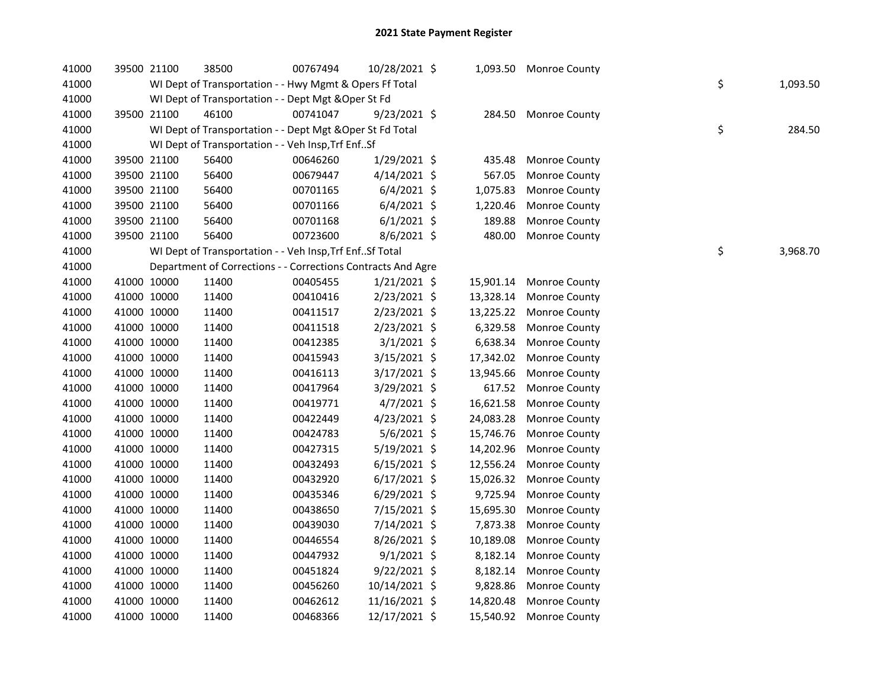| 41000 |             | 39500 21100 | 38500                                                        | 00767494 | 10/28/2021 \$  |           | 1,093.50 Monroe County  |    |          |
|-------|-------------|-------------|--------------------------------------------------------------|----------|----------------|-----------|-------------------------|----|----------|
| 41000 |             |             | WI Dept of Transportation - - Hwy Mgmt & Opers Ff Total      |          |                |           |                         | \$ | 1,093.50 |
| 41000 |             |             | WI Dept of Transportation - - Dept Mgt & Oper St Fd          |          |                |           |                         |    |          |
| 41000 |             | 39500 21100 | 46100                                                        | 00741047 | $9/23/2021$ \$ | 284.50    | Monroe County           |    |          |
| 41000 |             |             | WI Dept of Transportation - - Dept Mgt & Oper St Fd Total    |          |                |           |                         | \$ | 284.50   |
| 41000 |             |             | WI Dept of Transportation - - Veh Insp, Trf EnfSf            |          |                |           |                         |    |          |
| 41000 |             | 39500 21100 | 56400                                                        | 00646260 | 1/29/2021 \$   | 435.48    | Monroe County           |    |          |
| 41000 |             | 39500 21100 | 56400                                                        | 00679447 | $4/14/2021$ \$ | 567.05    | Monroe County           |    |          |
| 41000 |             | 39500 21100 | 56400                                                        | 00701165 | $6/4/2021$ \$  | 1,075.83  | Monroe County           |    |          |
| 41000 |             | 39500 21100 | 56400                                                        | 00701166 | $6/4/2021$ \$  | 1,220.46  | Monroe County           |    |          |
| 41000 |             | 39500 21100 | 56400                                                        | 00701168 | $6/1/2021$ \$  | 189.88    | Monroe County           |    |          |
| 41000 |             | 39500 21100 | 56400                                                        | 00723600 | 8/6/2021 \$    | 480.00    | Monroe County           |    |          |
| 41000 |             |             | WI Dept of Transportation - - Veh Insp, Trf EnfSf Total      |          |                |           |                         | \$ | 3,968.70 |
| 41000 |             |             | Department of Corrections - - Corrections Contracts And Agre |          |                |           |                         |    |          |
| 41000 |             | 41000 10000 | 11400                                                        | 00405455 | $1/21/2021$ \$ | 15,901.14 | <b>Monroe County</b>    |    |          |
| 41000 |             | 41000 10000 | 11400                                                        | 00410416 | 2/23/2021 \$   | 13,328.14 | Monroe County           |    |          |
| 41000 |             | 41000 10000 | 11400                                                        | 00411517 | 2/23/2021 \$   | 13,225.22 | Monroe County           |    |          |
| 41000 |             | 41000 10000 | 11400                                                        | 00411518 | 2/23/2021 \$   | 6,329.58  | Monroe County           |    |          |
| 41000 |             | 41000 10000 | 11400                                                        | 00412385 | 3/1/2021 \$    | 6,638.34  | Monroe County           |    |          |
| 41000 |             | 41000 10000 | 11400                                                        | 00415943 | 3/15/2021 \$   | 17,342.02 | Monroe County           |    |          |
| 41000 |             | 41000 10000 | 11400                                                        | 00416113 | 3/17/2021 \$   | 13,945.66 | Monroe County           |    |          |
| 41000 |             | 41000 10000 | 11400                                                        | 00417964 | 3/29/2021 \$   | 617.52    | Monroe County           |    |          |
| 41000 |             | 41000 10000 | 11400                                                        | 00419771 | 4/7/2021 \$    | 16,621.58 | Monroe County           |    |          |
| 41000 |             | 41000 10000 | 11400                                                        | 00422449 | 4/23/2021 \$   | 24,083.28 | Monroe County           |    |          |
| 41000 |             | 41000 10000 | 11400                                                        | 00424783 | 5/6/2021 \$    | 15,746.76 | Monroe County           |    |          |
| 41000 |             | 41000 10000 | 11400                                                        | 00427315 | 5/19/2021 \$   | 14,202.96 | Monroe County           |    |          |
| 41000 |             | 41000 10000 | 11400                                                        | 00432493 | $6/15/2021$ \$ | 12,556.24 | Monroe County           |    |          |
| 41000 |             | 41000 10000 | 11400                                                        | 00432920 | $6/17/2021$ \$ | 15,026.32 | Monroe County           |    |          |
| 41000 |             | 41000 10000 | 11400                                                        | 00435346 | $6/29/2021$ \$ | 9,725.94  | Monroe County           |    |          |
| 41000 |             | 41000 10000 | 11400                                                        | 00438650 | 7/15/2021 \$   | 15,695.30 | Monroe County           |    |          |
| 41000 |             | 41000 10000 | 11400                                                        | 00439030 | 7/14/2021 \$   | 7,873.38  | Monroe County           |    |          |
| 41000 |             | 41000 10000 | 11400                                                        | 00446554 | 8/26/2021 \$   | 10,189.08 | Monroe County           |    |          |
| 41000 |             | 41000 10000 | 11400                                                        | 00447932 | $9/1/2021$ \$  | 8,182.14  | Monroe County           |    |          |
| 41000 |             | 41000 10000 | 11400                                                        | 00451824 | $9/22/2021$ \$ | 8,182.14  | Monroe County           |    |          |
| 41000 |             | 41000 10000 | 11400                                                        | 00456260 | 10/14/2021 \$  | 9,828.86  | Monroe County           |    |          |
| 41000 |             | 41000 10000 | 11400                                                        | 00462612 | 11/16/2021 \$  | 14,820.48 | Monroe County           |    |          |
| 41000 | 41000 10000 |             | 11400                                                        | 00468366 | 12/17/2021 \$  |           | 15,540.92 Monroe County |    |          |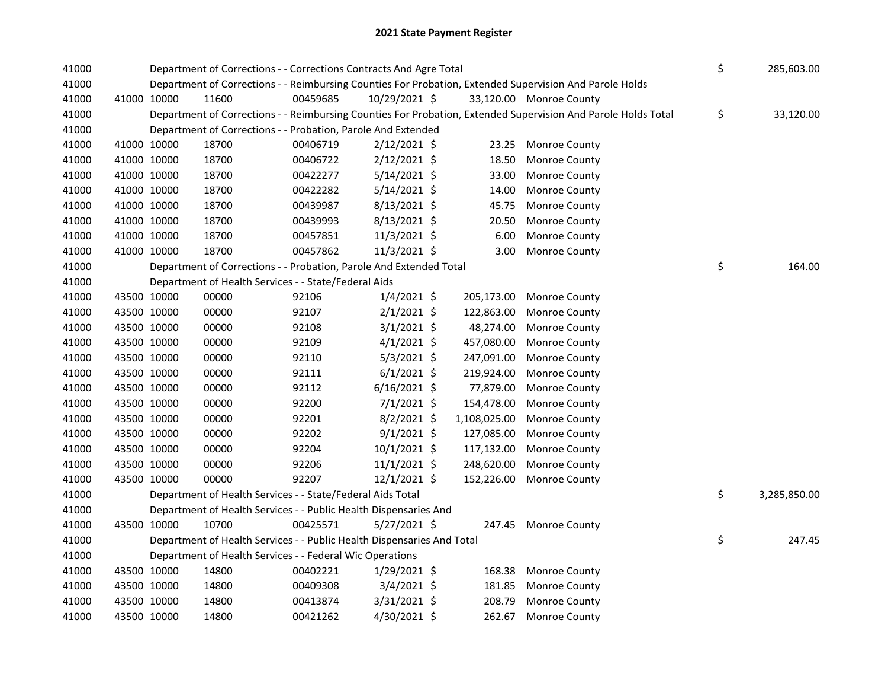| 41000 |             |             | Department of Corrections - - Corrections Contracts And Agre Total     |          | \$<br>285,603.00 |              |                                                                                                               |                    |
|-------|-------------|-------------|------------------------------------------------------------------------|----------|------------------|--------------|---------------------------------------------------------------------------------------------------------------|--------------------|
| 41000 |             |             |                                                                        |          |                  |              | Department of Corrections - - Reimbursing Counties For Probation, Extended Supervision And Parole Holds       |                    |
| 41000 |             | 41000 10000 | 11600                                                                  | 00459685 | 10/29/2021 \$    |              | 33,120.00 Monroe County                                                                                       |                    |
| 41000 |             |             |                                                                        |          |                  |              | Department of Corrections - - Reimbursing Counties For Probation, Extended Supervision And Parole Holds Total | \$<br>33,120.00    |
| 41000 |             |             | Department of Corrections - - Probation, Parole And Extended           |          |                  |              |                                                                                                               |                    |
| 41000 |             | 41000 10000 | 18700                                                                  | 00406719 | $2/12/2021$ \$   | 23.25        | <b>Monroe County</b>                                                                                          |                    |
| 41000 |             | 41000 10000 | 18700                                                                  | 00406722 | $2/12/2021$ \$   | 18.50        | Monroe County                                                                                                 |                    |
| 41000 |             | 41000 10000 | 18700                                                                  | 00422277 | $5/14/2021$ \$   | 33.00        | Monroe County                                                                                                 |                    |
| 41000 |             | 41000 10000 | 18700                                                                  | 00422282 | $5/14/2021$ \$   | 14.00        | Monroe County                                                                                                 |                    |
| 41000 |             | 41000 10000 | 18700                                                                  | 00439987 | 8/13/2021 \$     | 45.75        | Monroe County                                                                                                 |                    |
| 41000 |             | 41000 10000 | 18700                                                                  | 00439993 | 8/13/2021 \$     | 20.50        | Monroe County                                                                                                 |                    |
| 41000 |             | 41000 10000 | 18700                                                                  | 00457851 | 11/3/2021 \$     | 6.00         | Monroe County                                                                                                 |                    |
| 41000 |             | 41000 10000 | 18700                                                                  | 00457862 | 11/3/2021 \$     | 3.00         | Monroe County                                                                                                 |                    |
| 41000 |             |             | Department of Corrections - - Probation, Parole And Extended Total     |          |                  |              |                                                                                                               | \$<br>164.00       |
| 41000 |             |             | Department of Health Services - - State/Federal Aids                   |          |                  |              |                                                                                                               |                    |
| 41000 |             | 43500 10000 | 00000                                                                  | 92106    | $1/4/2021$ \$    | 205,173.00   | Monroe County                                                                                                 |                    |
| 41000 |             | 43500 10000 | 00000                                                                  | 92107    | $2/1/2021$ \$    | 122,863.00   | Monroe County                                                                                                 |                    |
| 41000 |             | 43500 10000 | 00000                                                                  | 92108    | $3/1/2021$ \$    | 48,274.00    | Monroe County                                                                                                 |                    |
| 41000 |             | 43500 10000 | 00000                                                                  | 92109    | $4/1/2021$ \$    | 457,080.00   | Monroe County                                                                                                 |                    |
| 41000 |             | 43500 10000 | 00000                                                                  | 92110    | $5/3/2021$ \$    | 247,091.00   | Monroe County                                                                                                 |                    |
| 41000 |             | 43500 10000 | 00000                                                                  | 92111    | $6/1/2021$ \$    | 219,924.00   | Monroe County                                                                                                 |                    |
| 41000 |             | 43500 10000 | 00000                                                                  | 92112    | $6/16/2021$ \$   | 77,879.00    | Monroe County                                                                                                 |                    |
| 41000 |             | 43500 10000 | 00000                                                                  | 92200    | $7/1/2021$ \$    | 154,478.00   | Monroe County                                                                                                 |                    |
| 41000 |             | 43500 10000 | 00000                                                                  | 92201    | $8/2/2021$ \$    | 1,108,025.00 | Monroe County                                                                                                 |                    |
| 41000 |             | 43500 10000 | 00000                                                                  | 92202    | $9/1/2021$ \$    | 127,085.00   | Monroe County                                                                                                 |                    |
| 41000 |             | 43500 10000 | 00000                                                                  | 92204    | $10/1/2021$ \$   | 117,132.00   | Monroe County                                                                                                 |                    |
| 41000 |             | 43500 10000 | 00000                                                                  | 92206    | $11/1/2021$ \$   | 248,620.00   | Monroe County                                                                                                 |                    |
| 41000 |             | 43500 10000 | 00000                                                                  | 92207    | 12/1/2021 \$     | 152,226.00   | <b>Monroe County</b>                                                                                          |                    |
| 41000 |             |             | Department of Health Services - - State/Federal Aids Total             |          |                  |              |                                                                                                               | \$<br>3,285,850.00 |
| 41000 |             |             | Department of Health Services - - Public Health Dispensaries And       |          |                  |              |                                                                                                               |                    |
| 41000 |             | 43500 10000 | 10700                                                                  | 00425571 | $5/27/2021$ \$   |              | 247.45 Monroe County                                                                                          |                    |
| 41000 |             |             | Department of Health Services - - Public Health Dispensaries And Total |          |                  |              |                                                                                                               | \$<br>247.45       |
| 41000 |             |             | Department of Health Services - - Federal Wic Operations               |          |                  |              |                                                                                                               |                    |
| 41000 |             | 43500 10000 | 14800                                                                  | 00402221 | $1/29/2021$ \$   | 168.38       | Monroe County                                                                                                 |                    |
| 41000 |             | 43500 10000 | 14800                                                                  | 00409308 | $3/4/2021$ \$    | 181.85       | Monroe County                                                                                                 |                    |
| 41000 |             | 43500 10000 | 14800                                                                  | 00413874 | $3/31/2021$ \$   | 208.79       | Monroe County                                                                                                 |                    |
| 41000 | 43500 10000 |             | 14800                                                                  | 00421262 | 4/30/2021 \$     | 262.67       | Monroe County                                                                                                 |                    |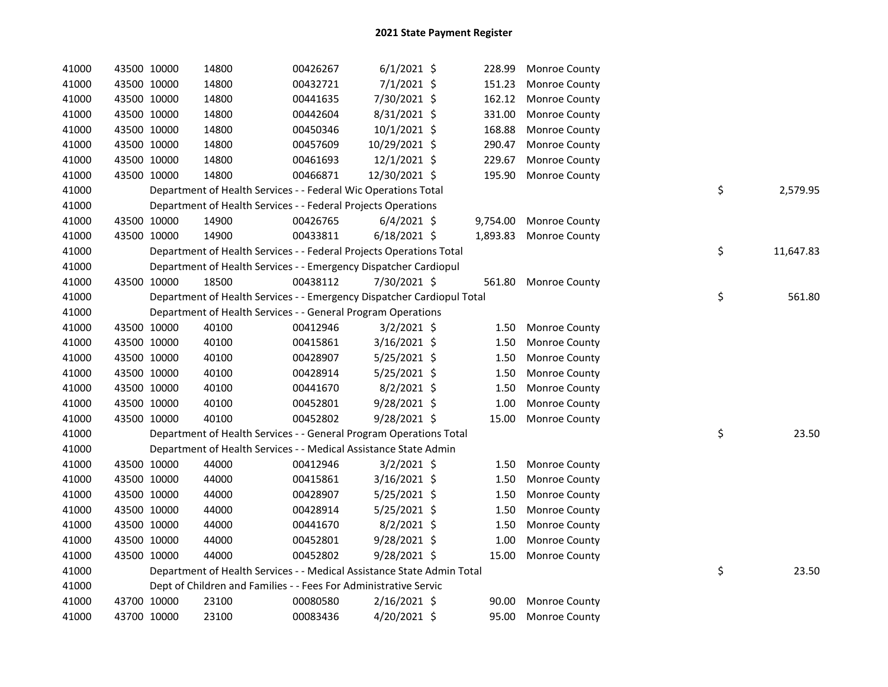| 41000 |             | 43500 10000 | 14800                                                                  | 00426267 | $6/1/2021$ \$  | 228.99   | <b>Monroe County</b> |    |           |
|-------|-------------|-------------|------------------------------------------------------------------------|----------|----------------|----------|----------------------|----|-----------|
| 41000 |             | 43500 10000 | 14800                                                                  | 00432721 | 7/1/2021 \$    | 151.23   | Monroe County        |    |           |
| 41000 |             | 43500 10000 | 14800                                                                  | 00441635 | 7/30/2021 \$   | 162.12   | Monroe County        |    |           |
| 41000 |             | 43500 10000 | 14800                                                                  | 00442604 | 8/31/2021 \$   | 331.00   | Monroe County        |    |           |
| 41000 |             | 43500 10000 | 14800                                                                  | 00450346 | $10/1/2021$ \$ | 168.88   | Monroe County        |    |           |
| 41000 |             | 43500 10000 | 14800                                                                  | 00457609 | 10/29/2021 \$  | 290.47   | Monroe County        |    |           |
| 41000 |             | 43500 10000 | 14800                                                                  | 00461693 | 12/1/2021 \$   | 229.67   | Monroe County        |    |           |
| 41000 |             | 43500 10000 | 14800                                                                  | 00466871 | 12/30/2021 \$  | 195.90   | Monroe County        |    |           |
| 41000 |             |             | Department of Health Services - - Federal Wic Operations Total         |          |                |          |                      | \$ | 2,579.95  |
| 41000 |             |             | Department of Health Services - - Federal Projects Operations          |          |                |          |                      |    |           |
| 41000 |             | 43500 10000 | 14900                                                                  | 00426765 | $6/4/2021$ \$  | 9,754.00 | Monroe County        |    |           |
| 41000 |             | 43500 10000 | 14900                                                                  | 00433811 | $6/18/2021$ \$ | 1,893.83 | Monroe County        |    |           |
| 41000 |             |             | Department of Health Services - - Federal Projects Operations Total    |          |                |          |                      | \$ | 11,647.83 |
| 41000 |             |             | Department of Health Services - - Emergency Dispatcher Cardiopul       |          |                |          |                      |    |           |
| 41000 |             | 43500 10000 | 18500                                                                  | 00438112 | 7/30/2021 \$   |          | 561.80 Monroe County |    |           |
| 41000 |             |             | Department of Health Services - - Emergency Dispatcher Cardiopul Total |          |                |          |                      | \$ | 561.80    |
| 41000 |             |             | Department of Health Services - - General Program Operations           |          |                |          |                      |    |           |
| 41000 |             | 43500 10000 | 40100                                                                  | 00412946 | $3/2/2021$ \$  | 1.50     | Monroe County        |    |           |
| 41000 |             | 43500 10000 | 40100                                                                  | 00415861 | 3/16/2021 \$   | 1.50     | Monroe County        |    |           |
| 41000 |             | 43500 10000 | 40100                                                                  | 00428907 | 5/25/2021 \$   | 1.50     | Monroe County        |    |           |
| 41000 |             | 43500 10000 | 40100                                                                  | 00428914 | $5/25/2021$ \$ | 1.50     | Monroe County        |    |           |
| 41000 |             | 43500 10000 | 40100                                                                  | 00441670 | $8/2/2021$ \$  | 1.50     | Monroe County        |    |           |
| 41000 |             | 43500 10000 | 40100                                                                  | 00452801 | 9/28/2021 \$   | 1.00     | Monroe County        |    |           |
| 41000 |             | 43500 10000 | 40100                                                                  | 00452802 | 9/28/2021 \$   | 15.00    | Monroe County        |    |           |
| 41000 |             |             | Department of Health Services - - General Program Operations Total     |          |                |          |                      | \$ | 23.50     |
| 41000 |             |             | Department of Health Services - - Medical Assistance State Admin       |          |                |          |                      |    |           |
| 41000 |             | 43500 10000 | 44000                                                                  | 00412946 | $3/2/2021$ \$  | 1.50     | Monroe County        |    |           |
| 41000 |             | 43500 10000 | 44000                                                                  | 00415861 | $3/16/2021$ \$ | 1.50     | Monroe County        |    |           |
| 41000 |             | 43500 10000 | 44000                                                                  | 00428907 | $5/25/2021$ \$ | 1.50     | Monroe County        |    |           |
| 41000 |             | 43500 10000 | 44000                                                                  | 00428914 | $5/25/2021$ \$ | 1.50     | Monroe County        |    |           |
| 41000 |             | 43500 10000 | 44000                                                                  | 00441670 | $8/2/2021$ \$  | 1.50     | Monroe County        |    |           |
| 41000 |             | 43500 10000 | 44000                                                                  | 00452801 | $9/28/2021$ \$ | 1.00     | Monroe County        |    |           |
| 41000 | 43500 10000 |             | 44000                                                                  | 00452802 | $9/28/2021$ \$ | 15.00    | Monroe County        |    |           |
| 41000 |             |             | Department of Health Services - - Medical Assistance State Admin Total |          |                |          |                      | \$ | 23.50     |
| 41000 |             |             | Dept of Children and Families - - Fees For Administrative Servic       |          |                |          |                      |    |           |
| 41000 |             | 43700 10000 | 23100                                                                  | 00080580 | $2/16/2021$ \$ | 90.00    | Monroe County        |    |           |
| 41000 | 43700 10000 |             | 23100                                                                  | 00083436 | 4/20/2021 \$   | 95.00    | <b>Monroe County</b> |    |           |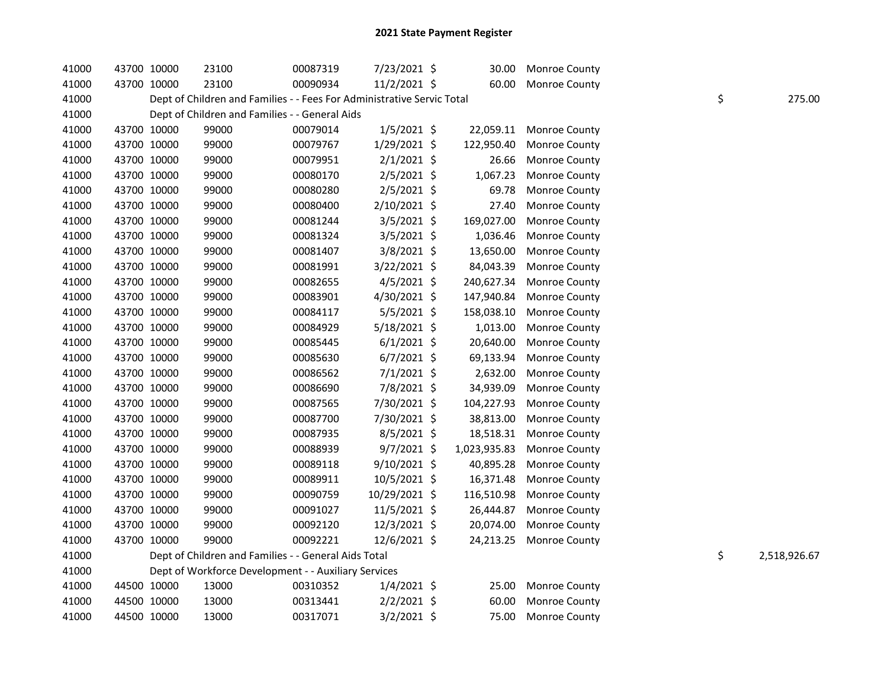| 41000 | 43700 10000 | 23100                                                                  | 00087319 | 7/23/2021 \$   | 30.00        | <b>Monroe County</b> |    |              |
|-------|-------------|------------------------------------------------------------------------|----------|----------------|--------------|----------------------|----|--------------|
| 41000 | 43700 10000 | 23100                                                                  | 00090934 | 11/2/2021 \$   | 60.00        | <b>Monroe County</b> |    |              |
| 41000 |             | Dept of Children and Families - - Fees For Administrative Servic Total |          |                |              |                      | \$ | 275.00       |
| 41000 |             | Dept of Children and Families - - General Aids                         |          |                |              |                      |    |              |
| 41000 | 43700 10000 | 99000                                                                  | 00079014 | $1/5/2021$ \$  | 22,059.11    | Monroe County        |    |              |
| 41000 | 43700 10000 | 99000                                                                  | 00079767 | 1/29/2021 \$   | 122,950.40   | Monroe County        |    |              |
| 41000 | 43700 10000 | 99000                                                                  | 00079951 | $2/1/2021$ \$  | 26.66        | Monroe County        |    |              |
| 41000 | 43700 10000 | 99000                                                                  | 00080170 | $2/5/2021$ \$  | 1,067.23     | Monroe County        |    |              |
| 41000 | 43700 10000 | 99000                                                                  | 00080280 | 2/5/2021 \$    | 69.78        | Monroe County        |    |              |
| 41000 | 43700 10000 | 99000                                                                  | 00080400 | 2/10/2021 \$   | 27.40        | Monroe County        |    |              |
| 41000 | 43700 10000 | 99000                                                                  | 00081244 | 3/5/2021 \$    | 169,027.00   | Monroe County        |    |              |
| 41000 | 43700 10000 | 99000                                                                  | 00081324 | $3/5/2021$ \$  | 1,036.46     | Monroe County        |    |              |
| 41000 | 43700 10000 | 99000                                                                  | 00081407 | 3/8/2021 \$    | 13,650.00    | Monroe County        |    |              |
| 41000 | 43700 10000 | 99000                                                                  | 00081991 | $3/22/2021$ \$ | 84,043.39    | Monroe County        |    |              |
| 41000 | 43700 10000 | 99000                                                                  | 00082655 | $4/5/2021$ \$  | 240,627.34   | Monroe County        |    |              |
| 41000 | 43700 10000 | 99000                                                                  | 00083901 | 4/30/2021 \$   | 147,940.84   | Monroe County        |    |              |
| 41000 | 43700 10000 | 99000                                                                  | 00084117 | 5/5/2021 \$    | 158,038.10   | Monroe County        |    |              |
| 41000 | 43700 10000 | 99000                                                                  | 00084929 | 5/18/2021 \$   | 1,013.00     | Monroe County        |    |              |
| 41000 | 43700 10000 | 99000                                                                  | 00085445 | $6/1/2021$ \$  | 20,640.00    | Monroe County        |    |              |
| 41000 | 43700 10000 | 99000                                                                  | 00085630 | $6/7/2021$ \$  | 69,133.94    | Monroe County        |    |              |
| 41000 | 43700 10000 | 99000                                                                  | 00086562 | $7/1/2021$ \$  | 2,632.00     | Monroe County        |    |              |
| 41000 | 43700 10000 | 99000                                                                  | 00086690 | 7/8/2021 \$    | 34,939.09    | Monroe County        |    |              |
| 41000 | 43700 10000 | 99000                                                                  | 00087565 | 7/30/2021 \$   | 104,227.93   | Monroe County        |    |              |
| 41000 | 43700 10000 | 99000                                                                  | 00087700 | 7/30/2021 \$   | 38,813.00    | Monroe County        |    |              |
| 41000 | 43700 10000 | 99000                                                                  | 00087935 | $8/5/2021$ \$  | 18,518.31    | Monroe County        |    |              |
| 41000 | 43700 10000 | 99000                                                                  | 00088939 | $9/7/2021$ \$  | 1,023,935.83 | Monroe County        |    |              |
| 41000 | 43700 10000 | 99000                                                                  | 00089118 | 9/10/2021 \$   | 40,895.28    | Monroe County        |    |              |
| 41000 | 43700 10000 | 99000                                                                  | 00089911 | 10/5/2021 \$   | 16,371.48    | Monroe County        |    |              |
| 41000 | 43700 10000 | 99000                                                                  | 00090759 | 10/29/2021 \$  | 116,510.98   | Monroe County        |    |              |
| 41000 | 43700 10000 | 99000                                                                  | 00091027 | 11/5/2021 \$   | 26,444.87    | Monroe County        |    |              |
| 41000 | 43700 10000 | 99000                                                                  | 00092120 | 12/3/2021 \$   | 20,074.00    | Monroe County        |    |              |
| 41000 | 43700 10000 | 99000                                                                  | 00092221 | 12/6/2021 \$   | 24,213.25    | Monroe County        |    |              |
| 41000 |             | Dept of Children and Families - - General Aids Total                   |          |                |              |                      | \$ | 2,518,926.67 |
| 41000 |             | Dept of Workforce Development - - Auxiliary Services                   |          |                |              |                      |    |              |
| 41000 | 44500 10000 | 13000                                                                  | 00310352 | $1/4/2021$ \$  | 25.00        | Monroe County        |    |              |
| 41000 | 44500 10000 | 13000                                                                  | 00313441 | $2/2/2021$ \$  | 60.00        | Monroe County        |    |              |
| 41000 | 44500 10000 | 13000                                                                  | 00317071 | $3/2/2021$ \$  | 75.00        | Monroe County        |    |              |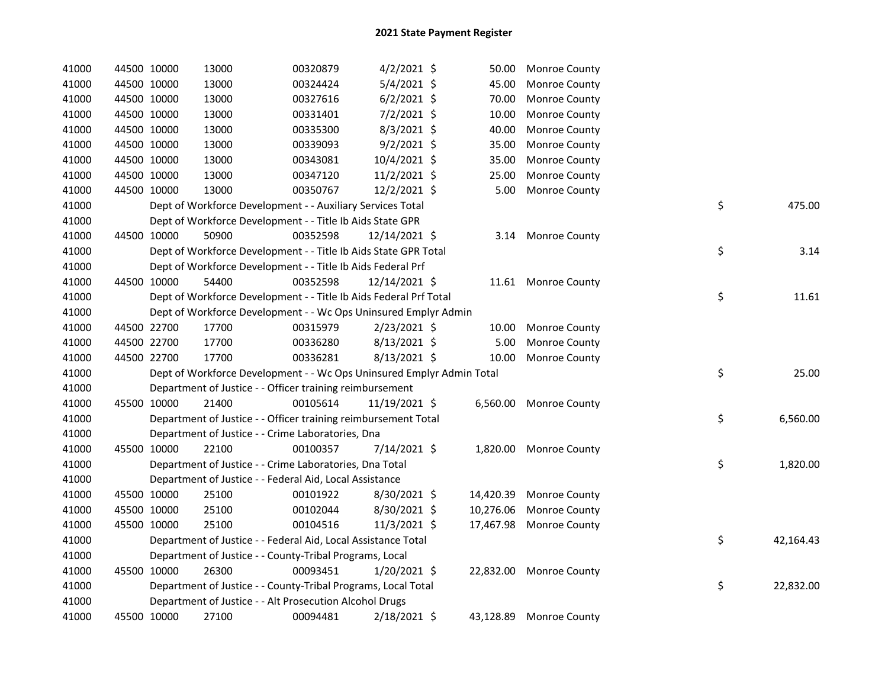| 41000 | 44500 10000 | 13000                                                                 | 00320879 | $4/2/2021$ \$  | 50.00     | <b>Monroe County</b>    |    |           |
|-------|-------------|-----------------------------------------------------------------------|----------|----------------|-----------|-------------------------|----|-----------|
| 41000 | 44500 10000 | 13000                                                                 | 00324424 | $5/4/2021$ \$  | 45.00     | Monroe County           |    |           |
| 41000 | 44500 10000 | 13000                                                                 | 00327616 | $6/2/2021$ \$  | 70.00     | Monroe County           |    |           |
| 41000 | 44500 10000 | 13000                                                                 | 00331401 | 7/2/2021 \$    | 10.00     | Monroe County           |    |           |
| 41000 | 44500 10000 | 13000                                                                 | 00335300 | 8/3/2021 \$    | 40.00     | Monroe County           |    |           |
| 41000 | 44500 10000 | 13000                                                                 | 00339093 | $9/2/2021$ \$  | 35.00     | Monroe County           |    |           |
| 41000 | 44500 10000 | 13000                                                                 | 00343081 | 10/4/2021 \$   | 35.00     | Monroe County           |    |           |
| 41000 | 44500 10000 | 13000                                                                 | 00347120 | 11/2/2021 \$   | 25.00     | Monroe County           |    |           |
| 41000 | 44500 10000 | 13000                                                                 | 00350767 | 12/2/2021 \$   | 5.00      | Monroe County           |    |           |
| 41000 |             | Dept of Workforce Development - - Auxiliary Services Total            |          |                |           |                         | \$ | 475.00    |
| 41000 |             | Dept of Workforce Development - - Title Ib Aids State GPR             |          |                |           |                         |    |           |
| 41000 | 44500 10000 | 50900                                                                 | 00352598 | 12/14/2021 \$  |           | 3.14 Monroe County      |    |           |
| 41000 |             | Dept of Workforce Development - - Title Ib Aids State GPR Total       |          |                |           |                         | \$ | 3.14      |
| 41000 |             | Dept of Workforce Development - - Title Ib Aids Federal Prf           |          |                |           |                         |    |           |
| 41000 | 44500 10000 | 54400                                                                 | 00352598 | 12/14/2021 \$  |           | 11.61 Monroe County     |    |           |
| 41000 |             | Dept of Workforce Development - - Title Ib Aids Federal Prf Total     |          |                |           |                         | \$ | 11.61     |
| 41000 |             | Dept of Workforce Development - - Wc Ops Uninsured Emplyr Admin       |          |                |           |                         |    |           |
| 41000 | 44500 22700 | 17700                                                                 | 00315979 | 2/23/2021 \$   | 10.00     | Monroe County           |    |           |
| 41000 | 44500 22700 | 17700                                                                 | 00336280 | 8/13/2021 \$   | 5.00      | Monroe County           |    |           |
| 41000 | 44500 22700 | 17700                                                                 | 00336281 | 8/13/2021 \$   | 10.00     | Monroe County           |    |           |
| 41000 |             | Dept of Workforce Development - - Wc Ops Uninsured Emplyr Admin Total |          |                |           |                         | \$ | 25.00     |
| 41000 |             | Department of Justice - - Officer training reimbursement              |          |                |           |                         |    |           |
| 41000 | 45500 10000 | 21400                                                                 | 00105614 | 11/19/2021 \$  | 6,560.00  | Monroe County           |    |           |
| 41000 |             | Department of Justice - - Officer training reimbursement Total        |          |                |           |                         | \$ | 6,560.00  |
| 41000 |             | Department of Justice - - Crime Laboratories, Dna                     |          |                |           |                         |    |           |
| 41000 | 45500 10000 | 22100                                                                 | 00100357 | 7/14/2021 \$   | 1,820.00  | <b>Monroe County</b>    |    |           |
| 41000 |             | Department of Justice - - Crime Laboratories, Dna Total               |          |                |           |                         | \$ | 1,820.00  |
| 41000 |             | Department of Justice - - Federal Aid, Local Assistance               |          |                |           |                         |    |           |
| 41000 | 45500 10000 | 25100                                                                 | 00101922 | 8/30/2021 \$   | 14,420.39 | Monroe County           |    |           |
| 41000 | 45500 10000 | 25100                                                                 | 00102044 | 8/30/2021 \$   | 10,276.06 | Monroe County           |    |           |
| 41000 | 45500 10000 | 25100                                                                 | 00104516 | $11/3/2021$ \$ | 17,467.98 | Monroe County           |    |           |
| 41000 |             | Department of Justice - - Federal Aid, Local Assistance Total         |          |                |           |                         | \$ | 42,164.43 |
| 41000 |             | Department of Justice - - County-Tribal Programs, Local               |          |                |           |                         |    |           |
| 41000 | 45500 10000 | 26300                                                                 | 00093451 | 1/20/2021 \$   |           | 22,832.00 Monroe County |    |           |
| 41000 |             | Department of Justice - - County-Tribal Programs, Local Total         |          |                |           |                         | \$ | 22,832.00 |
| 41000 |             | Department of Justice - - Alt Prosecution Alcohol Drugs               |          |                |           |                         |    |           |
| 41000 | 45500 10000 | 27100                                                                 | 00094481 | 2/18/2021 \$   | 43,128.89 | <b>Monroe County</b>    |    |           |
|       |             |                                                                       |          |                |           |                         |    |           |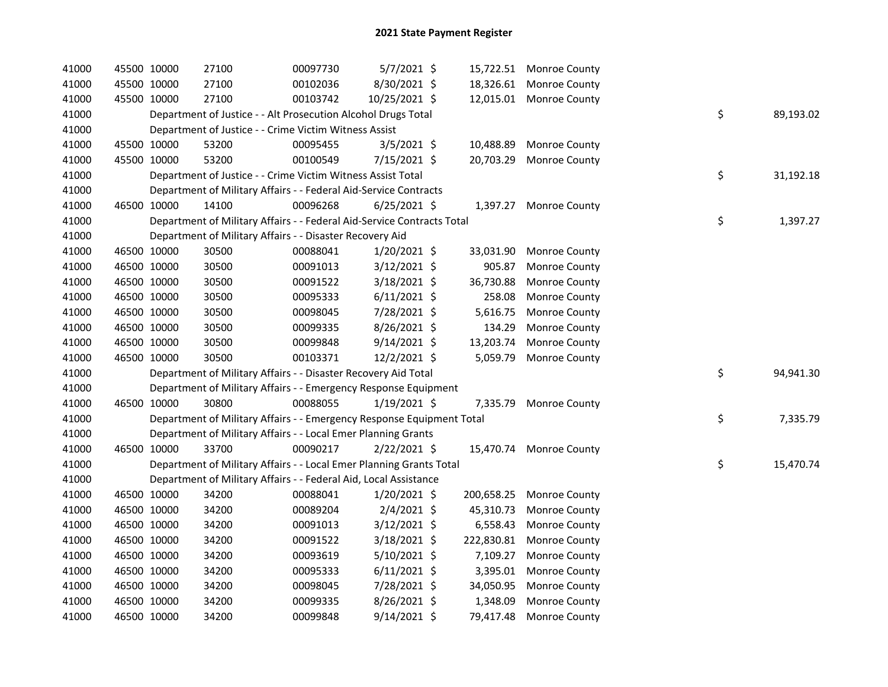| 41000 | 45500 10000 | 27100                                                                  | 00097730 | $5/7/2021$ \$  |            | 15,722.51 Monroe County  |    |           |
|-------|-------------|------------------------------------------------------------------------|----------|----------------|------------|--------------------------|----|-----------|
| 41000 | 45500 10000 | 27100                                                                  | 00102036 | 8/30/2021 \$   |            | 18,326.61 Monroe County  |    |           |
| 41000 | 45500 10000 | 27100                                                                  | 00103742 | 10/25/2021 \$  |            | 12,015.01 Monroe County  |    |           |
| 41000 |             | Department of Justice - - Alt Prosecution Alcohol Drugs Total          |          |                |            |                          | \$ | 89,193.02 |
| 41000 |             | Department of Justice - - Crime Victim Witness Assist                  |          |                |            |                          |    |           |
| 41000 | 45500 10000 | 53200                                                                  | 00095455 | $3/5/2021$ \$  | 10,488.89  | <b>Monroe County</b>     |    |           |
| 41000 | 45500 10000 | 53200                                                                  | 00100549 | 7/15/2021 \$   |            | 20,703.29 Monroe County  |    |           |
| 41000 |             | Department of Justice - - Crime Victim Witness Assist Total            |          |                |            |                          | \$ | 31,192.18 |
| 41000 |             | Department of Military Affairs - - Federal Aid-Service Contracts       |          |                |            |                          |    |           |
| 41000 | 46500 10000 | 14100                                                                  | 00096268 | $6/25/2021$ \$ |            | 1,397.27 Monroe County   |    |           |
| 41000 |             | Department of Military Affairs - - Federal Aid-Service Contracts Total |          |                |            |                          | \$ | 1,397.27  |
| 41000 |             | Department of Military Affairs - - Disaster Recovery Aid               |          |                |            |                          |    |           |
| 41000 | 46500 10000 | 30500                                                                  | 00088041 | 1/20/2021 \$   |            | 33,031.90 Monroe County  |    |           |
| 41000 | 46500 10000 | 30500                                                                  | 00091013 | $3/12/2021$ \$ | 905.87     | <b>Monroe County</b>     |    |           |
| 41000 | 46500 10000 | 30500                                                                  | 00091522 | $3/18/2021$ \$ | 36,730.88  | Monroe County            |    |           |
| 41000 | 46500 10000 | 30500                                                                  | 00095333 | $6/11/2021$ \$ | 258.08     | Monroe County            |    |           |
| 41000 | 46500 10000 | 30500                                                                  | 00098045 | 7/28/2021 \$   | 5,616.75   | <b>Monroe County</b>     |    |           |
| 41000 | 46500 10000 | 30500                                                                  | 00099335 | 8/26/2021 \$   | 134.29     | Monroe County            |    |           |
| 41000 | 46500 10000 | 30500                                                                  | 00099848 | 9/14/2021 \$   | 13,203.74  | Monroe County            |    |           |
| 41000 | 46500 10000 | 30500                                                                  | 00103371 | 12/2/2021 \$   |            | 5,059.79 Monroe County   |    |           |
| 41000 |             | Department of Military Affairs - - Disaster Recovery Aid Total         |          |                |            |                          | \$ | 94,941.30 |
| 41000 |             | Department of Military Affairs - - Emergency Response Equipment        |          |                |            |                          |    |           |
| 41000 | 46500 10000 | 30800                                                                  | 00088055 | $1/19/2021$ \$ |            | 7,335.79 Monroe County   |    |           |
| 41000 |             | Department of Military Affairs - - Emergency Response Equipment Total  |          |                |            |                          | \$ | 7,335.79  |
| 41000 |             | Department of Military Affairs - - Local Emer Planning Grants          |          |                |            |                          |    |           |
| 41000 | 46500 10000 | 33700                                                                  | 00090217 | $2/22/2021$ \$ |            | 15,470.74 Monroe County  |    |           |
| 41000 |             | Department of Military Affairs - - Local Emer Planning Grants Total    |          |                |            |                          | \$ | 15,470.74 |
| 41000 |             | Department of Military Affairs - - Federal Aid, Local Assistance       |          |                |            |                          |    |           |
| 41000 | 46500 10000 | 34200                                                                  | 00088041 | $1/20/2021$ \$ |            | 200,658.25 Monroe County |    |           |
| 41000 | 46500 10000 | 34200                                                                  | 00089204 | $2/4/2021$ \$  | 45,310.73  | Monroe County            |    |           |
| 41000 | 46500 10000 | 34200                                                                  | 00091013 | $3/12/2021$ \$ | 6,558.43   | Monroe County            |    |           |
| 41000 | 46500 10000 | 34200                                                                  | 00091522 | $3/18/2021$ \$ | 222,830.81 | <b>Monroe County</b>     |    |           |
| 41000 | 46500 10000 | 34200                                                                  | 00093619 | $5/10/2021$ \$ | 7,109.27   | <b>Monroe County</b>     |    |           |
| 41000 | 46500 10000 | 34200                                                                  | 00095333 | $6/11/2021$ \$ |            | 3,395.01 Monroe County   |    |           |
| 41000 | 46500 10000 | 34200                                                                  | 00098045 | 7/28/2021 \$   | 34,050.95  | <b>Monroe County</b>     |    |           |
| 41000 | 46500 10000 | 34200                                                                  | 00099335 | 8/26/2021 \$   | 1,348.09   | Monroe County            |    |           |
| 41000 | 46500 10000 | 34200                                                                  | 00099848 | $9/14/2021$ \$ | 79,417.48  | <b>Monroe County</b>     |    |           |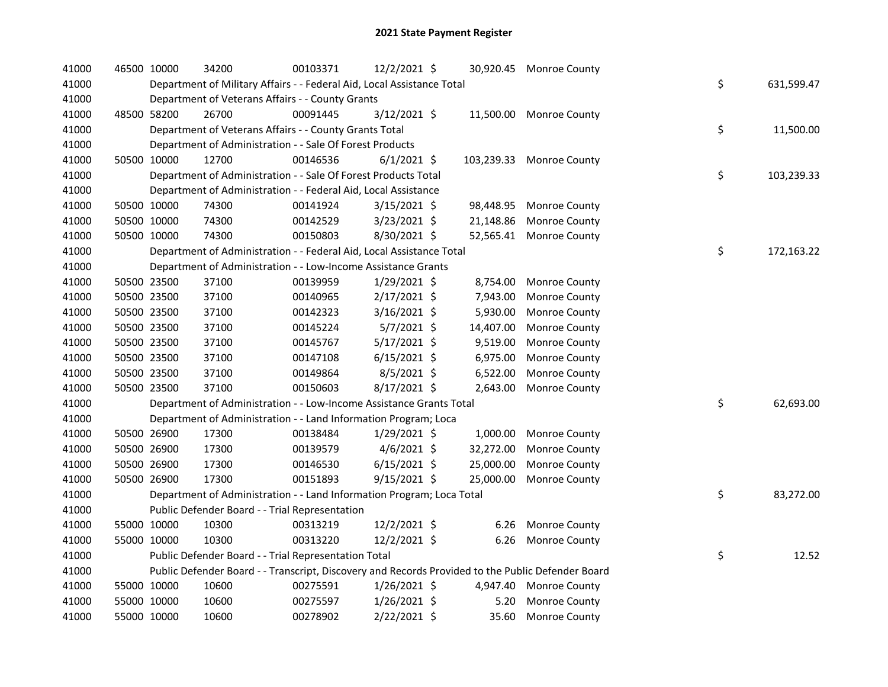|  | 34200                                                                                                                                                                                                                                                                                                                                                 | 00103371 |                                                |                                                                                                                                                                                                                                |                                                                                                                                                                                                                                                                                                                                                                                                                                                                                                                                                                                                                                                                              |                                                                                                                                                                                                                                                                                                |                                                                                                                                                                                                                                                                                                  |                  |
|--|-------------------------------------------------------------------------------------------------------------------------------------------------------------------------------------------------------------------------------------------------------------------------------------------------------------------------------------------------------|----------|------------------------------------------------|--------------------------------------------------------------------------------------------------------------------------------------------------------------------------------------------------------------------------------|------------------------------------------------------------------------------------------------------------------------------------------------------------------------------------------------------------------------------------------------------------------------------------------------------------------------------------------------------------------------------------------------------------------------------------------------------------------------------------------------------------------------------------------------------------------------------------------------------------------------------------------------------------------------------|------------------------------------------------------------------------------------------------------------------------------------------------------------------------------------------------------------------------------------------------------------------------------------------------|--------------------------------------------------------------------------------------------------------------------------------------------------------------------------------------------------------------------------------------------------------------------------------------------------|------------------|
|  |                                                                                                                                                                                                                                                                                                                                                       |          |                                                |                                                                                                                                                                                                                                |                                                                                                                                                                                                                                                                                                                                                                                                                                                                                                                                                                                                                                                                              |                                                                                                                                                                                                                                                                                                |                                                                                                                                                                                                                                                                                                  | \$<br>631,599.47 |
|  |                                                                                                                                                                                                                                                                                                                                                       |          |                                                |                                                                                                                                                                                                                                |                                                                                                                                                                                                                                                                                                                                                                                                                                                                                                                                                                                                                                                                              |                                                                                                                                                                                                                                                                                                |                                                                                                                                                                                                                                                                                                  |                  |
|  | 26700                                                                                                                                                                                                                                                                                                                                                 | 00091445 |                                                |                                                                                                                                                                                                                                |                                                                                                                                                                                                                                                                                                                                                                                                                                                                                                                                                                                                                                                                              |                                                                                                                                                                                                                                                                                                |                                                                                                                                                                                                                                                                                                  |                  |
|  |                                                                                                                                                                                                                                                                                                                                                       |          |                                                |                                                                                                                                                                                                                                |                                                                                                                                                                                                                                                                                                                                                                                                                                                                                                                                                                                                                                                                              |                                                                                                                                                                                                                                                                                                |                                                                                                                                                                                                                                                                                                  | \$<br>11,500.00  |
|  |                                                                                                                                                                                                                                                                                                                                                       |          |                                                |                                                                                                                                                                                                                                |                                                                                                                                                                                                                                                                                                                                                                                                                                                                                                                                                                                                                                                                              |                                                                                                                                                                                                                                                                                                |                                                                                                                                                                                                                                                                                                  |                  |
|  | 12700                                                                                                                                                                                                                                                                                                                                                 | 00146536 |                                                |                                                                                                                                                                                                                                |                                                                                                                                                                                                                                                                                                                                                                                                                                                                                                                                                                                                                                                                              |                                                                                                                                                                                                                                                                                                |                                                                                                                                                                                                                                                                                                  |                  |
|  |                                                                                                                                                                                                                                                                                                                                                       |          |                                                |                                                                                                                                                                                                                                |                                                                                                                                                                                                                                                                                                                                                                                                                                                                                                                                                                                                                                                                              |                                                                                                                                                                                                                                                                                                |                                                                                                                                                                                                                                                                                                  | \$<br>103,239.33 |
|  |                                                                                                                                                                                                                                                                                                                                                       |          |                                                |                                                                                                                                                                                                                                |                                                                                                                                                                                                                                                                                                                                                                                                                                                                                                                                                                                                                                                                              |                                                                                                                                                                                                                                                                                                |                                                                                                                                                                                                                                                                                                  |                  |
|  | 74300                                                                                                                                                                                                                                                                                                                                                 | 00141924 |                                                |                                                                                                                                                                                                                                | 98,448.95                                                                                                                                                                                                                                                                                                                                                                                                                                                                                                                                                                                                                                                                    | Monroe County                                                                                                                                                                                                                                                                                  |                                                                                                                                                                                                                                                                                                  |                  |
|  | 74300                                                                                                                                                                                                                                                                                                                                                 | 00142529 |                                                |                                                                                                                                                                                                                                | 21,148.86                                                                                                                                                                                                                                                                                                                                                                                                                                                                                                                                                                                                                                                                    | Monroe County                                                                                                                                                                                                                                                                                  |                                                                                                                                                                                                                                                                                                  |                  |
|  | 74300                                                                                                                                                                                                                                                                                                                                                 | 00150803 |                                                |                                                                                                                                                                                                                                |                                                                                                                                                                                                                                                                                                                                                                                                                                                                                                                                                                                                                                                                              | Monroe County                                                                                                                                                                                                                                                                                  |                                                                                                                                                                                                                                                                                                  |                  |
|  |                                                                                                                                                                                                                                                                                                                                                       |          |                                                |                                                                                                                                                                                                                                |                                                                                                                                                                                                                                                                                                                                                                                                                                                                                                                                                                                                                                                                              |                                                                                                                                                                                                                                                                                                |                                                                                                                                                                                                                                                                                                  | \$<br>172,163.22 |
|  |                                                                                                                                                                                                                                                                                                                                                       |          |                                                |                                                                                                                                                                                                                                |                                                                                                                                                                                                                                                                                                                                                                                                                                                                                                                                                                                                                                                                              |                                                                                                                                                                                                                                                                                                |                                                                                                                                                                                                                                                                                                  |                  |
|  | 37100                                                                                                                                                                                                                                                                                                                                                 | 00139959 |                                                |                                                                                                                                                                                                                                | 8,754.00                                                                                                                                                                                                                                                                                                                                                                                                                                                                                                                                                                                                                                                                     | <b>Monroe County</b>                                                                                                                                                                                                                                                                           |                                                                                                                                                                                                                                                                                                  |                  |
|  | 37100                                                                                                                                                                                                                                                                                                                                                 | 00140965 |                                                |                                                                                                                                                                                                                                | 7,943.00                                                                                                                                                                                                                                                                                                                                                                                                                                                                                                                                                                                                                                                                     | Monroe County                                                                                                                                                                                                                                                                                  |                                                                                                                                                                                                                                                                                                  |                  |
|  | 37100                                                                                                                                                                                                                                                                                                                                                 | 00142323 |                                                |                                                                                                                                                                                                                                | 5,930.00                                                                                                                                                                                                                                                                                                                                                                                                                                                                                                                                                                                                                                                                     | Monroe County                                                                                                                                                                                                                                                                                  |                                                                                                                                                                                                                                                                                                  |                  |
|  | 37100                                                                                                                                                                                                                                                                                                                                                 | 00145224 |                                                |                                                                                                                                                                                                                                | 14,407.00                                                                                                                                                                                                                                                                                                                                                                                                                                                                                                                                                                                                                                                                    | Monroe County                                                                                                                                                                                                                                                                                  |                                                                                                                                                                                                                                                                                                  |                  |
|  | 37100                                                                                                                                                                                                                                                                                                                                                 | 00145767 |                                                |                                                                                                                                                                                                                                | 9,519.00                                                                                                                                                                                                                                                                                                                                                                                                                                                                                                                                                                                                                                                                     | Monroe County                                                                                                                                                                                                                                                                                  |                                                                                                                                                                                                                                                                                                  |                  |
|  | 37100                                                                                                                                                                                                                                                                                                                                                 | 00147108 |                                                |                                                                                                                                                                                                                                | 6,975.00                                                                                                                                                                                                                                                                                                                                                                                                                                                                                                                                                                                                                                                                     | Monroe County                                                                                                                                                                                                                                                                                  |                                                                                                                                                                                                                                                                                                  |                  |
|  | 37100                                                                                                                                                                                                                                                                                                                                                 | 00149864 |                                                |                                                                                                                                                                                                                                | 6,522.00                                                                                                                                                                                                                                                                                                                                                                                                                                                                                                                                                                                                                                                                     | Monroe County                                                                                                                                                                                                                                                                                  |                                                                                                                                                                                                                                                                                                  |                  |
|  | 37100                                                                                                                                                                                                                                                                                                                                                 | 00150603 |                                                |                                                                                                                                                                                                                                | 2,643.00                                                                                                                                                                                                                                                                                                                                                                                                                                                                                                                                                                                                                                                                     | Monroe County                                                                                                                                                                                                                                                                                  |                                                                                                                                                                                                                                                                                                  |                  |
|  |                                                                                                                                                                                                                                                                                                                                                       |          |                                                |                                                                                                                                                                                                                                |                                                                                                                                                                                                                                                                                                                                                                                                                                                                                                                                                                                                                                                                              |                                                                                                                                                                                                                                                                                                |                                                                                                                                                                                                                                                                                                  | \$<br>62,693.00  |
|  |                                                                                                                                                                                                                                                                                                                                                       |          |                                                |                                                                                                                                                                                                                                |                                                                                                                                                                                                                                                                                                                                                                                                                                                                                                                                                                                                                                                                              |                                                                                                                                                                                                                                                                                                |                                                                                                                                                                                                                                                                                                  |                  |
|  | 17300                                                                                                                                                                                                                                                                                                                                                 | 00138484 |                                                |                                                                                                                                                                                                                                |                                                                                                                                                                                                                                                                                                                                                                                                                                                                                                                                                                                                                                                                              |                                                                                                                                                                                                                                                                                                |                                                                                                                                                                                                                                                                                                  |                  |
|  | 17300                                                                                                                                                                                                                                                                                                                                                 | 00139579 |                                                |                                                                                                                                                                                                                                | 32,272.00                                                                                                                                                                                                                                                                                                                                                                                                                                                                                                                                                                                                                                                                    | Monroe County                                                                                                                                                                                                                                                                                  |                                                                                                                                                                                                                                                                                                  |                  |
|  | 17300                                                                                                                                                                                                                                                                                                                                                 | 00146530 |                                                |                                                                                                                                                                                                                                | 25,000.00                                                                                                                                                                                                                                                                                                                                                                                                                                                                                                                                                                                                                                                                    | Monroe County                                                                                                                                                                                                                                                                                  |                                                                                                                                                                                                                                                                                                  |                  |
|  | 17300                                                                                                                                                                                                                                                                                                                                                 | 00151893 |                                                |                                                                                                                                                                                                                                | 25,000.00                                                                                                                                                                                                                                                                                                                                                                                                                                                                                                                                                                                                                                                                    | Monroe County                                                                                                                                                                                                                                                                                  |                                                                                                                                                                                                                                                                                                  |                  |
|  |                                                                                                                                                                                                                                                                                                                                                       |          |                                                |                                                                                                                                                                                                                                |                                                                                                                                                                                                                                                                                                                                                                                                                                                                                                                                                                                                                                                                              |                                                                                                                                                                                                                                                                                                |                                                                                                                                                                                                                                                                                                  | \$<br>83,272.00  |
|  |                                                                                                                                                                                                                                                                                                                                                       |          |                                                |                                                                                                                                                                                                                                |                                                                                                                                                                                                                                                                                                                                                                                                                                                                                                                                                                                                                                                                              |                                                                                                                                                                                                                                                                                                |                                                                                                                                                                                                                                                                                                  |                  |
|  | 10300                                                                                                                                                                                                                                                                                                                                                 | 00313219 |                                                |                                                                                                                                                                                                                                |                                                                                                                                                                                                                                                                                                                                                                                                                                                                                                                                                                                                                                                                              |                                                                                                                                                                                                                                                                                                |                                                                                                                                                                                                                                                                                                  |                  |
|  | 10300                                                                                                                                                                                                                                                                                                                                                 | 00313220 |                                                |                                                                                                                                                                                                                                |                                                                                                                                                                                                                                                                                                                                                                                                                                                                                                                                                                                                                                                                              |                                                                                                                                                                                                                                                                                                |                                                                                                                                                                                                                                                                                                  |                  |
|  |                                                                                                                                                                                                                                                                                                                                                       |          |                                                |                                                                                                                                                                                                                                |                                                                                                                                                                                                                                                                                                                                                                                                                                                                                                                                                                                                                                                                              |                                                                                                                                                                                                                                                                                                |                                                                                                                                                                                                                                                                                                  | \$<br>12.52      |
|  |                                                                                                                                                                                                                                                                                                                                                       |          |                                                |                                                                                                                                                                                                                                |                                                                                                                                                                                                                                                                                                                                                                                                                                                                                                                                                                                                                                                                              |                                                                                                                                                                                                                                                                                                |                                                                                                                                                                                                                                                                                                  |                  |
|  | 10600                                                                                                                                                                                                                                                                                                                                                 | 00275591 |                                                |                                                                                                                                                                                                                                |                                                                                                                                                                                                                                                                                                                                                                                                                                                                                                                                                                                                                                                                              |                                                                                                                                                                                                                                                                                                |                                                                                                                                                                                                                                                                                                  |                  |
|  | 10600                                                                                                                                                                                                                                                                                                                                                 | 00275597 |                                                |                                                                                                                                                                                                                                | 5.20                                                                                                                                                                                                                                                                                                                                                                                                                                                                                                                                                                                                                                                                         | Monroe County                                                                                                                                                                                                                                                                                  |                                                                                                                                                                                                                                                                                                  |                  |
|  | 10600                                                                                                                                                                                                                                                                                                                                                 | 00278902 |                                                |                                                                                                                                                                                                                                | 35.60                                                                                                                                                                                                                                                                                                                                                                                                                                                                                                                                                                                                                                                                        | Monroe County                                                                                                                                                                                                                                                                                  |                                                                                                                                                                                                                                                                                                  |                  |
|  | 46500 10000<br>48500 58200<br>50500 10000<br>50500 10000<br>50500 10000<br>50500 10000<br>50500 23500<br>50500 23500<br>50500 23500<br>50500 23500<br>50500 23500<br>50500 23500<br>50500 23500<br>50500 23500<br>50500 26900<br>50500 26900<br>50500 26900<br>50500 26900<br>55000 10000<br>55000 10000<br>55000 10000<br>55000 10000<br>55000 10000 |          | Public Defender Board - - Trial Representation | Department of Veterans Affairs - - County Grants<br>Department of Veterans Affairs - - County Grants Total<br>Department of Administration - - Sale Of Forest Products<br>Public Defender Board - - Trial Representation Total | 12/2/2021 \$<br>$3/12/2021$ \$<br>$6/1/2021$ \$<br>Department of Administration - - Sale Of Forest Products Total<br>Department of Administration - - Federal Aid, Local Assistance<br>$3/15/2021$ \$<br>3/23/2021 \$<br>8/30/2021 \$<br>Department of Administration - - Low-Income Assistance Grants<br>1/29/2021 \$<br>2/17/2021 \$<br>$3/16/2021$ \$<br>$5/7/2021$ \$<br>$5/17/2021$ \$<br>$6/15/2021$ \$<br>$8/5/2021$ \$<br>$8/17/2021$ \$<br>Department of Administration - - Land Information Program; Loca<br>$1/29/2021$ \$<br>$4/6/2021$ \$<br>$6/15/2021$ \$<br>9/15/2021 \$<br>12/2/2021 \$<br>12/2/2021 \$<br>$1/26/2021$ \$<br>$1/26/2021$ \$<br>2/22/2021 \$ | Department of Military Affairs - - Federal Aid, Local Assistance Total<br>Department of Administration - - Federal Aid, Local Assistance Total<br>Department of Administration - - Low-Income Assistance Grants Total<br>Department of Administration - - Land Information Program; Loca Total | 30,920.45 Monroe County<br>11,500.00 Monroe County<br>103,239.33 Monroe County<br>52,565.41<br>1,000.00 Monroe County<br>6.26 Monroe County<br>6.26 Monroe County<br>Public Defender Board - - Transcript, Discovery and Records Provided to the Public Defender Board<br>4,947.40 Monroe County |                  |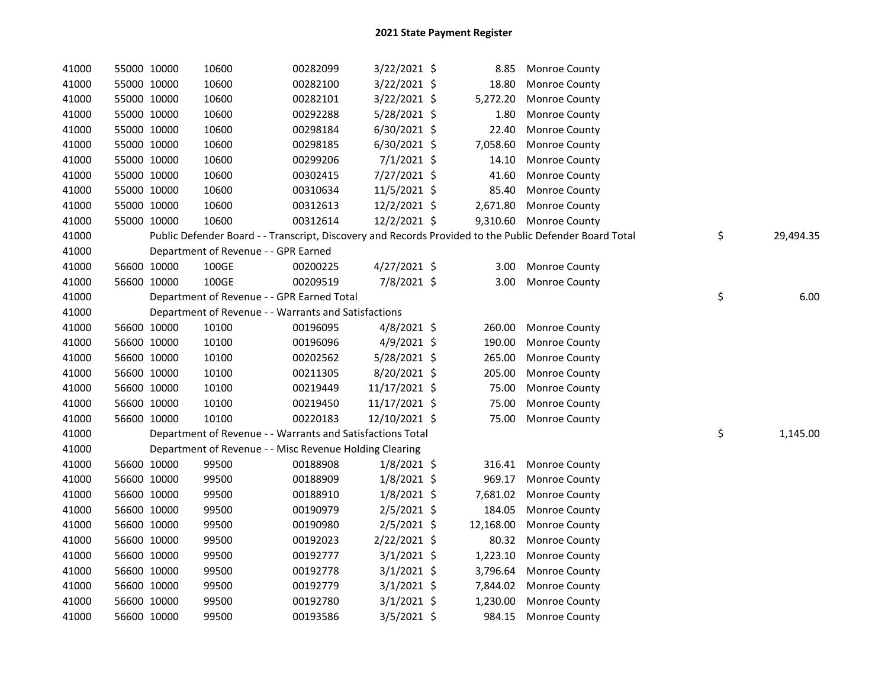| 41000 | 55000 10000 | 10600                                                      | 00282099 | $3/22/2021$ \$ | 8.85      | <b>Monroe County</b>                                                                                    |                 |
|-------|-------------|------------------------------------------------------------|----------|----------------|-----------|---------------------------------------------------------------------------------------------------------|-----------------|
| 41000 | 55000 10000 | 10600                                                      | 00282100 | 3/22/2021 \$   | 18.80     | Monroe County                                                                                           |                 |
| 41000 | 55000 10000 | 10600                                                      | 00282101 | 3/22/2021 \$   | 5,272.20  | Monroe County                                                                                           |                 |
| 41000 | 55000 10000 | 10600                                                      | 00292288 | 5/28/2021 \$   | 1.80      | Monroe County                                                                                           |                 |
| 41000 | 55000 10000 | 10600                                                      | 00298184 | 6/30/2021 \$   | 22.40     | Monroe County                                                                                           |                 |
| 41000 | 55000 10000 | 10600                                                      | 00298185 | 6/30/2021 \$   | 7,058.60  | Monroe County                                                                                           |                 |
| 41000 | 55000 10000 | 10600                                                      | 00299206 | $7/1/2021$ \$  | 14.10     | Monroe County                                                                                           |                 |
| 41000 | 55000 10000 | 10600                                                      | 00302415 | 7/27/2021 \$   | 41.60     | Monroe County                                                                                           |                 |
| 41000 | 55000 10000 | 10600                                                      | 00310634 | 11/5/2021 \$   | 85.40     | Monroe County                                                                                           |                 |
| 41000 | 55000 10000 | 10600                                                      | 00312613 | 12/2/2021 \$   | 2,671.80  | Monroe County                                                                                           |                 |
| 41000 | 55000 10000 | 10600                                                      | 00312614 | 12/2/2021 \$   |           | 9,310.60 Monroe County                                                                                  |                 |
| 41000 |             |                                                            |          |                |           | Public Defender Board - - Transcript, Discovery and Records Provided to the Public Defender Board Total | \$<br>29,494.35 |
| 41000 |             | Department of Revenue - - GPR Earned                       |          |                |           |                                                                                                         |                 |
| 41000 | 56600 10000 | 100GE                                                      | 00200225 | 4/27/2021 \$   | 3.00      | <b>Monroe County</b>                                                                                    |                 |
| 41000 | 56600 10000 | 100GE                                                      | 00209519 | 7/8/2021 \$    | 3.00      | Monroe County                                                                                           |                 |
| 41000 |             | Department of Revenue - - GPR Earned Total                 |          |                |           |                                                                                                         | \$<br>6.00      |
| 41000 |             | Department of Revenue - - Warrants and Satisfactions       |          |                |           |                                                                                                         |                 |
| 41000 | 56600 10000 | 10100                                                      | 00196095 | $4/8/2021$ \$  | 260.00    | Monroe County                                                                                           |                 |
| 41000 | 56600 10000 | 10100                                                      | 00196096 | 4/9/2021 \$    | 190.00    | Monroe County                                                                                           |                 |
| 41000 | 56600 10000 | 10100                                                      | 00202562 | 5/28/2021 \$   | 265.00    | Monroe County                                                                                           |                 |
| 41000 | 56600 10000 | 10100                                                      | 00211305 | 8/20/2021 \$   | 205.00    | Monroe County                                                                                           |                 |
| 41000 | 56600 10000 | 10100                                                      | 00219449 | 11/17/2021 \$  | 75.00     | Monroe County                                                                                           |                 |
| 41000 | 56600 10000 | 10100                                                      | 00219450 | 11/17/2021 \$  | 75.00     | Monroe County                                                                                           |                 |
| 41000 | 56600 10000 | 10100                                                      | 00220183 | 12/10/2021 \$  | 75.00     | Monroe County                                                                                           |                 |
| 41000 |             | Department of Revenue - - Warrants and Satisfactions Total |          |                |           |                                                                                                         | \$<br>1,145.00  |
| 41000 |             | Department of Revenue - - Misc Revenue Holding Clearing    |          |                |           |                                                                                                         |                 |
| 41000 | 56600 10000 | 99500                                                      | 00188908 | $1/8/2021$ \$  | 316.41    | Monroe County                                                                                           |                 |
| 41000 | 56600 10000 | 99500                                                      | 00188909 | $1/8/2021$ \$  | 969.17    | Monroe County                                                                                           |                 |
| 41000 | 56600 10000 | 99500                                                      | 00188910 | $1/8/2021$ \$  | 7,681.02  | Monroe County                                                                                           |                 |
| 41000 | 56600 10000 | 99500                                                      | 00190979 | $2/5/2021$ \$  | 184.05    | <b>Monroe County</b>                                                                                    |                 |
| 41000 | 56600 10000 | 99500                                                      | 00190980 | $2/5/2021$ \$  | 12,168.00 | Monroe County                                                                                           |                 |
| 41000 | 56600 10000 | 99500                                                      | 00192023 | 2/22/2021 \$   | 80.32     | <b>Monroe County</b>                                                                                    |                 |
| 41000 | 56600 10000 | 99500                                                      | 00192777 | $3/1/2021$ \$  | 1,223.10  | Monroe County                                                                                           |                 |
| 41000 | 56600 10000 | 99500                                                      | 00192778 | $3/1/2021$ \$  | 3,796.64  | <b>Monroe County</b>                                                                                    |                 |
| 41000 | 56600 10000 | 99500                                                      | 00192779 | $3/1/2021$ \$  | 7,844.02  | Monroe County                                                                                           |                 |
| 41000 | 56600 10000 | 99500                                                      | 00192780 | $3/1/2021$ \$  | 1,230.00  | Monroe County                                                                                           |                 |
| 41000 | 56600 10000 | 99500                                                      | 00193586 | $3/5/2021$ \$  | 984.15    | <b>Monroe County</b>                                                                                    |                 |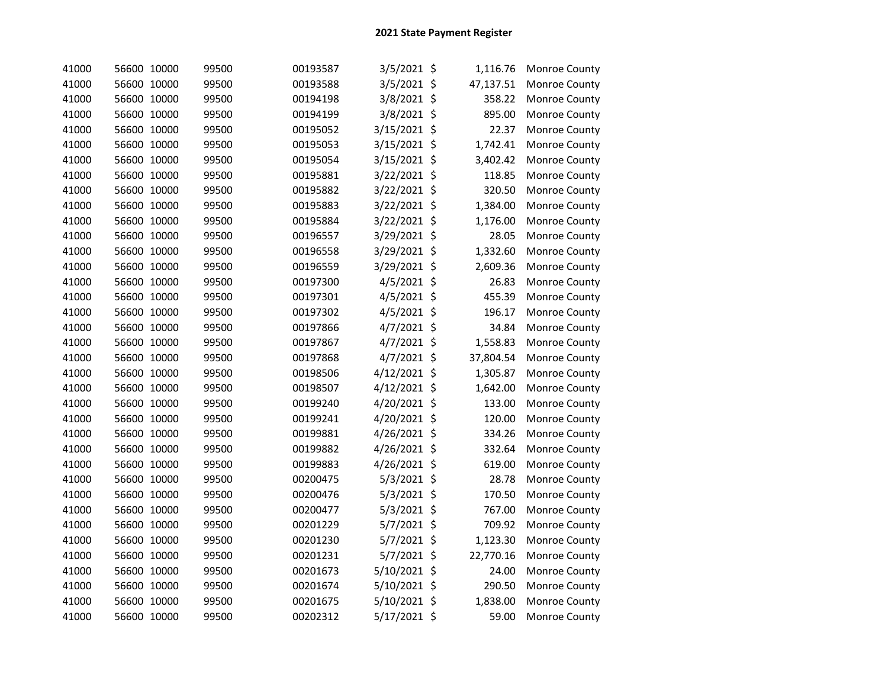| 41000 | 56600 10000 | 99500 | 00193587 | 3/5/2021 \$    | 1,116.76       | Monroe County        |
|-------|-------------|-------|----------|----------------|----------------|----------------------|
| 41000 | 56600 10000 | 99500 | 00193588 | 3/5/2021 \$    | 47,137.51      | Monroe County        |
| 41000 | 56600 10000 | 99500 | 00194198 | 3/8/2021 \$    | 358.22         | Monroe County        |
| 41000 | 56600 10000 | 99500 | 00194199 | 3/8/2021 \$    | 895.00         | Monroe County        |
| 41000 | 56600 10000 | 99500 | 00195052 | 3/15/2021 \$   | 22.37          | Monroe County        |
| 41000 | 56600 10000 | 99500 | 00195053 | 3/15/2021      | \$<br>1,742.41 | Monroe County        |
| 41000 | 56600 10000 | 99500 | 00195054 | 3/15/2021      | \$<br>3,402.42 | Monroe County        |
| 41000 | 56600 10000 | 99500 | 00195881 | 3/22/2021 \$   | 118.85         | Monroe County        |
| 41000 | 56600 10000 | 99500 | 00195882 | 3/22/2021 \$   | 320.50         | Monroe County        |
| 41000 | 56600 10000 | 99500 | 00195883 | 3/22/2021 \$   | 1,384.00       | Monroe County        |
| 41000 | 56600 10000 | 99500 | 00195884 | 3/22/2021 \$   | 1,176.00       | Monroe County        |
| 41000 | 56600 10000 | 99500 | 00196557 | 3/29/2021 \$   | 28.05          | Monroe County        |
| 41000 | 56600 10000 | 99500 | 00196558 | 3/29/2021 \$   | 1,332.60       | Monroe County        |
| 41000 | 56600 10000 | 99500 | 00196559 | 3/29/2021 \$   | 2,609.36       | Monroe County        |
| 41000 | 56600 10000 | 99500 | 00197300 | 4/5/2021 \$    | 26.83          | Monroe County        |
| 41000 | 56600 10000 | 99500 | 00197301 | 4/5/2021 \$    | 455.39         | Monroe County        |
| 41000 | 56600 10000 | 99500 | 00197302 | $4/5/2021$ \$  | 196.17         | Monroe County        |
| 41000 | 56600 10000 | 99500 | 00197866 | 4/7/2021 \$    | 34.84          | Monroe County        |
| 41000 | 56600 10000 | 99500 | 00197867 | 4/7/2021 \$    | 1,558.83       | Monroe County        |
| 41000 | 56600 10000 | 99500 | 00197868 | 4/7/2021 \$    | 37,804.54      | Monroe County        |
| 41000 | 56600 10000 | 99500 | 00198506 | $4/12/2021$ \$ | 1,305.87       | Monroe County        |
| 41000 | 56600 10000 | 99500 | 00198507 | 4/12/2021 \$   | 1,642.00       | Monroe County        |
| 41000 | 56600 10000 | 99500 | 00199240 | 4/20/2021 \$   | 133.00         | Monroe County        |
| 41000 | 56600 10000 | 99500 | 00199241 | 4/20/2021 \$   | 120.00         | Monroe County        |
| 41000 | 56600 10000 | 99500 | 00199881 | 4/26/2021 \$   | 334.26         | Monroe County        |
| 41000 | 56600 10000 | 99500 | 00199882 | 4/26/2021      | \$<br>332.64   | Monroe County        |
| 41000 | 56600 10000 | 99500 | 00199883 | 4/26/2021 \$   | 619.00         | Monroe County        |
| 41000 | 56600 10000 | 99500 | 00200475 | 5/3/2021 \$    | 28.78          | Monroe County        |
| 41000 | 56600 10000 | 99500 | 00200476 | 5/3/2021 \$    | 170.50         | Monroe County        |
| 41000 | 56600 10000 | 99500 | 00200477 | 5/3/2021 \$    | 767.00         | Monroe County        |
| 41000 | 56600 10000 | 99500 | 00201229 | 5/7/2021 \$    | 709.92         | Monroe County        |
| 41000 | 56600 10000 | 99500 | 00201230 | 5/7/2021 \$    | 1,123.30       | Monroe County        |
| 41000 | 56600 10000 | 99500 | 00201231 | 5/7/2021 \$    | 22,770.16      | <b>Monroe County</b> |
| 41000 | 56600 10000 | 99500 | 00201673 | 5/10/2021 \$   | 24.00          | Monroe County        |
| 41000 | 56600 10000 | 99500 | 00201674 | 5/10/2021 \$   | 290.50         | Monroe County        |
| 41000 | 56600 10000 | 99500 | 00201675 | 5/10/2021      | \$<br>1,838.00 | Monroe County        |
| 41000 | 56600 10000 | 99500 | 00202312 | 5/17/2021 \$   | 59.00          | Monroe County        |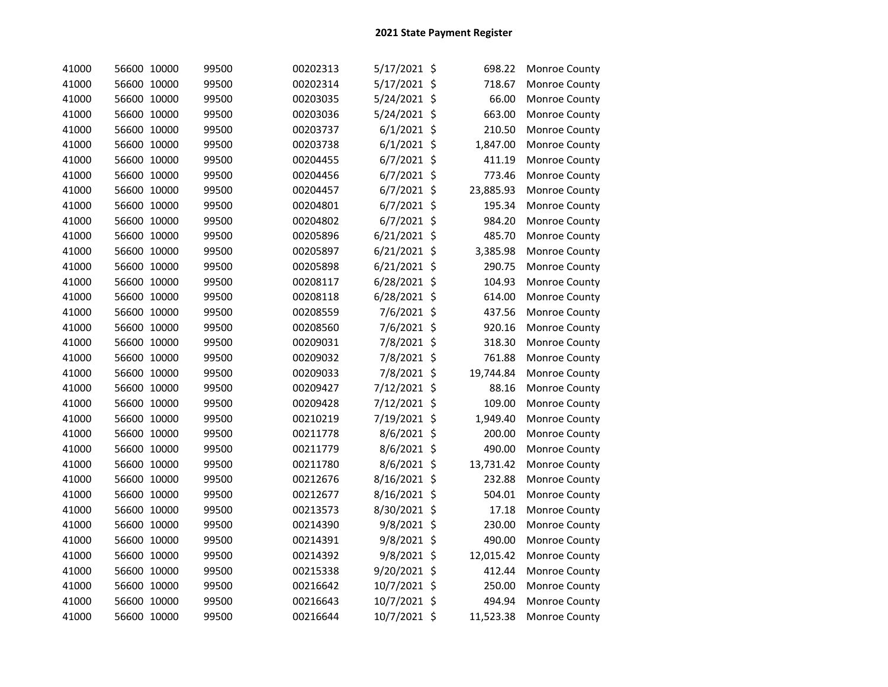| 41000 | 56600 10000 | 99500 | 00202313 | 5/17/2021 \$ |                    | 698.22    | Monroe County |
|-------|-------------|-------|----------|--------------|--------------------|-----------|---------------|
| 41000 | 56600 10000 | 99500 | 00202314 | 5/17/2021 \$ |                    | 718.67    | Monroe County |
| 41000 | 56600 10000 | 99500 | 00203035 | 5/24/2021    | $\ddot{\varsigma}$ | 66.00     | Monroe County |
| 41000 | 56600 10000 | 99500 | 00203036 | 5/24/2021    | $\ddot{\varsigma}$ | 663.00    | Monroe County |
| 41000 | 56600 10000 | 99500 | 00203737 | 6/1/2021     | \$                 | 210.50    | Monroe County |
| 41000 | 56600 10000 | 99500 | 00203738 | 6/1/2021     | \$                 | 1,847.00  | Monroe County |
| 41000 | 56600 10000 | 99500 | 00204455 | 6/7/2021     | \$                 | 411.19    | Monroe County |
| 41000 | 56600 10000 | 99500 | 00204456 | 6/7/2021     | \$                 | 773.46    | Monroe County |
| 41000 | 56600 10000 | 99500 | 00204457 | 6/7/2021     | \$                 | 23,885.93 | Monroe County |
| 41000 | 56600 10000 | 99500 | 00204801 | 6/7/2021     | $\zeta$            | 195.34    | Monroe County |
| 41000 | 56600 10000 | 99500 | 00204802 | 6/7/2021     | \$                 | 984.20    | Monroe County |
| 41000 | 56600 10000 | 99500 | 00205896 | 6/21/2021 \$ |                    | 485.70    | Monroe County |
| 41000 | 56600 10000 | 99500 | 00205897 | 6/21/2021 \$ |                    | 3,385.98  | Monroe County |
| 41000 | 56600 10000 | 99500 | 00205898 | 6/21/2021 \$ |                    | 290.75    | Monroe County |
| 41000 | 56600 10000 | 99500 | 00208117 | 6/28/2021 \$ |                    | 104.93    | Monroe County |
| 41000 | 56600 10000 | 99500 | 00208118 | 6/28/2021 \$ |                    | 614.00    | Monroe County |
| 41000 | 56600 10000 | 99500 | 00208559 | 7/6/2021 \$  |                    | 437.56    | Monroe County |
| 41000 | 56600 10000 | 99500 | 00208560 | 7/6/2021 \$  |                    | 920.16    | Monroe County |
| 41000 | 56600 10000 | 99500 | 00209031 | 7/8/2021 \$  |                    | 318.30    | Monroe County |
| 41000 | 56600 10000 | 99500 | 00209032 | 7/8/2021 \$  |                    | 761.88    | Monroe County |
| 41000 | 56600 10000 | 99500 | 00209033 | 7/8/2021 \$  |                    | 19,744.84 | Monroe County |
| 41000 | 56600 10000 | 99500 | 00209427 | 7/12/2021 \$ |                    | 88.16     | Monroe County |
| 41000 | 56600 10000 | 99500 | 00209428 | 7/12/2021 \$ |                    | 109.00    | Monroe County |
| 41000 | 56600 10000 | 99500 | 00210219 | 7/19/2021 \$ |                    | 1,949.40  | Monroe County |
| 41000 | 56600 10000 | 99500 | 00211778 | 8/6/2021 \$  |                    | 200.00    | Monroe County |
| 41000 | 56600 10000 | 99500 | 00211779 | 8/6/2021 \$  |                    | 490.00    | Monroe County |
| 41000 | 56600 10000 | 99500 | 00211780 | 8/6/2021 \$  |                    | 13,731.42 | Monroe County |
| 41000 | 56600 10000 | 99500 | 00212676 | 8/16/2021    | \$                 | 232.88    | Monroe County |
| 41000 | 56600 10000 | 99500 | 00212677 | 8/16/2021    | \$                 | 504.01    | Monroe County |
| 41000 | 56600 10000 | 99500 | 00213573 | 8/30/2021 \$ |                    | 17.18     | Monroe County |
| 41000 | 56600 10000 | 99500 | 00214390 | 9/8/2021 \$  |                    | 230.00    | Monroe County |
| 41000 | 56600 10000 | 99500 | 00214391 | 9/8/2021 \$  |                    | 490.00    | Monroe County |
| 41000 | 56600 10000 | 99500 | 00214392 | 9/8/2021 \$  |                    | 12,015.42 | Monroe County |
| 41000 | 56600 10000 | 99500 | 00215338 | 9/20/2021 \$ |                    | 412.44    | Monroe County |
| 41000 | 56600 10000 | 99500 | 00216642 | 10/7/2021 \$ |                    | 250.00    | Monroe County |
| 41000 | 56600 10000 | 99500 | 00216643 | 10/7/2021 \$ |                    | 494.94    | Monroe County |
| 41000 | 56600 10000 | 99500 | 00216644 | 10/7/2021 \$ |                    | 11,523.38 | Monroe County |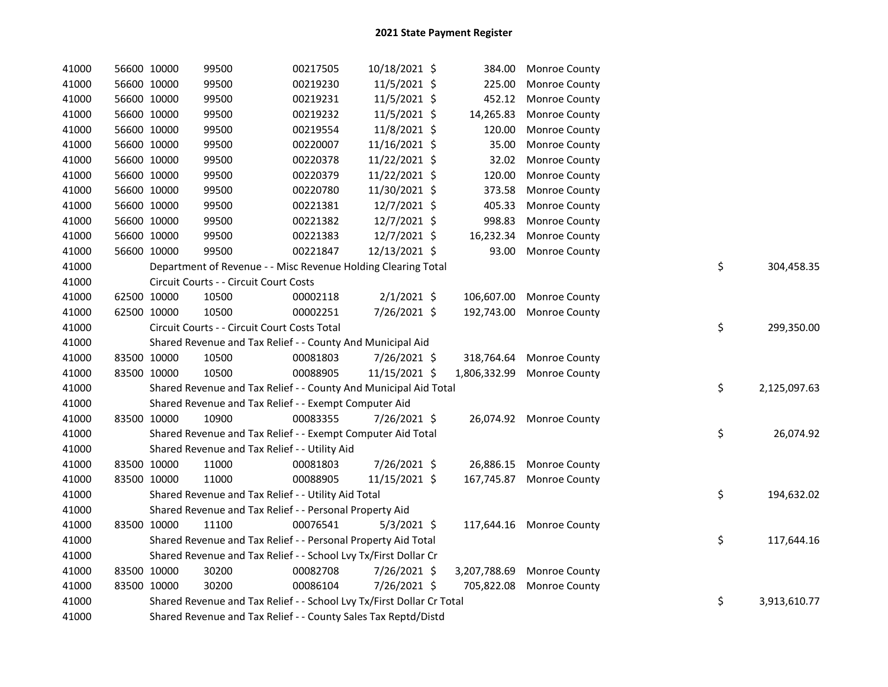| 41000 | 56600 10000 | 99500                                                                 | 00217505 | 10/18/2021 \$  |              | 384.00 Monroe County       |    |              |
|-------|-------------|-----------------------------------------------------------------------|----------|----------------|--------------|----------------------------|----|--------------|
| 41000 | 56600 10000 | 99500                                                                 | 00219230 | 11/5/2021 \$   | 225.00       | Monroe County              |    |              |
| 41000 | 56600 10000 | 99500                                                                 | 00219231 | $11/5/2021$ \$ | 452.12       | <b>Monroe County</b>       |    |              |
| 41000 | 56600 10000 | 99500                                                                 | 00219232 | 11/5/2021 \$   | 14,265.83    | Monroe County              |    |              |
| 41000 | 56600 10000 | 99500                                                                 | 00219554 | 11/8/2021 \$   | 120.00       | Monroe County              |    |              |
| 41000 | 56600 10000 | 99500                                                                 | 00220007 | 11/16/2021 \$  | 35.00        | Monroe County              |    |              |
| 41000 | 56600 10000 | 99500                                                                 | 00220378 | 11/22/2021 \$  | 32.02        | Monroe County              |    |              |
| 41000 | 56600 10000 | 99500                                                                 | 00220379 | 11/22/2021 \$  | 120.00       | Monroe County              |    |              |
| 41000 | 56600 10000 | 99500                                                                 | 00220780 | 11/30/2021 \$  | 373.58       | Monroe County              |    |              |
| 41000 | 56600 10000 | 99500                                                                 | 00221381 | 12/7/2021 \$   | 405.33       | Monroe County              |    |              |
| 41000 | 56600 10000 | 99500                                                                 | 00221382 | 12/7/2021 \$   | 998.83       | Monroe County              |    |              |
| 41000 | 56600 10000 | 99500                                                                 | 00221383 | 12/7/2021 \$   | 16,232.34    | Monroe County              |    |              |
| 41000 | 56600 10000 | 99500                                                                 | 00221847 | 12/13/2021 \$  | 93.00        | Monroe County              |    |              |
| 41000 |             | Department of Revenue - - Misc Revenue Holding Clearing Total         |          |                |              |                            | \$ | 304,458.35   |
| 41000 |             | Circuit Courts - - Circuit Court Costs                                |          |                |              |                            |    |              |
| 41000 | 62500 10000 | 10500                                                                 | 00002118 | $2/1/2021$ \$  |              | 106,607.00 Monroe County   |    |              |
| 41000 | 62500 10000 | 10500                                                                 | 00002251 | 7/26/2021 \$   |              | 192,743.00 Monroe County   |    |              |
| 41000 |             | Circuit Courts - - Circuit Court Costs Total                          |          |                |              |                            | \$ | 299,350.00   |
| 41000 |             | Shared Revenue and Tax Relief - - County And Municipal Aid            |          |                |              |                            |    |              |
| 41000 | 83500 10000 | 10500                                                                 | 00081803 | 7/26/2021 \$   | 318,764.64   | Monroe County              |    |              |
| 41000 | 83500 10000 | 10500                                                                 | 00088905 | 11/15/2021 \$  | 1,806,332.99 | <b>Monroe County</b>       |    |              |
| 41000 |             | Shared Revenue and Tax Relief - - County And Municipal Aid Total      |          |                |              |                            | \$ | 2,125,097.63 |
| 41000 |             | Shared Revenue and Tax Relief - - Exempt Computer Aid                 |          |                |              |                            |    |              |
| 41000 | 83500 10000 | 10900                                                                 | 00083355 | 7/26/2021 \$   |              | 26,074.92 Monroe County    |    |              |
| 41000 |             | Shared Revenue and Tax Relief - - Exempt Computer Aid Total           |          |                |              |                            | \$ | 26,074.92    |
| 41000 |             | Shared Revenue and Tax Relief - - Utility Aid                         |          |                |              |                            |    |              |
| 41000 | 83500 10000 | 11000                                                                 | 00081803 | 7/26/2021 \$   |              | 26,886.15 Monroe County    |    |              |
| 41000 | 83500 10000 | 11000                                                                 | 00088905 | 11/15/2021 \$  | 167,745.87   | Monroe County              |    |              |
| 41000 |             | Shared Revenue and Tax Relief - - Utility Aid Total                   |          |                |              |                            | \$ | 194,632.02   |
| 41000 |             | Shared Revenue and Tax Relief - - Personal Property Aid               |          |                |              |                            |    |              |
| 41000 | 83500 10000 | 11100                                                                 | 00076541 | $5/3/2021$ \$  |              | 117,644.16 Monroe County   |    |              |
| 41000 |             | Shared Revenue and Tax Relief - - Personal Property Aid Total         |          |                |              |                            | \$ | 117,644.16   |
| 41000 |             | Shared Revenue and Tax Relief - - School Lvy Tx/First Dollar Cr       |          |                |              |                            |    |              |
| 41000 | 83500 10000 | 30200                                                                 | 00082708 | 7/26/2021 \$   |              | 3,207,788.69 Monroe County |    |              |
| 41000 | 83500 10000 | 30200                                                                 | 00086104 | 7/26/2021 \$   |              | 705,822.08 Monroe County   |    |              |
| 41000 |             | Shared Revenue and Tax Relief - - School Lvy Tx/First Dollar Cr Total |          |                |              |                            | \$ | 3,913,610.77 |
| 41000 |             | Shared Revenue and Tax Relief - - County Sales Tax Reptd/Distd        |          |                |              |                            |    |              |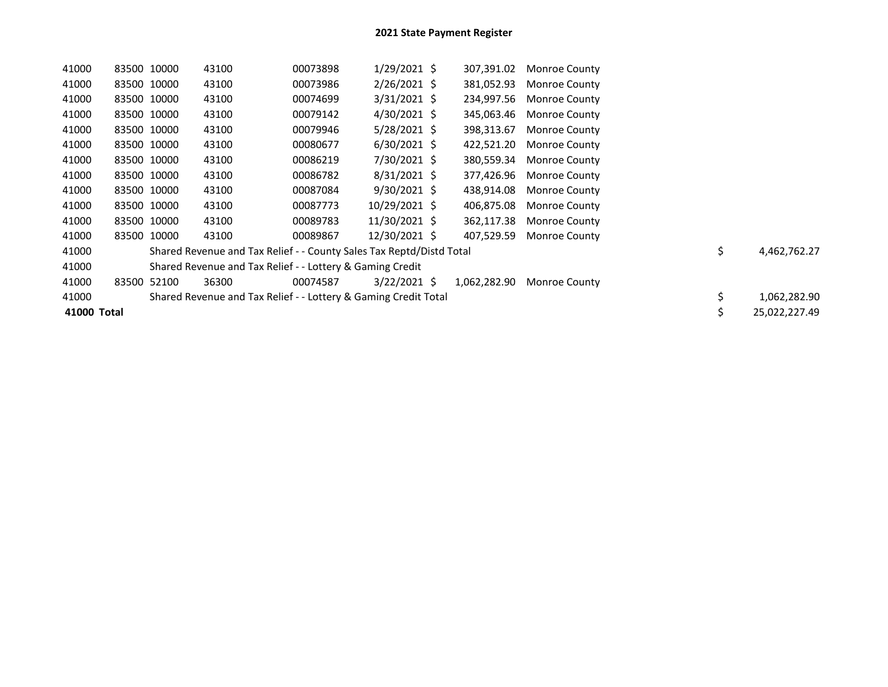| 41000       | 83500 10000 |             | 43100                                                                | 00073898 | $1/29/2021$ \$ | 307,391.02   | <b>Monroe County</b>     |    |               |
|-------------|-------------|-------------|----------------------------------------------------------------------|----------|----------------|--------------|--------------------------|----|---------------|
| 41000       | 83500 10000 |             | 43100                                                                | 00073986 | $2/26/2021$ \$ | 381,052.93   | <b>Monroe County</b>     |    |               |
| 41000       | 83500 10000 |             | 43100                                                                | 00074699 | $3/31/2021$ \$ | 234,997.56   | Monroe County            |    |               |
| 41000       | 83500 10000 |             | 43100                                                                | 00079142 | 4/30/2021 \$   | 345,063.46   | Monroe County            |    |               |
| 41000       |             | 83500 10000 | 43100                                                                | 00079946 | $5/28/2021$ \$ | 398,313.67   | <b>Monroe County</b>     |    |               |
| 41000       |             | 83500 10000 | 43100                                                                | 00080677 | $6/30/2021$ \$ | 422,521.20   | <b>Monroe County</b>     |    |               |
| 41000       | 83500 10000 |             | 43100                                                                | 00086219 | 7/30/2021 \$   |              | 380,559.34 Monroe County |    |               |
| 41000       |             | 83500 10000 | 43100                                                                | 00086782 | $8/31/2021$ \$ |              | 377,426.96 Monroe County |    |               |
| 41000       | 83500 10000 |             | 43100                                                                | 00087084 | $9/30/2021$ \$ | 438,914.08   | <b>Monroe County</b>     |    |               |
| 41000       |             | 83500 10000 | 43100                                                                | 00087773 | 10/29/2021 \$  | 406,875.08   | <b>Monroe County</b>     |    |               |
| 41000       |             | 83500 10000 | 43100                                                                | 00089783 | 11/30/2021 \$  | 362,117.38   | <b>Monroe County</b>     |    |               |
| 41000       |             | 83500 10000 | 43100                                                                | 00089867 | 12/30/2021 \$  | 407,529.59   | <b>Monroe County</b>     |    |               |
| 41000       |             |             | Shared Revenue and Tax Relief - - County Sales Tax Reptd/Distd Total |          |                |              |                          | \$ | 4,462,762.27  |
| 41000       |             |             | Shared Revenue and Tax Relief - - Lottery & Gaming Credit            |          |                |              |                          |    |               |
| 41000       | 83500       | 52100       | 36300                                                                | 00074587 | $3/22/2021$ \$ | 1,062,282.90 | Monroe County            |    |               |
| 41000       |             |             | Shared Revenue and Tax Relief - - Lottery & Gaming Credit Total      |          |                |              |                          | \$ | 1,062,282.90  |
| 41000 Total |             |             |                                                                      |          |                |              |                          | \$ | 25,022,227.49 |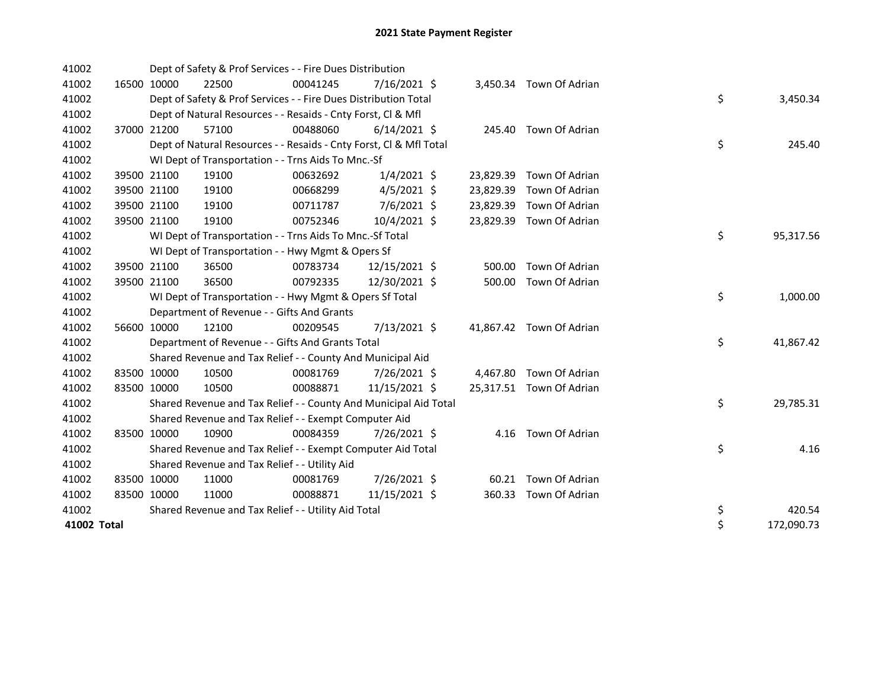| 41002       |             | Dept of Safety & Prof Services - - Fire Dues Distribution          |          |                |           |                          |    |            |
|-------------|-------------|--------------------------------------------------------------------|----------|----------------|-----------|--------------------------|----|------------|
| 41002       | 16500 10000 | 22500                                                              | 00041245 | 7/16/2021 \$   |           | 3,450.34 Town Of Adrian  |    |            |
| 41002       |             | Dept of Safety & Prof Services - - Fire Dues Distribution Total    |          |                |           |                          | \$ | 3,450.34   |
| 41002       |             | Dept of Natural Resources - - Resaids - Cnty Forst, CI & Mfl       |          |                |           |                          |    |            |
| 41002       | 37000 21200 | 57100                                                              | 00488060 | $6/14/2021$ \$ |           | 245.40 Town Of Adrian    |    |            |
| 41002       |             | Dept of Natural Resources - - Resaids - Cnty Forst, Cl & Mfl Total |          |                |           |                          | \$ | 245.40     |
| 41002       |             | WI Dept of Transportation - - Trns Aids To Mnc.-Sf                 |          |                |           |                          |    |            |
| 41002       | 39500 21100 | 19100                                                              | 00632692 | $1/4/2021$ \$  | 23,829.39 | Town Of Adrian           |    |            |
| 41002       | 39500 21100 | 19100                                                              | 00668299 | $4/5/2021$ \$  | 23,829.39 | Town Of Adrian           |    |            |
| 41002       | 39500 21100 | 19100                                                              | 00711787 | 7/6/2021 \$    | 23,829.39 | Town Of Adrian           |    |            |
| 41002       | 39500 21100 | 19100                                                              | 00752346 | 10/4/2021 \$   | 23,829.39 | Town Of Adrian           |    |            |
| 41002       |             | WI Dept of Transportation - - Trns Aids To Mnc.-Sf Total           |          |                |           |                          | \$ | 95,317.56  |
| 41002       |             | WI Dept of Transportation - - Hwy Mgmt & Opers Sf                  |          |                |           |                          |    |            |
| 41002       | 39500 21100 | 36500                                                              | 00783734 | 12/15/2021 \$  | 500.00    | Town Of Adrian           |    |            |
| 41002       | 39500 21100 | 36500                                                              | 00792335 | 12/30/2021 \$  | 500.00    | Town Of Adrian           |    |            |
| 41002       |             | WI Dept of Transportation - - Hwy Mgmt & Opers Sf Total            |          |                |           |                          | \$ | 1,000.00   |
| 41002       |             | Department of Revenue - - Gifts And Grants                         |          |                |           |                          |    |            |
| 41002       | 56600 10000 | 12100                                                              | 00209545 | 7/13/2021 \$   |           | 41,867.42 Town Of Adrian |    |            |
| 41002       |             | Department of Revenue - - Gifts And Grants Total                   |          |                |           |                          | \$ | 41,867.42  |
| 41002       |             | Shared Revenue and Tax Relief - - County And Municipal Aid         |          |                |           |                          |    |            |
| 41002       | 83500 10000 | 10500                                                              | 00081769 | 7/26/2021 \$   |           | 4,467.80 Town Of Adrian  |    |            |
| 41002       | 83500 10000 | 10500                                                              | 00088871 | 11/15/2021 \$  |           | 25,317.51 Town Of Adrian |    |            |
| 41002       |             | Shared Revenue and Tax Relief - - County And Municipal Aid Total   |          |                |           |                          | \$ | 29,785.31  |
| 41002       |             | Shared Revenue and Tax Relief - - Exempt Computer Aid              |          |                |           |                          |    |            |
| 41002       | 83500 10000 | 10900                                                              | 00084359 | 7/26/2021 \$   | 4.16      | Town Of Adrian           |    |            |
| 41002       |             | Shared Revenue and Tax Relief - - Exempt Computer Aid Total        |          |                |           |                          | \$ | 4.16       |
| 41002       |             | Shared Revenue and Tax Relief - - Utility Aid                      |          |                |           |                          |    |            |
| 41002       | 83500 10000 | 11000                                                              | 00081769 | 7/26/2021 \$   |           | 60.21 Town Of Adrian     |    |            |
| 41002       | 83500 10000 | 11000                                                              | 00088871 | 11/15/2021 \$  | 360.33    | Town Of Adrian           |    |            |
| 41002       |             | Shared Revenue and Tax Relief - - Utility Aid Total                |          |                |           |                          | \$ | 420.54     |
| 41002 Total |             |                                                                    |          |                |           |                          | \$ | 172,090.73 |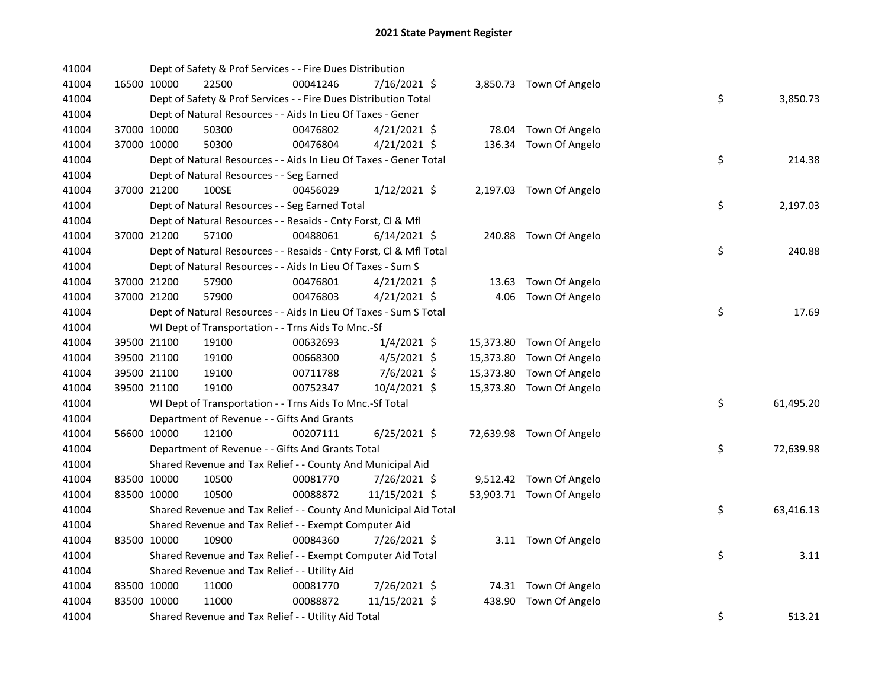| 41004 |             | Dept of Safety & Prof Services - - Fire Dues Distribution          |          |                |  |                          |    |           |
|-------|-------------|--------------------------------------------------------------------|----------|----------------|--|--------------------------|----|-----------|
| 41004 | 16500 10000 | 22500                                                              | 00041246 | 7/16/2021 \$   |  | 3,850.73 Town Of Angelo  |    |           |
| 41004 |             | Dept of Safety & Prof Services - - Fire Dues Distribution Total    |          |                |  |                          | \$ | 3,850.73  |
| 41004 |             | Dept of Natural Resources - - Aids In Lieu Of Taxes - Gener        |          |                |  |                          |    |           |
| 41004 | 37000 10000 | 50300                                                              | 00476802 | $4/21/2021$ \$ |  | 78.04 Town Of Angelo     |    |           |
| 41004 | 37000 10000 | 50300                                                              | 00476804 | $4/21/2021$ \$ |  | 136.34 Town Of Angelo    |    |           |
| 41004 |             | Dept of Natural Resources - - Aids In Lieu Of Taxes - Gener Total  |          |                |  |                          | \$ | 214.38    |
| 41004 |             | Dept of Natural Resources - - Seg Earned                           |          |                |  |                          |    |           |
| 41004 | 37000 21200 | 100SE                                                              | 00456029 | $1/12/2021$ \$ |  | 2,197.03 Town Of Angelo  |    |           |
| 41004 |             | Dept of Natural Resources - - Seg Earned Total                     |          |                |  |                          | \$ | 2,197.03  |
| 41004 |             | Dept of Natural Resources - - Resaids - Cnty Forst, Cl & Mfl       |          |                |  |                          |    |           |
| 41004 | 37000 21200 | 57100                                                              | 00488061 | $6/14/2021$ \$ |  | 240.88 Town Of Angelo    |    |           |
| 41004 |             | Dept of Natural Resources - - Resaids - Cnty Forst, Cl & Mfl Total |          |                |  |                          | \$ | 240.88    |
| 41004 |             | Dept of Natural Resources - - Aids In Lieu Of Taxes - Sum S        |          |                |  |                          |    |           |
| 41004 | 37000 21200 | 57900                                                              | 00476801 | $4/21/2021$ \$ |  | 13.63 Town Of Angelo     |    |           |
| 41004 | 37000 21200 | 57900                                                              | 00476803 | 4/21/2021 \$   |  | 4.06 Town Of Angelo      |    |           |
| 41004 |             | Dept of Natural Resources - - Aids In Lieu Of Taxes - Sum S Total  |          |                |  |                          | \$ | 17.69     |
| 41004 |             | WI Dept of Transportation - - Trns Aids To Mnc.-Sf                 |          |                |  |                          |    |           |
| 41004 | 39500 21100 | 19100                                                              | 00632693 | $1/4/2021$ \$  |  | 15,373.80 Town Of Angelo |    |           |
| 41004 | 39500 21100 | 19100                                                              | 00668300 | 4/5/2021 \$    |  | 15,373.80 Town Of Angelo |    |           |
| 41004 | 39500 21100 | 19100                                                              | 00711788 | 7/6/2021 \$    |  | 15,373.80 Town Of Angelo |    |           |
| 41004 | 39500 21100 | 19100                                                              | 00752347 | 10/4/2021 \$   |  | 15,373.80 Town Of Angelo |    |           |
| 41004 |             | WI Dept of Transportation - - Trns Aids To Mnc.-Sf Total           |          |                |  |                          | \$ | 61,495.20 |
| 41004 |             | Department of Revenue - - Gifts And Grants                         |          |                |  |                          |    |           |
| 41004 | 56600 10000 | 12100                                                              | 00207111 | $6/25/2021$ \$ |  | 72,639.98 Town Of Angelo |    |           |
| 41004 |             | Department of Revenue - - Gifts And Grants Total                   |          |                |  |                          | \$ | 72,639.98 |
| 41004 |             | Shared Revenue and Tax Relief - - County And Municipal Aid         |          |                |  |                          |    |           |
| 41004 | 83500 10000 | 10500                                                              | 00081770 | 7/26/2021 \$   |  | 9,512.42 Town Of Angelo  |    |           |
| 41004 | 83500 10000 | 10500                                                              | 00088872 | 11/15/2021 \$  |  | 53,903.71 Town Of Angelo |    |           |
| 41004 |             | Shared Revenue and Tax Relief - - County And Municipal Aid Total   |          |                |  |                          | \$ | 63,416.13 |
| 41004 |             | Shared Revenue and Tax Relief - - Exempt Computer Aid              |          |                |  |                          |    |           |
| 41004 | 83500 10000 | 10900                                                              | 00084360 | 7/26/2021 \$   |  | 3.11 Town Of Angelo      |    |           |
| 41004 |             | Shared Revenue and Tax Relief - - Exempt Computer Aid Total        |          |                |  |                          | \$ | 3.11      |
| 41004 |             | Shared Revenue and Tax Relief - - Utility Aid                      |          |                |  |                          |    |           |
| 41004 | 83500 10000 | 11000                                                              | 00081770 | 7/26/2021 \$   |  | 74.31 Town Of Angelo     |    |           |
| 41004 | 83500 10000 | 11000                                                              | 00088872 | 11/15/2021 \$  |  | 438.90 Town Of Angelo    |    |           |
| 41004 |             | Shared Revenue and Tax Relief - - Utility Aid Total                |          |                |  |                          | \$ | 513.21    |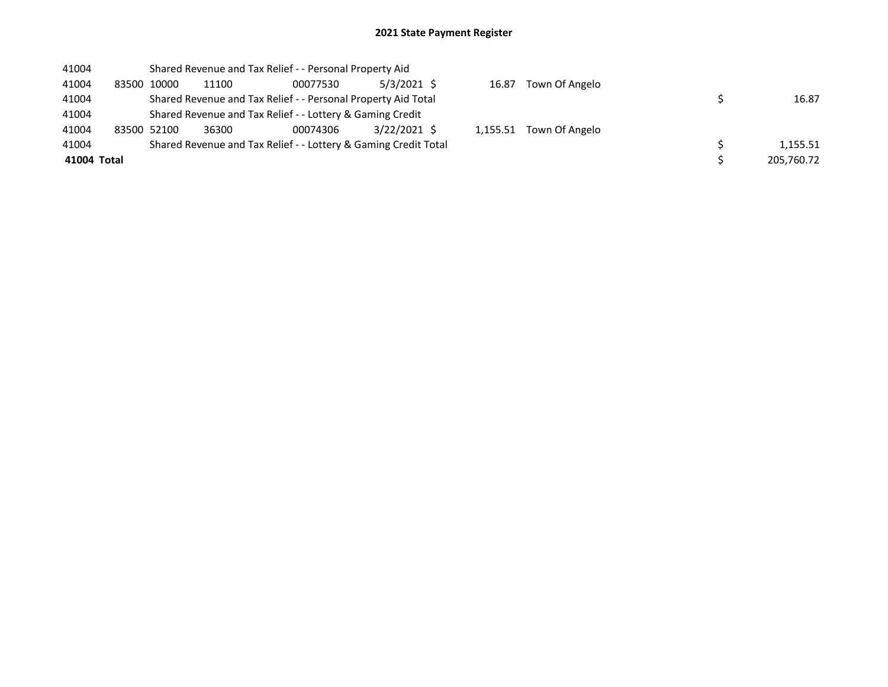| 41004       |             |       | Shared Revenue and Tax Relief - - Personal Property Aid       |                                                                 |       |                         |            |
|-------------|-------------|-------|---------------------------------------------------------------|-----------------------------------------------------------------|-------|-------------------------|------------|
| 41004       | 83500 10000 | 11100 | 00077530                                                      | $5/3/2021$ \$                                                   | 16.87 | Town Of Angelo          |            |
| 41004       |             |       | Shared Revenue and Tax Relief - - Personal Property Aid Total |                                                                 |       |                         | 16.87      |
| 41004       |             |       | Shared Revenue and Tax Relief - - Lottery & Gaming Credit     |                                                                 |       |                         |            |
| 41004       | 83500 52100 | 36300 | 00074306                                                      | 3/22/2021 \$                                                    |       | 1,155.51 Town Of Angelo |            |
| 41004       |             |       |                                                               | Shared Revenue and Tax Relief - - Lottery & Gaming Credit Total |       |                         | 1.155.51   |
| 41004 Total |             |       |                                                               |                                                                 |       |                         | 205,760.72 |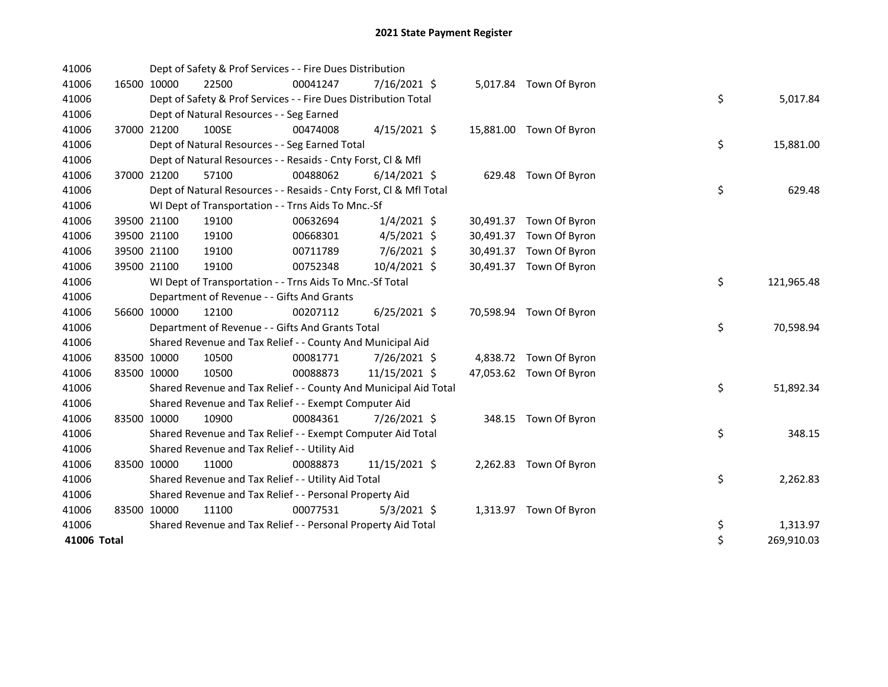| 41006       |             | Dept of Safety & Prof Services - - Fire Dues Distribution          |          |                |           |                         |    |            |
|-------------|-------------|--------------------------------------------------------------------|----------|----------------|-----------|-------------------------|----|------------|
| 41006       | 16500 10000 | 22500                                                              | 00041247 | 7/16/2021 \$   |           | 5,017.84 Town Of Byron  |    |            |
| 41006       |             | Dept of Safety & Prof Services - - Fire Dues Distribution Total    |          |                |           |                         | \$ | 5,017.84   |
| 41006       |             | Dept of Natural Resources - - Seg Earned                           |          |                |           |                         |    |            |
| 41006       | 37000 21200 | 100SE                                                              | 00474008 | $4/15/2021$ \$ |           | 15,881.00 Town Of Byron |    |            |
| 41006       |             | Dept of Natural Resources - - Seg Earned Total                     |          |                |           |                         | \$ | 15,881.00  |
| 41006       |             | Dept of Natural Resources - - Resaids - Cnty Forst, Cl & Mfl       |          |                |           |                         |    |            |
| 41006       | 37000 21200 | 57100                                                              | 00488062 | $6/14/2021$ \$ |           | 629.48 Town Of Byron    |    |            |
| 41006       |             | Dept of Natural Resources - - Resaids - Cnty Forst, CI & Mfl Total |          |                |           |                         | \$ | 629.48     |
| 41006       |             | WI Dept of Transportation - - Trns Aids To Mnc.-Sf                 |          |                |           |                         |    |            |
| 41006       | 39500 21100 | 19100                                                              | 00632694 | $1/4/2021$ \$  |           | 30,491.37 Town Of Byron |    |            |
| 41006       | 39500 21100 | 19100                                                              | 00668301 | $4/5/2021$ \$  |           | 30,491.37 Town Of Byron |    |            |
| 41006       | 39500 21100 | 19100                                                              | 00711789 | 7/6/2021 \$    | 30,491.37 | Town Of Byron           |    |            |
| 41006       | 39500 21100 | 19100                                                              | 00752348 | 10/4/2021 \$   |           | 30,491.37 Town Of Byron |    |            |
| 41006       |             | WI Dept of Transportation - - Trns Aids To Mnc.-Sf Total           |          |                |           |                         | \$ | 121,965.48 |
| 41006       |             | Department of Revenue - - Gifts And Grants                         |          |                |           |                         |    |            |
| 41006       | 56600 10000 | 12100                                                              | 00207112 | $6/25/2021$ \$ |           | 70,598.94 Town Of Byron |    |            |
| 41006       |             | Department of Revenue - - Gifts And Grants Total                   |          |                |           |                         | \$ | 70,598.94  |
| 41006       |             | Shared Revenue and Tax Relief - - County And Municipal Aid         |          |                |           |                         |    |            |
| 41006       | 83500 10000 | 10500                                                              | 00081771 | 7/26/2021 \$   |           | 4,838.72 Town Of Byron  |    |            |
| 41006       | 83500 10000 | 10500                                                              | 00088873 | 11/15/2021 \$  |           | 47,053.62 Town Of Byron |    |            |
| 41006       |             | Shared Revenue and Tax Relief - - County And Municipal Aid Total   |          |                |           |                         | \$ | 51,892.34  |
| 41006       |             | Shared Revenue and Tax Relief - - Exempt Computer Aid              |          |                |           |                         |    |            |
| 41006       | 83500 10000 | 10900                                                              | 00084361 | 7/26/2021 \$   |           | 348.15 Town Of Byron    |    |            |
| 41006       |             | Shared Revenue and Tax Relief - - Exempt Computer Aid Total        |          |                |           |                         | \$ | 348.15     |
| 41006       |             | Shared Revenue and Tax Relief - - Utility Aid                      |          |                |           |                         |    |            |
| 41006       | 83500 10000 | 11000                                                              | 00088873 | 11/15/2021 \$  |           | 2,262.83 Town Of Byron  |    |            |
| 41006       |             | Shared Revenue and Tax Relief - - Utility Aid Total                |          |                |           |                         | \$ | 2,262.83   |
| 41006       |             | Shared Revenue and Tax Relief - - Personal Property Aid            |          |                |           |                         |    |            |
| 41006       | 83500 10000 | 11100                                                              | 00077531 | $5/3/2021$ \$  |           | 1,313.97 Town Of Byron  |    |            |
| 41006       |             | Shared Revenue and Tax Relief - - Personal Property Aid Total      |          |                |           |                         | \$ | 1,313.97   |
| 41006 Total |             |                                                                    |          |                |           |                         | \$ | 269,910.03 |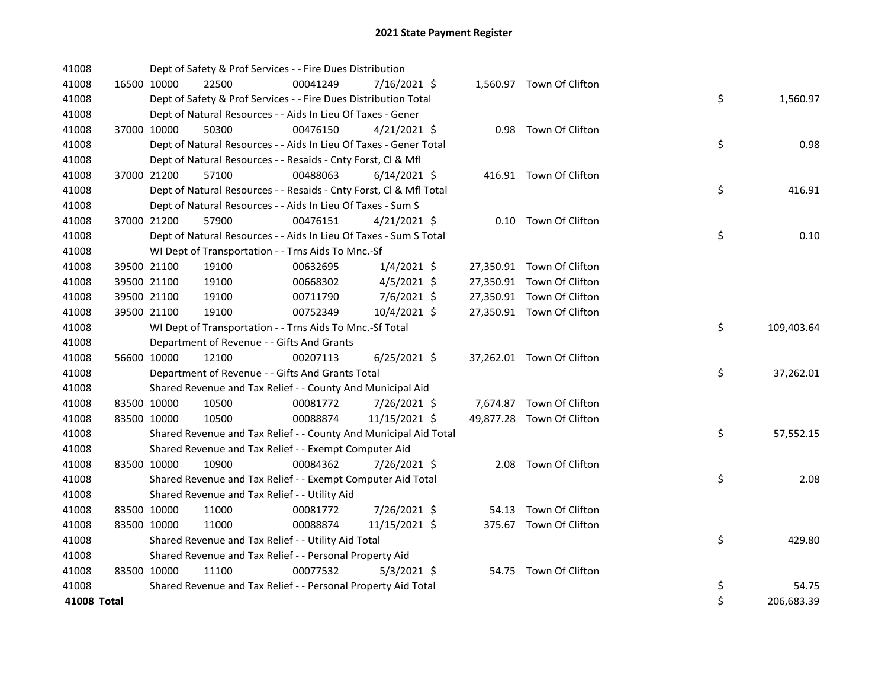| 41008       |             | Dept of Safety & Prof Services - - Fire Dues Distribution          |          |                |  |                           |    |            |
|-------------|-------------|--------------------------------------------------------------------|----------|----------------|--|---------------------------|----|------------|
| 41008       | 16500 10000 | 22500                                                              | 00041249 | 7/16/2021 \$   |  | 1,560.97 Town Of Clifton  |    |            |
| 41008       |             | Dept of Safety & Prof Services - - Fire Dues Distribution Total    |          |                |  |                           | \$ | 1,560.97   |
| 41008       |             | Dept of Natural Resources - - Aids In Lieu Of Taxes - Gener        |          |                |  |                           |    |            |
| 41008       | 37000 10000 | 50300                                                              | 00476150 | $4/21/2021$ \$ |  | 0.98 Town Of Clifton      |    |            |
| 41008       |             | Dept of Natural Resources - - Aids In Lieu Of Taxes - Gener Total  |          |                |  |                           | \$ | 0.98       |
| 41008       |             | Dept of Natural Resources - - Resaids - Cnty Forst, Cl & Mfl       |          |                |  |                           |    |            |
| 41008       | 37000 21200 | 57100                                                              | 00488063 | $6/14/2021$ \$ |  | 416.91 Town Of Clifton    |    |            |
| 41008       |             | Dept of Natural Resources - - Resaids - Cnty Forst, Cl & Mfl Total |          |                |  |                           | \$ | 416.91     |
| 41008       |             | Dept of Natural Resources - - Aids In Lieu Of Taxes - Sum S        |          |                |  |                           |    |            |
| 41008       | 37000 21200 | 57900                                                              | 00476151 | $4/21/2021$ \$ |  | 0.10 Town Of Clifton      |    |            |
| 41008       |             | Dept of Natural Resources - - Aids In Lieu Of Taxes - Sum S Total  |          |                |  |                           | \$ | 0.10       |
| 41008       |             | WI Dept of Transportation - - Trns Aids To Mnc.-Sf                 |          |                |  |                           |    |            |
| 41008       | 39500 21100 | 19100                                                              | 00632695 | $1/4/2021$ \$  |  | 27,350.91 Town Of Clifton |    |            |
| 41008       | 39500 21100 | 19100                                                              | 00668302 | $4/5/2021$ \$  |  | 27,350.91 Town Of Clifton |    |            |
| 41008       | 39500 21100 | 19100                                                              | 00711790 | 7/6/2021 \$    |  | 27,350.91 Town Of Clifton |    |            |
| 41008       | 39500 21100 | 19100                                                              | 00752349 | 10/4/2021 \$   |  | 27,350.91 Town Of Clifton |    |            |
| 41008       |             | WI Dept of Transportation - - Trns Aids To Mnc.-Sf Total           |          |                |  |                           | \$ | 109,403.64 |
| 41008       |             | Department of Revenue - - Gifts And Grants                         |          |                |  |                           |    |            |
| 41008       | 56600 10000 | 12100                                                              | 00207113 | $6/25/2021$ \$ |  | 37,262.01 Town Of Clifton |    |            |
| 41008       |             | Department of Revenue - - Gifts And Grants Total                   |          |                |  |                           | \$ | 37,262.01  |
| 41008       |             | Shared Revenue and Tax Relief - - County And Municipal Aid         |          |                |  |                           |    |            |
| 41008       | 83500 10000 | 10500                                                              | 00081772 | 7/26/2021 \$   |  | 7,674.87 Town Of Clifton  |    |            |
| 41008       | 83500 10000 | 10500                                                              | 00088874 | 11/15/2021 \$  |  | 49,877.28 Town Of Clifton |    |            |
| 41008       |             | Shared Revenue and Tax Relief - - County And Municipal Aid Total   |          |                |  |                           | \$ | 57,552.15  |
| 41008       |             | Shared Revenue and Tax Relief - - Exempt Computer Aid              |          |                |  |                           |    |            |
| 41008       | 83500 10000 | 10900                                                              | 00084362 | 7/26/2021 \$   |  | 2.08 Town Of Clifton      |    |            |
| 41008       |             | Shared Revenue and Tax Relief - - Exempt Computer Aid Total        |          |                |  |                           | \$ | 2.08       |
| 41008       |             | Shared Revenue and Tax Relief - - Utility Aid                      |          |                |  |                           |    |            |
| 41008       | 83500 10000 | 11000                                                              | 00081772 | 7/26/2021 \$   |  | 54.13 Town Of Clifton     |    |            |
| 41008       | 83500 10000 | 11000                                                              | 00088874 | 11/15/2021 \$  |  | 375.67 Town Of Clifton    |    |            |
| 41008       |             | Shared Revenue and Tax Relief - - Utility Aid Total                |          |                |  |                           | \$ | 429.80     |
| 41008       |             | Shared Revenue and Tax Relief - - Personal Property Aid            |          |                |  |                           |    |            |
| 41008       | 83500 10000 | 11100                                                              | 00077532 | $5/3/2021$ \$  |  | 54.75 Town Of Clifton     |    |            |
| 41008       |             | Shared Revenue and Tax Relief - - Personal Property Aid Total      |          |                |  |                           | \$ | 54.75      |
| 41008 Total |             |                                                                    |          |                |  |                           | \$ | 206,683.39 |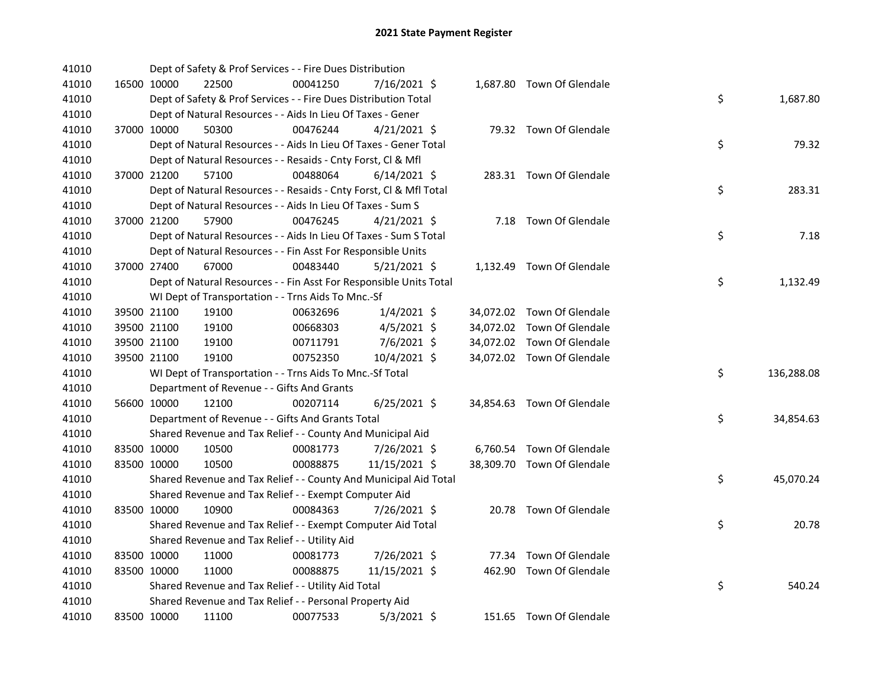| 41010 |             | Dept of Safety & Prof Services - - Fire Dues Distribution          |          |                |  |                            |    |            |
|-------|-------------|--------------------------------------------------------------------|----------|----------------|--|----------------------------|----|------------|
| 41010 | 16500 10000 | 22500                                                              | 00041250 | 7/16/2021 \$   |  | 1,687.80 Town Of Glendale  |    |            |
| 41010 |             | Dept of Safety & Prof Services - - Fire Dues Distribution Total    |          |                |  |                            | \$ | 1,687.80   |
| 41010 |             | Dept of Natural Resources - - Aids In Lieu Of Taxes - Gener        |          |                |  |                            |    |            |
| 41010 | 37000 10000 | 50300                                                              | 00476244 | $4/21/2021$ \$ |  | 79.32 Town Of Glendale     |    |            |
| 41010 |             | Dept of Natural Resources - - Aids In Lieu Of Taxes - Gener Total  |          |                |  |                            | \$ | 79.32      |
| 41010 |             | Dept of Natural Resources - - Resaids - Cnty Forst, Cl & Mfl       |          |                |  |                            |    |            |
| 41010 | 37000 21200 | 57100                                                              | 00488064 | $6/14/2021$ \$ |  | 283.31 Town Of Glendale    |    |            |
| 41010 |             | Dept of Natural Resources - - Resaids - Cnty Forst, Cl & Mfl Total |          |                |  |                            | \$ | 283.31     |
| 41010 |             | Dept of Natural Resources - - Aids In Lieu Of Taxes - Sum S        |          |                |  |                            |    |            |
| 41010 | 37000 21200 | 57900                                                              | 00476245 | $4/21/2021$ \$ |  | 7.18 Town Of Glendale      |    |            |
| 41010 |             | Dept of Natural Resources - - Aids In Lieu Of Taxes - Sum S Total  |          |                |  |                            | \$ | 7.18       |
| 41010 |             | Dept of Natural Resources - - Fin Asst For Responsible Units       |          |                |  |                            |    |            |
| 41010 | 37000 27400 | 67000                                                              | 00483440 | $5/21/2021$ \$ |  | 1,132.49 Town Of Glendale  |    |            |
| 41010 |             | Dept of Natural Resources - - Fin Asst For Responsible Units Total |          |                |  |                            | \$ | 1,132.49   |
| 41010 |             | WI Dept of Transportation - - Trns Aids To Mnc.-Sf                 |          |                |  |                            |    |            |
| 41010 | 39500 21100 | 19100                                                              | 00632696 | $1/4/2021$ \$  |  | 34,072.02 Town Of Glendale |    |            |
| 41010 | 39500 21100 | 19100                                                              | 00668303 | $4/5/2021$ \$  |  | 34,072.02 Town Of Glendale |    |            |
| 41010 | 39500 21100 | 19100                                                              | 00711791 | 7/6/2021 \$    |  | 34,072.02 Town Of Glendale |    |            |
| 41010 | 39500 21100 | 19100                                                              | 00752350 | 10/4/2021 \$   |  | 34,072.02 Town Of Glendale |    |            |
| 41010 |             | WI Dept of Transportation - - Trns Aids To Mnc.-Sf Total           |          |                |  |                            | \$ | 136,288.08 |
| 41010 |             | Department of Revenue - - Gifts And Grants                         |          |                |  |                            |    |            |
| 41010 | 56600 10000 | 12100                                                              | 00207114 | 6/25/2021 \$   |  | 34,854.63 Town Of Glendale |    |            |
| 41010 |             | Department of Revenue - - Gifts And Grants Total                   |          |                |  |                            | \$ | 34,854.63  |
| 41010 |             | Shared Revenue and Tax Relief - - County And Municipal Aid         |          |                |  |                            |    |            |
| 41010 | 83500 10000 | 10500                                                              | 00081773 | 7/26/2021 \$   |  | 6,760.54 Town Of Glendale  |    |            |
| 41010 | 83500 10000 | 10500                                                              | 00088875 | 11/15/2021 \$  |  | 38,309.70 Town Of Glendale |    |            |
| 41010 |             | Shared Revenue and Tax Relief - - County And Municipal Aid Total   |          |                |  |                            | \$ | 45,070.24  |
| 41010 |             | Shared Revenue and Tax Relief - - Exempt Computer Aid              |          |                |  |                            |    |            |
| 41010 | 83500 10000 | 10900                                                              | 00084363 | 7/26/2021 \$   |  | 20.78 Town Of Glendale     |    |            |
| 41010 |             | Shared Revenue and Tax Relief - - Exempt Computer Aid Total        |          |                |  |                            | \$ | 20.78      |
| 41010 |             | Shared Revenue and Tax Relief - - Utility Aid                      |          |                |  |                            |    |            |
| 41010 | 83500 10000 | 11000                                                              | 00081773 | 7/26/2021 \$   |  | 77.34 Town Of Glendale     |    |            |
| 41010 | 83500 10000 | 11000                                                              | 00088875 | 11/15/2021 \$  |  | 462.90 Town Of Glendale    |    |            |
| 41010 |             | Shared Revenue and Tax Relief - - Utility Aid Total                |          |                |  |                            | \$ | 540.24     |
| 41010 |             | Shared Revenue and Tax Relief - - Personal Property Aid            |          |                |  |                            |    |            |
| 41010 | 83500 10000 | 11100                                                              | 00077533 | $5/3/2021$ \$  |  | 151.65 Town Of Glendale    |    |            |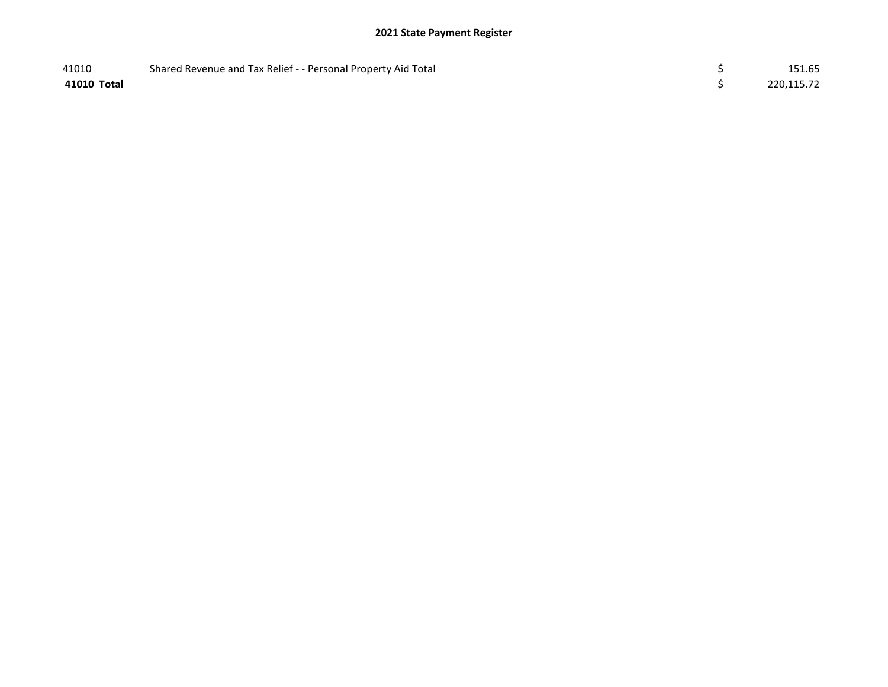| 41010       | Shared Revenue and Tax Relief - - Personal Property Aid Total | 151.65     |
|-------------|---------------------------------------------------------------|------------|
| 41010 Total |                                                               | 220,115.72 |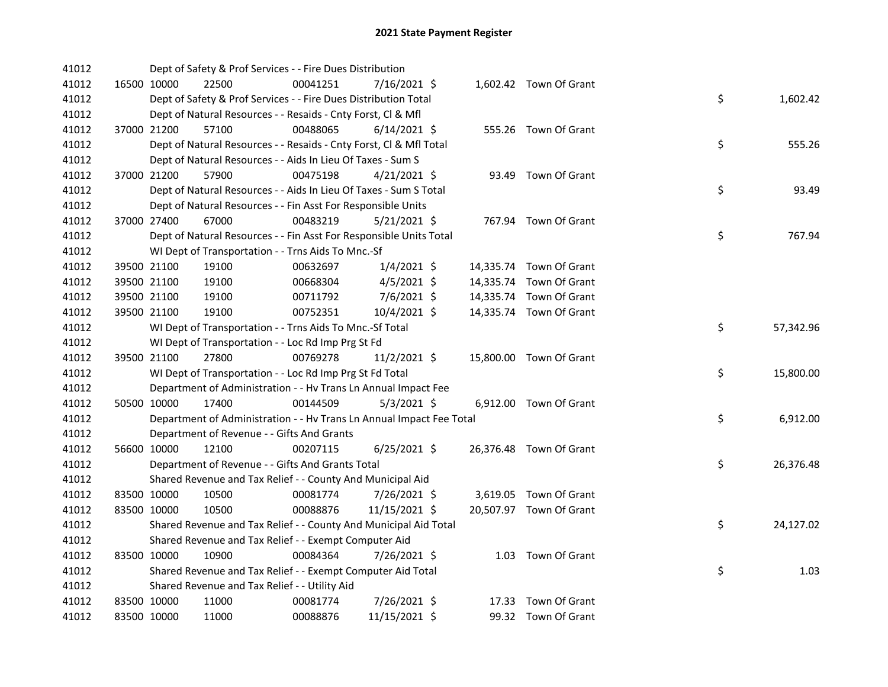| 41012 |             | Dept of Safety & Prof Services - - Fire Dues Distribution            |          |                |  |                         |    |           |
|-------|-------------|----------------------------------------------------------------------|----------|----------------|--|-------------------------|----|-----------|
| 41012 | 16500 10000 | 22500                                                                | 00041251 | 7/16/2021 \$   |  | 1,602.42 Town Of Grant  |    |           |
| 41012 |             | Dept of Safety & Prof Services - - Fire Dues Distribution Total      |          |                |  |                         | \$ | 1,602.42  |
| 41012 |             | Dept of Natural Resources - - Resaids - Cnty Forst, Cl & Mfl         |          |                |  |                         |    |           |
| 41012 | 37000 21200 | 57100                                                                | 00488065 | $6/14/2021$ \$ |  | 555.26 Town Of Grant    |    |           |
| 41012 |             | Dept of Natural Resources - - Resaids - Cnty Forst, Cl & Mfl Total   |          |                |  |                         | \$ | 555.26    |
| 41012 |             | Dept of Natural Resources - - Aids In Lieu Of Taxes - Sum S          |          |                |  |                         |    |           |
| 41012 | 37000 21200 | 57900                                                                | 00475198 | $4/21/2021$ \$ |  | 93.49 Town Of Grant     |    |           |
| 41012 |             | Dept of Natural Resources - - Aids In Lieu Of Taxes - Sum S Total    |          |                |  |                         | \$ | 93.49     |
| 41012 |             | Dept of Natural Resources - - Fin Asst For Responsible Units         |          |                |  |                         |    |           |
| 41012 | 37000 27400 | 67000                                                                | 00483219 | $5/21/2021$ \$ |  | 767.94 Town Of Grant    |    |           |
| 41012 |             | Dept of Natural Resources - - Fin Asst For Responsible Units Total   |          |                |  |                         | \$ | 767.94    |
| 41012 |             | WI Dept of Transportation - - Trns Aids To Mnc.-Sf                   |          |                |  |                         |    |           |
| 41012 | 39500 21100 | 19100                                                                | 00632697 | $1/4/2021$ \$  |  | 14,335.74 Town Of Grant |    |           |
| 41012 | 39500 21100 | 19100                                                                | 00668304 | $4/5/2021$ \$  |  | 14,335.74 Town Of Grant |    |           |
| 41012 | 39500 21100 | 19100                                                                | 00711792 | 7/6/2021 \$    |  | 14,335.74 Town Of Grant |    |           |
| 41012 | 39500 21100 | 19100                                                                | 00752351 | 10/4/2021 \$   |  | 14,335.74 Town Of Grant |    |           |
| 41012 |             | WI Dept of Transportation - - Trns Aids To Mnc.-Sf Total             |          |                |  |                         | \$ | 57,342.96 |
| 41012 |             | WI Dept of Transportation - - Loc Rd Imp Prg St Fd                   |          |                |  |                         |    |           |
| 41012 | 39500 21100 | 27800                                                                | 00769278 | 11/2/2021 \$   |  | 15,800.00 Town Of Grant |    |           |
| 41012 |             | WI Dept of Transportation - - Loc Rd Imp Prg St Fd Total             |          |                |  |                         | \$ | 15,800.00 |
| 41012 |             | Department of Administration - - Hv Trans Ln Annual Impact Fee       |          |                |  |                         |    |           |
| 41012 | 50500 10000 | 17400                                                                | 00144509 | $5/3/2021$ \$  |  | 6,912.00 Town Of Grant  |    |           |
| 41012 |             | Department of Administration - - Hv Trans Ln Annual Impact Fee Total |          |                |  |                         | \$ | 6,912.00  |
| 41012 |             | Department of Revenue - - Gifts And Grants                           |          |                |  |                         |    |           |
| 41012 | 56600 10000 | 12100                                                                | 00207115 | $6/25/2021$ \$ |  | 26,376.48 Town Of Grant |    |           |
| 41012 |             | Department of Revenue - - Gifts And Grants Total                     |          |                |  |                         | \$ | 26,376.48 |
| 41012 |             | Shared Revenue and Tax Relief - - County And Municipal Aid           |          |                |  |                         |    |           |
| 41012 | 83500 10000 | 10500                                                                | 00081774 | 7/26/2021 \$   |  | 3,619.05 Town Of Grant  |    |           |
| 41012 | 83500 10000 | 10500                                                                | 00088876 | 11/15/2021 \$  |  | 20,507.97 Town Of Grant |    |           |
| 41012 |             | Shared Revenue and Tax Relief - - County And Municipal Aid Total     |          |                |  |                         | \$ | 24,127.02 |
| 41012 |             | Shared Revenue and Tax Relief - - Exempt Computer Aid                |          |                |  |                         |    |           |
| 41012 | 83500 10000 | 10900                                                                | 00084364 | 7/26/2021 \$   |  | 1.03 Town Of Grant      |    |           |
| 41012 |             | Shared Revenue and Tax Relief - - Exempt Computer Aid Total          |          |                |  |                         | \$ | 1.03      |
| 41012 |             | Shared Revenue and Tax Relief - - Utility Aid                        |          |                |  |                         |    |           |
| 41012 | 83500 10000 | 11000                                                                | 00081774 | 7/26/2021 \$   |  | 17.33 Town Of Grant     |    |           |
| 41012 | 83500 10000 | 11000                                                                | 00088876 | 11/15/2021 \$  |  | 99.32 Town Of Grant     |    |           |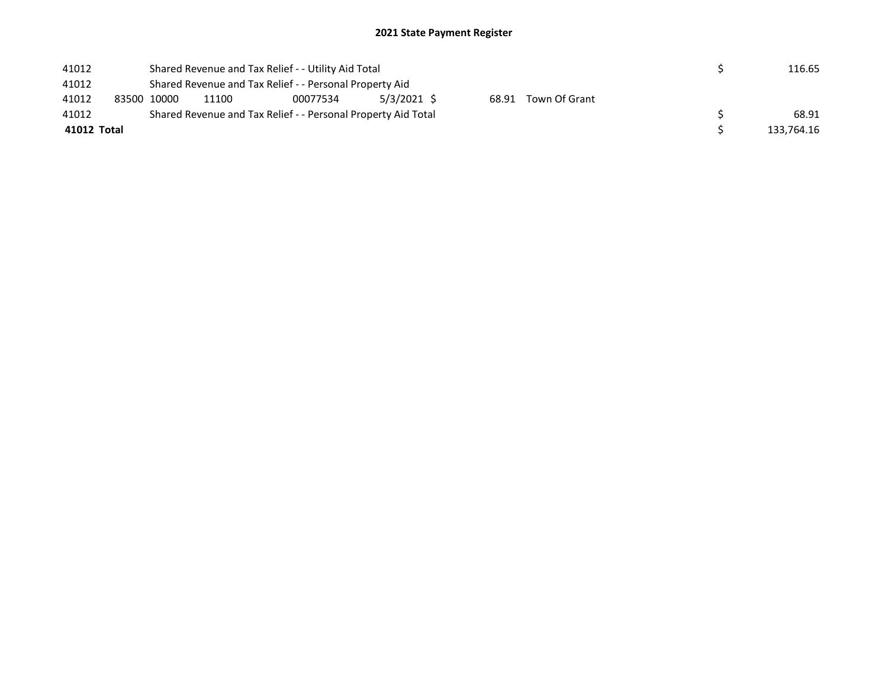| 41012 |             |                                                         | Shared Revenue and Tax Relief - - Utility Aid Total | 116.65                                                        |  |  |  |            |
|-------|-------------|---------------------------------------------------------|-----------------------------------------------------|---------------------------------------------------------------|--|--|--|------------|
| 41012 |             | Shared Revenue and Tax Relief - - Personal Property Aid |                                                     |                                                               |  |  |  |            |
| 41012 |             | 83500 10000                                             |                                                     |                                                               |  |  |  |            |
| 41012 |             |                                                         |                                                     | Shared Revenue and Tax Relief - - Personal Property Aid Total |  |  |  | 68.91      |
|       | 41012 Total |                                                         |                                                     |                                                               |  |  |  | 133,764.16 |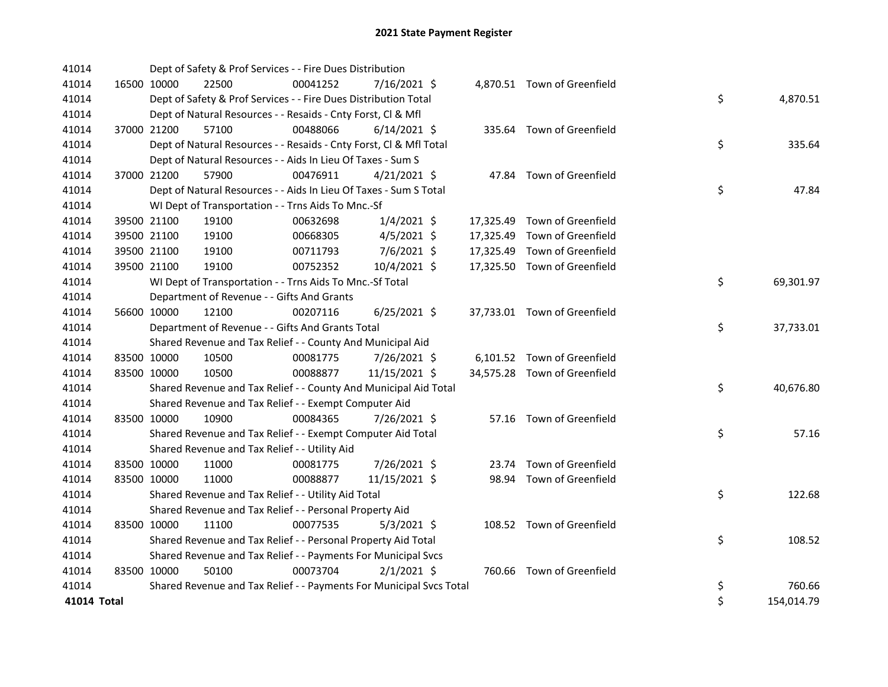| 41014       |             | Dept of Safety & Prof Services - - Fire Dues Distribution           |          |                |  |                              |         |            |
|-------------|-------------|---------------------------------------------------------------------|----------|----------------|--|------------------------------|---------|------------|
| 41014       | 16500 10000 | 22500                                                               | 00041252 | 7/16/2021 \$   |  | 4,870.51 Town of Greenfield  |         |            |
| 41014       |             | Dept of Safety & Prof Services - - Fire Dues Distribution Total     |          |                |  |                              | \$      | 4,870.51   |
| 41014       |             | Dept of Natural Resources - - Resaids - Cnty Forst, CI & Mfl        |          |                |  |                              |         |            |
| 41014       | 37000 21200 | 57100                                                               | 00488066 | $6/14/2021$ \$ |  | 335.64 Town of Greenfield    |         |            |
| 41014       |             | Dept of Natural Resources - - Resaids - Cnty Forst, Cl & Mfl Total  |          |                |  |                              | \$      | 335.64     |
| 41014       |             | Dept of Natural Resources - - Aids In Lieu Of Taxes - Sum S         |          |                |  |                              |         |            |
| 41014       | 37000 21200 | 57900                                                               | 00476911 | $4/21/2021$ \$ |  | 47.84 Town of Greenfield     |         |            |
| 41014       |             | Dept of Natural Resources - - Aids In Lieu Of Taxes - Sum S Total   |          |                |  |                              | \$      | 47.84      |
| 41014       |             | WI Dept of Transportation - - Trns Aids To Mnc.-Sf                  |          |                |  |                              |         |            |
| 41014       | 39500 21100 | 19100                                                               | 00632698 | $1/4/2021$ \$  |  | 17,325.49 Town of Greenfield |         |            |
| 41014       | 39500 21100 | 19100                                                               | 00668305 | $4/5/2021$ \$  |  | 17,325.49 Town of Greenfield |         |            |
| 41014       | 39500 21100 | 19100                                                               | 00711793 | 7/6/2021 \$    |  | 17,325.49 Town of Greenfield |         |            |
| 41014       | 39500 21100 | 19100                                                               | 00752352 | 10/4/2021 \$   |  | 17,325.50 Town of Greenfield |         |            |
| 41014       |             | WI Dept of Transportation - - Trns Aids To Mnc.-Sf Total            |          |                |  |                              | \$      | 69,301.97  |
| 41014       |             | Department of Revenue - - Gifts And Grants                          |          |                |  |                              |         |            |
| 41014       | 56600 10000 | 12100                                                               | 00207116 | $6/25/2021$ \$ |  | 37,733.01 Town of Greenfield |         |            |
| 41014       |             | Department of Revenue - - Gifts And Grants Total                    |          |                |  |                              | \$      | 37,733.01  |
| 41014       |             | Shared Revenue and Tax Relief - - County And Municipal Aid          |          |                |  |                              |         |            |
| 41014       | 83500 10000 | 10500                                                               | 00081775 | 7/26/2021 \$   |  | 6,101.52 Town of Greenfield  |         |            |
| 41014       | 83500 10000 | 10500                                                               | 00088877 | 11/15/2021 \$  |  | 34,575.28 Town of Greenfield |         |            |
| 41014       |             | Shared Revenue and Tax Relief - - County And Municipal Aid Total    |          |                |  |                              | \$      | 40,676.80  |
| 41014       |             | Shared Revenue and Tax Relief - - Exempt Computer Aid               |          |                |  |                              |         |            |
| 41014       | 83500 10000 | 10900                                                               | 00084365 | 7/26/2021 \$   |  | 57.16 Town of Greenfield     |         |            |
| 41014       |             | Shared Revenue and Tax Relief - - Exempt Computer Aid Total         |          |                |  |                              | \$      | 57.16      |
| 41014       |             | Shared Revenue and Tax Relief - - Utility Aid                       |          |                |  |                              |         |            |
| 41014       | 83500 10000 | 11000                                                               | 00081775 | 7/26/2021 \$   |  | 23.74 Town of Greenfield     |         |            |
| 41014       | 83500 10000 | 11000                                                               | 00088877 | 11/15/2021 \$  |  | 98.94 Town of Greenfield     |         |            |
| 41014       |             | Shared Revenue and Tax Relief - - Utility Aid Total                 |          |                |  |                              | \$      | 122.68     |
| 41014       |             | Shared Revenue and Tax Relief - - Personal Property Aid             |          |                |  |                              |         |            |
| 41014       | 83500 10000 | 11100                                                               | 00077535 | $5/3/2021$ \$  |  | 108.52 Town of Greenfield    |         |            |
| 41014       |             | Shared Revenue and Tax Relief - - Personal Property Aid Total       |          |                |  |                              | \$      | 108.52     |
| 41014       |             | Shared Revenue and Tax Relief - - Payments For Municipal Svcs       |          |                |  |                              |         |            |
| 41014       | 83500 10000 | 50100                                                               | 00073704 | $2/1/2021$ \$  |  | 760.66 Town of Greenfield    |         |            |
| 41014       |             | Shared Revenue and Tax Relief - - Payments For Municipal Svcs Total |          |                |  |                              | \$      | 760.66     |
| 41014 Total |             |                                                                     |          |                |  |                              | $\zeta$ | 154,014.79 |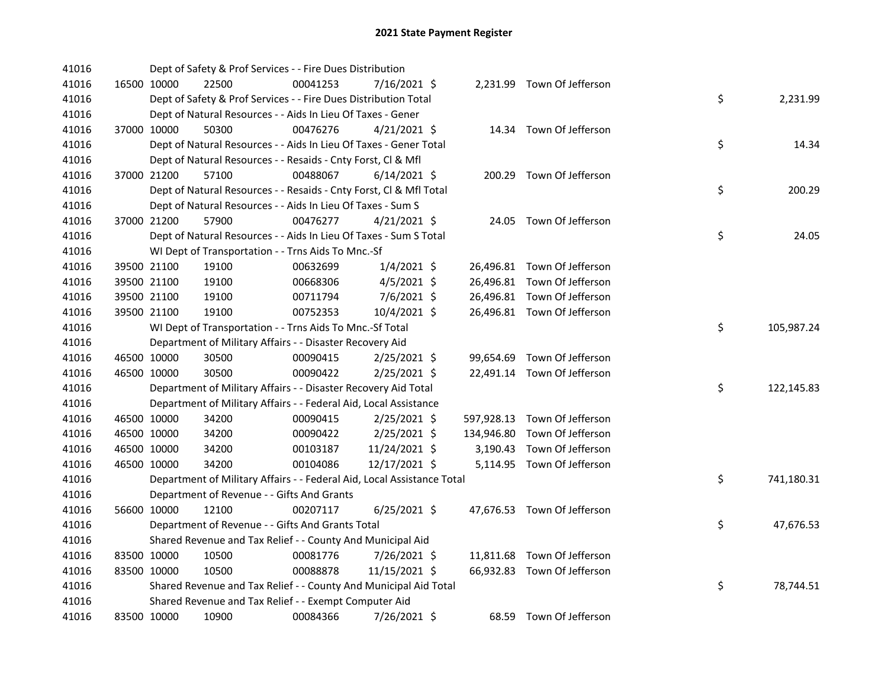| 41016 |             | Dept of Safety & Prof Services - - Fire Dues Distribution              |          |                |  |                              |    |            |
|-------|-------------|------------------------------------------------------------------------|----------|----------------|--|------------------------------|----|------------|
| 41016 | 16500 10000 | 22500                                                                  | 00041253 | 7/16/2021 \$   |  | 2,231.99 Town Of Jefferson   |    |            |
| 41016 |             | Dept of Safety & Prof Services - - Fire Dues Distribution Total        |          |                |  |                              | \$ | 2,231.99   |
| 41016 |             | Dept of Natural Resources - - Aids In Lieu Of Taxes - Gener            |          |                |  |                              |    |            |
| 41016 | 37000 10000 | 50300                                                                  | 00476276 | $4/21/2021$ \$ |  | 14.34 Town Of Jefferson      |    |            |
| 41016 |             | Dept of Natural Resources - - Aids In Lieu Of Taxes - Gener Total      |          |                |  |                              | \$ | 14.34      |
| 41016 |             | Dept of Natural Resources - - Resaids - Cnty Forst, Cl & Mfl           |          |                |  |                              |    |            |
| 41016 | 37000 21200 | 57100                                                                  | 00488067 | $6/14/2021$ \$ |  | 200.29 Town Of Jefferson     |    |            |
| 41016 |             | Dept of Natural Resources - - Resaids - Cnty Forst, CI & Mfl Total     |          |                |  |                              | \$ | 200.29     |
| 41016 |             | Dept of Natural Resources - - Aids In Lieu Of Taxes - Sum S            |          |                |  |                              |    |            |
| 41016 | 37000 21200 | 57900                                                                  | 00476277 | $4/21/2021$ \$ |  | 24.05 Town Of Jefferson      |    |            |
| 41016 |             | Dept of Natural Resources - - Aids In Lieu Of Taxes - Sum S Total      |          |                |  |                              | \$ | 24.05      |
| 41016 |             | WI Dept of Transportation - - Trns Aids To Mnc.-Sf                     |          |                |  |                              |    |            |
| 41016 | 39500 21100 | 19100                                                                  | 00632699 | $1/4/2021$ \$  |  | 26,496.81 Town Of Jefferson  |    |            |
| 41016 | 39500 21100 | 19100                                                                  | 00668306 | $4/5/2021$ \$  |  | 26,496.81 Town Of Jefferson  |    |            |
| 41016 | 39500 21100 | 19100                                                                  | 00711794 | $7/6/2021$ \$  |  | 26,496.81 Town Of Jefferson  |    |            |
| 41016 | 39500 21100 | 19100                                                                  | 00752353 | 10/4/2021 \$   |  | 26,496.81 Town Of Jefferson  |    |            |
| 41016 |             | WI Dept of Transportation - - Trns Aids To Mnc.-Sf Total               |          |                |  |                              | \$ | 105,987.24 |
| 41016 |             | Department of Military Affairs - - Disaster Recovery Aid               |          |                |  |                              |    |            |
| 41016 | 46500 10000 | 30500                                                                  | 00090415 | 2/25/2021 \$   |  | 99,654.69 Town Of Jefferson  |    |            |
| 41016 | 46500 10000 | 30500                                                                  | 00090422 | $2/25/2021$ \$ |  | 22,491.14 Town Of Jefferson  |    |            |
| 41016 |             | Department of Military Affairs - - Disaster Recovery Aid Total         |          |                |  |                              | \$ | 122,145.83 |
| 41016 |             | Department of Military Affairs - - Federal Aid, Local Assistance       |          |                |  |                              |    |            |
| 41016 | 46500 10000 | 34200                                                                  | 00090415 | $2/25/2021$ \$ |  | 597,928.13 Town Of Jefferson |    |            |
| 41016 | 46500 10000 | 34200                                                                  | 00090422 | $2/25/2021$ \$ |  | 134,946.80 Town Of Jefferson |    |            |
| 41016 | 46500 10000 | 34200                                                                  | 00103187 | 11/24/2021 \$  |  | 3,190.43 Town Of Jefferson   |    |            |
| 41016 | 46500 10000 | 34200                                                                  | 00104086 | 12/17/2021 \$  |  | 5,114.95 Town Of Jefferson   |    |            |
| 41016 |             | Department of Military Affairs - - Federal Aid, Local Assistance Total |          |                |  |                              | \$ | 741,180.31 |
| 41016 |             | Department of Revenue - - Gifts And Grants                             |          |                |  |                              |    |            |
| 41016 | 56600 10000 | 12100                                                                  | 00207117 | $6/25/2021$ \$ |  | 47,676.53 Town Of Jefferson  |    |            |
| 41016 |             | Department of Revenue - - Gifts And Grants Total                       |          |                |  |                              | \$ | 47,676.53  |
| 41016 |             | Shared Revenue and Tax Relief - - County And Municipal Aid             |          |                |  |                              |    |            |
| 41016 | 83500 10000 | 10500                                                                  | 00081776 | $7/26/2021$ \$ |  | 11,811.68 Town Of Jefferson  |    |            |
| 41016 | 83500 10000 | 10500                                                                  | 00088878 | 11/15/2021 \$  |  | 66,932.83 Town Of Jefferson  |    |            |
| 41016 |             | Shared Revenue and Tax Relief - - County And Municipal Aid Total       |          |                |  |                              | \$ | 78,744.51  |
| 41016 |             | Shared Revenue and Tax Relief - - Exempt Computer Aid                  |          |                |  |                              |    |            |
| 41016 | 83500 10000 | 10900                                                                  | 00084366 | 7/26/2021 \$   |  | 68.59 Town Of Jefferson      |    |            |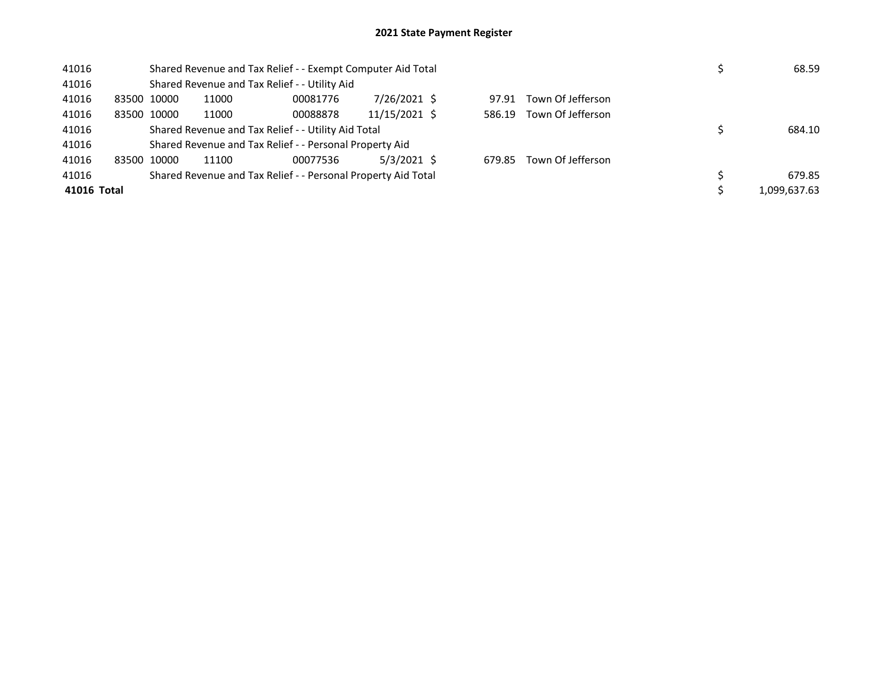| 41016 |                                                               | Shared Revenue and Tax Relief - - Exempt Computer Aid Total |       |                                                         |               |  |        |                   |  |  | 68.59        |
|-------|---------------------------------------------------------------|-------------------------------------------------------------|-------|---------------------------------------------------------|---------------|--|--------|-------------------|--|--|--------------|
| 41016 |                                                               |                                                             |       | Shared Revenue and Tax Relief - - Utility Aid           |               |  |        |                   |  |  |              |
| 41016 |                                                               | 83500 10000                                                 | 11000 | 00081776                                                | 7/26/2021 \$  |  | 97.91  | Town Of Jefferson |  |  |              |
| 41016 |                                                               | 83500 10000                                                 | 11000 | 00088878                                                | 11/15/2021 \$ |  | 586.19 | Town Of Jefferson |  |  |              |
| 41016 | Shared Revenue and Tax Relief - - Utility Aid Total           |                                                             |       |                                                         |               |  |        |                   |  |  | 684.10       |
| 41016 |                                                               |                                                             |       | Shared Revenue and Tax Relief - - Personal Property Aid |               |  |        |                   |  |  |              |
| 41016 |                                                               | 83500 10000                                                 | 11100 | 00077536                                                | 5/3/2021 \$   |  | 679.85 | Town Of Jefferson |  |  |              |
| 41016 | Shared Revenue and Tax Relief - - Personal Property Aid Total |                                                             |       |                                                         |               |  |        |                   |  |  | 679.85       |
|       | 41016 Total                                                   |                                                             |       |                                                         |               |  |        |                   |  |  | 1,099,637.63 |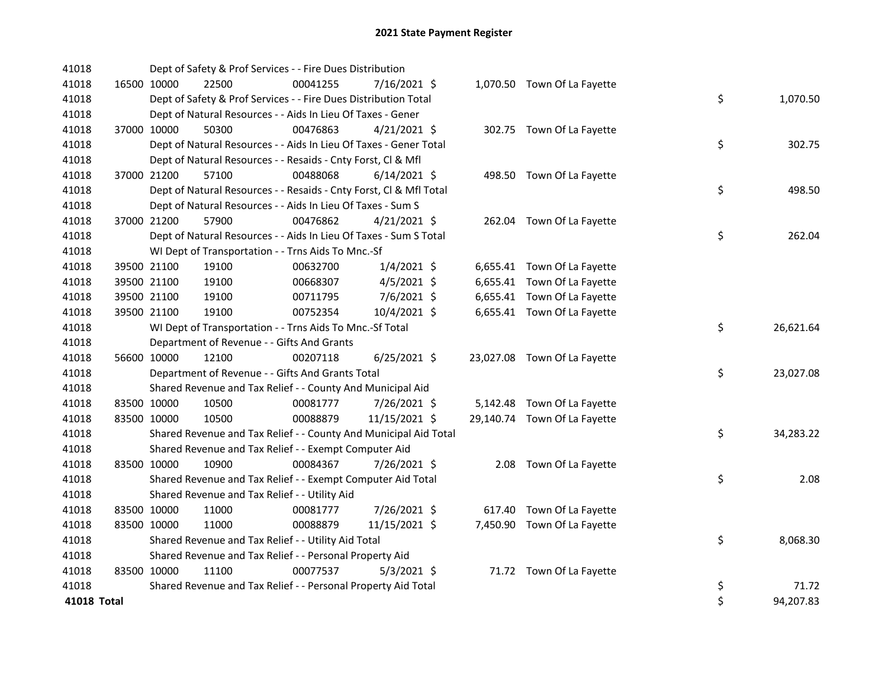| 41018       |             | Dept of Safety & Prof Services - - Fire Dues Distribution          |          |                |  |                              |    |           |
|-------------|-------------|--------------------------------------------------------------------|----------|----------------|--|------------------------------|----|-----------|
| 41018       | 16500 10000 | 22500                                                              | 00041255 | 7/16/2021 \$   |  | 1,070.50 Town Of La Fayette  |    |           |
| 41018       |             | Dept of Safety & Prof Services - - Fire Dues Distribution Total    |          |                |  |                              | \$ | 1,070.50  |
| 41018       |             | Dept of Natural Resources - - Aids In Lieu Of Taxes - Gener        |          |                |  |                              |    |           |
| 41018       | 37000 10000 | 50300                                                              | 00476863 | $4/21/2021$ \$ |  | 302.75 Town Of La Fayette    |    |           |
| 41018       |             | Dept of Natural Resources - - Aids In Lieu Of Taxes - Gener Total  |          |                |  |                              | \$ | 302.75    |
| 41018       |             | Dept of Natural Resources - - Resaids - Cnty Forst, Cl & Mfl       |          |                |  |                              |    |           |
| 41018       | 37000 21200 | 57100                                                              | 00488068 | $6/14/2021$ \$ |  | 498.50 Town Of La Fayette    |    |           |
| 41018       |             | Dept of Natural Resources - - Resaids - Cnty Forst, CI & Mfl Total |          |                |  |                              | \$ | 498.50    |
| 41018       |             | Dept of Natural Resources - - Aids In Lieu Of Taxes - Sum S        |          |                |  |                              |    |           |
| 41018       | 37000 21200 | 57900                                                              | 00476862 | $4/21/2021$ \$ |  | 262.04 Town Of La Fayette    |    |           |
| 41018       |             | Dept of Natural Resources - - Aids In Lieu Of Taxes - Sum S Total  |          |                |  |                              | \$ | 262.04    |
| 41018       |             | WI Dept of Transportation - - Trns Aids To Mnc.-Sf                 |          |                |  |                              |    |           |
| 41018       | 39500 21100 | 19100                                                              | 00632700 | $1/4/2021$ \$  |  | 6,655.41 Town Of La Fayette  |    |           |
| 41018       | 39500 21100 | 19100                                                              | 00668307 | $4/5/2021$ \$  |  | 6,655.41 Town Of La Fayette  |    |           |
| 41018       | 39500 21100 | 19100                                                              | 00711795 | 7/6/2021 \$    |  | 6,655.41 Town Of La Fayette  |    |           |
| 41018       | 39500 21100 | 19100                                                              | 00752354 | 10/4/2021 \$   |  | 6,655.41 Town Of La Fayette  |    |           |
| 41018       |             | WI Dept of Transportation - - Trns Aids To Mnc.-Sf Total           |          |                |  |                              | \$ | 26,621.64 |
| 41018       |             | Department of Revenue - - Gifts And Grants                         |          |                |  |                              |    |           |
| 41018       | 56600 10000 | 12100                                                              | 00207118 | $6/25/2021$ \$ |  | 23,027.08 Town Of La Fayette |    |           |
| 41018       |             | Department of Revenue - - Gifts And Grants Total                   |          |                |  |                              | \$ | 23,027.08 |
| 41018       |             | Shared Revenue and Tax Relief - - County And Municipal Aid         |          |                |  |                              |    |           |
| 41018       | 83500 10000 | 10500                                                              | 00081777 | 7/26/2021 \$   |  | 5,142.48 Town Of La Fayette  |    |           |
| 41018       | 83500 10000 | 10500                                                              | 00088879 | 11/15/2021 \$  |  | 29,140.74 Town Of La Fayette |    |           |
| 41018       |             | Shared Revenue and Tax Relief - - County And Municipal Aid Total   |          |                |  |                              | \$ | 34,283.22 |
| 41018       |             | Shared Revenue and Tax Relief - - Exempt Computer Aid              |          |                |  |                              |    |           |
| 41018       | 83500 10000 | 10900                                                              | 00084367 | 7/26/2021 \$   |  | 2.08 Town Of La Fayette      |    |           |
| 41018       |             | Shared Revenue and Tax Relief - - Exempt Computer Aid Total        |          |                |  |                              | \$ | 2.08      |
| 41018       |             | Shared Revenue and Tax Relief - - Utility Aid                      |          |                |  |                              |    |           |
| 41018       | 83500 10000 | 11000                                                              | 00081777 | 7/26/2021 \$   |  | 617.40 Town Of La Fayette    |    |           |
| 41018       | 83500 10000 | 11000                                                              | 00088879 | 11/15/2021 \$  |  | 7,450.90 Town Of La Fayette  |    |           |
| 41018       |             | Shared Revenue and Tax Relief - - Utility Aid Total                |          |                |  |                              | \$ | 8,068.30  |
| 41018       |             | Shared Revenue and Tax Relief - - Personal Property Aid            |          |                |  |                              |    |           |
| 41018       | 83500 10000 | 11100                                                              | 00077537 | $5/3/2021$ \$  |  | 71.72 Town Of La Fayette     |    |           |
| 41018       |             | Shared Revenue and Tax Relief - - Personal Property Aid Total      |          |                |  |                              | \$ | 71.72     |
| 41018 Total |             |                                                                    |          |                |  |                              | \$ | 94,207.83 |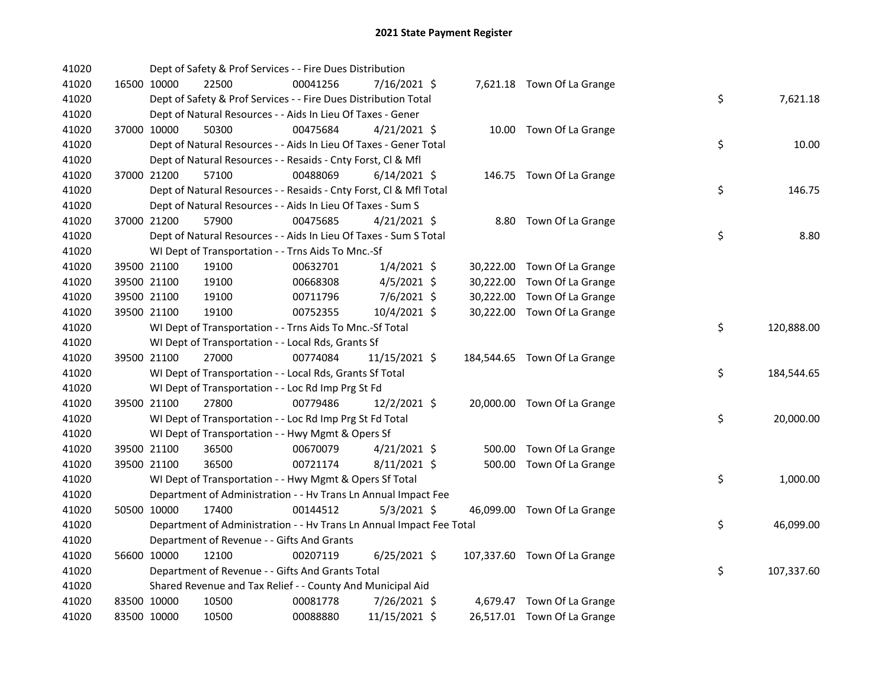| 41020 |             |             | Dept of Safety & Prof Services - - Fire Dues Distribution            |          |                |  |                              |    |            |
|-------|-------------|-------------|----------------------------------------------------------------------|----------|----------------|--|------------------------------|----|------------|
| 41020 |             | 16500 10000 | 22500                                                                | 00041256 | 7/16/2021 \$   |  | 7,621.18 Town Of La Grange   |    |            |
| 41020 |             |             | Dept of Safety & Prof Services - - Fire Dues Distribution Total      |          |                |  |                              | \$ | 7,621.18   |
| 41020 |             |             | Dept of Natural Resources - - Aids In Lieu Of Taxes - Gener          |          |                |  |                              |    |            |
| 41020 |             | 37000 10000 | 50300                                                                | 00475684 | $4/21/2021$ \$ |  | 10.00 Town Of La Grange      |    |            |
| 41020 |             |             | Dept of Natural Resources - - Aids In Lieu Of Taxes - Gener Total    |          |                |  |                              | \$ | 10.00      |
| 41020 |             |             | Dept of Natural Resources - - Resaids - Cnty Forst, Cl & Mfl         |          |                |  |                              |    |            |
| 41020 |             | 37000 21200 | 57100                                                                | 00488069 | $6/14/2021$ \$ |  | 146.75 Town Of La Grange     |    |            |
| 41020 |             |             | Dept of Natural Resources - - Resaids - Cnty Forst, Cl & Mfl Total   |          |                |  |                              | \$ | 146.75     |
| 41020 |             |             | Dept of Natural Resources - - Aids In Lieu Of Taxes - Sum S          |          |                |  |                              |    |            |
| 41020 |             | 37000 21200 | 57900                                                                | 00475685 | $4/21/2021$ \$ |  | 8.80 Town Of La Grange       |    |            |
| 41020 |             |             | Dept of Natural Resources - - Aids In Lieu Of Taxes - Sum S Total    |          |                |  |                              | \$ | 8.80       |
| 41020 |             |             | WI Dept of Transportation - - Trns Aids To Mnc.-Sf                   |          |                |  |                              |    |            |
| 41020 |             | 39500 21100 | 19100                                                                | 00632701 | $1/4/2021$ \$  |  | 30,222.00 Town Of La Grange  |    |            |
| 41020 |             | 39500 21100 | 19100                                                                | 00668308 | $4/5/2021$ \$  |  | 30,222.00 Town Of La Grange  |    |            |
| 41020 |             | 39500 21100 | 19100                                                                | 00711796 | 7/6/2021 \$    |  | 30,222.00 Town Of La Grange  |    |            |
| 41020 |             | 39500 21100 | 19100                                                                | 00752355 | 10/4/2021 \$   |  | 30,222.00 Town Of La Grange  |    |            |
| 41020 |             |             | WI Dept of Transportation - - Trns Aids To Mnc.-Sf Total             |          |                |  |                              | \$ | 120,888.00 |
| 41020 |             |             | WI Dept of Transportation - - Local Rds, Grants Sf                   |          |                |  |                              |    |            |
| 41020 |             | 39500 21100 | 27000                                                                | 00774084 | 11/15/2021 \$  |  | 184,544.65 Town Of La Grange |    |            |
| 41020 |             |             | WI Dept of Transportation - - Local Rds, Grants Sf Total             |          |                |  |                              | \$ | 184,544.65 |
| 41020 |             |             | WI Dept of Transportation - - Loc Rd Imp Prg St Fd                   |          |                |  |                              |    |            |
| 41020 |             | 39500 21100 | 27800                                                                | 00779486 | 12/2/2021 \$   |  | 20,000.00 Town Of La Grange  |    |            |
| 41020 |             |             | WI Dept of Transportation - - Loc Rd Imp Prg St Fd Total             |          |                |  |                              | \$ | 20,000.00  |
| 41020 |             |             | WI Dept of Transportation - - Hwy Mgmt & Opers Sf                    |          |                |  |                              |    |            |
| 41020 |             | 39500 21100 | 36500                                                                | 00670079 | $4/21/2021$ \$ |  | 500.00 Town Of La Grange     |    |            |
| 41020 |             | 39500 21100 | 36500                                                                | 00721174 | $8/11/2021$ \$ |  | 500.00 Town Of La Grange     |    |            |
| 41020 |             |             | WI Dept of Transportation - - Hwy Mgmt & Opers Sf Total              |          |                |  |                              | \$ | 1,000.00   |
| 41020 |             |             | Department of Administration - - Hv Trans Ln Annual Impact Fee       |          |                |  |                              |    |            |
| 41020 |             | 50500 10000 | 17400                                                                | 00144512 | $5/3/2021$ \$  |  | 46,099.00 Town Of La Grange  |    |            |
| 41020 |             |             | Department of Administration - - Hv Trans Ln Annual Impact Fee Total |          |                |  |                              | \$ | 46,099.00  |
| 41020 |             |             | Department of Revenue - - Gifts And Grants                           |          |                |  |                              |    |            |
| 41020 |             | 56600 10000 | 12100                                                                | 00207119 | $6/25/2021$ \$ |  | 107,337.60 Town Of La Grange |    |            |
| 41020 |             |             | Department of Revenue - - Gifts And Grants Total                     |          |                |  |                              | \$ | 107,337.60 |
| 41020 |             |             | Shared Revenue and Tax Relief - - County And Municipal Aid           |          |                |  |                              |    |            |
| 41020 |             | 83500 10000 | 10500                                                                | 00081778 | 7/26/2021 \$   |  | 4,679.47 Town Of La Grange   |    |            |
| 41020 | 83500 10000 |             | 10500                                                                | 00088880 | 11/15/2021 \$  |  | 26,517.01 Town Of La Grange  |    |            |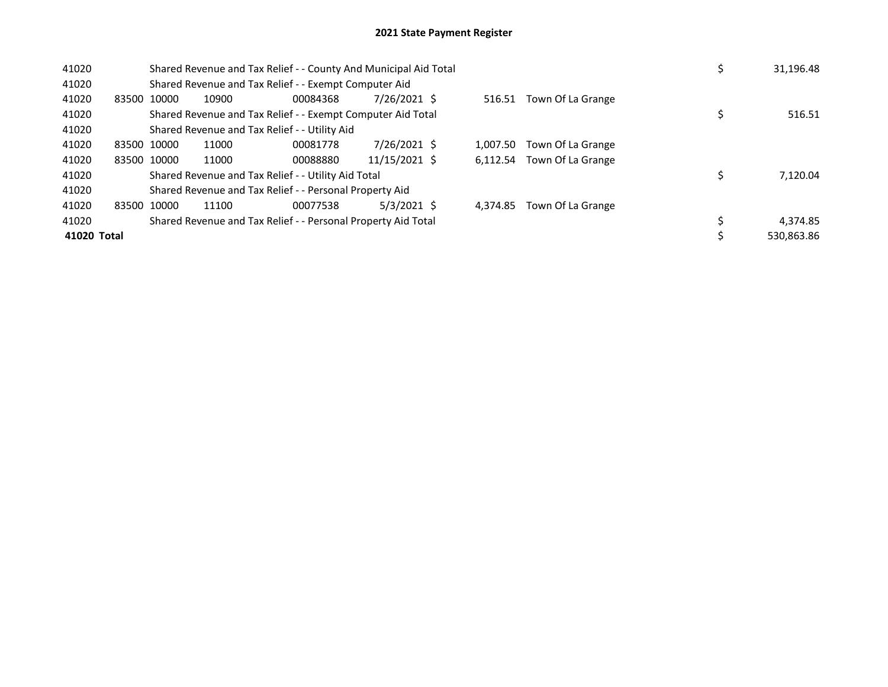| 41020       |             | Shared Revenue and Tax Relief - - County And Municipal Aid Total |       |                                                               |               |  |          |                   |  | 31,196.48  |
|-------------|-------------|------------------------------------------------------------------|-------|---------------------------------------------------------------|---------------|--|----------|-------------------|--|------------|
| 41020       |             |                                                                  |       | Shared Revenue and Tax Relief - - Exempt Computer Aid         |               |  |          |                   |  |            |
| 41020       | 83500 10000 |                                                                  | 10900 | 00084368                                                      | 7/26/2021 \$  |  | 516.51   | Town Of La Grange |  |            |
| 41020       |             |                                                                  |       | Shared Revenue and Tax Relief - - Exempt Computer Aid Total   |               |  |          |                   |  | 516.51     |
| 41020       |             |                                                                  |       | Shared Revenue and Tax Relief - - Utility Aid                 |               |  |          |                   |  |            |
| 41020       | 83500 10000 |                                                                  | 11000 | 00081778                                                      | 7/26/2021 \$  |  | 1.007.50 | Town Of La Grange |  |            |
| 41020       |             | 83500 10000                                                      | 11000 | 00088880                                                      | 11/15/2021 \$ |  | 6.112.54 | Town Of La Grange |  |            |
| 41020       |             |                                                                  |       | Shared Revenue and Tax Relief - - Utility Aid Total           |               |  |          |                   |  | 7,120.04   |
| 41020       |             |                                                                  |       | Shared Revenue and Tax Relief - - Personal Property Aid       |               |  |          |                   |  |            |
| 41020       | 83500 10000 |                                                                  | 11100 | 00077538                                                      | $5/3/2021$ \$ |  | 4.374.85 | Town Of La Grange |  |            |
| 41020       |             |                                                                  |       | Shared Revenue and Tax Relief - - Personal Property Aid Total |               |  |          |                   |  | 4,374.85   |
| 41020 Total |             |                                                                  |       |                                                               |               |  |          |                   |  | 530.863.86 |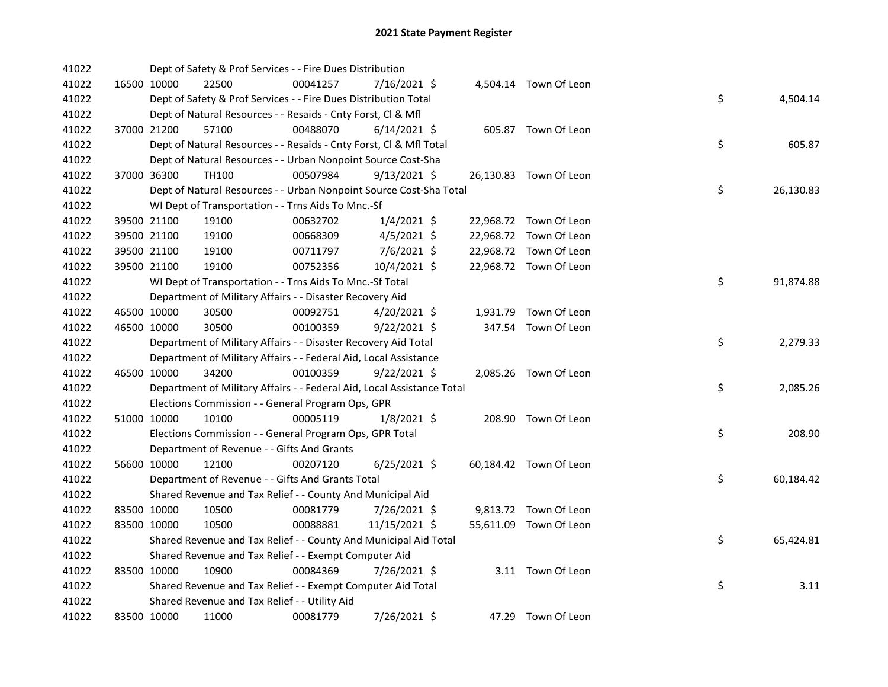| 41022 |             | Dept of Safety & Prof Services - - Fire Dues Distribution              |          |                |  |                        |    |           |
|-------|-------------|------------------------------------------------------------------------|----------|----------------|--|------------------------|----|-----------|
| 41022 | 16500 10000 | 22500                                                                  | 00041257 | 7/16/2021 \$   |  | 4,504.14 Town Of Leon  |    |           |
| 41022 |             | Dept of Safety & Prof Services - - Fire Dues Distribution Total        |          |                |  |                        | \$ | 4,504.14  |
| 41022 |             | Dept of Natural Resources - - Resaids - Cnty Forst, Cl & Mfl           |          |                |  |                        |    |           |
| 41022 | 37000 21200 | 57100                                                                  | 00488070 | $6/14/2021$ \$ |  | 605.87 Town Of Leon    |    |           |
| 41022 |             | Dept of Natural Resources - - Resaids - Cnty Forst, CI & Mfl Total     |          |                |  |                        | \$ | 605.87    |
| 41022 |             | Dept of Natural Resources - - Urban Nonpoint Source Cost-Sha           |          |                |  |                        |    |           |
| 41022 | 37000 36300 | TH100                                                                  | 00507984 | $9/13/2021$ \$ |  | 26,130.83 Town Of Leon |    |           |
| 41022 |             | Dept of Natural Resources - - Urban Nonpoint Source Cost-Sha Total     |          |                |  |                        | \$ | 26,130.83 |
| 41022 |             | WI Dept of Transportation - - Trns Aids To Mnc.-Sf                     |          |                |  |                        |    |           |
| 41022 | 39500 21100 | 19100                                                                  | 00632702 | $1/4/2021$ \$  |  | 22,968.72 Town Of Leon |    |           |
| 41022 | 39500 21100 | 19100                                                                  | 00668309 | $4/5/2021$ \$  |  | 22,968.72 Town Of Leon |    |           |
| 41022 | 39500 21100 | 19100                                                                  | 00711797 | $7/6/2021$ \$  |  | 22,968.72 Town Of Leon |    |           |
| 41022 | 39500 21100 | 19100                                                                  | 00752356 | 10/4/2021 \$   |  | 22,968.72 Town Of Leon |    |           |
| 41022 |             | WI Dept of Transportation - - Trns Aids To Mnc.-Sf Total               |          |                |  |                        | \$ | 91,874.88 |
| 41022 |             | Department of Military Affairs - - Disaster Recovery Aid               |          |                |  |                        |    |           |
| 41022 | 46500 10000 | 30500                                                                  | 00092751 | $4/20/2021$ \$ |  | 1,931.79 Town Of Leon  |    |           |
| 41022 | 46500 10000 | 30500                                                                  | 00100359 | $9/22/2021$ \$ |  | 347.54 Town Of Leon    |    |           |
| 41022 |             | Department of Military Affairs - - Disaster Recovery Aid Total         |          |                |  |                        | \$ | 2,279.33  |
| 41022 |             | Department of Military Affairs - - Federal Aid, Local Assistance       |          |                |  |                        |    |           |
| 41022 | 46500 10000 | 34200                                                                  | 00100359 | $9/22/2021$ \$ |  | 2,085.26 Town Of Leon  |    |           |
| 41022 |             | Department of Military Affairs - - Federal Aid, Local Assistance Total |          |                |  |                        | \$ | 2,085.26  |
| 41022 |             | Elections Commission - - General Program Ops, GPR                      |          |                |  |                        |    |           |
| 41022 | 51000 10000 | 10100                                                                  | 00005119 | 1/8/2021 \$    |  | 208.90 Town Of Leon    |    |           |
| 41022 |             | Elections Commission - - General Program Ops, GPR Total                |          |                |  |                        | \$ | 208.90    |
| 41022 |             | Department of Revenue - - Gifts And Grants                             |          |                |  |                        |    |           |
| 41022 | 56600 10000 | 12100                                                                  | 00207120 | $6/25/2021$ \$ |  | 60,184.42 Town Of Leon |    |           |
| 41022 |             | Department of Revenue - - Gifts And Grants Total                       |          |                |  |                        | \$ | 60,184.42 |
| 41022 |             | Shared Revenue and Tax Relief - - County And Municipal Aid             |          |                |  |                        |    |           |
| 41022 | 83500 10000 | 10500                                                                  | 00081779 | 7/26/2021 \$   |  | 9,813.72 Town Of Leon  |    |           |
| 41022 | 83500 10000 | 10500                                                                  | 00088881 | 11/15/2021 \$  |  | 55,611.09 Town Of Leon |    |           |
| 41022 |             | Shared Revenue and Tax Relief - - County And Municipal Aid Total       |          |                |  |                        | \$ | 65,424.81 |
| 41022 |             | Shared Revenue and Tax Relief - - Exempt Computer Aid                  |          |                |  |                        |    |           |
| 41022 | 83500 10000 | 10900                                                                  | 00084369 | 7/26/2021 \$   |  | 3.11 Town Of Leon      |    |           |
| 41022 |             | Shared Revenue and Tax Relief - - Exempt Computer Aid Total            |          |                |  |                        | \$ | 3.11      |
| 41022 |             | Shared Revenue and Tax Relief - - Utility Aid                          |          |                |  |                        |    |           |
| 41022 | 83500 10000 | 11000                                                                  | 00081779 | 7/26/2021 \$   |  | 47.29 Town Of Leon     |    |           |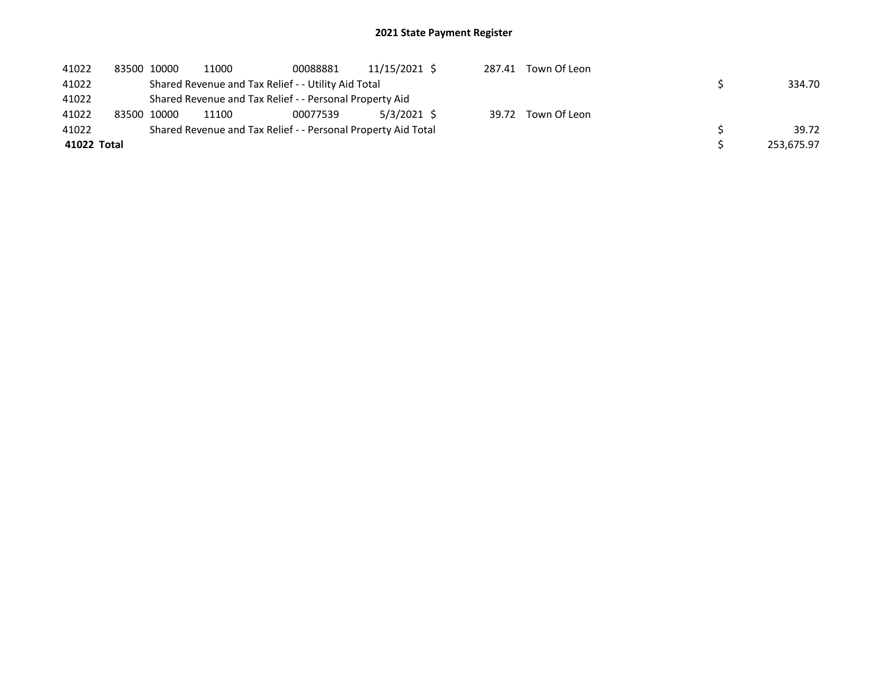| 41022       | 83500 10000 | 11000 | 00088881                                                      | 11/15/2021 \$ | 287.41 | Town Of Leon |            |
|-------------|-------------|-------|---------------------------------------------------------------|---------------|--------|--------------|------------|
| 41022       |             |       | Shared Revenue and Tax Relief - - Utility Aid Total           |               |        |              | 334.70     |
| 41022       |             |       | Shared Revenue and Tax Relief - - Personal Property Aid       |               |        |              |            |
| 41022       | 83500 10000 | 11100 | 00077539                                                      | 5/3/2021 \$   | 39.72  | Town Of Leon |            |
| 41022       |             |       | Shared Revenue and Tax Relief - - Personal Property Aid Total |               |        |              | 39.72      |
| 41022 Total |             |       |                                                               |               |        |              | 253,675.97 |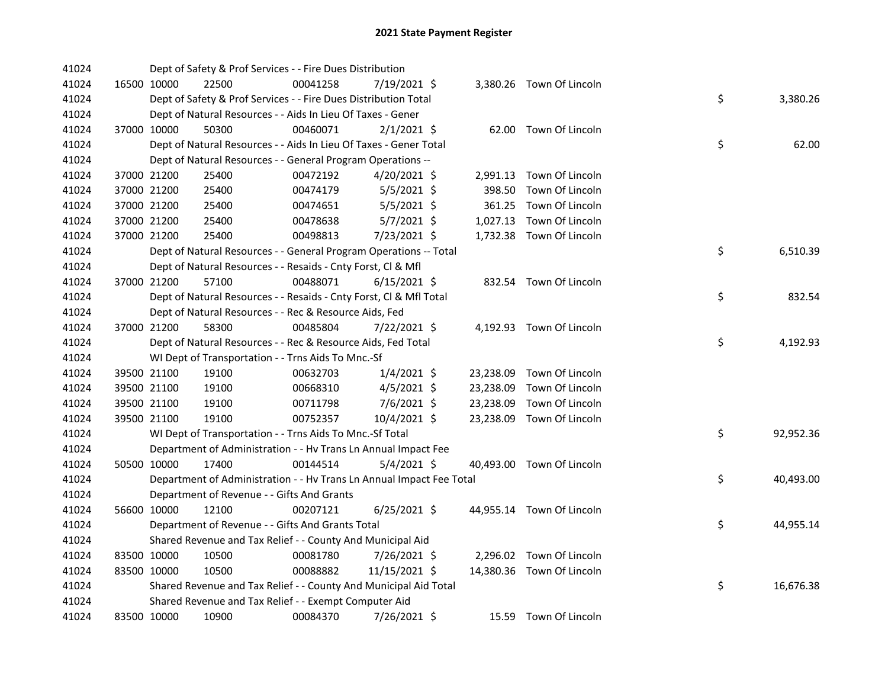| 41024 |             | Dept of Safety & Prof Services - - Fire Dues Distribution            |          |                |           |                           |    |           |
|-------|-------------|----------------------------------------------------------------------|----------|----------------|-----------|---------------------------|----|-----------|
| 41024 | 16500 10000 | 22500                                                                | 00041258 | 7/19/2021 \$   |           | 3,380.26 Town Of Lincoln  |    |           |
| 41024 |             | Dept of Safety & Prof Services - - Fire Dues Distribution Total      |          |                |           |                           | \$ | 3,380.26  |
| 41024 |             | Dept of Natural Resources - - Aids In Lieu Of Taxes - Gener          |          |                |           |                           |    |           |
| 41024 | 37000 10000 | 50300                                                                | 00460071 | $2/1/2021$ \$  |           | 62.00 Town Of Lincoln     |    |           |
| 41024 |             | Dept of Natural Resources - - Aids In Lieu Of Taxes - Gener Total    |          |                |           |                           | \$ | 62.00     |
| 41024 |             | Dept of Natural Resources - - General Program Operations --          |          |                |           |                           |    |           |
| 41024 | 37000 21200 | 25400                                                                | 00472192 | $4/20/2021$ \$ |           | 2,991.13 Town Of Lincoln  |    |           |
| 41024 | 37000 21200 | 25400                                                                | 00474179 | $5/5/2021$ \$  | 398.50    | Town Of Lincoln           |    |           |
| 41024 | 37000 21200 | 25400                                                                | 00474651 | $5/5/2021$ \$  | 361.25    | Town Of Lincoln           |    |           |
| 41024 | 37000 21200 | 25400                                                                | 00478638 | $5/7/2021$ \$  |           | 1,027.13 Town Of Lincoln  |    |           |
| 41024 | 37000 21200 | 25400                                                                | 00498813 | 7/23/2021 \$   |           | 1,732.38 Town Of Lincoln  |    |           |
| 41024 |             | Dept of Natural Resources - - General Program Operations -- Total    |          |                |           |                           | \$ | 6,510.39  |
| 41024 |             | Dept of Natural Resources - - Resaids - Cnty Forst, Cl & Mfl         |          |                |           |                           |    |           |
| 41024 | 37000 21200 | 57100                                                                | 00488071 | $6/15/2021$ \$ |           | 832.54 Town Of Lincoln    |    |           |
| 41024 |             | Dept of Natural Resources - - Resaids - Cnty Forst, CI & Mfl Total   |          |                |           |                           | \$ | 832.54    |
| 41024 |             | Dept of Natural Resources - - Rec & Resource Aids, Fed               |          |                |           |                           |    |           |
| 41024 | 37000 21200 | 58300                                                                | 00485804 | $7/22/2021$ \$ |           | 4,192.93 Town Of Lincoln  |    |           |
| 41024 |             | Dept of Natural Resources - - Rec & Resource Aids, Fed Total         |          |                |           |                           | \$ | 4,192.93  |
| 41024 |             | WI Dept of Transportation - - Trns Aids To Mnc.-Sf                   |          |                |           |                           |    |           |
| 41024 | 39500 21100 | 19100                                                                | 00632703 | $1/4/2021$ \$  | 23,238.09 | Town Of Lincoln           |    |           |
| 41024 | 39500 21100 | 19100                                                                | 00668310 | $4/5/2021$ \$  | 23,238.09 | Town Of Lincoln           |    |           |
| 41024 | 39500 21100 | 19100                                                                | 00711798 | 7/6/2021 \$    | 23,238.09 | Town Of Lincoln           |    |           |
| 41024 | 39500 21100 | 19100                                                                | 00752357 | 10/4/2021 \$   |           | 23,238.09 Town Of Lincoln |    |           |
| 41024 |             | WI Dept of Transportation - - Trns Aids To Mnc.-Sf Total             |          |                |           |                           | \$ | 92,952.36 |
| 41024 |             | Department of Administration - - Hv Trans Ln Annual Impact Fee       |          |                |           |                           |    |           |
| 41024 | 50500 10000 | 17400                                                                | 00144514 | $5/4/2021$ \$  |           | 40,493.00 Town Of Lincoln |    |           |
| 41024 |             | Department of Administration - - Hv Trans Ln Annual Impact Fee Total |          |                |           |                           | \$ | 40,493.00 |
| 41024 |             | Department of Revenue - - Gifts And Grants                           |          |                |           |                           |    |           |
| 41024 | 56600 10000 | 12100                                                                | 00207121 | $6/25/2021$ \$ |           | 44,955.14 Town Of Lincoln |    |           |
| 41024 |             | Department of Revenue - - Gifts And Grants Total                     |          |                |           |                           | \$ | 44,955.14 |
| 41024 |             | Shared Revenue and Tax Relief - - County And Municipal Aid           |          |                |           |                           |    |           |
| 41024 | 83500 10000 | 10500                                                                | 00081780 | $7/26/2021$ \$ |           | 2,296.02 Town Of Lincoln  |    |           |
| 41024 | 83500 10000 | 10500                                                                | 00088882 | 11/15/2021 \$  |           | 14,380.36 Town Of Lincoln |    |           |
| 41024 |             | Shared Revenue and Tax Relief - - County And Municipal Aid Total     |          |                |           |                           | \$ | 16,676.38 |
| 41024 |             | Shared Revenue and Tax Relief - - Exempt Computer Aid                |          |                |           |                           |    |           |
| 41024 | 83500 10000 | 10900                                                                | 00084370 | 7/26/2021 \$   |           | 15.59 Town Of Lincoln     |    |           |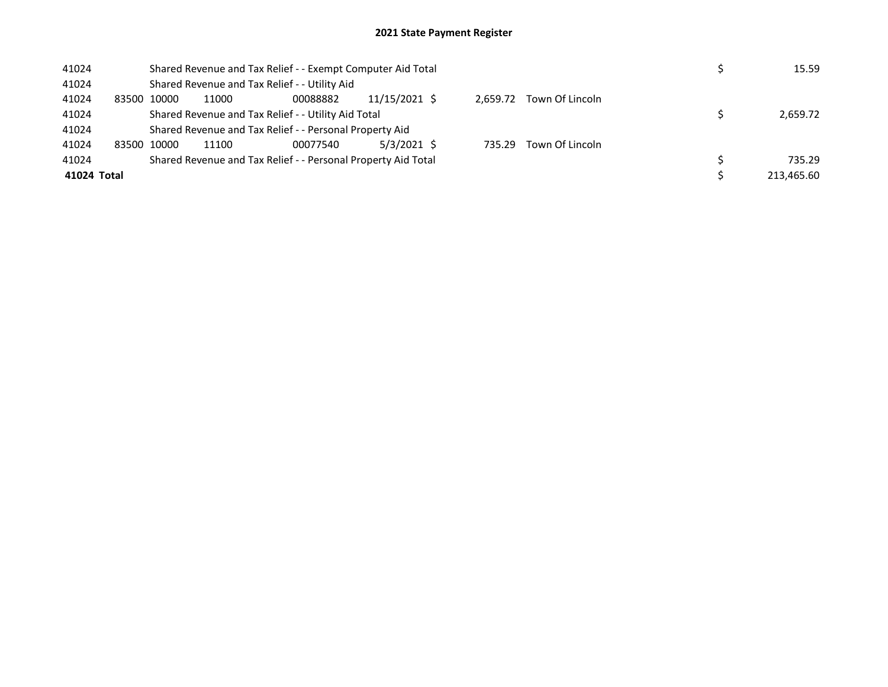| 41024       |                                                               | Shared Revenue and Tax Relief - - Exempt Computer Aid Total |       |                                                         |               |  |          |                 |  | 15.59      |
|-------------|---------------------------------------------------------------|-------------------------------------------------------------|-------|---------------------------------------------------------|---------------|--|----------|-----------------|--|------------|
| 41024       |                                                               |                                                             |       | Shared Revenue and Tax Relief - - Utility Aid           |               |  |          |                 |  |            |
| 41024       |                                                               | 83500 10000                                                 | 11000 | 00088882                                                | 11/15/2021 \$ |  | 2.659.72 | Town Of Lincoln |  |            |
| 41024       |                                                               | Shared Revenue and Tax Relief - - Utility Aid Total         |       | 2.659.72                                                |               |  |          |                 |  |            |
| 41024       |                                                               |                                                             |       | Shared Revenue and Tax Relief - - Personal Property Aid |               |  |          |                 |  |            |
| 41024       | 83500                                                         | 10000                                                       | 11100 | 00077540                                                | 5/3/2021 \$   |  | 735.29   | Town Of Lincoln |  |            |
| 41024       | Shared Revenue and Tax Relief - - Personal Property Aid Total |                                                             |       |                                                         |               |  |          |                 |  | 735.29     |
| 41024 Total |                                                               |                                                             |       |                                                         |               |  |          |                 |  | 213.465.60 |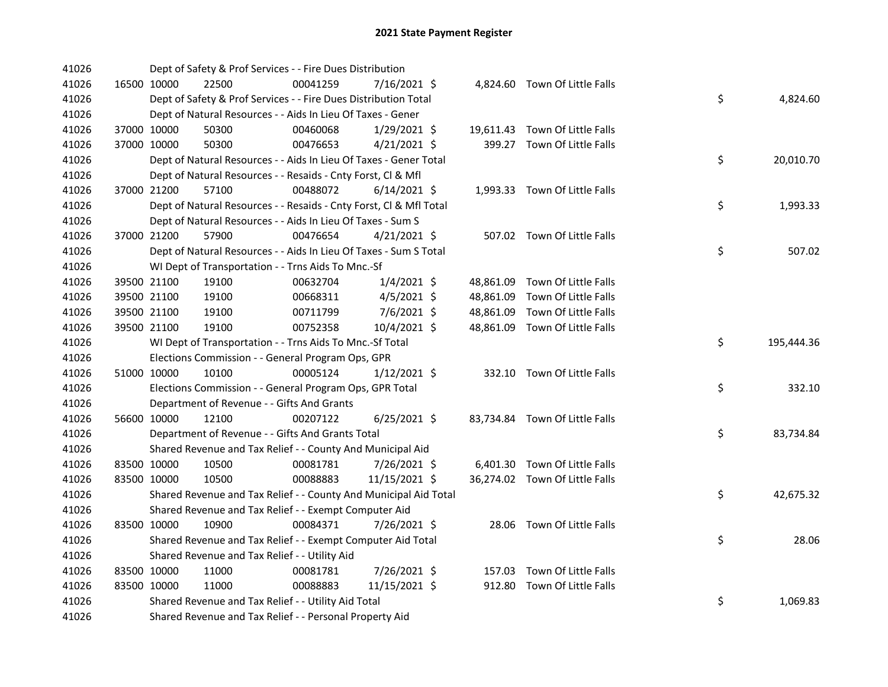| 41026 |             | Dept of Safety & Prof Services - - Fire Dues Distribution          |          |                |  |                                |    |            |
|-------|-------------|--------------------------------------------------------------------|----------|----------------|--|--------------------------------|----|------------|
| 41026 | 16500 10000 | 22500                                                              | 00041259 | 7/16/2021 \$   |  | 4,824.60 Town Of Little Falls  |    |            |
| 41026 |             | Dept of Safety & Prof Services - - Fire Dues Distribution Total    |          |                |  |                                | \$ | 4,824.60   |
| 41026 |             | Dept of Natural Resources - - Aids In Lieu Of Taxes - Gener        |          |                |  |                                |    |            |
| 41026 | 37000 10000 | 50300                                                              | 00460068 | $1/29/2021$ \$ |  | 19,611.43 Town Of Little Falls |    |            |
| 41026 | 37000 10000 | 50300                                                              | 00476653 | $4/21/2021$ \$ |  | 399.27 Town Of Little Falls    |    |            |
| 41026 |             | Dept of Natural Resources - - Aids In Lieu Of Taxes - Gener Total  |          |                |  |                                | \$ | 20,010.70  |
| 41026 |             | Dept of Natural Resources - - Resaids - Cnty Forst, Cl & Mfl       |          |                |  |                                |    |            |
| 41026 | 37000 21200 | 57100                                                              | 00488072 | $6/14/2021$ \$ |  | 1,993.33 Town Of Little Falls  |    |            |
| 41026 |             | Dept of Natural Resources - - Resaids - Cnty Forst, Cl & Mfl Total |          |                |  |                                | \$ | 1,993.33   |
| 41026 |             | Dept of Natural Resources - - Aids In Lieu Of Taxes - Sum S        |          |                |  |                                |    |            |
| 41026 | 37000 21200 | 57900                                                              | 00476654 | $4/21/2021$ \$ |  | 507.02 Town Of Little Falls    |    |            |
| 41026 |             | Dept of Natural Resources - - Aids In Lieu Of Taxes - Sum S Total  |          |                |  |                                | \$ | 507.02     |
| 41026 |             | WI Dept of Transportation - - Trns Aids To Mnc.-Sf                 |          |                |  |                                |    |            |
| 41026 | 39500 21100 | 19100                                                              | 00632704 | $1/4/2021$ \$  |  | 48,861.09 Town Of Little Falls |    |            |
| 41026 | 39500 21100 | 19100                                                              | 00668311 | 4/5/2021 \$    |  | 48,861.09 Town Of Little Falls |    |            |
| 41026 | 39500 21100 | 19100                                                              | 00711799 | 7/6/2021 \$    |  | 48,861.09 Town Of Little Falls |    |            |
| 41026 | 39500 21100 | 19100                                                              | 00752358 | 10/4/2021 \$   |  | 48,861.09 Town Of Little Falls |    |            |
| 41026 |             | WI Dept of Transportation - - Trns Aids To Mnc.-Sf Total           |          |                |  |                                | \$ | 195,444.36 |
| 41026 |             | Elections Commission - - General Program Ops, GPR                  |          |                |  |                                |    |            |
| 41026 | 51000 10000 | 10100                                                              | 00005124 | $1/12/2021$ \$ |  | 332.10 Town Of Little Falls    |    |            |
| 41026 |             | Elections Commission - - General Program Ops, GPR Total            |          |                |  |                                | \$ | 332.10     |
| 41026 |             | Department of Revenue - - Gifts And Grants                         |          |                |  |                                |    |            |
| 41026 | 56600 10000 | 12100                                                              | 00207122 | $6/25/2021$ \$ |  | 83,734.84 Town Of Little Falls |    |            |
| 41026 |             | Department of Revenue - - Gifts And Grants Total                   |          |                |  |                                | \$ | 83,734.84  |
| 41026 |             | Shared Revenue and Tax Relief - - County And Municipal Aid         |          |                |  |                                |    |            |
| 41026 | 83500 10000 | 10500                                                              | 00081781 | 7/26/2021 \$   |  | 6,401.30 Town Of Little Falls  |    |            |
| 41026 | 83500 10000 | 10500                                                              | 00088883 | 11/15/2021 \$  |  | 36,274.02 Town Of Little Falls |    |            |
| 41026 |             | Shared Revenue and Tax Relief - - County And Municipal Aid Total   |          |                |  |                                | \$ | 42,675.32  |
| 41026 |             | Shared Revenue and Tax Relief - - Exempt Computer Aid              |          |                |  |                                |    |            |
| 41026 | 83500 10000 | 10900                                                              | 00084371 | 7/26/2021 \$   |  | 28.06 Town Of Little Falls     |    |            |
| 41026 |             | Shared Revenue and Tax Relief - - Exempt Computer Aid Total        |          |                |  |                                | \$ | 28.06      |
| 41026 |             | Shared Revenue and Tax Relief - - Utility Aid                      |          |                |  |                                |    |            |
| 41026 | 83500 10000 | 11000                                                              | 00081781 | 7/26/2021 \$   |  | 157.03 Town Of Little Falls    |    |            |
| 41026 | 83500 10000 | 11000                                                              | 00088883 | 11/15/2021 \$  |  | 912.80 Town Of Little Falls    |    |            |
| 41026 |             | Shared Revenue and Tax Relief - - Utility Aid Total                |          |                |  |                                | \$ | 1,069.83   |
| 41026 |             | Shared Revenue and Tax Relief - - Personal Property Aid            |          |                |  |                                |    |            |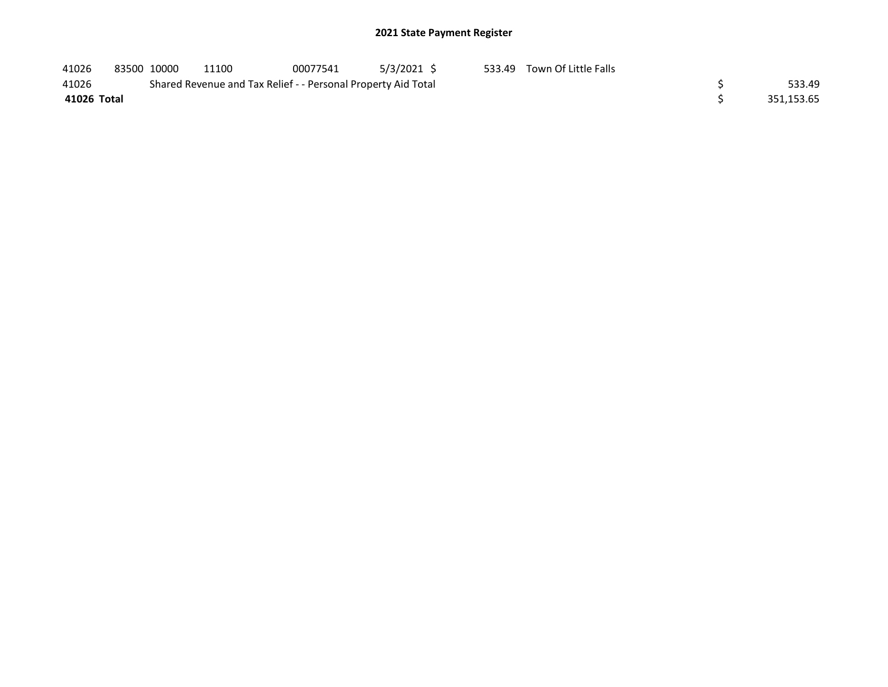| 41026       | 83500 10000 | 11100                                                         | 00077541 | 5/3/2021 \$ | 533.49 Town Of Little Falls |            |
|-------------|-------------|---------------------------------------------------------------|----------|-------------|-----------------------------|------------|
| 41026       |             | Shared Revenue and Tax Relief - - Personal Property Aid Total |          |             |                             | 533.49     |
| 41026 Total |             |                                                               |          |             |                             | 351,153.65 |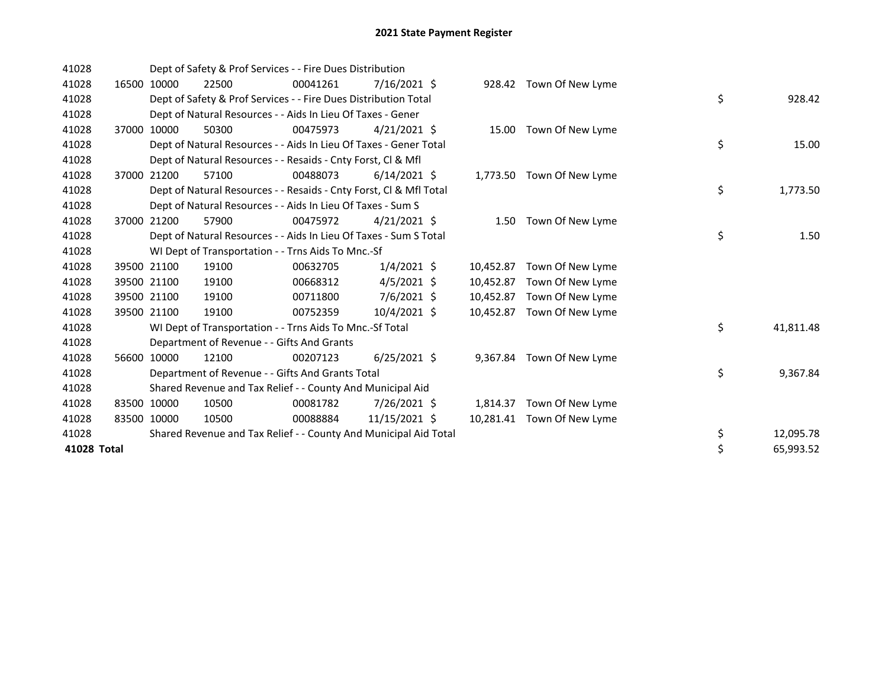| 41028       |       |             | Dept of Safety & Prof Services - - Fire Dues Distribution          |          |                |           |                            |                 |
|-------------|-------|-------------|--------------------------------------------------------------------|----------|----------------|-----------|----------------------------|-----------------|
| 41028       |       | 16500 10000 | 22500                                                              | 00041261 | $7/16/2021$ \$ |           | 928.42 Town Of New Lyme    |                 |
| 41028       |       |             | Dept of Safety & Prof Services - - Fire Dues Distribution Total    |          |                |           |                            | \$<br>928.42    |
| 41028       |       |             | Dept of Natural Resources - - Aids In Lieu Of Taxes - Gener        |          |                |           |                            |                 |
| 41028       |       | 37000 10000 | 50300                                                              | 00475973 | $4/21/2021$ \$ |           | 15.00 Town Of New Lyme     |                 |
| 41028       |       |             | Dept of Natural Resources - - Aids In Lieu Of Taxes - Gener Total  |          |                |           |                            | \$<br>15.00     |
| 41028       |       |             | Dept of Natural Resources - - Resaids - Cnty Forst, CI & Mfl       |          |                |           |                            |                 |
| 41028       | 37000 | 21200       | 57100                                                              | 00488073 | $6/14/2021$ \$ |           | 1,773.50 Town Of New Lyme  |                 |
| 41028       |       |             | Dept of Natural Resources - - Resaids - Cnty Forst, CI & Mfl Total |          |                |           |                            | \$<br>1,773.50  |
| 41028       |       |             | Dept of Natural Resources - - Aids In Lieu Of Taxes - Sum S        |          |                |           |                            |                 |
| 41028       |       | 37000 21200 | 57900                                                              | 00475972 | $4/21/2021$ \$ | 1.50      | Town Of New Lyme           |                 |
| 41028       |       |             | Dept of Natural Resources - - Aids In Lieu Of Taxes - Sum S Total  |          |                |           |                            | \$<br>1.50      |
| 41028       |       |             | WI Dept of Transportation - - Trns Aids To Mnc.-Sf                 |          |                |           |                            |                 |
| 41028       |       | 39500 21100 | 19100                                                              | 00632705 | $1/4/2021$ \$  | 10.452.87 | Town Of New Lyme           |                 |
| 41028       |       | 39500 21100 | 19100                                                              | 00668312 | $4/5/2021$ \$  | 10,452.87 | Town Of New Lyme           |                 |
| 41028       |       | 39500 21100 | 19100                                                              | 00711800 | $7/6/2021$ \$  | 10,452.87 | Town Of New Lyme           |                 |
| 41028       |       | 39500 21100 | 19100                                                              | 00752359 | 10/4/2021 \$   | 10.452.87 | Town Of New Lyme           |                 |
| 41028       |       |             | WI Dept of Transportation - - Trns Aids To Mnc.-Sf Total           |          |                |           |                            | \$<br>41,811.48 |
| 41028       |       |             | Department of Revenue - - Gifts And Grants                         |          |                |           |                            |                 |
| 41028       |       | 56600 10000 | 12100                                                              | 00207123 | $6/25/2021$ \$ |           | 9,367.84 Town Of New Lyme  |                 |
| 41028       |       |             | Department of Revenue - - Gifts And Grants Total                   |          |                |           |                            | \$<br>9,367.84  |
| 41028       |       |             | Shared Revenue and Tax Relief - - County And Municipal Aid         |          |                |           |                            |                 |
| 41028       |       | 83500 10000 | 10500                                                              | 00081782 | 7/26/2021 \$   | 1,814.37  | Town Of New Lyme           |                 |
| 41028       |       | 83500 10000 | 10500                                                              | 00088884 | 11/15/2021 \$  |           | 10,281.41 Town Of New Lyme |                 |
| 41028       |       |             | Shared Revenue and Tax Relief - - County And Municipal Aid Total   |          |                |           |                            | \$<br>12,095.78 |
| 41028 Total |       |             |                                                                    |          |                |           |                            | \$<br>65,993.52 |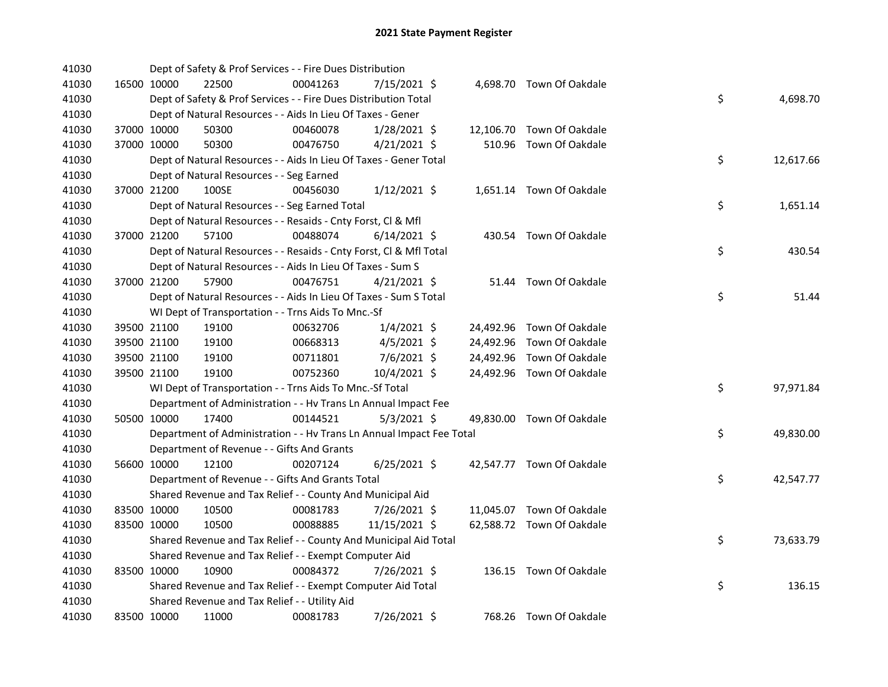| 41030 |             | Dept of Safety & Prof Services - - Fire Dues Distribution            |          |                |  |                           |    |           |
|-------|-------------|----------------------------------------------------------------------|----------|----------------|--|---------------------------|----|-----------|
| 41030 | 16500 10000 | 22500                                                                | 00041263 | 7/15/2021 \$   |  | 4,698.70 Town Of Oakdale  |    |           |
| 41030 |             | Dept of Safety & Prof Services - - Fire Dues Distribution Total      |          |                |  |                           | \$ | 4,698.70  |
| 41030 |             | Dept of Natural Resources - - Aids In Lieu Of Taxes - Gener          |          |                |  |                           |    |           |
| 41030 | 37000 10000 | 50300                                                                | 00460078 | 1/28/2021 \$   |  | 12,106.70 Town Of Oakdale |    |           |
| 41030 | 37000 10000 | 50300                                                                | 00476750 | $4/21/2021$ \$ |  | 510.96 Town Of Oakdale    |    |           |
| 41030 |             | Dept of Natural Resources - - Aids In Lieu Of Taxes - Gener Total    |          |                |  |                           | \$ | 12,617.66 |
| 41030 |             | Dept of Natural Resources - - Seg Earned                             |          |                |  |                           |    |           |
| 41030 | 37000 21200 | 100SE                                                                | 00456030 | $1/12/2021$ \$ |  | 1,651.14 Town Of Oakdale  |    |           |
| 41030 |             | Dept of Natural Resources - - Seg Earned Total                       |          |                |  |                           | \$ | 1,651.14  |
| 41030 |             | Dept of Natural Resources - - Resaids - Cnty Forst, Cl & Mfl         |          |                |  |                           |    |           |
| 41030 | 37000 21200 | 57100                                                                | 00488074 | $6/14/2021$ \$ |  | 430.54 Town Of Oakdale    |    |           |
| 41030 |             | Dept of Natural Resources - - Resaids - Cnty Forst, Cl & Mfl Total   |          |                |  |                           | \$ | 430.54    |
| 41030 |             | Dept of Natural Resources - - Aids In Lieu Of Taxes - Sum S          |          |                |  |                           |    |           |
| 41030 | 37000 21200 | 57900                                                                | 00476751 | $4/21/2021$ \$ |  | 51.44 Town Of Oakdale     |    |           |
| 41030 |             | Dept of Natural Resources - - Aids In Lieu Of Taxes - Sum S Total    |          |                |  |                           | \$ | 51.44     |
| 41030 |             | WI Dept of Transportation - - Trns Aids To Mnc.-Sf                   |          |                |  |                           |    |           |
| 41030 | 39500 21100 | 19100                                                                | 00632706 | $1/4/2021$ \$  |  | 24,492.96 Town Of Oakdale |    |           |
| 41030 | 39500 21100 | 19100                                                                | 00668313 | $4/5/2021$ \$  |  | 24,492.96 Town Of Oakdale |    |           |
| 41030 | 39500 21100 | 19100                                                                | 00711801 | 7/6/2021 \$    |  | 24,492.96 Town Of Oakdale |    |           |
| 41030 | 39500 21100 | 19100                                                                | 00752360 | 10/4/2021 \$   |  | 24,492.96 Town Of Oakdale |    |           |
| 41030 |             | WI Dept of Transportation - - Trns Aids To Mnc.-Sf Total             |          |                |  |                           | \$ | 97,971.84 |
| 41030 |             | Department of Administration - - Hv Trans Ln Annual Impact Fee       |          |                |  |                           |    |           |
| 41030 | 50500 10000 | 17400                                                                | 00144521 | $5/3/2021$ \$  |  | 49,830.00 Town Of Oakdale |    |           |
| 41030 |             | Department of Administration - - Hv Trans Ln Annual Impact Fee Total |          |                |  |                           | \$ | 49,830.00 |
| 41030 |             | Department of Revenue - - Gifts And Grants                           |          |                |  |                           |    |           |
| 41030 | 56600 10000 | 12100                                                                | 00207124 | $6/25/2021$ \$ |  | 42,547.77 Town Of Oakdale |    |           |
| 41030 |             | Department of Revenue - - Gifts And Grants Total                     |          |                |  |                           | \$ | 42,547.77 |
| 41030 |             | Shared Revenue and Tax Relief - - County And Municipal Aid           |          |                |  |                           |    |           |
| 41030 | 83500 10000 | 10500                                                                | 00081783 | 7/26/2021 \$   |  | 11,045.07 Town Of Oakdale |    |           |
| 41030 | 83500 10000 | 10500                                                                | 00088885 | 11/15/2021 \$  |  | 62,588.72 Town Of Oakdale |    |           |
| 41030 |             | Shared Revenue and Tax Relief - - County And Municipal Aid Total     |          |                |  |                           | \$ | 73,633.79 |
| 41030 |             | Shared Revenue and Tax Relief - - Exempt Computer Aid                |          |                |  |                           |    |           |
| 41030 | 83500 10000 | 10900                                                                | 00084372 | 7/26/2021 \$   |  | 136.15 Town Of Oakdale    |    |           |
| 41030 |             | Shared Revenue and Tax Relief - - Exempt Computer Aid Total          |          |                |  |                           | \$ | 136.15    |
| 41030 |             | Shared Revenue and Tax Relief - - Utility Aid                        |          |                |  |                           |    |           |
| 41030 | 83500 10000 | 11000                                                                | 00081783 | 7/26/2021 \$   |  | 768.26 Town Of Oakdale    |    |           |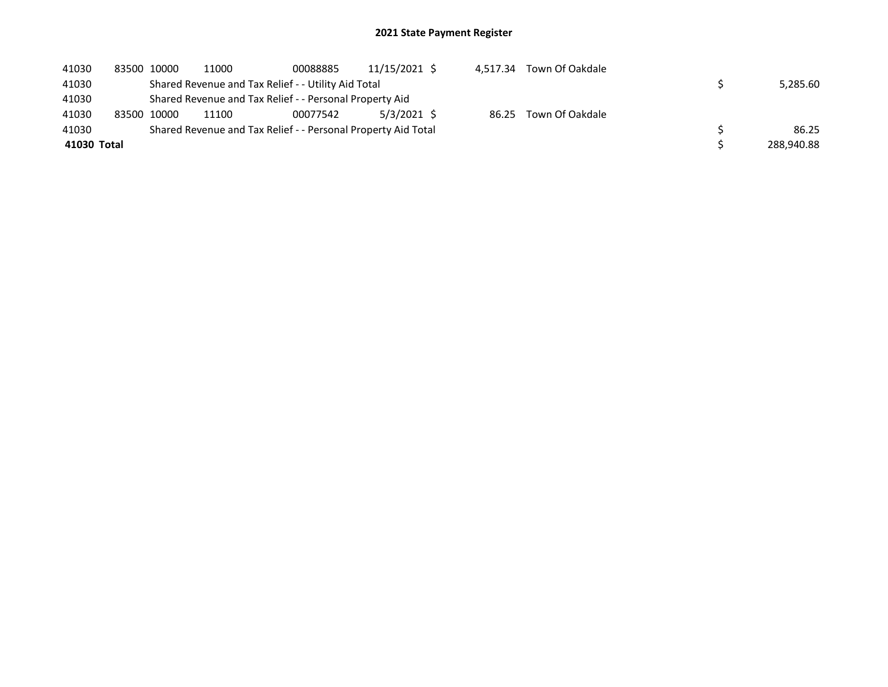| 41030       | 83500 10000 | 11000                                                   | 00088885                                                      | 11/15/2021 \$ | 4.517.34 | Town Of Oakdale       |            |
|-------------|-------------|---------------------------------------------------------|---------------------------------------------------------------|---------------|----------|-----------------------|------------|
| 41030       |             |                                                         | Shared Revenue and Tax Relief - - Utility Aid Total           |               |          |                       | 5.285.60   |
| 41030       |             | Shared Revenue and Tax Relief - - Personal Property Aid |                                                               |               |          |                       |            |
| 41030       | 83500 10000 | 11100                                                   | 00077542                                                      | 5/3/2021 \$   |          | 86.25 Town Of Oakdale |            |
| 41030       |             |                                                         | Shared Revenue and Tax Relief - - Personal Property Aid Total |               |          |                       | 86.25      |
| 41030 Total |             |                                                         |                                                               |               |          |                       | 288,940.88 |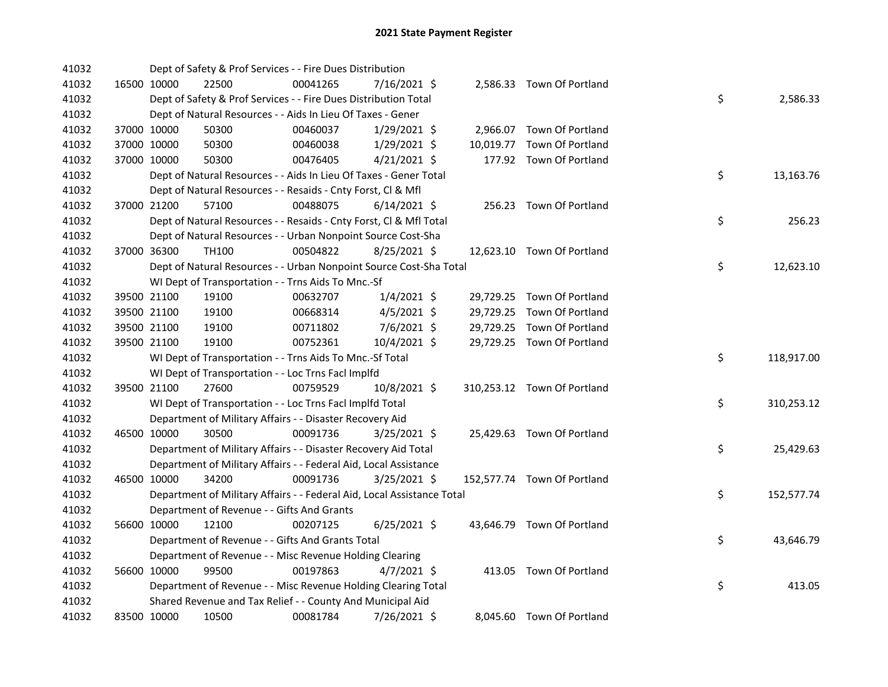| 41032 |             | Dept of Safety & Prof Services - - Fire Dues Distribution              |          |                |  |                             |    |            |
|-------|-------------|------------------------------------------------------------------------|----------|----------------|--|-----------------------------|----|------------|
| 41032 | 16500 10000 | 22500                                                                  | 00041265 | 7/16/2021 \$   |  | 2,586.33 Town Of Portland   |    |            |
| 41032 |             | Dept of Safety & Prof Services - - Fire Dues Distribution Total        |          |                |  |                             | \$ | 2,586.33   |
| 41032 |             | Dept of Natural Resources - - Aids In Lieu Of Taxes - Gener            |          |                |  |                             |    |            |
| 41032 | 37000 10000 | 50300                                                                  | 00460037 | 1/29/2021 \$   |  | 2,966.07 Town Of Portland   |    |            |
| 41032 | 37000 10000 | 50300                                                                  | 00460038 | $1/29/2021$ \$ |  | 10,019.77 Town Of Portland  |    |            |
| 41032 | 37000 10000 | 50300                                                                  | 00476405 | $4/21/2021$ \$ |  | 177.92 Town Of Portland     |    |            |
| 41032 |             | Dept of Natural Resources - - Aids In Lieu Of Taxes - Gener Total      |          |                |  |                             | \$ | 13,163.76  |
| 41032 |             | Dept of Natural Resources - - Resaids - Cnty Forst, Cl & Mfl           |          |                |  |                             |    |            |
| 41032 | 37000 21200 | 57100                                                                  | 00488075 | $6/14/2021$ \$ |  | 256.23 Town Of Portland     |    |            |
| 41032 |             | Dept of Natural Resources - - Resaids - Cnty Forst, Cl & Mfl Total     |          |                |  |                             | \$ | 256.23     |
| 41032 |             | Dept of Natural Resources - - Urban Nonpoint Source Cost-Sha           |          |                |  |                             |    |            |
| 41032 | 37000 36300 | TH100                                                                  | 00504822 | 8/25/2021 \$   |  | 12,623.10 Town Of Portland  |    |            |
| 41032 |             | Dept of Natural Resources - - Urban Nonpoint Source Cost-Sha Total     |          |                |  |                             | \$ | 12,623.10  |
| 41032 |             | WI Dept of Transportation - - Trns Aids To Mnc.-Sf                     |          |                |  |                             |    |            |
| 41032 | 39500 21100 | 19100                                                                  | 00632707 | $1/4/2021$ \$  |  | 29,729.25 Town Of Portland  |    |            |
| 41032 | 39500 21100 | 19100                                                                  | 00668314 | $4/5/2021$ \$  |  | 29,729.25 Town Of Portland  |    |            |
| 41032 | 39500 21100 | 19100                                                                  | 00711802 | $7/6/2021$ \$  |  | 29,729.25 Town Of Portland  |    |            |
| 41032 | 39500 21100 | 19100                                                                  | 00752361 | 10/4/2021 \$   |  | 29,729.25 Town Of Portland  |    |            |
| 41032 |             | WI Dept of Transportation - - Trns Aids To Mnc.-Sf Total               |          |                |  |                             | \$ | 118,917.00 |
| 41032 |             | WI Dept of Transportation - - Loc Trns Facl Implfd                     |          |                |  |                             |    |            |
| 41032 | 39500 21100 | 27600                                                                  | 00759529 | 10/8/2021 \$   |  | 310,253.12 Town Of Portland |    |            |
| 41032 |             | WI Dept of Transportation - - Loc Trns Facl Implfd Total               |          |                |  |                             | \$ | 310,253.12 |
| 41032 |             | Department of Military Affairs - - Disaster Recovery Aid               |          |                |  |                             |    |            |
| 41032 | 46500 10000 | 30500                                                                  | 00091736 | $3/25/2021$ \$ |  | 25,429.63 Town Of Portland  |    |            |
| 41032 |             | Department of Military Affairs - - Disaster Recovery Aid Total         |          |                |  |                             | \$ | 25,429.63  |
| 41032 |             | Department of Military Affairs - - Federal Aid, Local Assistance       |          |                |  |                             |    |            |
| 41032 | 46500 10000 | 34200                                                                  | 00091736 | $3/25/2021$ \$ |  | 152,577.74 Town Of Portland |    |            |
| 41032 |             | Department of Military Affairs - - Federal Aid, Local Assistance Total |          |                |  |                             | \$ | 152,577.74 |
| 41032 |             | Department of Revenue - - Gifts And Grants                             |          |                |  |                             |    |            |
| 41032 | 56600 10000 | 12100                                                                  | 00207125 | $6/25/2021$ \$ |  | 43,646.79 Town Of Portland  |    |            |
| 41032 |             | Department of Revenue - - Gifts And Grants Total                       |          |                |  |                             | \$ | 43,646.79  |
| 41032 |             | Department of Revenue - - Misc Revenue Holding Clearing                |          |                |  |                             |    |            |
| 41032 | 56600 10000 | 99500                                                                  | 00197863 | $4/7/2021$ \$  |  | 413.05 Town Of Portland     |    |            |
| 41032 |             | Department of Revenue - - Misc Revenue Holding Clearing Total          |          |                |  |                             | \$ | 413.05     |
| 41032 |             | Shared Revenue and Tax Relief - - County And Municipal Aid             |          |                |  |                             |    |            |
| 41032 | 83500 10000 | 10500                                                                  | 00081784 | 7/26/2021 \$   |  | 8,045.60 Town Of Portland   |    |            |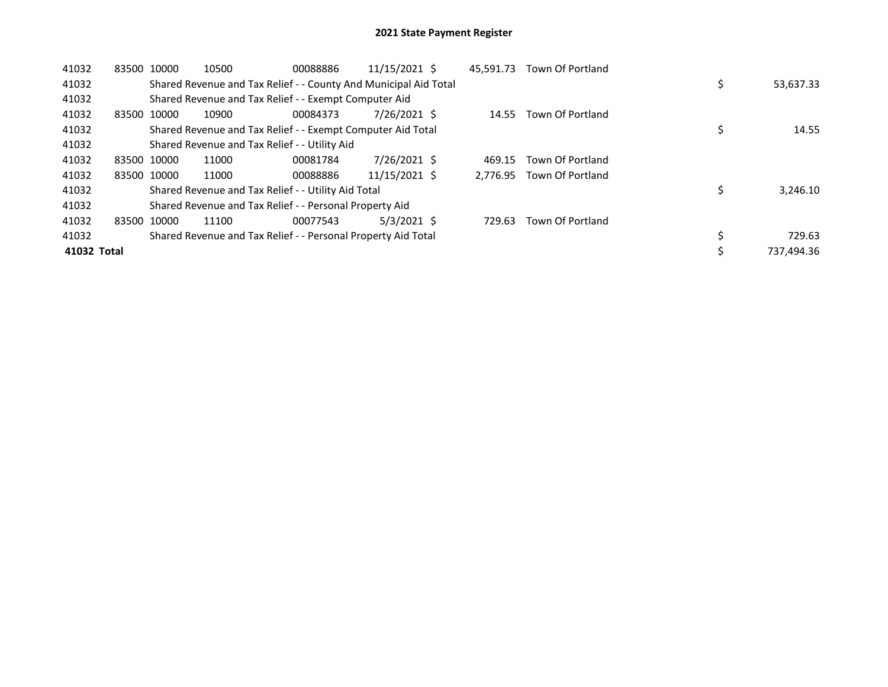| 41032       | 83500 10000 |             | 10500                                                            | 00088886 | 11/15/2021 \$ | 45.591.73 | <b>Town Of Portland</b>   |  |            |
|-------------|-------------|-------------|------------------------------------------------------------------|----------|---------------|-----------|---------------------------|--|------------|
| 41032       |             |             | Shared Revenue and Tax Relief - - County And Municipal Aid Total |          |               |           |                           |  | 53,637.33  |
| 41032       |             |             | Shared Revenue and Tax Relief - - Exempt Computer Aid            |          |               |           |                           |  |            |
| 41032       | 83500       | 10000       | 10900                                                            | 00084373 | 7/26/2021 \$  |           | 14.55 Town Of Portland    |  |            |
| 41032       |             |             | Shared Revenue and Tax Relief - - Exempt Computer Aid Total      |          |               |           |                           |  | 14.55      |
| 41032       |             |             | Shared Revenue and Tax Relief - - Utility Aid                    |          |               |           |                           |  |            |
| 41032       |             | 83500 10000 | 11000                                                            | 00081784 | 7/26/2021 \$  | 469.15    | Town Of Portland          |  |            |
| 41032       |             | 83500 10000 | 11000                                                            | 00088886 | 11/15/2021 \$ |           | 2.776.95 Town Of Portland |  |            |
| 41032       |             |             | Shared Revenue and Tax Relief - - Utility Aid Total              |          |               |           |                           |  | 3,246.10   |
| 41032       |             |             | Shared Revenue and Tax Relief - - Personal Property Aid          |          |               |           |                           |  |            |
| 41032       | 83500       | 10000       | 11100                                                            | 00077543 | $5/3/2021$ \$ | 729.63    | Town Of Portland          |  |            |
| 41032       |             |             | Shared Revenue and Tax Relief - - Personal Property Aid Total    |          |               |           |                           |  | 729.63     |
| 41032 Total |             |             |                                                                  |          |               |           |                           |  | 737,494.36 |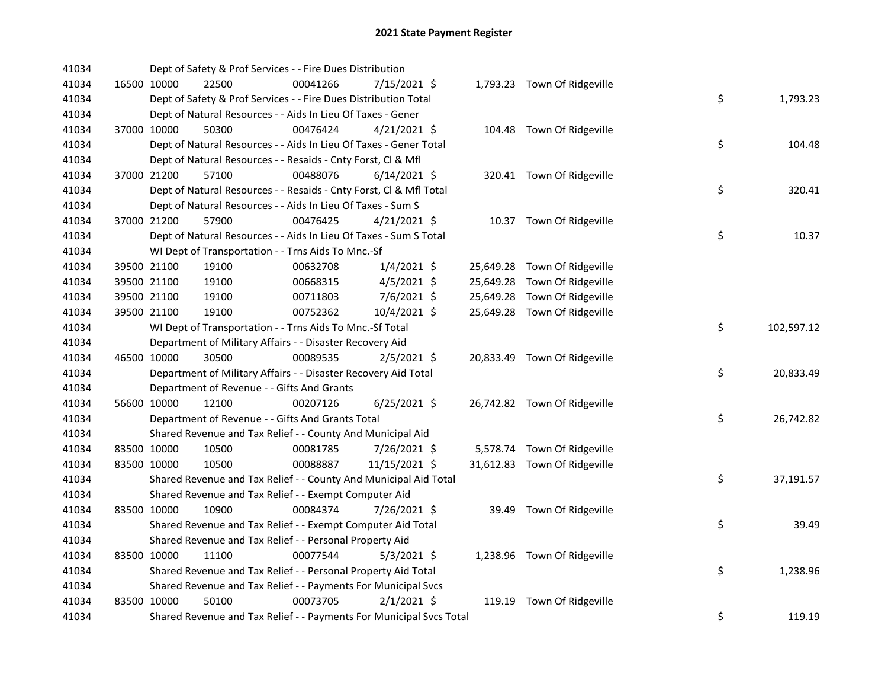| 41034 | Dept of Safety & Prof Services - - Fire Dues Distribution           |          |                |  |                              |                  |
|-------|---------------------------------------------------------------------|----------|----------------|--|------------------------------|------------------|
| 41034 | 16500 10000<br>22500                                                | 00041266 | 7/15/2021 \$   |  | 1,793.23 Town Of Ridgeville  |                  |
| 41034 | Dept of Safety & Prof Services - - Fire Dues Distribution Total     |          |                |  |                              | \$<br>1,793.23   |
| 41034 | Dept of Natural Resources - - Aids In Lieu Of Taxes - Gener         |          |                |  |                              |                  |
| 41034 | 37000 10000<br>50300                                                | 00476424 | $4/21/2021$ \$ |  | 104.48 Town Of Ridgeville    |                  |
| 41034 | Dept of Natural Resources - - Aids In Lieu Of Taxes - Gener Total   |          |                |  |                              | \$<br>104.48     |
| 41034 | Dept of Natural Resources - - Resaids - Cnty Forst, Cl & Mfl        |          |                |  |                              |                  |
| 41034 | 37000 21200<br>57100                                                | 00488076 | $6/14/2021$ \$ |  | 320.41 Town Of Ridgeville    |                  |
| 41034 | Dept of Natural Resources - - Resaids - Cnty Forst, Cl & Mfl Total  |          |                |  |                              | \$<br>320.41     |
| 41034 | Dept of Natural Resources - - Aids In Lieu Of Taxes - Sum S         |          |                |  |                              |                  |
| 41034 | 37000 21200<br>57900                                                | 00476425 | $4/21/2021$ \$ |  | 10.37 Town Of Ridgeville     |                  |
| 41034 | Dept of Natural Resources - - Aids In Lieu Of Taxes - Sum S Total   |          |                |  |                              | \$<br>10.37      |
| 41034 | WI Dept of Transportation - - Trns Aids To Mnc.-Sf                  |          |                |  |                              |                  |
| 41034 | 39500 21100<br>19100                                                | 00632708 | $1/4/2021$ \$  |  | 25,649.28 Town Of Ridgeville |                  |
| 41034 | 39500 21100<br>19100                                                | 00668315 | $4/5/2021$ \$  |  | 25,649.28 Town Of Ridgeville |                  |
| 41034 | 39500 21100<br>19100                                                | 00711803 | 7/6/2021 \$    |  | 25,649.28 Town Of Ridgeville |                  |
| 41034 | 39500 21100<br>19100                                                | 00752362 | 10/4/2021 \$   |  | 25,649.28 Town Of Ridgeville |                  |
| 41034 | WI Dept of Transportation - - Trns Aids To Mnc.-Sf Total            |          |                |  |                              | \$<br>102,597.12 |
| 41034 | Department of Military Affairs - - Disaster Recovery Aid            |          |                |  |                              |                  |
| 41034 | 46500 10000<br>30500                                                | 00089535 | $2/5/2021$ \$  |  | 20,833.49 Town Of Ridgeville |                  |
| 41034 | Department of Military Affairs - - Disaster Recovery Aid Total      |          |                |  |                              | \$<br>20,833.49  |
| 41034 | Department of Revenue - - Gifts And Grants                          |          |                |  |                              |                  |
| 41034 | 56600 10000<br>12100                                                | 00207126 | $6/25/2021$ \$ |  | 26,742.82 Town Of Ridgeville |                  |
| 41034 | Department of Revenue - - Gifts And Grants Total                    |          |                |  |                              | \$<br>26,742.82  |
| 41034 | Shared Revenue and Tax Relief - - County And Municipal Aid          |          |                |  |                              |                  |
| 41034 | 83500 10000<br>10500                                                | 00081785 | 7/26/2021 \$   |  | 5,578.74 Town Of Ridgeville  |                  |
| 41034 | 83500 10000<br>10500                                                | 00088887 | 11/15/2021 \$  |  | 31,612.83 Town Of Ridgeville |                  |
| 41034 | Shared Revenue and Tax Relief - - County And Municipal Aid Total    |          |                |  |                              | \$<br>37,191.57  |
| 41034 | Shared Revenue and Tax Relief - - Exempt Computer Aid               |          |                |  |                              |                  |
| 41034 | 83500 10000<br>10900                                                | 00084374 | 7/26/2021 \$   |  | 39.49 Town Of Ridgeville     |                  |
| 41034 | Shared Revenue and Tax Relief - - Exempt Computer Aid Total         |          |                |  |                              | \$<br>39.49      |
| 41034 | Shared Revenue and Tax Relief - - Personal Property Aid             |          |                |  |                              |                  |
| 41034 | 83500 10000<br>11100                                                | 00077544 | $5/3/2021$ \$  |  | 1,238.96 Town Of Ridgeville  |                  |
| 41034 | Shared Revenue and Tax Relief - - Personal Property Aid Total       |          |                |  |                              | \$<br>1,238.96   |
| 41034 | Shared Revenue and Tax Relief - - Payments For Municipal Svcs       |          |                |  |                              |                  |
| 41034 | 83500 10000<br>50100                                                | 00073705 | $2/1/2021$ \$  |  | 119.19 Town Of Ridgeville    |                  |
| 41034 | Shared Revenue and Tax Relief - - Payments For Municipal Svcs Total |          |                |  |                              | \$<br>119.19     |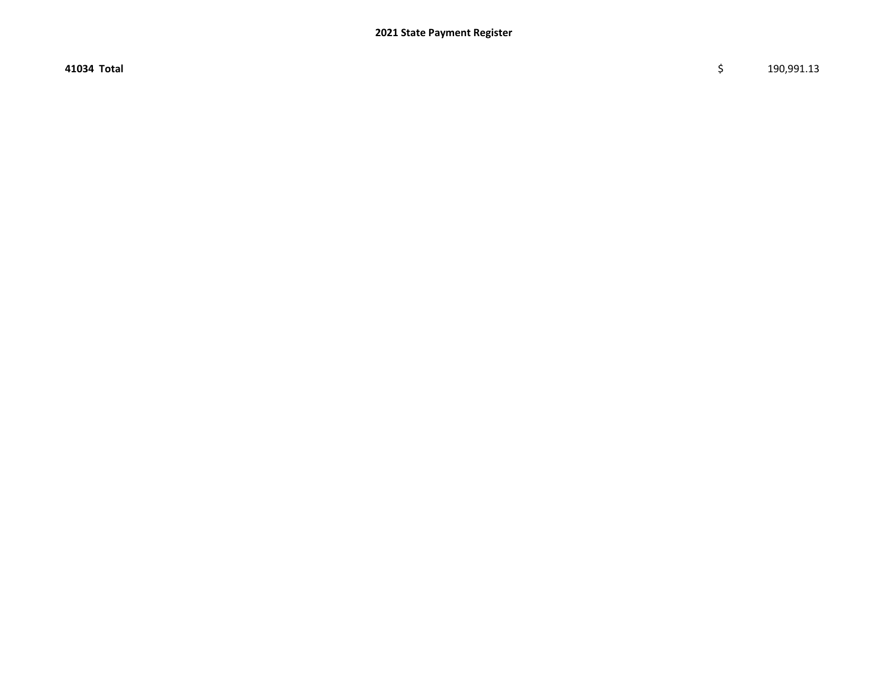41034 Total \$ 190,991.13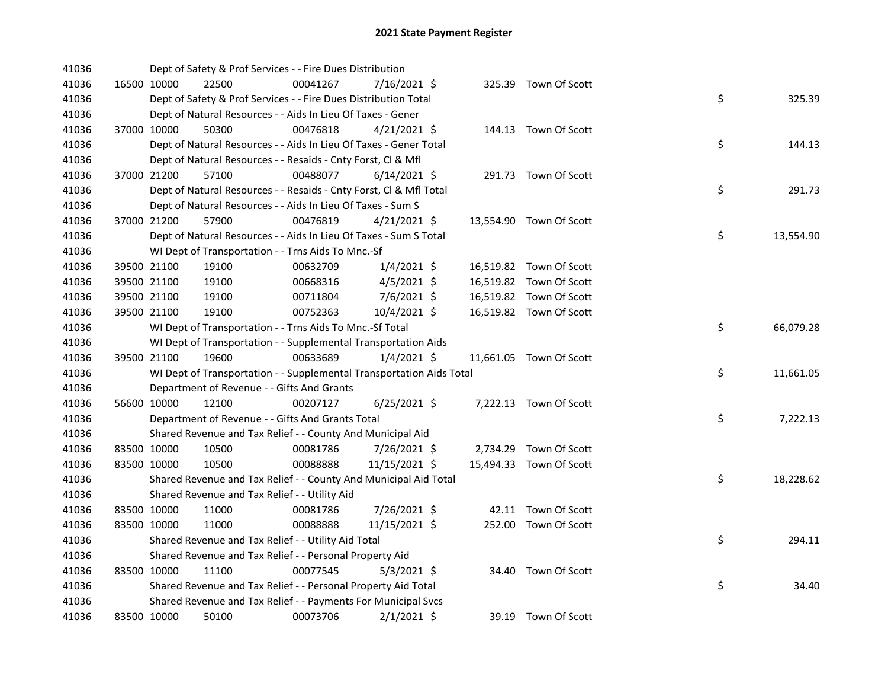| 41036 |             | Dept of Safety & Prof Services - - Fire Dues Distribution            |          |                |  |                         |    |           |
|-------|-------------|----------------------------------------------------------------------|----------|----------------|--|-------------------------|----|-----------|
| 41036 | 16500 10000 | 22500                                                                | 00041267 | 7/16/2021 \$   |  | 325.39 Town Of Scott    |    |           |
| 41036 |             | Dept of Safety & Prof Services - - Fire Dues Distribution Total      |          |                |  |                         | \$ | 325.39    |
| 41036 |             | Dept of Natural Resources - - Aids In Lieu Of Taxes - Gener          |          |                |  |                         |    |           |
| 41036 | 37000 10000 | 50300                                                                | 00476818 | $4/21/2021$ \$ |  | 144.13 Town Of Scott    |    |           |
| 41036 |             | Dept of Natural Resources - - Aids In Lieu Of Taxes - Gener Total    |          |                |  |                         | \$ | 144.13    |
| 41036 |             | Dept of Natural Resources - - Resaids - Cnty Forst, Cl & Mfl         |          |                |  |                         |    |           |
| 41036 | 37000 21200 | 57100                                                                | 00488077 | $6/14/2021$ \$ |  | 291.73 Town Of Scott    |    |           |
| 41036 |             | Dept of Natural Resources - - Resaids - Cnty Forst, Cl & Mfl Total   |          |                |  |                         | \$ | 291.73    |
| 41036 |             | Dept of Natural Resources - - Aids In Lieu Of Taxes - Sum S          |          |                |  |                         |    |           |
| 41036 | 37000 21200 | 57900                                                                | 00476819 | $4/21/2021$ \$ |  | 13,554.90 Town Of Scott |    |           |
| 41036 |             | Dept of Natural Resources - - Aids In Lieu Of Taxes - Sum S Total    |          |                |  |                         | \$ | 13,554.90 |
| 41036 |             | WI Dept of Transportation - - Trns Aids To Mnc.-Sf                   |          |                |  |                         |    |           |
| 41036 | 39500 21100 | 19100                                                                | 00632709 | $1/4/2021$ \$  |  | 16,519.82 Town Of Scott |    |           |
| 41036 | 39500 21100 | 19100                                                                | 00668316 | $4/5/2021$ \$  |  | 16,519.82 Town Of Scott |    |           |
| 41036 | 39500 21100 | 19100                                                                | 00711804 | $7/6/2021$ \$  |  | 16,519.82 Town Of Scott |    |           |
| 41036 | 39500 21100 | 19100                                                                | 00752363 | 10/4/2021 \$   |  | 16,519.82 Town Of Scott |    |           |
| 41036 |             | WI Dept of Transportation - - Trns Aids To Mnc.-Sf Total             |          |                |  |                         | \$ | 66,079.28 |
| 41036 |             | WI Dept of Transportation - - Supplemental Transportation Aids       |          |                |  |                         |    |           |
| 41036 | 39500 21100 | 19600                                                                | 00633689 | $1/4/2021$ \$  |  | 11,661.05 Town Of Scott |    |           |
| 41036 |             | WI Dept of Transportation - - Supplemental Transportation Aids Total |          |                |  |                         | \$ | 11,661.05 |
| 41036 |             | Department of Revenue - - Gifts And Grants                           |          |                |  |                         |    |           |
| 41036 | 56600 10000 | 12100                                                                | 00207127 | 6/25/2021 \$   |  | 7,222.13 Town Of Scott  |    |           |
| 41036 |             | Department of Revenue - - Gifts And Grants Total                     |          |                |  |                         | \$ | 7,222.13  |
| 41036 |             | Shared Revenue and Tax Relief - - County And Municipal Aid           |          |                |  |                         |    |           |
| 41036 | 83500 10000 | 10500                                                                | 00081786 | 7/26/2021 \$   |  | 2,734.29 Town Of Scott  |    |           |
| 41036 | 83500 10000 | 10500                                                                | 00088888 | 11/15/2021 \$  |  | 15,494.33 Town Of Scott |    |           |
| 41036 |             | Shared Revenue and Tax Relief - - County And Municipal Aid Total     |          |                |  |                         | \$ | 18,228.62 |
| 41036 |             | Shared Revenue and Tax Relief - - Utility Aid                        |          |                |  |                         |    |           |
| 41036 | 83500 10000 | 11000                                                                | 00081786 | 7/26/2021 \$   |  | 42.11 Town Of Scott     |    |           |
| 41036 | 83500 10000 | 11000                                                                | 00088888 | 11/15/2021 \$  |  | 252.00 Town Of Scott    |    |           |
| 41036 |             | Shared Revenue and Tax Relief - - Utility Aid Total                  |          |                |  |                         | \$ | 294.11    |
| 41036 |             | Shared Revenue and Tax Relief - - Personal Property Aid              |          |                |  |                         |    |           |
| 41036 | 83500 10000 | 11100                                                                | 00077545 | $5/3/2021$ \$  |  | 34.40 Town Of Scott     |    |           |
| 41036 |             | Shared Revenue and Tax Relief - - Personal Property Aid Total        |          |                |  |                         | \$ | 34.40     |
| 41036 |             | Shared Revenue and Tax Relief - - Payments For Municipal Svcs        |          |                |  |                         |    |           |
| 41036 | 83500 10000 | 50100                                                                | 00073706 | $2/1/2021$ \$  |  | 39.19 Town Of Scott     |    |           |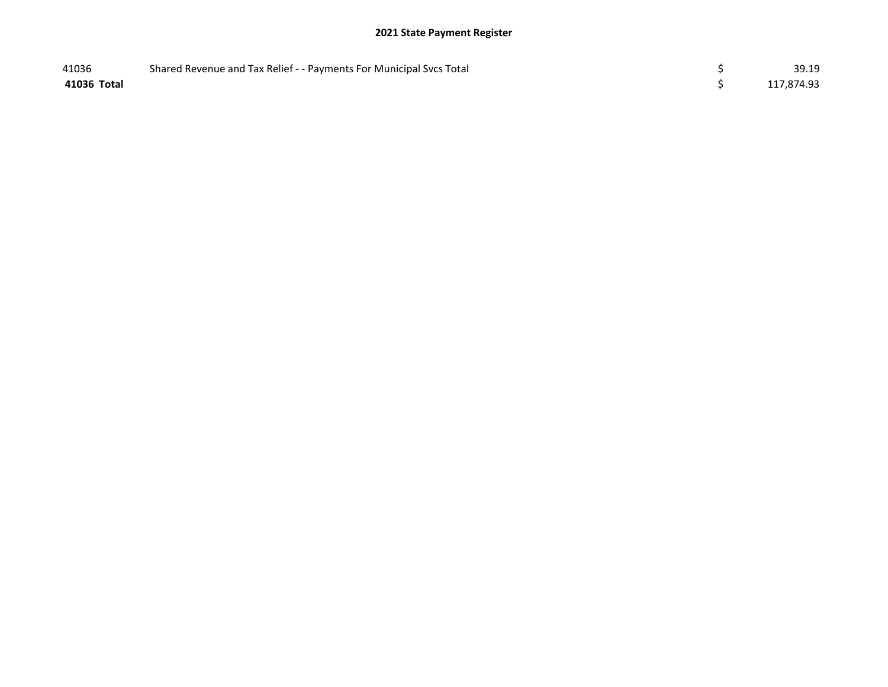| 41036       | Shared Revenue and Tax Relief - - Payments For Municipal Svcs Total | 39.19      |
|-------------|---------------------------------------------------------------------|------------|
| 41036 Total |                                                                     | 117,874.93 |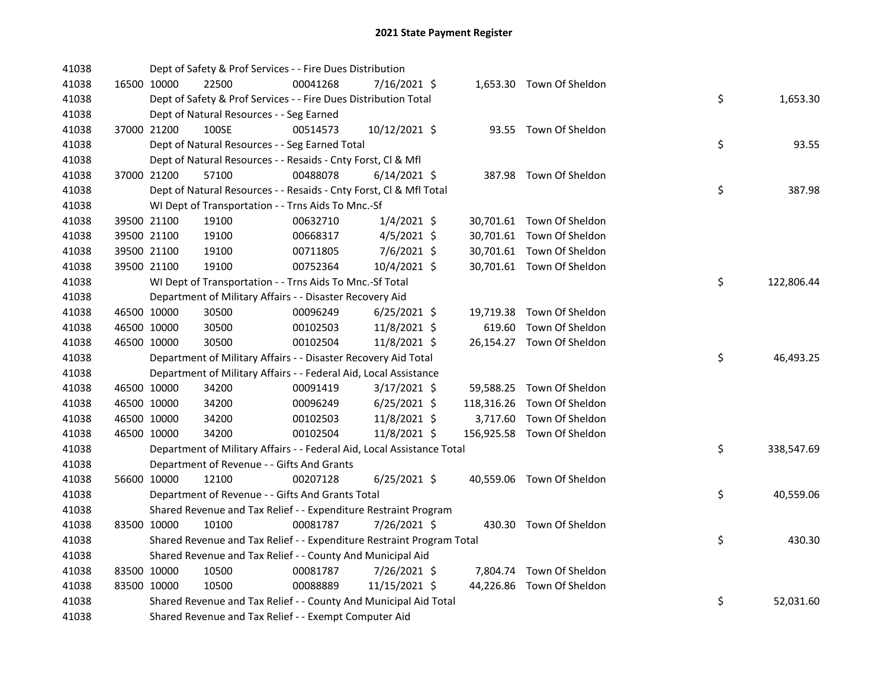| 41038 |             | Dept of Safety & Prof Services - - Fire Dues Distribution              |          |                |  |                            |    |            |
|-------|-------------|------------------------------------------------------------------------|----------|----------------|--|----------------------------|----|------------|
| 41038 | 16500 10000 | 22500                                                                  | 00041268 | 7/16/2021 \$   |  | 1,653.30 Town Of Sheldon   |    |            |
| 41038 |             | Dept of Safety & Prof Services - - Fire Dues Distribution Total        |          |                |  |                            | \$ | 1,653.30   |
| 41038 |             | Dept of Natural Resources - - Seg Earned                               |          |                |  |                            |    |            |
| 41038 | 37000 21200 | 100SE                                                                  | 00514573 | 10/12/2021 \$  |  | 93.55 Town Of Sheldon      |    |            |
| 41038 |             | Dept of Natural Resources - - Seg Earned Total                         |          |                |  |                            | \$ | 93.55      |
| 41038 |             | Dept of Natural Resources - - Resaids - Cnty Forst, Cl & Mfl           |          |                |  |                            |    |            |
| 41038 | 37000 21200 | 57100                                                                  | 00488078 | $6/14/2021$ \$ |  | 387.98 Town Of Sheldon     |    |            |
| 41038 |             | Dept of Natural Resources - - Resaids - Cnty Forst, Cl & Mfl Total     |          |                |  |                            | \$ | 387.98     |
| 41038 |             | WI Dept of Transportation - - Trns Aids To Mnc.-Sf                     |          |                |  |                            |    |            |
| 41038 | 39500 21100 | 19100                                                                  | 00632710 | $1/4/2021$ \$  |  | 30,701.61 Town Of Sheldon  |    |            |
| 41038 | 39500 21100 | 19100                                                                  | 00668317 | $4/5/2021$ \$  |  | 30,701.61 Town Of Sheldon  |    |            |
| 41038 | 39500 21100 | 19100                                                                  | 00711805 | $7/6/2021$ \$  |  | 30,701.61 Town Of Sheldon  |    |            |
| 41038 | 39500 21100 | 19100                                                                  | 00752364 | 10/4/2021 \$   |  | 30,701.61 Town Of Sheldon  |    |            |
| 41038 |             | WI Dept of Transportation - - Trns Aids To Mnc.-Sf Total               |          |                |  |                            | \$ | 122,806.44 |
| 41038 |             | Department of Military Affairs - - Disaster Recovery Aid               |          |                |  |                            |    |            |
| 41038 | 46500 10000 | 30500                                                                  | 00096249 | 6/25/2021 \$   |  | 19,719.38 Town Of Sheldon  |    |            |
| 41038 | 46500 10000 | 30500                                                                  | 00102503 | 11/8/2021 \$   |  | 619.60 Town Of Sheldon     |    |            |
| 41038 | 46500 10000 | 30500                                                                  | 00102504 | 11/8/2021 \$   |  | 26,154.27 Town Of Sheldon  |    |            |
| 41038 |             | Department of Military Affairs - - Disaster Recovery Aid Total         |          |                |  |                            | \$ | 46,493.25  |
| 41038 |             | Department of Military Affairs - - Federal Aid, Local Assistance       |          |                |  |                            |    |            |
| 41038 | 46500 10000 | 34200                                                                  | 00091419 | $3/17/2021$ \$ |  | 59,588.25 Town Of Sheldon  |    |            |
| 41038 | 46500 10000 | 34200                                                                  | 00096249 | $6/25/2021$ \$ |  | 118,316.26 Town Of Sheldon |    |            |
| 41038 | 46500 10000 | 34200                                                                  | 00102503 | 11/8/2021 \$   |  | 3,717.60 Town Of Sheldon   |    |            |
| 41038 | 46500 10000 | 34200                                                                  | 00102504 | 11/8/2021 \$   |  | 156,925.58 Town Of Sheldon |    |            |
| 41038 |             | Department of Military Affairs - - Federal Aid, Local Assistance Total |          |                |  |                            | \$ | 338,547.69 |
| 41038 |             | Department of Revenue - - Gifts And Grants                             |          |                |  |                            |    |            |
| 41038 | 56600 10000 | 12100                                                                  | 00207128 | $6/25/2021$ \$ |  | 40,559.06 Town Of Sheldon  |    |            |
| 41038 |             | Department of Revenue - - Gifts And Grants Total                       |          |                |  |                            | \$ | 40,559.06  |
| 41038 |             | Shared Revenue and Tax Relief - - Expenditure Restraint Program        |          |                |  |                            |    |            |
| 41038 | 83500 10000 | 10100                                                                  | 00081787 | 7/26/2021 \$   |  | 430.30 Town Of Sheldon     |    |            |
| 41038 |             | Shared Revenue and Tax Relief - - Expenditure Restraint Program Total  |          |                |  |                            | \$ | 430.30     |
| 41038 |             | Shared Revenue and Tax Relief - - County And Municipal Aid             |          |                |  |                            |    |            |
| 41038 | 83500 10000 | 10500                                                                  | 00081787 | 7/26/2021 \$   |  | 7,804.74 Town Of Sheldon   |    |            |
| 41038 | 83500 10000 | 10500                                                                  | 00088889 | 11/15/2021 \$  |  | 44,226.86 Town Of Sheldon  |    |            |
| 41038 |             | Shared Revenue and Tax Relief - - County And Municipal Aid Total       |          |                |  |                            | \$ | 52,031.60  |
| 41038 |             | Shared Revenue and Tax Relief - - Exempt Computer Aid                  |          |                |  |                            |    |            |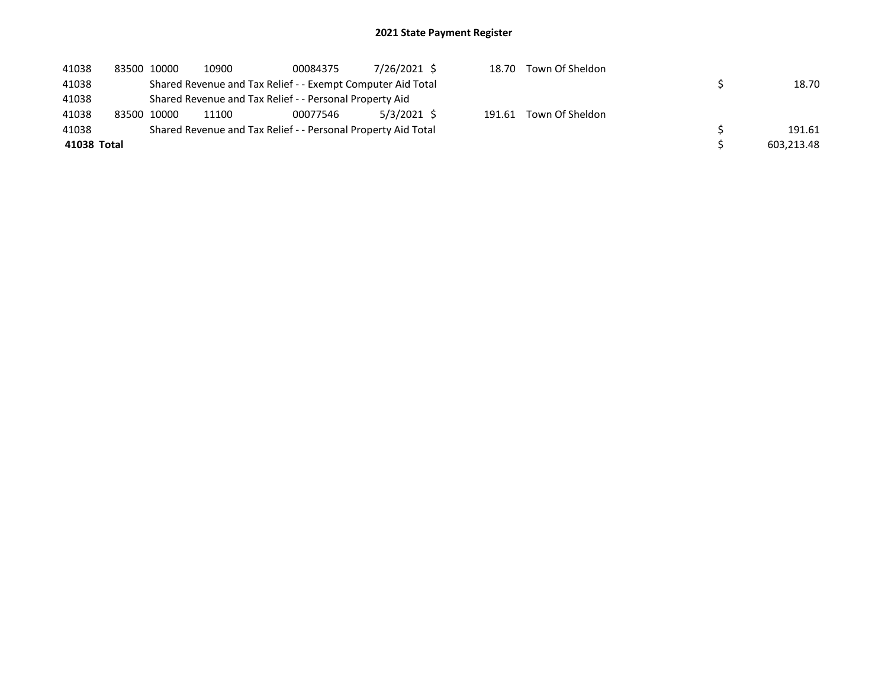| 41038       | 83500 10000 | 10900 | 00084375                                                      | 7/26/2021 \$ | 18.70  | Town Of Sheldon |            |
|-------------|-------------|-------|---------------------------------------------------------------|--------------|--------|-----------------|------------|
| 41038       |             |       | Shared Revenue and Tax Relief - - Exempt Computer Aid Total   |              |        |                 | 18.70      |
| 41038       |             |       | Shared Revenue and Tax Relief - - Personal Property Aid       |              |        |                 |            |
| 41038       | 83500 10000 | 11100 | 00077546                                                      | 5/3/2021 \$  | 191.61 | Town Of Sheldon |            |
| 41038       |             |       | Shared Revenue and Tax Relief - - Personal Property Aid Total |              |        |                 | 191.61     |
| 41038 Total |             |       |                                                               |              |        |                 | 603.213.48 |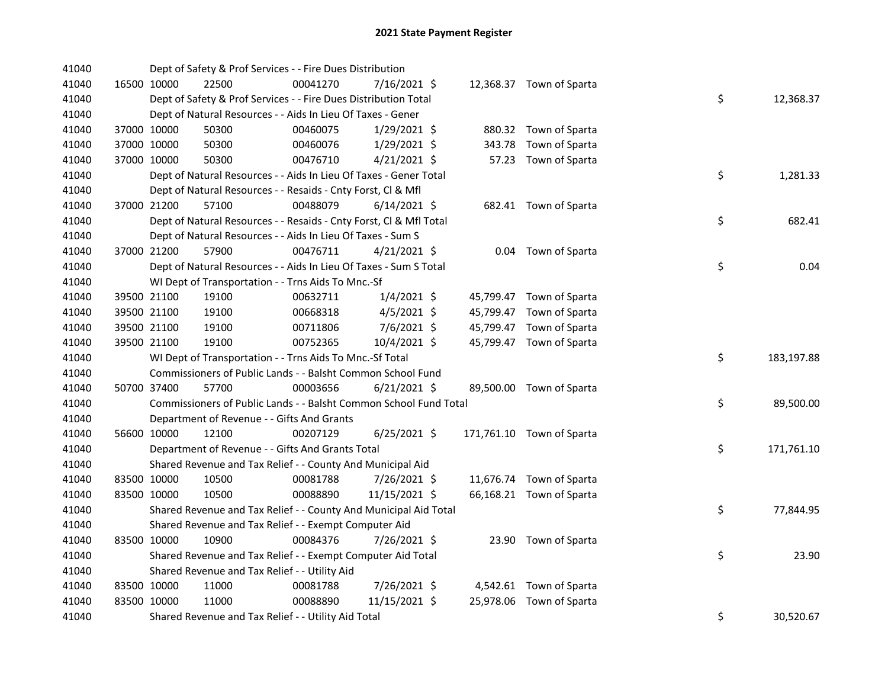| 41040 |             | Dept of Safety & Prof Services - - Fire Dues Distribution          |          |                |  |                           |    |            |
|-------|-------------|--------------------------------------------------------------------|----------|----------------|--|---------------------------|----|------------|
| 41040 | 16500 10000 | 22500                                                              | 00041270 | 7/16/2021 \$   |  | 12,368.37 Town of Sparta  |    |            |
| 41040 |             | Dept of Safety & Prof Services - - Fire Dues Distribution Total    |          |                |  |                           | \$ | 12,368.37  |
| 41040 |             | Dept of Natural Resources - - Aids In Lieu Of Taxes - Gener        |          |                |  |                           |    |            |
| 41040 | 37000 10000 | 50300                                                              | 00460075 | 1/29/2021 \$   |  | 880.32 Town of Sparta     |    |            |
| 41040 | 37000 10000 | 50300                                                              | 00460076 | $1/29/2021$ \$ |  | 343.78 Town of Sparta     |    |            |
| 41040 | 37000 10000 | 50300                                                              | 00476710 | $4/21/2021$ \$ |  | 57.23 Town of Sparta      |    |            |
| 41040 |             | Dept of Natural Resources - - Aids In Lieu Of Taxes - Gener Total  |          |                |  |                           | \$ | 1,281.33   |
| 41040 |             | Dept of Natural Resources - - Resaids - Cnty Forst, Cl & Mfl       |          |                |  |                           |    |            |
| 41040 | 37000 21200 | 57100                                                              | 00488079 | $6/14/2021$ \$ |  | 682.41 Town of Sparta     |    |            |
| 41040 |             | Dept of Natural Resources - - Resaids - Cnty Forst, Cl & Mfl Total |          |                |  |                           | \$ | 682.41     |
| 41040 |             | Dept of Natural Resources - - Aids In Lieu Of Taxes - Sum S        |          |                |  |                           |    |            |
| 41040 | 37000 21200 | 57900                                                              | 00476711 | $4/21/2021$ \$ |  | 0.04 Town of Sparta       |    |            |
| 41040 |             | Dept of Natural Resources - - Aids In Lieu Of Taxes - Sum S Total  |          |                |  |                           | \$ | 0.04       |
| 41040 |             | WI Dept of Transportation - - Trns Aids To Mnc.-Sf                 |          |                |  |                           |    |            |
| 41040 | 39500 21100 | 19100                                                              | 00632711 | $1/4/2021$ \$  |  | 45,799.47 Town of Sparta  |    |            |
| 41040 | 39500 21100 | 19100                                                              | 00668318 | $4/5/2021$ \$  |  | 45,799.47 Town of Sparta  |    |            |
| 41040 | 39500 21100 | 19100                                                              | 00711806 | $7/6/2021$ \$  |  | 45,799.47 Town of Sparta  |    |            |
| 41040 | 39500 21100 | 19100                                                              | 00752365 | 10/4/2021 \$   |  | 45,799.47 Town of Sparta  |    |            |
| 41040 |             | WI Dept of Transportation - - Trns Aids To Mnc.-Sf Total           |          |                |  |                           | \$ | 183,197.88 |
| 41040 |             | Commissioners of Public Lands - - Balsht Common School Fund        |          |                |  |                           |    |            |
| 41040 | 50700 37400 | 57700                                                              | 00003656 | $6/21/2021$ \$ |  | 89,500.00 Town of Sparta  |    |            |
| 41040 |             | Commissioners of Public Lands - - Balsht Common School Fund Total  |          |                |  |                           | \$ | 89,500.00  |
| 41040 |             | Department of Revenue - - Gifts And Grants                         |          |                |  |                           |    |            |
| 41040 | 56600 10000 | 12100                                                              | 00207129 | $6/25/2021$ \$ |  | 171,761.10 Town of Sparta |    |            |
| 41040 |             | Department of Revenue - - Gifts And Grants Total                   |          |                |  |                           | \$ | 171,761.10 |
| 41040 |             | Shared Revenue and Tax Relief - - County And Municipal Aid         |          |                |  |                           |    |            |
| 41040 | 83500 10000 | 10500                                                              | 00081788 | 7/26/2021 \$   |  | 11,676.74 Town of Sparta  |    |            |
| 41040 | 83500 10000 | 10500                                                              | 00088890 | 11/15/2021 \$  |  | 66,168.21 Town of Sparta  |    |            |
| 41040 |             | Shared Revenue and Tax Relief - - County And Municipal Aid Total   |          |                |  |                           | \$ | 77,844.95  |
| 41040 |             | Shared Revenue and Tax Relief - - Exempt Computer Aid              |          |                |  |                           |    |            |
| 41040 | 83500 10000 | 10900                                                              | 00084376 | 7/26/2021 \$   |  | 23.90 Town of Sparta      |    |            |
| 41040 |             | Shared Revenue and Tax Relief - - Exempt Computer Aid Total        |          |                |  |                           | \$ | 23.90      |
| 41040 |             | Shared Revenue and Tax Relief - - Utility Aid                      |          |                |  |                           |    |            |
| 41040 | 83500 10000 | 11000                                                              | 00081788 | 7/26/2021 \$   |  | 4,542.61 Town of Sparta   |    |            |
| 41040 | 83500 10000 | 11000                                                              | 00088890 | 11/15/2021 \$  |  | 25,978.06 Town of Sparta  |    |            |
| 41040 |             | Shared Revenue and Tax Relief - - Utility Aid Total                |          |                |  |                           | \$ | 30,520.67  |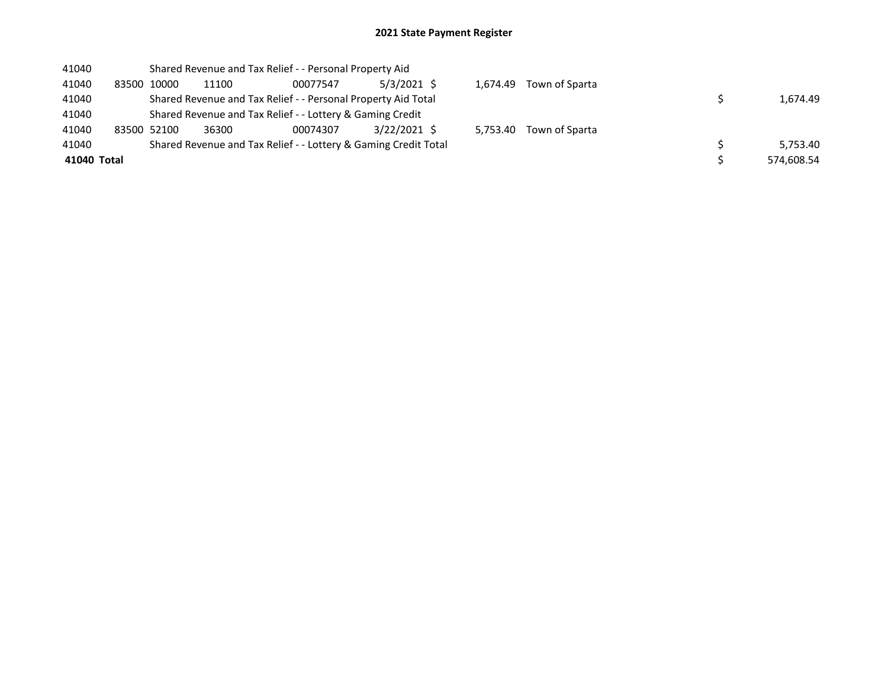| 41040       |             |       | Shared Revenue and Tax Relief - - Personal Property Aid         |                |          |                         |            |
|-------------|-------------|-------|-----------------------------------------------------------------|----------------|----------|-------------------------|------------|
| 41040       | 83500 10000 | 11100 | 00077547                                                        | $5/3/2021$ \$  |          | 1,674.49 Town of Sparta |            |
| 41040       |             |       | Shared Revenue and Tax Relief - - Personal Property Aid Total   |                |          |                         | 1,674.49   |
| 41040       |             |       | Shared Revenue and Tax Relief - - Lottery & Gaming Credit       |                |          |                         |            |
| 41040       | 83500 52100 | 36300 | 00074307                                                        | $3/22/2021$ \$ | 5.753.40 | Town of Sparta          |            |
| 41040       |             |       | Shared Revenue and Tax Relief - - Lottery & Gaming Credit Total |                |          |                         | 5.753.40   |
| 41040 Total |             |       |                                                                 |                |          |                         | 574,608.54 |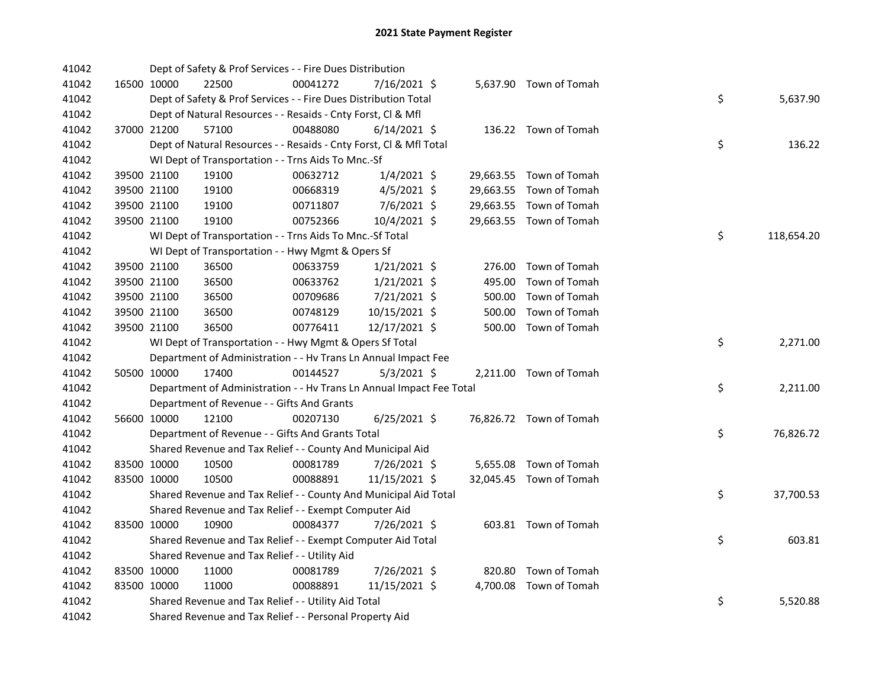| 41042 |             | Dept of Safety & Prof Services - - Fire Dues Distribution            |          |                |        |                         |    |            |
|-------|-------------|----------------------------------------------------------------------|----------|----------------|--------|-------------------------|----|------------|
| 41042 | 16500 10000 | 22500                                                                | 00041272 | 7/16/2021 \$   |        | 5,637.90 Town of Tomah  |    |            |
| 41042 |             | Dept of Safety & Prof Services - - Fire Dues Distribution Total      |          |                |        |                         | \$ | 5,637.90   |
| 41042 |             | Dept of Natural Resources - - Resaids - Cnty Forst, Cl & Mfl         |          |                |        |                         |    |            |
| 41042 | 37000 21200 | 57100                                                                | 00488080 | $6/14/2021$ \$ |        | 136.22 Town of Tomah    |    |            |
| 41042 |             | Dept of Natural Resources - - Resaids - Cnty Forst, Cl & Mfl Total   |          |                |        |                         | \$ | 136.22     |
| 41042 |             | WI Dept of Transportation - - Trns Aids To Mnc.-Sf                   |          |                |        |                         |    |            |
| 41042 | 39500 21100 | 19100                                                                | 00632712 | $1/4/2021$ \$  |        | 29,663.55 Town of Tomah |    |            |
| 41042 | 39500 21100 | 19100                                                                | 00668319 | $4/5/2021$ \$  |        | 29,663.55 Town of Tomah |    |            |
| 41042 | 39500 21100 | 19100                                                                | 00711807 | $7/6/2021$ \$  |        | 29,663.55 Town of Tomah |    |            |
| 41042 | 39500 21100 | 19100                                                                | 00752366 | 10/4/2021 \$   |        | 29,663.55 Town of Tomah |    |            |
| 41042 |             | WI Dept of Transportation - - Trns Aids To Mnc.-Sf Total             |          |                |        |                         | \$ | 118,654.20 |
| 41042 |             | WI Dept of Transportation - - Hwy Mgmt & Opers Sf                    |          |                |        |                         |    |            |
| 41042 | 39500 21100 | 36500                                                                | 00633759 | $1/21/2021$ \$ |        | 276.00 Town of Tomah    |    |            |
| 41042 | 39500 21100 | 36500                                                                | 00633762 | $1/21/2021$ \$ | 495.00 | Town of Tomah           |    |            |
| 41042 | 39500 21100 | 36500                                                                | 00709686 | 7/21/2021 \$   | 500.00 | Town of Tomah           |    |            |
| 41042 | 39500 21100 | 36500                                                                | 00748129 | 10/15/2021 \$  | 500.00 | Town of Tomah           |    |            |
| 41042 | 39500 21100 | 36500                                                                | 00776411 | 12/17/2021 \$  |        | 500.00 Town of Tomah    |    |            |
| 41042 |             | WI Dept of Transportation - - Hwy Mgmt & Opers Sf Total              |          |                |        |                         | \$ | 2,271.00   |
| 41042 |             | Department of Administration - - Hv Trans Ln Annual Impact Fee       |          |                |        |                         |    |            |
| 41042 | 50500 10000 | 17400                                                                | 00144527 | $5/3/2021$ \$  |        | 2,211.00 Town of Tomah  |    |            |
| 41042 |             | Department of Administration - - Hv Trans Ln Annual Impact Fee Total |          |                |        |                         | \$ | 2,211.00   |
| 41042 |             | Department of Revenue - - Gifts And Grants                           |          |                |        |                         |    |            |
| 41042 | 56600 10000 | 12100                                                                | 00207130 | $6/25/2021$ \$ |        | 76,826.72 Town of Tomah |    |            |
| 41042 |             | Department of Revenue - - Gifts And Grants Total                     |          |                |        |                         | \$ | 76,826.72  |
| 41042 |             | Shared Revenue and Tax Relief - - County And Municipal Aid           |          |                |        |                         |    |            |
| 41042 | 83500 10000 | 10500                                                                | 00081789 | 7/26/2021 \$   |        | 5,655.08 Town of Tomah  |    |            |
| 41042 | 83500 10000 | 10500                                                                | 00088891 | 11/15/2021 \$  |        | 32,045.45 Town of Tomah |    |            |
| 41042 |             | Shared Revenue and Tax Relief - - County And Municipal Aid Total     |          |                |        |                         | \$ | 37,700.53  |
| 41042 |             | Shared Revenue and Tax Relief - - Exempt Computer Aid                |          |                |        |                         |    |            |
| 41042 | 83500 10000 | 10900                                                                | 00084377 | 7/26/2021 \$   |        | 603.81 Town of Tomah    |    |            |
| 41042 |             | Shared Revenue and Tax Relief - - Exempt Computer Aid Total          |          |                |        |                         | \$ | 603.81     |
| 41042 |             | Shared Revenue and Tax Relief - - Utility Aid                        |          |                |        |                         |    |            |
| 41042 | 83500 10000 | 11000                                                                | 00081789 | 7/26/2021 \$   |        | 820.80 Town of Tomah    |    |            |
| 41042 | 83500 10000 | 11000                                                                | 00088891 | 11/15/2021 \$  |        | 4,700.08 Town of Tomah  |    |            |
| 41042 |             | Shared Revenue and Tax Relief - - Utility Aid Total                  |          |                |        |                         | \$ | 5,520.88   |
| 41042 |             | Shared Revenue and Tax Relief - - Personal Property Aid              |          |                |        |                         |    |            |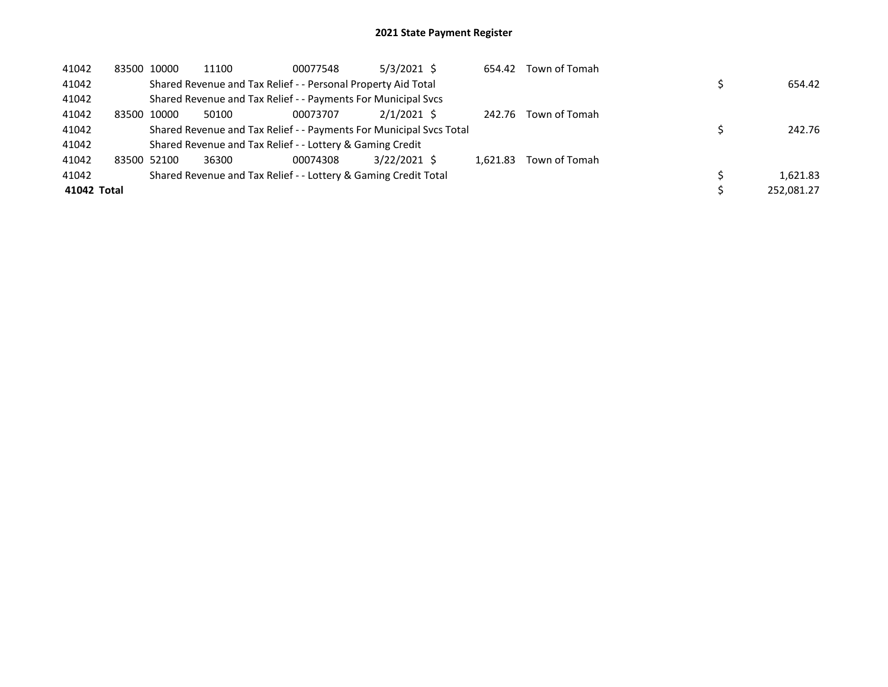| 41042       |       | 83500 10000 | 11100 | 00077548                                                            | $5/3/2021$ \$ | 654.42   | Town of Tomah |            |
|-------------|-------|-------------|-------|---------------------------------------------------------------------|---------------|----------|---------------|------------|
| 41042       |       |             |       | Shared Revenue and Tax Relief - - Personal Property Aid Total       |               |          |               | 654.42     |
| 41042       |       |             |       | Shared Revenue and Tax Relief - - Payments For Municipal Svcs       |               |          |               |            |
| 41042       | 83500 | 10000       | 50100 | 00073707                                                            | $2/1/2021$ \$ | 242.76   | Town of Tomah |            |
| 41042       |       |             |       | Shared Revenue and Tax Relief - - Payments For Municipal Svcs Total |               |          |               | 242.76     |
| 41042       |       |             |       | Shared Revenue and Tax Relief - - Lottery & Gaming Credit           |               |          |               |            |
| 41042       |       | 83500 52100 | 36300 | 00074308                                                            | 3/22/2021 \$  | 1.621.83 | Town of Tomah |            |
| 41042       |       |             |       | Shared Revenue and Tax Relief - - Lottery & Gaming Credit Total     |               |          |               | 1.621.83   |
| 41042 Total |       |             |       |                                                                     |               |          |               | 252,081.27 |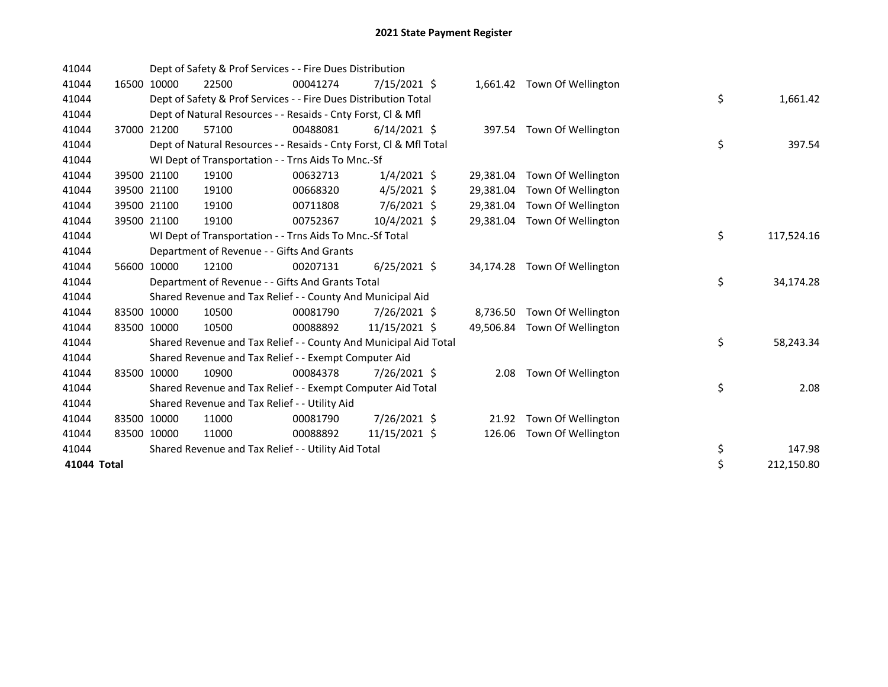| 41044       |       |             | Dept of Safety & Prof Services - - Fire Dues Distribution          |          |                |           |                              |    |            |
|-------------|-------|-------------|--------------------------------------------------------------------|----------|----------------|-----------|------------------------------|----|------------|
| 41044       |       | 16500 10000 | 22500                                                              | 00041274 | 7/15/2021 \$   |           | 1,661.42 Town Of Wellington  |    |            |
| 41044       |       |             | Dept of Safety & Prof Services - - Fire Dues Distribution Total    |          |                |           |                              | \$ | 1,661.42   |
| 41044       |       |             | Dept of Natural Resources - - Resaids - Cnty Forst, CI & Mfl       |          |                |           |                              |    |            |
| 41044       | 37000 | 21200       | 57100                                                              | 00488081 | $6/14/2021$ \$ |           | 397.54 Town Of Wellington    |    |            |
| 41044       |       |             | Dept of Natural Resources - - Resaids - Cnty Forst, CI & Mfl Total |          |                |           |                              | \$ | 397.54     |
| 41044       |       |             | WI Dept of Transportation - - Trns Aids To Mnc.-Sf                 |          |                |           |                              |    |            |
| 41044       |       | 39500 21100 | 19100                                                              | 00632713 | $1/4/2021$ \$  | 29,381.04 | Town Of Wellington           |    |            |
| 41044       |       | 39500 21100 | 19100                                                              | 00668320 | $4/5/2021$ \$  | 29,381.04 | Town Of Wellington           |    |            |
| 41044       |       | 39500 21100 | 19100                                                              | 00711808 | 7/6/2021 \$    | 29,381.04 | Town Of Wellington           |    |            |
| 41044       |       | 39500 21100 | 19100                                                              | 00752367 | 10/4/2021 \$   | 29,381.04 | Town Of Wellington           |    |            |
| 41044       |       |             | WI Dept of Transportation - - Trns Aids To Mnc.-Sf Total           |          |                |           |                              | \$ | 117,524.16 |
| 41044       |       |             | Department of Revenue - - Gifts And Grants                         |          |                |           |                              |    |            |
| 41044       | 56600 | 10000       | 12100                                                              | 00207131 | $6/25/2021$ \$ |           | 34,174.28 Town Of Wellington |    |            |
| 41044       |       |             | Department of Revenue - - Gifts And Grants Total                   |          |                |           |                              | \$ | 34,174.28  |
| 41044       |       |             | Shared Revenue and Tax Relief - - County And Municipal Aid         |          |                |           |                              |    |            |
| 41044       |       | 83500 10000 | 10500                                                              | 00081790 | 7/26/2021 \$   |           | 8,736.50 Town Of Wellington  |    |            |
| 41044       |       | 83500 10000 | 10500                                                              | 00088892 | 11/15/2021 \$  | 49,506.84 | Town Of Wellington           |    |            |
| 41044       |       |             | Shared Revenue and Tax Relief - - County And Municipal Aid Total   |          |                |           |                              | \$ | 58,243.34  |
| 41044       |       |             | Shared Revenue and Tax Relief - - Exempt Computer Aid              |          |                |           |                              |    |            |
| 41044       |       | 83500 10000 | 10900                                                              | 00084378 | 7/26/2021 \$   | 2.08      | Town Of Wellington           |    |            |
| 41044       |       |             | Shared Revenue and Tax Relief - - Exempt Computer Aid Total        |          |                |           |                              | \$ | 2.08       |
| 41044       |       |             | Shared Revenue and Tax Relief - - Utility Aid                      |          |                |           |                              |    |            |
| 41044       |       | 83500 10000 | 11000                                                              | 00081790 | 7/26/2021 \$   | 21.92     | Town Of Wellington           |    |            |
| 41044       |       | 83500 10000 | 11000                                                              | 00088892 | 11/15/2021 \$  | 126.06    | Town Of Wellington           |    |            |
| 41044       |       |             | Shared Revenue and Tax Relief - - Utility Aid Total                |          |                |           |                              | \$ | 147.98     |
| 41044 Total |       |             |                                                                    |          |                |           |                              | \$ | 212,150.80 |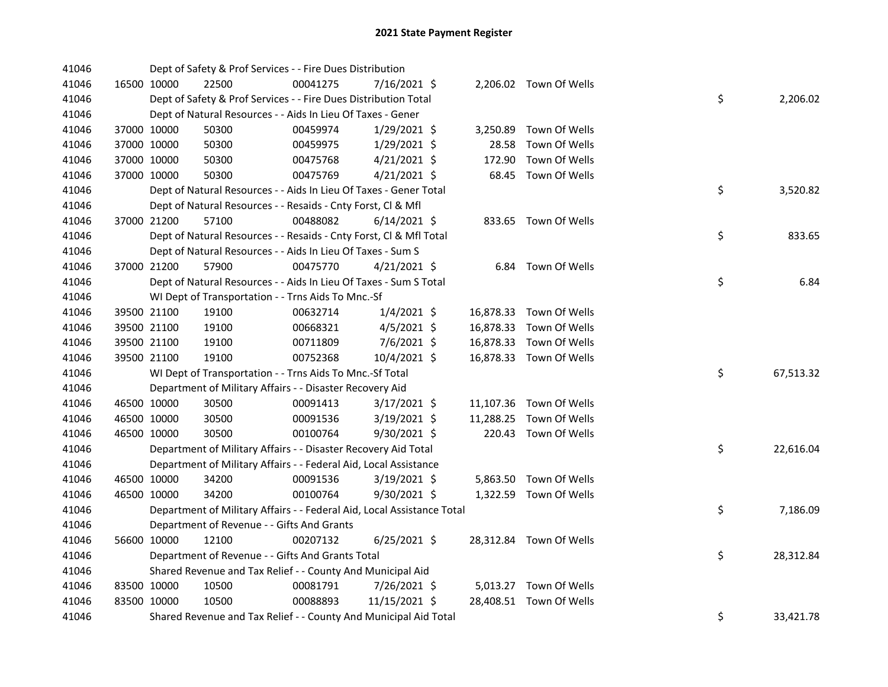| 41046 |             | Dept of Safety & Prof Services - - Fire Dues Distribution              |          |                |           |                         |    |           |
|-------|-------------|------------------------------------------------------------------------|----------|----------------|-----------|-------------------------|----|-----------|
| 41046 | 16500 10000 | 22500                                                                  | 00041275 | 7/16/2021 \$   |           | 2,206.02 Town Of Wells  |    |           |
| 41046 |             | Dept of Safety & Prof Services - - Fire Dues Distribution Total        |          |                |           |                         | \$ | 2,206.02  |
| 41046 |             | Dept of Natural Resources - - Aids In Lieu Of Taxes - Gener            |          |                |           |                         |    |           |
| 41046 | 37000 10000 | 50300                                                                  | 00459974 | 1/29/2021 \$   | 3,250.89  | Town Of Wells           |    |           |
| 41046 | 37000 10000 | 50300                                                                  | 00459975 | $1/29/2021$ \$ | 28.58     | Town Of Wells           |    |           |
| 41046 | 37000 10000 | 50300                                                                  | 00475768 | $4/21/2021$ \$ | 172.90    | Town Of Wells           |    |           |
| 41046 | 37000 10000 | 50300                                                                  | 00475769 | $4/21/2021$ \$ |           | 68.45 Town Of Wells     |    |           |
| 41046 |             | Dept of Natural Resources - - Aids In Lieu Of Taxes - Gener Total      |          |                |           |                         | \$ | 3,520.82  |
| 41046 |             | Dept of Natural Resources - - Resaids - Cnty Forst, Cl & Mfl           |          |                |           |                         |    |           |
| 41046 | 37000 21200 | 57100                                                                  | 00488082 | $6/14/2021$ \$ |           | 833.65 Town Of Wells    |    |           |
| 41046 |             | Dept of Natural Resources - - Resaids - Cnty Forst, Cl & Mfl Total     |          |                |           |                         | \$ | 833.65    |
| 41046 |             | Dept of Natural Resources - - Aids In Lieu Of Taxes - Sum S            |          |                |           |                         |    |           |
| 41046 | 37000 21200 | 57900                                                                  | 00475770 | 4/21/2021 \$   |           | 6.84 Town Of Wells      |    |           |
| 41046 |             | Dept of Natural Resources - - Aids In Lieu Of Taxes - Sum S Total      |          |                |           |                         | \$ | 6.84      |
| 41046 |             | WI Dept of Transportation - - Trns Aids To Mnc.-Sf                     |          |                |           |                         |    |           |
| 41046 | 39500 21100 | 19100                                                                  | 00632714 | $1/4/2021$ \$  |           | 16,878.33 Town Of Wells |    |           |
| 41046 | 39500 21100 | 19100                                                                  | 00668321 | $4/5/2021$ \$  |           | 16,878.33 Town Of Wells |    |           |
| 41046 | 39500 21100 | 19100                                                                  | 00711809 | 7/6/2021 \$    |           | 16,878.33 Town Of Wells |    |           |
| 41046 | 39500 21100 | 19100                                                                  | 00752368 | 10/4/2021 \$   |           | 16,878.33 Town Of Wells |    |           |
| 41046 |             | WI Dept of Transportation - - Trns Aids To Mnc.-Sf Total               |          |                |           |                         | \$ | 67,513.32 |
| 41046 |             | Department of Military Affairs - - Disaster Recovery Aid               |          |                |           |                         |    |           |
| 41046 | 46500 10000 | 30500                                                                  | 00091413 | $3/17/2021$ \$ |           | 11,107.36 Town Of Wells |    |           |
| 41046 | 46500 10000 | 30500                                                                  | 00091536 | 3/19/2021 \$   | 11,288.25 | Town Of Wells           |    |           |
| 41046 | 46500 10000 | 30500                                                                  | 00100764 | $9/30/2021$ \$ |           | 220.43 Town Of Wells    |    |           |
| 41046 |             | Department of Military Affairs - - Disaster Recovery Aid Total         |          |                |           |                         | \$ | 22,616.04 |
| 41046 |             | Department of Military Affairs - - Federal Aid, Local Assistance       |          |                |           |                         |    |           |
| 41046 | 46500 10000 | 34200                                                                  | 00091536 | 3/19/2021 \$   |           | 5,863.50 Town Of Wells  |    |           |
| 41046 | 46500 10000 | 34200                                                                  | 00100764 | $9/30/2021$ \$ |           | 1,322.59 Town Of Wells  |    |           |
| 41046 |             | Department of Military Affairs - - Federal Aid, Local Assistance Total |          |                |           |                         | \$ | 7,186.09  |
| 41046 |             | Department of Revenue - - Gifts And Grants                             |          |                |           |                         |    |           |
| 41046 | 56600 10000 | 12100                                                                  | 00207132 | $6/25/2021$ \$ |           | 28,312.84 Town Of Wells |    |           |
| 41046 |             | Department of Revenue - - Gifts And Grants Total                       |          |                |           |                         | \$ | 28,312.84 |
| 41046 |             | Shared Revenue and Tax Relief - - County And Municipal Aid             |          |                |           |                         |    |           |
| 41046 | 83500 10000 | 10500                                                                  | 00081791 | 7/26/2021 \$   |           | 5,013.27 Town Of Wells  |    |           |
| 41046 | 83500 10000 | 10500                                                                  | 00088893 | 11/15/2021 \$  |           | 28,408.51 Town Of Wells |    |           |
| 41046 |             | Shared Revenue and Tax Relief - - County And Municipal Aid Total       |          |                |           |                         | \$ | 33,421.78 |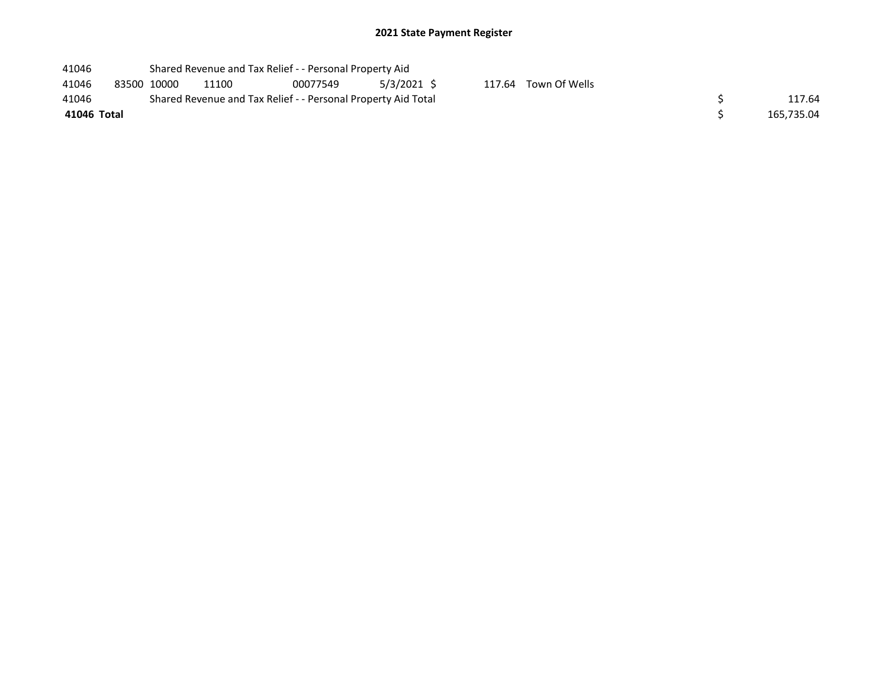| 41046       |             |                                                               | Shared Revenue and Tax Relief - - Personal Property Aid |             |  |                      |  |            |
|-------------|-------------|---------------------------------------------------------------|---------------------------------------------------------|-------------|--|----------------------|--|------------|
| 41046       | 83500 10000 | 11100                                                         | 00077549                                                | 5/3/2021 \$ |  | 117.64 Town Of Wells |  |            |
| 41046       |             | Shared Revenue and Tax Relief - - Personal Property Aid Total |                                                         | 117.64      |  |                      |  |            |
| 41046 Total |             |                                                               |                                                         |             |  |                      |  | 165,735.04 |
|             |             |                                                               |                                                         |             |  |                      |  |            |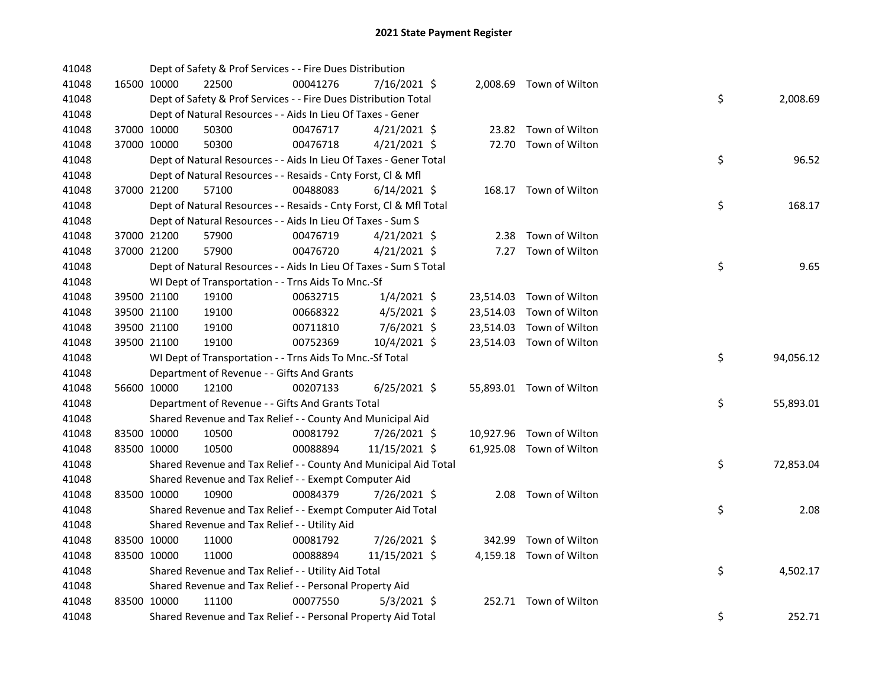| 41048 |             | Dept of Safety & Prof Services - - Fire Dues Distribution          |          |                |  |                          |    |           |
|-------|-------------|--------------------------------------------------------------------|----------|----------------|--|--------------------------|----|-----------|
| 41048 | 16500 10000 | 22500                                                              | 00041276 | 7/16/2021 \$   |  | 2,008.69 Town of Wilton  |    |           |
| 41048 |             | Dept of Safety & Prof Services - - Fire Dues Distribution Total    |          |                |  |                          | \$ | 2,008.69  |
| 41048 |             | Dept of Natural Resources - - Aids In Lieu Of Taxes - Gener        |          |                |  |                          |    |           |
| 41048 | 37000 10000 | 50300                                                              | 00476717 | $4/21/2021$ \$ |  | 23.82 Town of Wilton     |    |           |
| 41048 | 37000 10000 | 50300                                                              | 00476718 | $4/21/2021$ \$ |  | 72.70 Town of Wilton     |    |           |
| 41048 |             | Dept of Natural Resources - - Aids In Lieu Of Taxes - Gener Total  |          |                |  |                          | \$ | 96.52     |
| 41048 |             | Dept of Natural Resources - - Resaids - Cnty Forst, Cl & Mfl       |          |                |  |                          |    |           |
| 41048 | 37000 21200 | 57100                                                              | 00488083 | $6/14/2021$ \$ |  | 168.17 Town of Wilton    |    |           |
| 41048 |             | Dept of Natural Resources - - Resaids - Cnty Forst, CI & Mfl Total |          |                |  |                          | \$ | 168.17    |
| 41048 |             | Dept of Natural Resources - - Aids In Lieu Of Taxes - Sum S        |          |                |  |                          |    |           |
| 41048 | 37000 21200 | 57900                                                              | 00476719 | $4/21/2021$ \$ |  | 2.38 Town of Wilton      |    |           |
| 41048 | 37000 21200 | 57900                                                              | 00476720 | $4/21/2021$ \$ |  | 7.27 Town of Wilton      |    |           |
| 41048 |             | Dept of Natural Resources - - Aids In Lieu Of Taxes - Sum S Total  |          |                |  |                          | \$ | 9.65      |
| 41048 |             | WI Dept of Transportation - - Trns Aids To Mnc.-Sf                 |          |                |  |                          |    |           |
| 41048 | 39500 21100 | 19100                                                              | 00632715 | $1/4/2021$ \$  |  | 23,514.03 Town of Wilton |    |           |
| 41048 | 39500 21100 | 19100                                                              | 00668322 | $4/5/2021$ \$  |  | 23,514.03 Town of Wilton |    |           |
| 41048 | 39500 21100 | 19100                                                              | 00711810 | $7/6/2021$ \$  |  | 23,514.03 Town of Wilton |    |           |
| 41048 | 39500 21100 | 19100                                                              | 00752369 | 10/4/2021 \$   |  | 23,514.03 Town of Wilton |    |           |
| 41048 |             | WI Dept of Transportation - - Trns Aids To Mnc.-Sf Total           |          |                |  |                          | \$ | 94,056.12 |
| 41048 |             | Department of Revenue - - Gifts And Grants                         |          |                |  |                          |    |           |
| 41048 | 56600 10000 | 12100                                                              | 00207133 | $6/25/2021$ \$ |  | 55,893.01 Town of Wilton |    |           |
| 41048 |             | Department of Revenue - - Gifts And Grants Total                   |          |                |  |                          | \$ | 55,893.01 |
| 41048 |             | Shared Revenue and Tax Relief - - County And Municipal Aid         |          |                |  |                          |    |           |
| 41048 | 83500 10000 | 10500                                                              | 00081792 | 7/26/2021 \$   |  | 10,927.96 Town of Wilton |    |           |
| 41048 | 83500 10000 | 10500                                                              | 00088894 | 11/15/2021 \$  |  | 61,925.08 Town of Wilton |    |           |
| 41048 |             | Shared Revenue and Tax Relief - - County And Municipal Aid Total   |          |                |  |                          | \$ | 72,853.04 |
| 41048 |             | Shared Revenue and Tax Relief - - Exempt Computer Aid              |          |                |  |                          |    |           |
| 41048 | 83500 10000 | 10900                                                              | 00084379 | 7/26/2021 \$   |  | 2.08 Town of Wilton      |    |           |
| 41048 |             | Shared Revenue and Tax Relief - - Exempt Computer Aid Total        |          |                |  |                          | \$ | 2.08      |
| 41048 |             | Shared Revenue and Tax Relief - - Utility Aid                      |          |                |  |                          |    |           |
| 41048 | 83500 10000 | 11000                                                              | 00081792 | 7/26/2021 \$   |  | 342.99 Town of Wilton    |    |           |
| 41048 | 83500 10000 | 11000                                                              | 00088894 | 11/15/2021 \$  |  | 4,159.18 Town of Wilton  |    |           |
| 41048 |             | Shared Revenue and Tax Relief - - Utility Aid Total                |          |                |  |                          | \$ | 4,502.17  |
| 41048 |             | Shared Revenue and Tax Relief - - Personal Property Aid            |          |                |  |                          |    |           |
| 41048 | 83500 10000 | 11100                                                              | 00077550 | $5/3/2021$ \$  |  | 252.71 Town of Wilton    |    |           |
| 41048 |             | Shared Revenue and Tax Relief - - Personal Property Aid Total      |          |                |  |                          | \$ | 252.71    |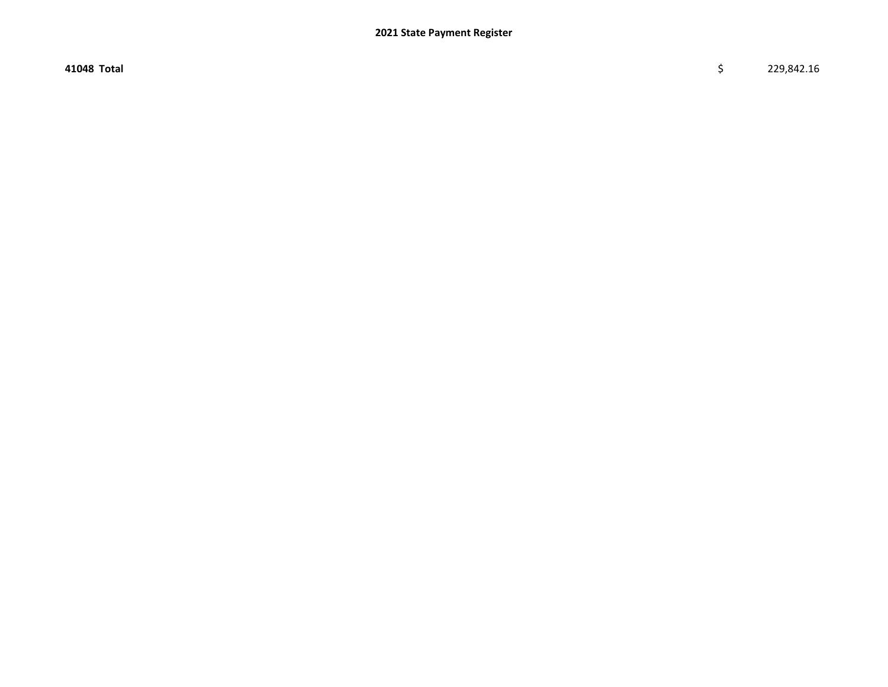$41048$  Total  $\zeta$  229,842.16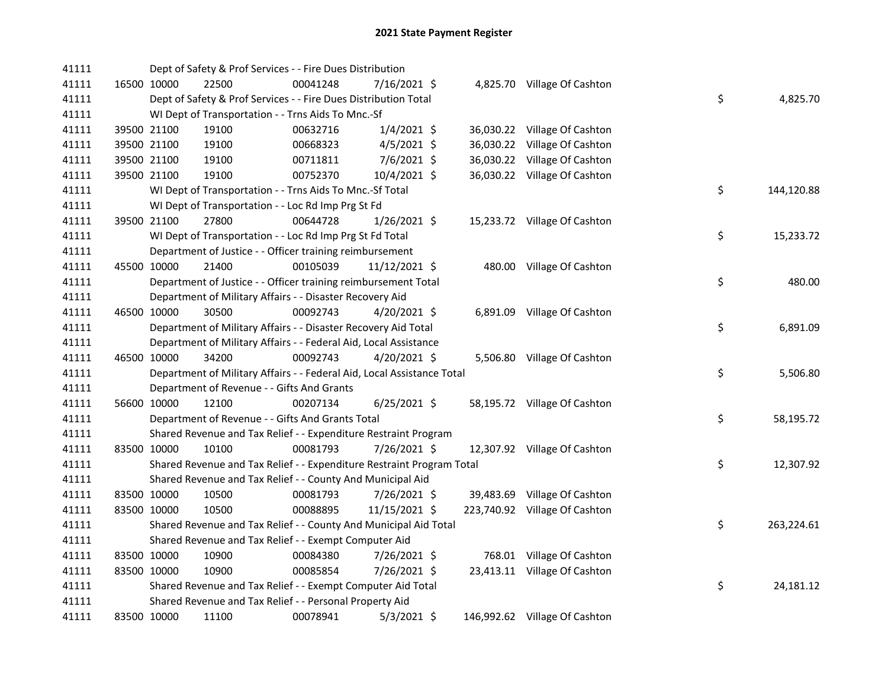| 41111 |             |             | Dept of Safety & Prof Services - - Fire Dues Distribution              |          |                |  |                               |    |            |
|-------|-------------|-------------|------------------------------------------------------------------------|----------|----------------|--|-------------------------------|----|------------|
| 41111 |             | 16500 10000 | 22500                                                                  | 00041248 | 7/16/2021 \$   |  | 4,825.70 Village Of Cashton   |    |            |
| 41111 |             |             | Dept of Safety & Prof Services - - Fire Dues Distribution Total        |          |                |  |                               | \$ | 4,825.70   |
| 41111 |             |             | WI Dept of Transportation - - Trns Aids To Mnc.-Sf                     |          |                |  |                               |    |            |
| 41111 |             | 39500 21100 | 19100                                                                  | 00632716 | $1/4/2021$ \$  |  | 36,030.22 Village Of Cashton  |    |            |
| 41111 |             | 39500 21100 | 19100                                                                  | 00668323 | $4/5/2021$ \$  |  | 36,030.22 Village Of Cashton  |    |            |
| 41111 |             | 39500 21100 | 19100                                                                  | 00711811 | 7/6/2021 \$    |  | 36,030.22 Village Of Cashton  |    |            |
| 41111 |             | 39500 21100 | 19100                                                                  | 00752370 | 10/4/2021 \$   |  | 36,030.22 Village Of Cashton  |    |            |
| 41111 |             |             | WI Dept of Transportation - - Trns Aids To Mnc.-Sf Total               |          |                |  |                               | \$ | 144,120.88 |
| 41111 |             |             | WI Dept of Transportation - - Loc Rd Imp Prg St Fd                     |          |                |  |                               |    |            |
| 41111 |             | 39500 21100 | 27800                                                                  | 00644728 | $1/26/2021$ \$ |  | 15,233.72 Village Of Cashton  |    |            |
| 41111 |             |             | WI Dept of Transportation - - Loc Rd Imp Prg St Fd Total               |          |                |  |                               | \$ | 15,233.72  |
| 41111 |             |             | Department of Justice - - Officer training reimbursement               |          |                |  |                               |    |            |
| 41111 | 45500 10000 |             | 21400                                                                  | 00105039 | 11/12/2021 \$  |  | 480.00 Village Of Cashton     |    |            |
| 41111 |             |             | Department of Justice - - Officer training reimbursement Total         |          |                |  |                               | \$ | 480.00     |
| 41111 |             |             | Department of Military Affairs - - Disaster Recovery Aid               |          |                |  |                               |    |            |
| 41111 |             | 46500 10000 | 30500                                                                  | 00092743 | $4/20/2021$ \$ |  | 6,891.09 Village Of Cashton   |    |            |
| 41111 |             |             | Department of Military Affairs - - Disaster Recovery Aid Total         |          |                |  |                               | \$ | 6,891.09   |
| 41111 |             |             | Department of Military Affairs - - Federal Aid, Local Assistance       |          |                |  |                               |    |            |
| 41111 |             | 46500 10000 | 34200                                                                  | 00092743 | 4/20/2021 \$   |  | 5,506.80 Village Of Cashton   |    |            |
| 41111 |             |             | Department of Military Affairs - - Federal Aid, Local Assistance Total |          |                |  |                               | \$ | 5,506.80   |
| 41111 |             |             | Department of Revenue - - Gifts And Grants                             |          |                |  |                               |    |            |
| 41111 |             | 56600 10000 | 12100                                                                  | 00207134 | $6/25/2021$ \$ |  | 58,195.72 Village Of Cashton  |    |            |
| 41111 |             |             | Department of Revenue - - Gifts And Grants Total                       |          |                |  |                               | \$ | 58,195.72  |
| 41111 |             |             | Shared Revenue and Tax Relief - - Expenditure Restraint Program        |          |                |  |                               |    |            |
| 41111 |             | 83500 10000 | 10100                                                                  | 00081793 | 7/26/2021 \$   |  | 12,307.92 Village Of Cashton  |    |            |
| 41111 |             |             | Shared Revenue and Tax Relief - - Expenditure Restraint Program Total  |          |                |  |                               | \$ | 12,307.92  |
| 41111 |             |             | Shared Revenue and Tax Relief - - County And Municipal Aid             |          |                |  |                               |    |            |
| 41111 |             | 83500 10000 | 10500                                                                  | 00081793 | 7/26/2021 \$   |  | 39,483.69 Village Of Cashton  |    |            |
| 41111 |             | 83500 10000 | 10500                                                                  | 00088895 | 11/15/2021 \$  |  | 223,740.92 Village Of Cashton |    |            |
| 41111 |             |             | Shared Revenue and Tax Relief - - County And Municipal Aid Total       |          |                |  |                               | \$ | 263,224.61 |
| 41111 |             |             | Shared Revenue and Tax Relief - - Exempt Computer Aid                  |          |                |  |                               |    |            |
| 41111 |             | 83500 10000 | 10900                                                                  | 00084380 | 7/26/2021 \$   |  | 768.01 Village Of Cashton     |    |            |
| 41111 |             | 83500 10000 | 10900                                                                  | 00085854 | 7/26/2021 \$   |  | 23,413.11 Village Of Cashton  |    |            |
| 41111 |             |             | Shared Revenue and Tax Relief - - Exempt Computer Aid Total            |          |                |  |                               | \$ | 24,181.12  |
| 41111 |             |             | Shared Revenue and Tax Relief - - Personal Property Aid                |          |                |  |                               |    |            |
| 41111 |             | 83500 10000 | 11100                                                                  | 00078941 | $5/3/2021$ \$  |  | 146,992.62 Village Of Cashton |    |            |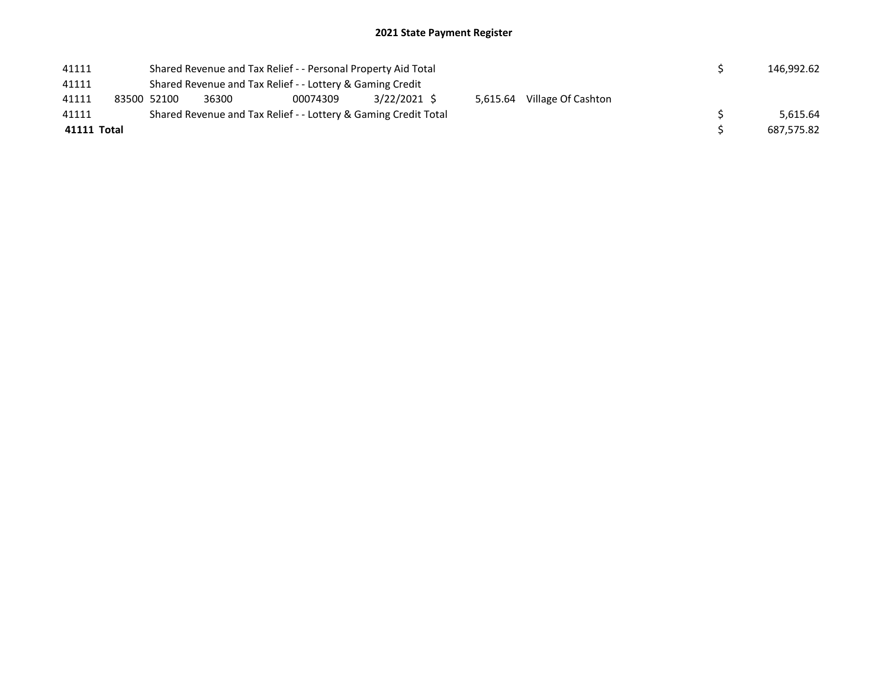| 41111       |                                                           |       | Shared Revenue and Tax Relief - - Personal Property Aid Total   |              |          |                    |  |  | 146.992.62 |
|-------------|-----------------------------------------------------------|-------|-----------------------------------------------------------------|--------------|----------|--------------------|--|--|------------|
| 41111       | Shared Revenue and Tax Relief - - Lottery & Gaming Credit |       |                                                                 |              |          |                    |  |  |            |
| 41111       | 83500 52100                                               | 36300 | 00074309                                                        | 3/22/2021 \$ | 5.615.64 | Village Of Cashton |  |  |            |
| 41111       |                                                           |       | Shared Revenue and Tax Relief - - Lottery & Gaming Credit Total |              |          |                    |  |  | 5.615.64   |
| 41111 Total |                                                           |       |                                                                 |              |          |                    |  |  | 687.575.82 |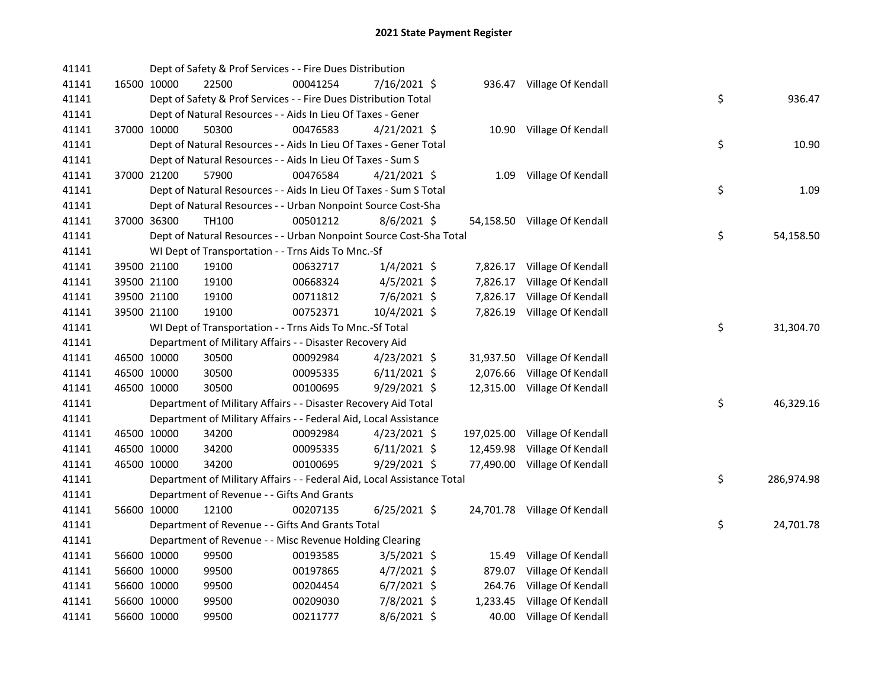| 41141 |             | Dept of Safety & Prof Services - - Fire Dues Distribution              |          |                |          |                               |    |            |
|-------|-------------|------------------------------------------------------------------------|----------|----------------|----------|-------------------------------|----|------------|
| 41141 | 16500 10000 | 22500                                                                  | 00041254 | 7/16/2021 \$   |          | 936.47 Village Of Kendall     |    |            |
| 41141 |             | Dept of Safety & Prof Services - - Fire Dues Distribution Total        |          |                |          |                               | \$ | 936.47     |
| 41141 |             | Dept of Natural Resources - - Aids In Lieu Of Taxes - Gener            |          |                |          |                               |    |            |
| 41141 | 37000 10000 | 50300                                                                  | 00476583 | $4/21/2021$ \$ |          | 10.90 Village Of Kendall      |    |            |
| 41141 |             | Dept of Natural Resources - - Aids In Lieu Of Taxes - Gener Total      |          |                |          |                               | \$ | 10.90      |
| 41141 |             | Dept of Natural Resources - - Aids In Lieu Of Taxes - Sum S            |          |                |          |                               |    |            |
| 41141 | 37000 21200 | 57900                                                                  | 00476584 | $4/21/2021$ \$ |          | 1.09 Village Of Kendall       |    |            |
| 41141 |             | Dept of Natural Resources - - Aids In Lieu Of Taxes - Sum S Total      |          |                |          |                               | \$ | 1.09       |
| 41141 |             | Dept of Natural Resources - - Urban Nonpoint Source Cost-Sha           |          |                |          |                               |    |            |
| 41141 | 37000 36300 | TH100                                                                  | 00501212 | $8/6/2021$ \$  |          | 54,158.50 Village Of Kendall  |    |            |
| 41141 |             | Dept of Natural Resources - - Urban Nonpoint Source Cost-Sha Total     |          |                |          |                               | \$ | 54,158.50  |
| 41141 |             | WI Dept of Transportation - - Trns Aids To Mnc.-Sf                     |          |                |          |                               |    |            |
| 41141 | 39500 21100 | 19100                                                                  | 00632717 | $1/4/2021$ \$  |          | 7,826.17 Village Of Kendall   |    |            |
| 41141 | 39500 21100 | 19100                                                                  | 00668324 | $4/5/2021$ \$  | 7,826.17 | Village Of Kendall            |    |            |
| 41141 | 39500 21100 | 19100                                                                  | 00711812 | 7/6/2021 \$    |          | 7,826.17 Village Of Kendall   |    |            |
| 41141 | 39500 21100 | 19100                                                                  | 00752371 | 10/4/2021 \$   |          | 7,826.19 Village Of Kendall   |    |            |
| 41141 |             | WI Dept of Transportation - - Trns Aids To Mnc.-Sf Total               |          |                |          |                               | \$ | 31,304.70  |
| 41141 |             | Department of Military Affairs - - Disaster Recovery Aid               |          |                |          |                               |    |            |
| 41141 | 46500 10000 | 30500                                                                  | 00092984 | $4/23/2021$ \$ |          | 31,937.50 Village Of Kendall  |    |            |
| 41141 | 46500 10000 | 30500                                                                  | 00095335 | $6/11/2021$ \$ | 2,076.66 | Village Of Kendall            |    |            |
| 41141 | 46500 10000 | 30500                                                                  | 00100695 | 9/29/2021 \$   |          | 12,315.00 Village Of Kendall  |    |            |
| 41141 |             | Department of Military Affairs - - Disaster Recovery Aid Total         |          |                |          |                               | \$ | 46,329.16  |
| 41141 |             | Department of Military Affairs - - Federal Aid, Local Assistance       |          |                |          |                               |    |            |
| 41141 | 46500 10000 | 34200                                                                  | 00092984 | $4/23/2021$ \$ |          | 197,025.00 Village Of Kendall |    |            |
| 41141 | 46500 10000 | 34200                                                                  | 00095335 | $6/11/2021$ \$ |          | 12,459.98 Village Of Kendall  |    |            |
| 41141 | 46500 10000 | 34200                                                                  | 00100695 | 9/29/2021 \$   |          | 77,490.00 Village Of Kendall  |    |            |
| 41141 |             | Department of Military Affairs - - Federal Aid, Local Assistance Total |          |                |          |                               | \$ | 286,974.98 |
| 41141 |             | Department of Revenue - - Gifts And Grants                             |          |                |          |                               |    |            |
| 41141 | 56600 10000 | 12100                                                                  | 00207135 | $6/25/2021$ \$ |          | 24,701.78 Village Of Kendall  |    |            |
| 41141 |             | Department of Revenue - - Gifts And Grants Total                       |          |                |          |                               | \$ | 24,701.78  |
| 41141 |             | Department of Revenue - - Misc Revenue Holding Clearing                |          |                |          |                               |    |            |
| 41141 | 56600 10000 | 99500                                                                  | 00193585 | $3/5/2021$ \$  |          | 15.49 Village Of Kendall      |    |            |
| 41141 | 56600 10000 | 99500                                                                  | 00197865 | 4/7/2021 \$    | 879.07   | Village Of Kendall            |    |            |
| 41141 | 56600 10000 | 99500                                                                  | 00204454 | $6/7/2021$ \$  |          | 264.76 Village Of Kendall     |    |            |
| 41141 | 56600 10000 | 99500                                                                  | 00209030 | 7/8/2021 \$    |          | 1,233.45 Village Of Kendall   |    |            |
| 41141 | 56600 10000 | 99500                                                                  | 00211777 | 8/6/2021 \$    |          | 40.00 Village Of Kendall      |    |            |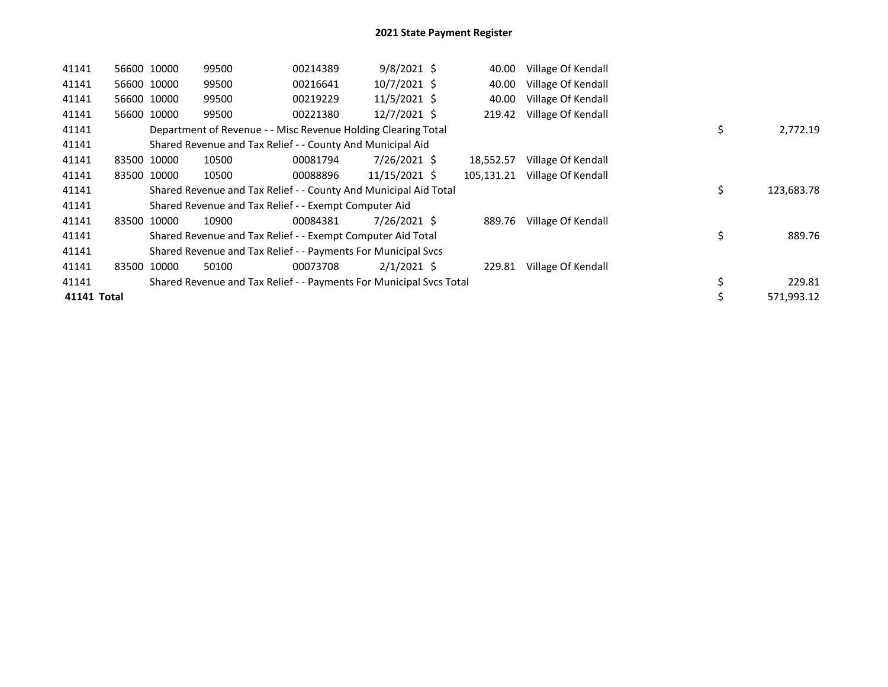| 41141       |       | 56600 10000 | 99500                                                               | 00214389 | $9/8/2021$ \$ | 40.00      | Village Of Kendall |                  |
|-------------|-------|-------------|---------------------------------------------------------------------|----------|---------------|------------|--------------------|------------------|
| 41141       |       | 56600 10000 | 99500                                                               | 00216641 | 10/7/2021 \$  | 40.00      | Village Of Kendall |                  |
| 41141       |       | 56600 10000 | 99500                                                               | 00219229 | 11/5/2021 \$  | 40.00      | Village Of Kendall |                  |
| 41141       | 56600 | 10000       | 99500                                                               | 00221380 | 12/7/2021 \$  | 219.42     | Village Of Kendall |                  |
| 41141       |       |             | Department of Revenue - - Misc Revenue Holding Clearing Total       |          |               |            |                    | \$<br>2,772.19   |
| 41141       |       |             | Shared Revenue and Tax Relief - - County And Municipal Aid          |          |               |            |                    |                  |
| 41141       | 83500 | 10000       | 10500                                                               | 00081794 | 7/26/2021 \$  | 18.552.57  | Village Of Kendall |                  |
| 41141       |       | 83500 10000 | 10500                                                               | 00088896 | 11/15/2021 \$ | 105,131.21 | Village Of Kendall |                  |
| 41141       |       |             | Shared Revenue and Tax Relief - - County And Municipal Aid Total    |          |               |            |                    | \$<br>123,683.78 |
| 41141       |       |             | Shared Revenue and Tax Relief - - Exempt Computer Aid               |          |               |            |                    |                  |
| 41141       |       | 83500 10000 | 10900                                                               | 00084381 | 7/26/2021 \$  | 889.76     | Village Of Kendall |                  |
| 41141       |       |             | Shared Revenue and Tax Relief - - Exempt Computer Aid Total         |          |               |            |                    | \$<br>889.76     |
| 41141       |       |             | Shared Revenue and Tax Relief - - Payments For Municipal Svcs       |          |               |            |                    |                  |
| 41141       |       | 83500 10000 | 50100                                                               | 00073708 | $2/1/2021$ \$ | 229.81     | Village Of Kendall |                  |
| 41141       |       |             | Shared Revenue and Tax Relief - - Payments For Municipal Svcs Total |          |               |            |                    | \$<br>229.81     |
| 41141 Total |       |             |                                                                     |          |               |            |                    | 571,993.12       |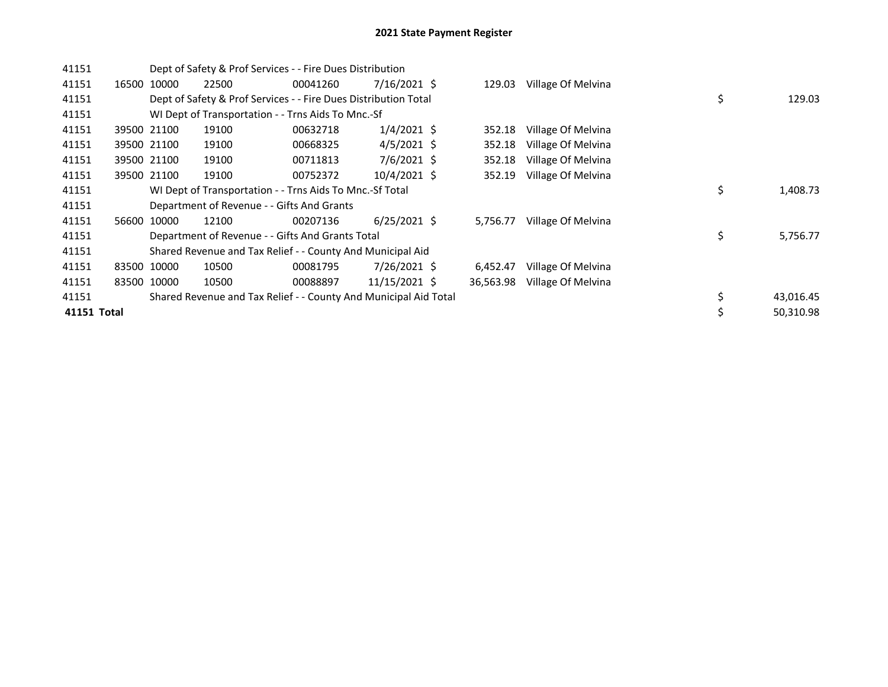| 41151       |       |             | Dept of Safety & Prof Services - - Fire Dues Distribution        |          |                |           |                    |    |           |
|-------------|-------|-------------|------------------------------------------------------------------|----------|----------------|-----------|--------------------|----|-----------|
| 41151       |       | 16500 10000 | 22500                                                            | 00041260 | $7/16/2021$ \$ | 129.03    | Village Of Melvina |    |           |
| 41151       |       |             | Dept of Safety & Prof Services - - Fire Dues Distribution Total  |          |                |           |                    | \$ | 129.03    |
| 41151       |       |             | WI Dept of Transportation - - Trns Aids To Mnc.-Sf               |          |                |           |                    |    |           |
| 41151       |       | 39500 21100 | 19100                                                            | 00632718 | $1/4/2021$ \$  | 352.18    | Village Of Melvina |    |           |
| 41151       |       | 39500 21100 | 19100                                                            | 00668325 | $4/5/2021$ \$  | 352.18    | Village Of Melvina |    |           |
| 41151       |       | 39500 21100 | 19100                                                            | 00711813 | 7/6/2021 \$    | 352.18    | Village Of Melvina |    |           |
| 41151       |       | 39500 21100 | 19100                                                            | 00752372 | $10/4/2021$ \$ | 352.19    | Village Of Melvina |    |           |
| 41151       |       |             | WI Dept of Transportation - - Trns Aids To Mnc.-Sf Total         |          |                |           |                    | \$ | 1,408.73  |
| 41151       |       |             | Department of Revenue - - Gifts And Grants                       |          |                |           |                    |    |           |
| 41151       | 56600 | 10000       | 12100                                                            | 00207136 | $6/25/2021$ \$ | 5,756.77  | Village Of Melvina |    |           |
| 41151       |       |             | Department of Revenue - - Gifts And Grants Total                 |          |                |           |                    | \$ | 5,756.77  |
| 41151       |       |             | Shared Revenue and Tax Relief - - County And Municipal Aid       |          |                |           |                    |    |           |
| 41151       |       | 83500 10000 | 10500                                                            | 00081795 | 7/26/2021 \$   | 6,452.47  | Village Of Melvina |    |           |
| 41151       |       | 83500 10000 | 10500                                                            | 00088897 | 11/15/2021 \$  | 36,563.98 | Village Of Melvina |    |           |
| 41151       |       |             | Shared Revenue and Tax Relief - - County And Municipal Aid Total |          |                |           |                    | \$ | 43,016.45 |
| 41151 Total |       |             |                                                                  |          |                |           |                    | \$ | 50,310.98 |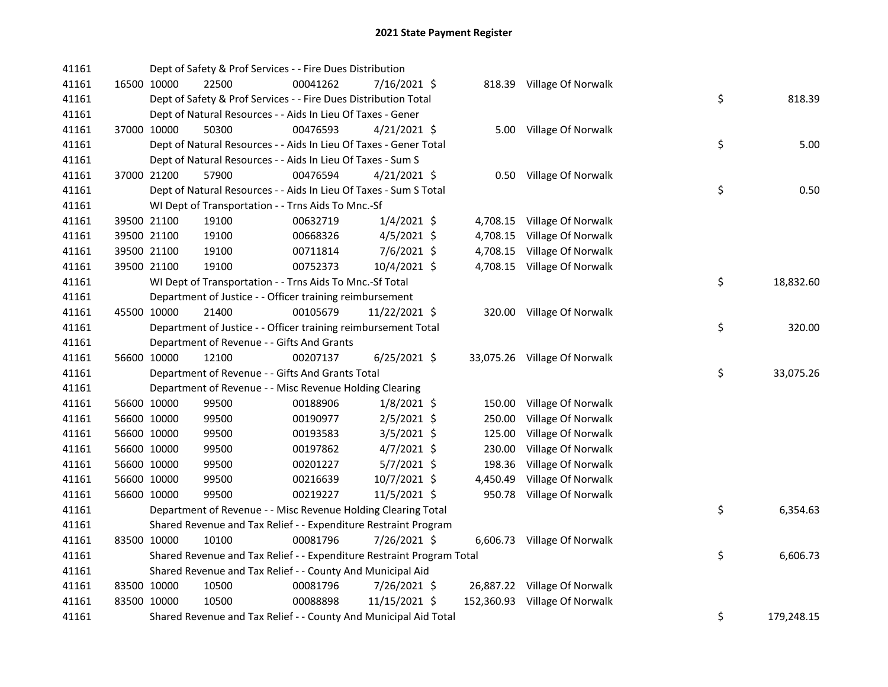| 41161 |             | Dept of Safety & Prof Services - - Fire Dues Distribution             |          |                |          |                               |    |            |
|-------|-------------|-----------------------------------------------------------------------|----------|----------------|----------|-------------------------------|----|------------|
| 41161 | 16500 10000 | 22500                                                                 | 00041262 | 7/16/2021 \$   |          | 818.39 Village Of Norwalk     |    |            |
| 41161 |             | Dept of Safety & Prof Services - - Fire Dues Distribution Total       |          |                |          |                               | \$ | 818.39     |
| 41161 |             | Dept of Natural Resources - - Aids In Lieu Of Taxes - Gener           |          |                |          |                               |    |            |
| 41161 | 37000 10000 | 50300                                                                 | 00476593 | $4/21/2021$ \$ |          | 5.00 Village Of Norwalk       |    |            |
| 41161 |             | Dept of Natural Resources - - Aids In Lieu Of Taxes - Gener Total     |          |                |          |                               | \$ | 5.00       |
| 41161 |             | Dept of Natural Resources - - Aids In Lieu Of Taxes - Sum S           |          |                |          |                               |    |            |
| 41161 | 37000 21200 | 57900                                                                 | 00476594 | $4/21/2021$ \$ |          | 0.50 Village Of Norwalk       |    |            |
| 41161 |             | Dept of Natural Resources - - Aids In Lieu Of Taxes - Sum S Total     |          |                |          |                               | \$ | 0.50       |
| 41161 |             | WI Dept of Transportation - - Trns Aids To Mnc.-Sf                    |          |                |          |                               |    |            |
| 41161 | 39500 21100 | 19100                                                                 | 00632719 | $1/4/2021$ \$  |          | 4,708.15 Village Of Norwalk   |    |            |
| 41161 | 39500 21100 | 19100                                                                 | 00668326 | 4/5/2021 \$    |          | 4,708.15 Village Of Norwalk   |    |            |
| 41161 | 39500 21100 | 19100                                                                 | 00711814 | $7/6/2021$ \$  |          | 4,708.15 Village Of Norwalk   |    |            |
| 41161 | 39500 21100 | 19100                                                                 | 00752373 | 10/4/2021 \$   |          | 4,708.15 Village Of Norwalk   |    |            |
| 41161 |             | WI Dept of Transportation - - Trns Aids To Mnc.-Sf Total              |          |                |          |                               | \$ | 18,832.60  |
| 41161 |             | Department of Justice - - Officer training reimbursement              |          |                |          |                               |    |            |
| 41161 | 45500 10000 | 21400                                                                 | 00105679 | 11/22/2021 \$  |          | 320.00 Village Of Norwalk     |    |            |
| 41161 |             | Department of Justice - - Officer training reimbursement Total        |          |                |          |                               | \$ | 320.00     |
| 41161 |             | Department of Revenue - - Gifts And Grants                            |          |                |          |                               |    |            |
| 41161 | 56600 10000 | 12100                                                                 | 00207137 | $6/25/2021$ \$ |          | 33,075.26 Village Of Norwalk  |    |            |
| 41161 |             | Department of Revenue - - Gifts And Grants Total                      |          |                |          |                               | \$ | 33,075.26  |
| 41161 |             | Department of Revenue - - Misc Revenue Holding Clearing               |          |                |          |                               |    |            |
| 41161 | 56600 10000 | 99500                                                                 | 00188906 | $1/8/2021$ \$  | 150.00   | Village Of Norwalk            |    |            |
| 41161 | 56600 10000 | 99500                                                                 | 00190977 | 2/5/2021 \$    | 250.00   | Village Of Norwalk            |    |            |
| 41161 | 56600 10000 | 99500                                                                 | 00193583 | $3/5/2021$ \$  | 125.00   | Village Of Norwalk            |    |            |
| 41161 | 56600 10000 | 99500                                                                 | 00197862 | $4/7/2021$ \$  | 230.00   | Village Of Norwalk            |    |            |
| 41161 | 56600 10000 | 99500                                                                 | 00201227 | 5/7/2021 \$    | 198.36   | Village Of Norwalk            |    |            |
| 41161 | 56600 10000 | 99500                                                                 | 00216639 | 10/7/2021 \$   | 4,450.49 | Village Of Norwalk            |    |            |
| 41161 | 56600 10000 | 99500                                                                 | 00219227 | $11/5/2021$ \$ |          | 950.78 Village Of Norwalk     |    |            |
| 41161 |             | Department of Revenue - - Misc Revenue Holding Clearing Total         |          |                |          |                               | \$ | 6,354.63   |
| 41161 |             | Shared Revenue and Tax Relief - - Expenditure Restraint Program       |          |                |          |                               |    |            |
| 41161 | 83500 10000 | 10100                                                                 | 00081796 | 7/26/2021 \$   |          | 6,606.73 Village Of Norwalk   |    |            |
| 41161 |             | Shared Revenue and Tax Relief - - Expenditure Restraint Program Total |          |                |          |                               | \$ | 6,606.73   |
| 41161 |             | Shared Revenue and Tax Relief - - County And Municipal Aid            |          |                |          |                               |    |            |
| 41161 | 83500 10000 | 10500                                                                 | 00081796 | 7/26/2021 \$   |          | 26,887.22 Village Of Norwalk  |    |            |
| 41161 | 83500 10000 | 10500                                                                 | 00088898 | 11/15/2021 \$  |          | 152,360.93 Village Of Norwalk |    |            |
| 41161 |             | Shared Revenue and Tax Relief - - County And Municipal Aid Total      |          |                |          |                               | \$ | 179,248.15 |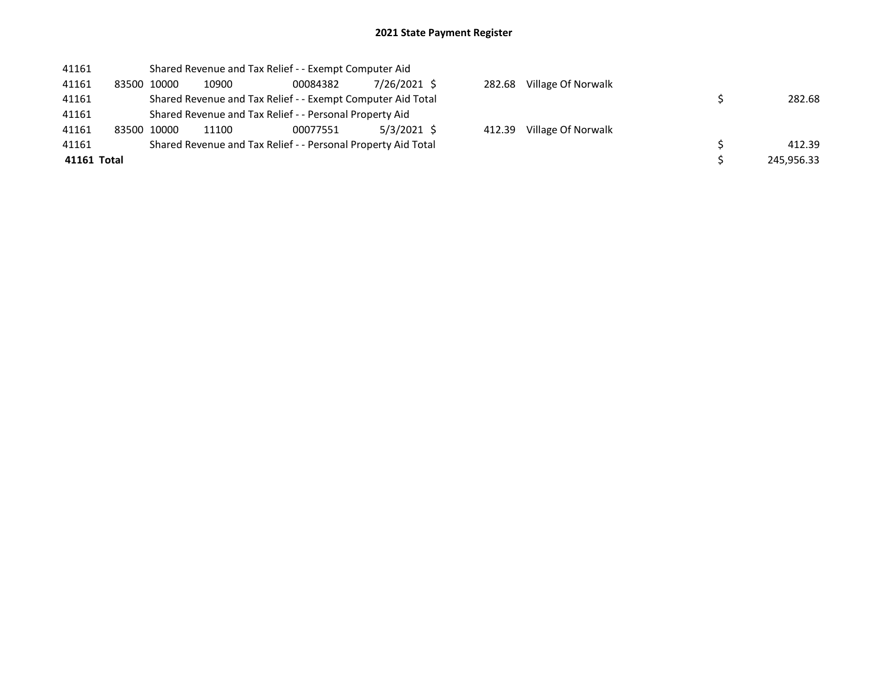| 282.68     |
|------------|
|            |
|            |
| 412.39     |
| 245,956.33 |
|            |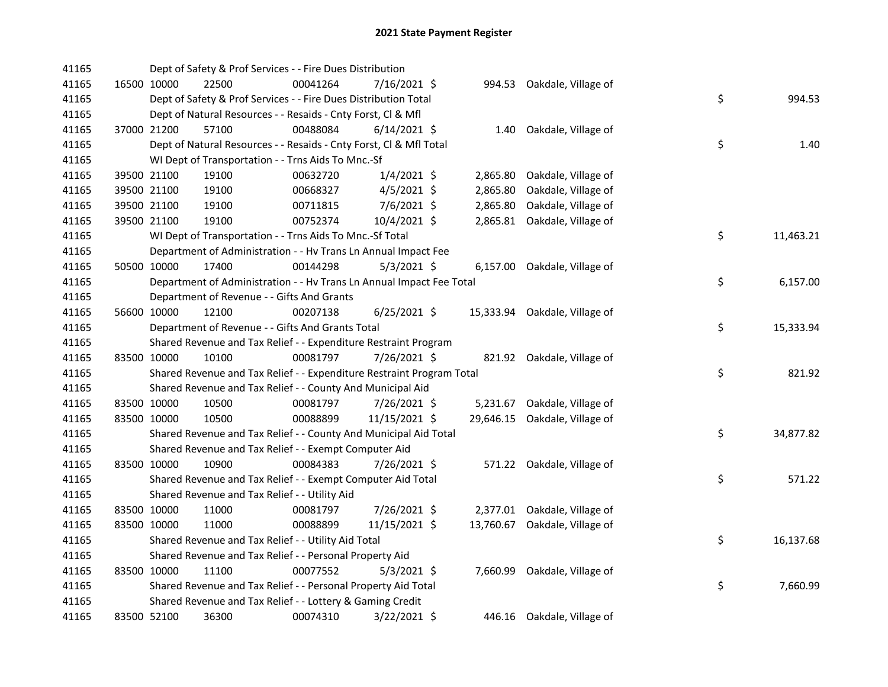| 41165 |             | Dept of Safety & Prof Services - - Fire Dues Distribution             |          |                |          |                               |    |           |
|-------|-------------|-----------------------------------------------------------------------|----------|----------------|----------|-------------------------------|----|-----------|
| 41165 | 16500 10000 | 22500                                                                 | 00041264 | 7/16/2021 \$   |          | 994.53 Oakdale, Village of    |    |           |
| 41165 |             | Dept of Safety & Prof Services - - Fire Dues Distribution Total       |          |                |          |                               | \$ | 994.53    |
| 41165 |             | Dept of Natural Resources - - Resaids - Cnty Forst, Cl & Mfl          |          |                |          |                               |    |           |
| 41165 | 37000 21200 | 57100                                                                 | 00488084 | $6/14/2021$ \$ |          | 1.40 Oakdale, Village of      |    |           |
| 41165 |             | Dept of Natural Resources - - Resaids - Cnty Forst, CI & Mfl Total    |          |                |          |                               | \$ | 1.40      |
| 41165 |             | WI Dept of Transportation - - Trns Aids To Mnc.-Sf                    |          |                |          |                               |    |           |
| 41165 | 39500 21100 | 19100                                                                 | 00632720 | $1/4/2021$ \$  | 2,865.80 | Oakdale, Village of           |    |           |
| 41165 | 39500 21100 | 19100                                                                 | 00668327 | $4/5/2021$ \$  | 2,865.80 | Oakdale, Village of           |    |           |
| 41165 | 39500 21100 | 19100                                                                 | 00711815 | $7/6/2021$ \$  | 2,865.80 | Oakdale, Village of           |    |           |
| 41165 | 39500 21100 | 19100                                                                 | 00752374 | 10/4/2021 \$   |          | 2,865.81 Oakdale, Village of  |    |           |
| 41165 |             | WI Dept of Transportation - - Trns Aids To Mnc.-Sf Total              |          |                |          |                               | \$ | 11,463.21 |
| 41165 |             | Department of Administration - - Hv Trans Ln Annual Impact Fee        |          |                |          |                               |    |           |
| 41165 | 50500 10000 | 17400                                                                 | 00144298 | $5/3/2021$ \$  |          | 6,157.00 Oakdale, Village of  |    |           |
| 41165 |             | Department of Administration - - Hv Trans Ln Annual Impact Fee Total  |          |                |          |                               | \$ | 6,157.00  |
| 41165 |             | Department of Revenue - - Gifts And Grants                            |          |                |          |                               |    |           |
| 41165 | 56600 10000 | 12100                                                                 | 00207138 | $6/25/2021$ \$ |          | 15,333.94 Oakdale, Village of |    |           |
| 41165 |             | Department of Revenue - - Gifts And Grants Total                      |          |                |          |                               | \$ | 15,333.94 |
| 41165 |             | Shared Revenue and Tax Relief - - Expenditure Restraint Program       |          |                |          |                               |    |           |
| 41165 | 83500 10000 | 10100                                                                 | 00081797 | 7/26/2021 \$   |          | 821.92 Oakdale, Village of    |    |           |
| 41165 |             | Shared Revenue and Tax Relief - - Expenditure Restraint Program Total |          |                |          |                               | \$ | 821.92    |
| 41165 |             | Shared Revenue and Tax Relief - - County And Municipal Aid            |          |                |          |                               |    |           |
| 41165 | 83500 10000 | 10500                                                                 | 00081797 | 7/26/2021 \$   | 5,231.67 | Oakdale, Village of           |    |           |
| 41165 | 83500 10000 | 10500                                                                 | 00088899 | 11/15/2021 \$  |          | 29,646.15 Oakdale, Village of |    |           |
| 41165 |             | Shared Revenue and Tax Relief - - County And Municipal Aid Total      |          |                |          |                               | \$ | 34,877.82 |
| 41165 |             | Shared Revenue and Tax Relief - - Exempt Computer Aid                 |          |                |          |                               |    |           |
| 41165 | 83500 10000 | 10900                                                                 | 00084383 | 7/26/2021 \$   |          | 571.22 Oakdale, Village of    |    |           |
| 41165 |             | Shared Revenue and Tax Relief - - Exempt Computer Aid Total           |          |                |          |                               | \$ | 571.22    |
| 41165 |             | Shared Revenue and Tax Relief - - Utility Aid                         |          |                |          |                               |    |           |
| 41165 | 83500 10000 | 11000                                                                 | 00081797 | 7/26/2021 \$   |          | 2,377.01 Oakdale, Village of  |    |           |
| 41165 | 83500 10000 | 11000                                                                 | 00088899 | 11/15/2021 \$  |          | 13,760.67 Oakdale, Village of |    |           |
| 41165 |             | Shared Revenue and Tax Relief - - Utility Aid Total                   |          |                |          |                               | \$ | 16,137.68 |
| 41165 |             | Shared Revenue and Tax Relief - - Personal Property Aid               |          |                |          |                               |    |           |
| 41165 | 83500 10000 | 11100                                                                 | 00077552 | $5/3/2021$ \$  |          | 7,660.99 Oakdale, Village of  |    |           |
| 41165 |             | Shared Revenue and Tax Relief - - Personal Property Aid Total         |          |                |          |                               | \$ | 7,660.99  |
| 41165 |             | Shared Revenue and Tax Relief - - Lottery & Gaming Credit             |          |                |          |                               |    |           |
| 41165 | 83500 52100 | 36300                                                                 | 00074310 | 3/22/2021 \$   |          | 446.16 Oakdale, Village of    |    |           |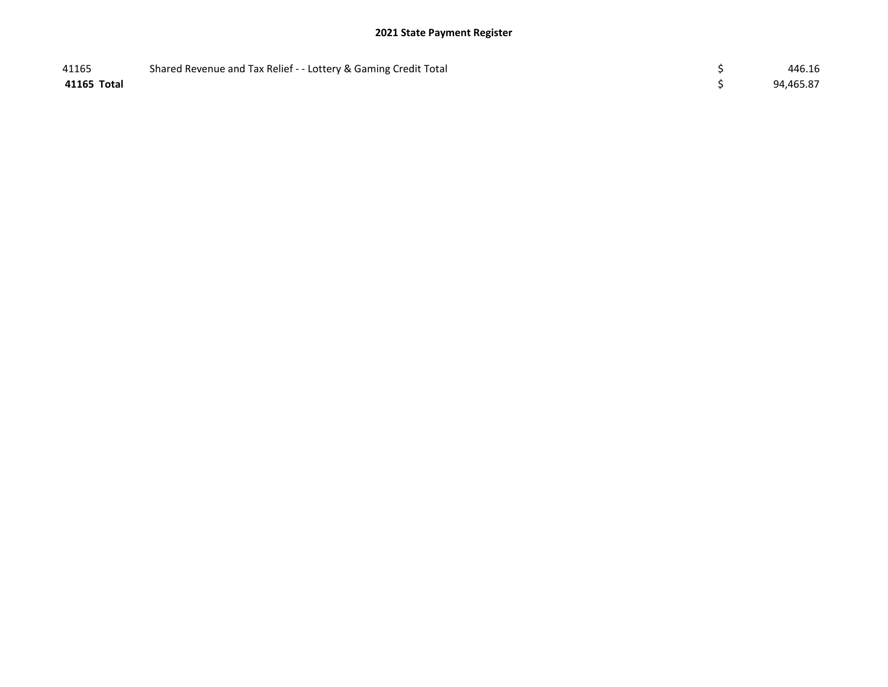| 41165       | Shared Revenue and Tax Relief - - Lottery & Gaming Credit Total | 446.16    |
|-------------|-----------------------------------------------------------------|-----------|
| 41165 Total |                                                                 | 94,465.87 |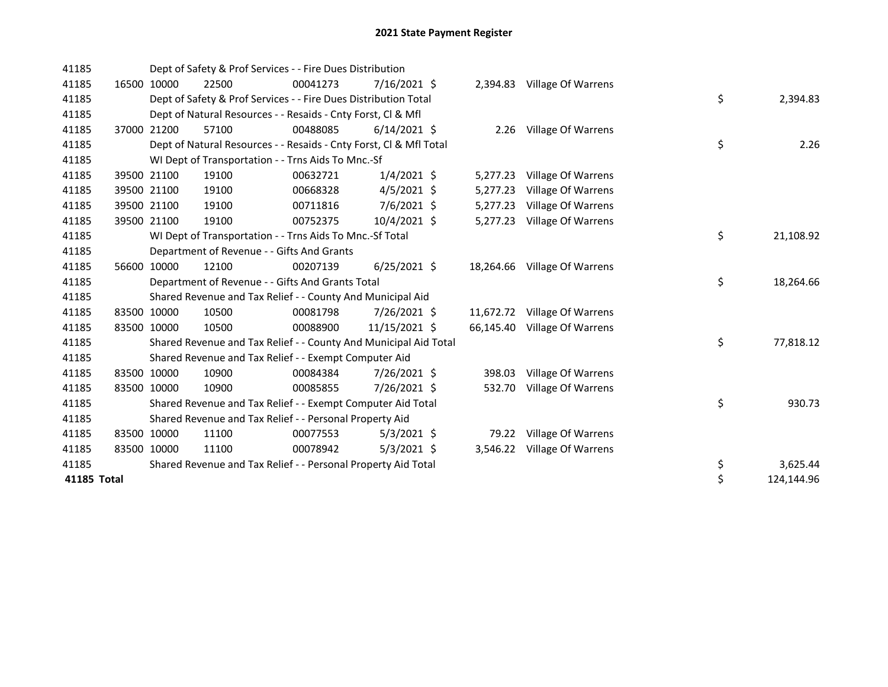| 41185       |             | Dept of Safety & Prof Services - - Fire Dues Distribution          |          |                |           |                              |    |            |
|-------------|-------------|--------------------------------------------------------------------|----------|----------------|-----------|------------------------------|----|------------|
| 41185       | 16500 10000 | 22500                                                              | 00041273 | 7/16/2021 \$   |           | 2,394.83 Village Of Warrens  |    |            |
| 41185       |             | Dept of Safety & Prof Services - - Fire Dues Distribution Total    |          |                |           |                              | \$ | 2,394.83   |
| 41185       |             | Dept of Natural Resources - - Resaids - Cnty Forst, CI & Mfl       |          |                |           |                              |    |            |
| 41185       | 37000 21200 | 57100                                                              | 00488085 | $6/14/2021$ \$ |           | 2.26 Village Of Warrens      |    |            |
| 41185       |             | Dept of Natural Resources - - Resaids - Cnty Forst, Cl & Mfl Total |          |                |           |                              | \$ | 2.26       |
| 41185       |             | WI Dept of Transportation - - Trns Aids To Mnc.-Sf                 |          |                |           |                              |    |            |
| 41185       | 39500 21100 | 19100                                                              | 00632721 | $1/4/2021$ \$  | 5,277.23  | Village Of Warrens           |    |            |
| 41185       | 39500 21100 | 19100                                                              | 00668328 | $4/5/2021$ \$  | 5,277.23  | Village Of Warrens           |    |            |
| 41185       | 39500 21100 | 19100                                                              | 00711816 | 7/6/2021 \$    | 5,277.23  | Village Of Warrens           |    |            |
| 41185       | 39500 21100 | 19100                                                              | 00752375 | 10/4/2021 \$   | 5,277.23  | Village Of Warrens           |    |            |
| 41185       |             | WI Dept of Transportation - - Trns Aids To Mnc.-Sf Total           |          |                |           |                              | \$ | 21,108.92  |
| 41185       |             | Department of Revenue - - Gifts And Grants                         |          |                |           |                              |    |            |
| 41185       | 56600 10000 | 12100                                                              | 00207139 | $6/25/2021$ \$ | 18,264.66 | Village Of Warrens           |    |            |
| 41185       |             | Department of Revenue - - Gifts And Grants Total                   |          |                |           |                              | \$ | 18,264.66  |
| 41185       |             | Shared Revenue and Tax Relief - - County And Municipal Aid         |          |                |           |                              |    |            |
| 41185       | 83500 10000 | 10500                                                              | 00081798 | 7/26/2021 \$   |           | 11,672.72 Village Of Warrens |    |            |
| 41185       | 83500 10000 | 10500                                                              | 00088900 | 11/15/2021 \$  |           | 66,145.40 Village Of Warrens |    |            |
| 41185       |             | Shared Revenue and Tax Relief - - County And Municipal Aid Total   |          |                |           |                              | \$ | 77,818.12  |
| 41185       |             | Shared Revenue and Tax Relief - - Exempt Computer Aid              |          |                |           |                              |    |            |
| 41185       | 83500 10000 | 10900                                                              | 00084384 | 7/26/2021 \$   |           | 398.03 Village Of Warrens    |    |            |
| 41185       | 83500 10000 | 10900                                                              | 00085855 | 7/26/2021 \$   | 532.70    | Village Of Warrens           |    |            |
| 41185       |             | Shared Revenue and Tax Relief - - Exempt Computer Aid Total        |          |                |           |                              | \$ | 930.73     |
| 41185       |             | Shared Revenue and Tax Relief - - Personal Property Aid            |          |                |           |                              |    |            |
| 41185       | 83500 10000 | 11100                                                              | 00077553 | $5/3/2021$ \$  |           | 79.22 Village Of Warrens     |    |            |
| 41185       | 83500 10000 | 11100                                                              | 00078942 | $5/3/2021$ \$  | 3,546.22  | Village Of Warrens           |    |            |
| 41185       |             | Shared Revenue and Tax Relief - - Personal Property Aid Total      |          |                |           |                              | \$ | 3,625.44   |
| 41185 Total |             |                                                                    |          |                |           |                              | \$ | 124,144.96 |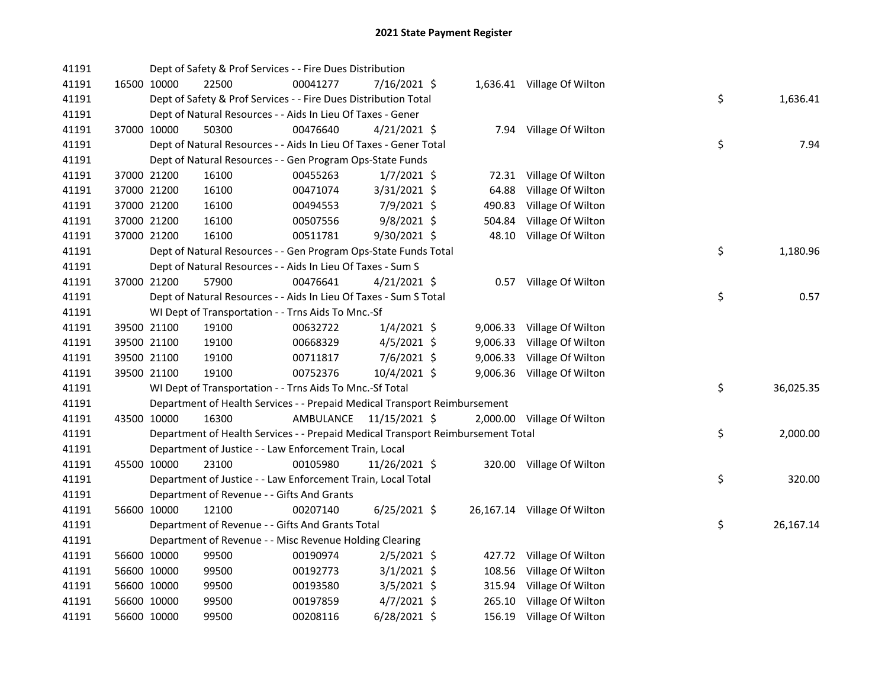| 41191 |             |             | Dept of Safety & Prof Services - - Fire Dues Distribution                       |                         |                |        |                             |    |           |
|-------|-------------|-------------|---------------------------------------------------------------------------------|-------------------------|----------------|--------|-----------------------------|----|-----------|
| 41191 |             | 16500 10000 | 22500                                                                           | 00041277                | 7/16/2021 \$   |        | 1,636.41 Village Of Wilton  |    |           |
| 41191 |             |             | Dept of Safety & Prof Services - - Fire Dues Distribution Total                 |                         |                |        |                             | \$ | 1,636.41  |
| 41191 |             |             | Dept of Natural Resources - - Aids In Lieu Of Taxes - Gener                     |                         |                |        |                             |    |           |
| 41191 |             | 37000 10000 | 50300                                                                           | 00476640                | $4/21/2021$ \$ |        | 7.94 Village Of Wilton      |    |           |
| 41191 |             |             | Dept of Natural Resources - - Aids In Lieu Of Taxes - Gener Total               |                         |                |        |                             | \$ | 7.94      |
| 41191 |             |             | Dept of Natural Resources - - Gen Program Ops-State Funds                       |                         |                |        |                             |    |           |
| 41191 |             | 37000 21200 | 16100                                                                           | 00455263                | $1/7/2021$ \$  |        | 72.31 Village Of Wilton     |    |           |
| 41191 |             | 37000 21200 | 16100                                                                           | 00471074                | 3/31/2021 \$   | 64.88  | Village Of Wilton           |    |           |
| 41191 |             | 37000 21200 | 16100                                                                           | 00494553                | 7/9/2021 \$    | 490.83 | Village Of Wilton           |    |           |
| 41191 |             | 37000 21200 | 16100                                                                           | 00507556                | $9/8/2021$ \$  | 504.84 | Village Of Wilton           |    |           |
| 41191 |             | 37000 21200 | 16100                                                                           | 00511781                | 9/30/2021 \$   |        | 48.10 Village Of Wilton     |    |           |
| 41191 |             |             | Dept of Natural Resources - - Gen Program Ops-State Funds Total                 |                         |                |        |                             | \$ | 1,180.96  |
| 41191 |             |             | Dept of Natural Resources - - Aids In Lieu Of Taxes - Sum S                     |                         |                |        |                             |    |           |
| 41191 |             | 37000 21200 | 57900                                                                           | 00476641                | $4/21/2021$ \$ |        | 0.57 Village Of Wilton      |    |           |
| 41191 |             |             | Dept of Natural Resources - - Aids In Lieu Of Taxes - Sum S Total               |                         |                |        |                             | \$ | 0.57      |
| 41191 |             |             | WI Dept of Transportation - - Trns Aids To Mnc.-Sf                              |                         |                |        |                             |    |           |
| 41191 |             | 39500 21100 | 19100                                                                           | 00632722                | $1/4/2021$ \$  |        | 9,006.33 Village Of Wilton  |    |           |
| 41191 |             | 39500 21100 | 19100                                                                           | 00668329                | $4/5/2021$ \$  |        | 9,006.33 Village Of Wilton  |    |           |
| 41191 |             | 39500 21100 | 19100                                                                           | 00711817                | 7/6/2021 \$    |        | 9,006.33 Village Of Wilton  |    |           |
| 41191 |             | 39500 21100 | 19100                                                                           | 00752376                | 10/4/2021 \$   |        | 9,006.36 Village Of Wilton  |    |           |
| 41191 |             |             | WI Dept of Transportation - - Trns Aids To Mnc.-Sf Total                        |                         |                |        |                             | \$ | 36,025.35 |
| 41191 |             |             | Department of Health Services - - Prepaid Medical Transport Reimbursement       |                         |                |        |                             |    |           |
| 41191 | 43500 10000 |             | 16300                                                                           | AMBULANCE 11/15/2021 \$ |                |        | 2,000.00 Village Of Wilton  |    |           |
| 41191 |             |             | Department of Health Services - - Prepaid Medical Transport Reimbursement Total |                         |                |        |                             | \$ | 2,000.00  |
| 41191 |             |             | Department of Justice - - Law Enforcement Train, Local                          |                         |                |        |                             |    |           |
| 41191 |             | 45500 10000 | 23100                                                                           | 00105980                | 11/26/2021 \$  |        | 320.00 Village Of Wilton    |    |           |
| 41191 |             |             | Department of Justice - - Law Enforcement Train, Local Total                    |                         |                |        |                             | \$ | 320.00    |
| 41191 |             |             | Department of Revenue - - Gifts And Grants                                      |                         |                |        |                             |    |           |
| 41191 |             | 56600 10000 | 12100                                                                           | 00207140                | $6/25/2021$ \$ |        | 26,167.14 Village Of Wilton |    |           |
| 41191 |             |             | Department of Revenue - - Gifts And Grants Total                                |                         |                |        |                             | \$ | 26,167.14 |
| 41191 |             |             | Department of Revenue - - Misc Revenue Holding Clearing                         |                         |                |        |                             |    |           |
| 41191 |             | 56600 10000 | 99500                                                                           | 00190974                | $2/5/2021$ \$  |        | 427.72 Village Of Wilton    |    |           |
| 41191 |             | 56600 10000 | 99500                                                                           | 00192773                | $3/1/2021$ \$  | 108.56 | Village Of Wilton           |    |           |
| 41191 |             | 56600 10000 | 99500                                                                           | 00193580                | $3/5/2021$ \$  | 315.94 | Village Of Wilton           |    |           |
| 41191 |             | 56600 10000 | 99500                                                                           | 00197859                | $4/7/2021$ \$  | 265.10 | Village Of Wilton           |    |           |
| 41191 |             | 56600 10000 | 99500                                                                           | 00208116                | $6/28/2021$ \$ |        | 156.19 Village Of Wilton    |    |           |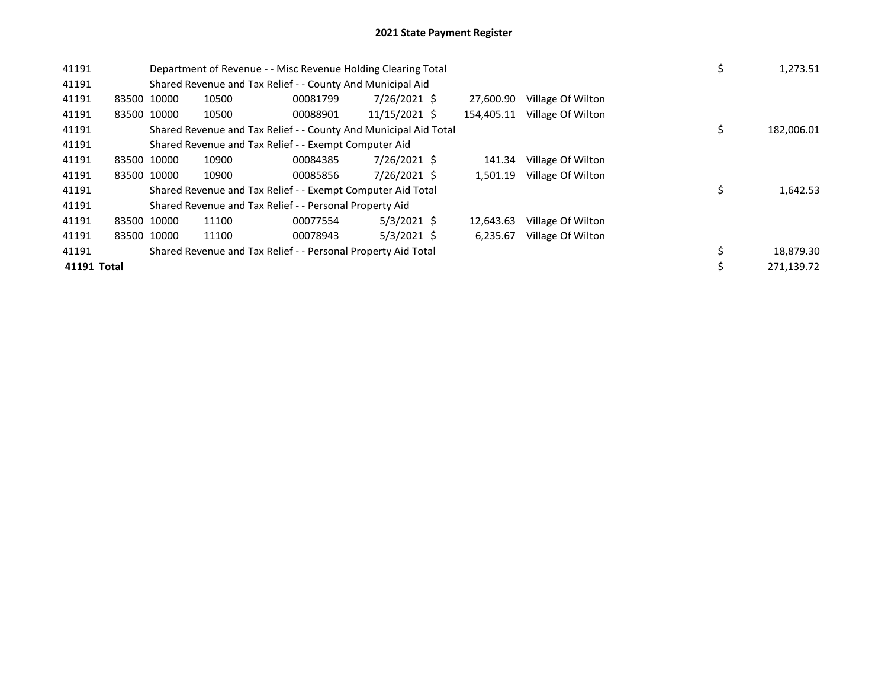| 41191       |             | Department of Revenue - - Misc Revenue Holding Clearing Total    |          |               |            |                   | \$ | 1,273.51   |
|-------------|-------------|------------------------------------------------------------------|----------|---------------|------------|-------------------|----|------------|
| 41191       |             | Shared Revenue and Tax Relief - - County And Municipal Aid       |          |               |            |                   |    |            |
| 41191       | 83500 10000 | 10500                                                            | 00081799 | 7/26/2021 \$  | 27.600.90  | Village Of Wilton |    |            |
| 41191       | 83500 10000 | 10500                                                            | 00088901 | 11/15/2021 \$ | 154,405.11 | Village Of Wilton |    |            |
| 41191       |             | Shared Revenue and Tax Relief - - County And Municipal Aid Total |          |               |            |                   | \$ | 182,006.01 |
| 41191       |             | Shared Revenue and Tax Relief - - Exempt Computer Aid            |          |               |            |                   |    |            |
| 41191       | 83500 10000 | 10900                                                            | 00084385 | 7/26/2021 \$  | 141.34     | Village Of Wilton |    |            |
| 41191       | 83500 10000 | 10900                                                            | 00085856 | 7/26/2021 \$  | 1.501.19   | Village Of Wilton |    |            |
| 41191       |             | Shared Revenue and Tax Relief - - Exempt Computer Aid Total      |          |               |            |                   | \$ | 1,642.53   |
| 41191       |             | Shared Revenue and Tax Relief - - Personal Property Aid          |          |               |            |                   |    |            |
| 41191       | 83500 10000 | 11100                                                            | 00077554 | $5/3/2021$ \$ | 12.643.63  | Village Of Wilton |    |            |
| 41191       | 83500 10000 | 11100                                                            | 00078943 | 5/3/2021 \$   | 6,235.67   | Village Of Wilton |    |            |
| 41191       |             | Shared Revenue and Tax Relief - - Personal Property Aid Total    |          |               |            |                   | \$ | 18,879.30  |
| 41191 Total |             |                                                                  |          |               |            |                   | \$ | 271,139.72 |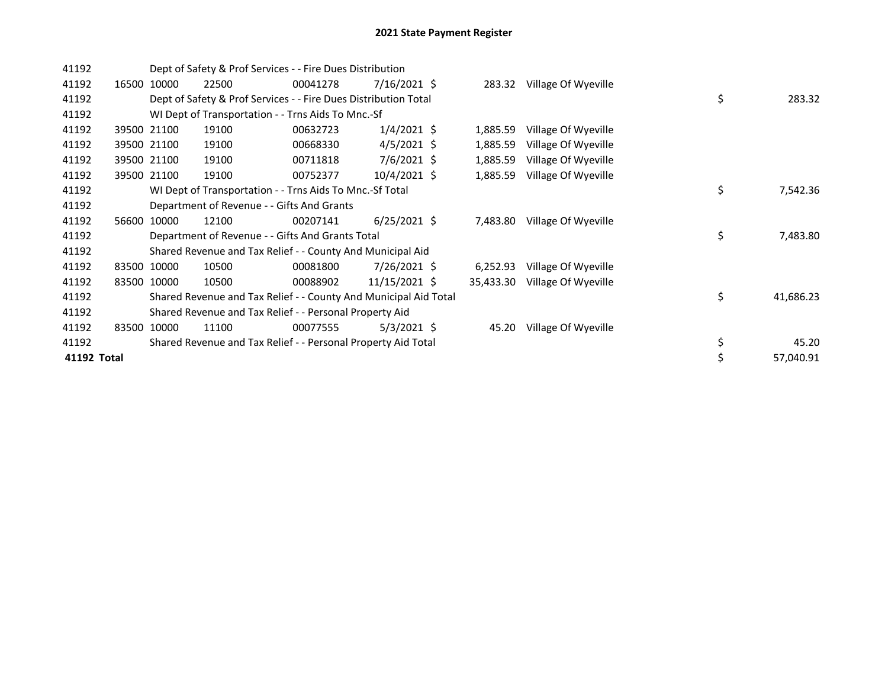| 41192       |       |             | Dept of Safety & Prof Services - - Fire Dues Distribution        |          |                |           |                            |    |           |
|-------------|-------|-------------|------------------------------------------------------------------|----------|----------------|-----------|----------------------------|----|-----------|
| 41192       |       | 16500 10000 | 22500                                                            | 00041278 | $7/16/2021$ \$ |           | 283.32 Village Of Wyeville |    |           |
| 41192       |       |             | Dept of Safety & Prof Services - - Fire Dues Distribution Total  |          |                |           |                            | \$ | 283.32    |
| 41192       |       |             | WI Dept of Transportation - - Trns Aids To Mnc.-Sf               |          |                |           |                            |    |           |
| 41192       |       | 39500 21100 | 19100                                                            | 00632723 | $1/4/2021$ \$  | 1,885.59  | Village Of Wyeville        |    |           |
| 41192       |       | 39500 21100 | 19100                                                            | 00668330 | $4/5/2021$ \$  | 1,885.59  | Village Of Wyeville        |    |           |
| 41192       |       | 39500 21100 | 19100                                                            | 00711818 | $7/6/2021$ \$  | 1,885.59  | Village Of Wyeville        |    |           |
| 41192       |       | 39500 21100 | 19100                                                            | 00752377 | 10/4/2021 \$   | 1,885.59  | Village Of Wyeville        |    |           |
| 41192       |       |             | WI Dept of Transportation - - Trns Aids To Mnc.-Sf Total         |          |                |           |                            | \$ | 7,542.36  |
| 41192       |       |             | Department of Revenue - - Gifts And Grants                       |          |                |           |                            |    |           |
| 41192       |       | 56600 10000 | 12100                                                            | 00207141 | $6/25/2021$ \$ | 7,483.80  | Village Of Wyeville        |    |           |
| 41192       |       |             | Department of Revenue - - Gifts And Grants Total                 |          |                |           |                            | \$ | 7,483.80  |
| 41192       |       |             | Shared Revenue and Tax Relief - - County And Municipal Aid       |          |                |           |                            |    |           |
| 41192       |       | 83500 10000 | 10500                                                            | 00081800 | 7/26/2021 \$   | 6,252.93  | Village Of Wyeville        |    |           |
| 41192       | 83500 | 10000       | 10500                                                            | 00088902 | 11/15/2021 \$  | 35,433.30 | Village Of Wyeville        |    |           |
| 41192       |       |             | Shared Revenue and Tax Relief - - County And Municipal Aid Total |          |                |           |                            | \$ | 41,686.23 |
| 41192       |       |             | Shared Revenue and Tax Relief - - Personal Property Aid          |          |                |           |                            |    |           |
| 41192       |       | 83500 10000 | 11100                                                            | 00077555 | $5/3/2021$ \$  | 45.20     | Village Of Wyeville        |    |           |
| 41192       |       |             | Shared Revenue and Tax Relief - - Personal Property Aid Total    |          |                |           |                            | \$ | 45.20     |
| 41192 Total |       |             |                                                                  |          |                |           |                            | \$ | 57,040.91 |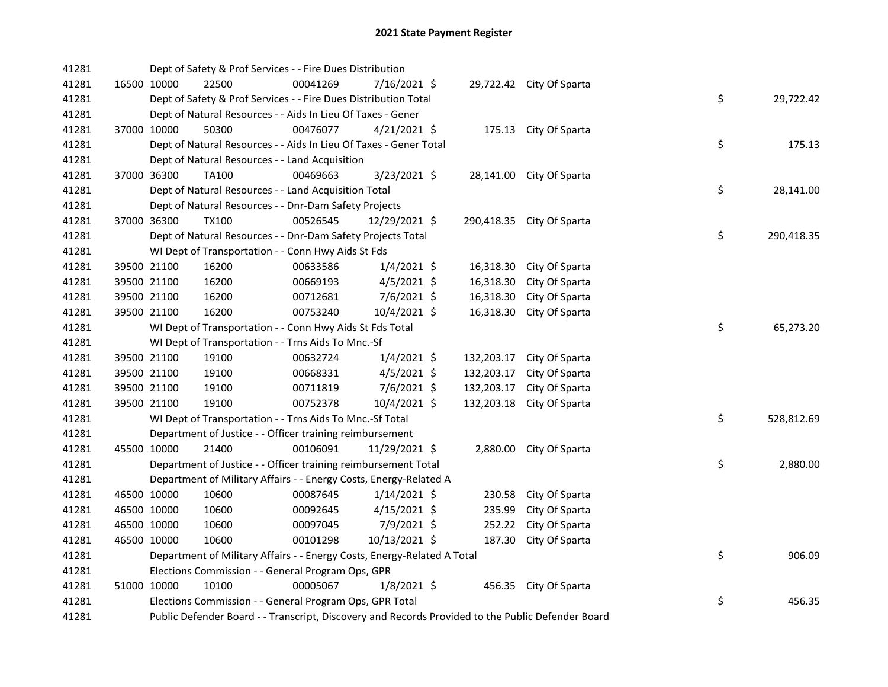| 41281 |             |              | Dept of Safety & Prof Services - - Fire Dues Distribution                                         |                |            |                           |    |            |
|-------|-------------|--------------|---------------------------------------------------------------------------------------------------|----------------|------------|---------------------------|----|------------|
| 41281 | 16500 10000 | 22500        | 00041269                                                                                          | 7/16/2021 \$   |            | 29,722.42 City Of Sparta  |    |            |
| 41281 |             |              | Dept of Safety & Prof Services - - Fire Dues Distribution Total                                   |                |            |                           | \$ | 29,722.42  |
| 41281 |             |              | Dept of Natural Resources - - Aids In Lieu Of Taxes - Gener                                       |                |            |                           |    |            |
| 41281 | 37000 10000 | 50300        | 00476077                                                                                          | $4/21/2021$ \$ |            | 175.13 City Of Sparta     |    |            |
| 41281 |             |              | Dept of Natural Resources - - Aids In Lieu Of Taxes - Gener Total                                 |                |            |                           | \$ | 175.13     |
| 41281 |             |              | Dept of Natural Resources - - Land Acquisition                                                    |                |            |                           |    |            |
| 41281 | 37000 36300 | TA100        | 00469663                                                                                          | $3/23/2021$ \$ |            | 28,141.00 City Of Sparta  |    |            |
| 41281 |             |              | Dept of Natural Resources - - Land Acquisition Total                                              |                |            |                           | \$ | 28,141.00  |
| 41281 |             |              | Dept of Natural Resources - - Dnr-Dam Safety Projects                                             |                |            |                           |    |            |
| 41281 | 37000 36300 | <b>TX100</b> | 00526545                                                                                          | 12/29/2021 \$  |            | 290,418.35 City Of Sparta |    |            |
| 41281 |             |              | Dept of Natural Resources - - Dnr-Dam Safety Projects Total                                       |                |            |                           | \$ | 290,418.35 |
| 41281 |             |              | WI Dept of Transportation - - Conn Hwy Aids St Fds                                                |                |            |                           |    |            |
| 41281 | 39500 21100 | 16200        | 00633586                                                                                          | $1/4/2021$ \$  | 16,318.30  | City Of Sparta            |    |            |
| 41281 | 39500 21100 | 16200        | 00669193                                                                                          | $4/5/2021$ \$  | 16,318.30  | City Of Sparta            |    |            |
| 41281 | 39500 21100 | 16200        | 00712681                                                                                          | 7/6/2021 \$    | 16,318.30  | City Of Sparta            |    |            |
| 41281 | 39500 21100 | 16200        | 00753240                                                                                          | 10/4/2021 \$   | 16,318.30  | City Of Sparta            |    |            |
| 41281 |             |              | WI Dept of Transportation - - Conn Hwy Aids St Fds Total                                          |                |            |                           | \$ | 65,273.20  |
| 41281 |             |              | WI Dept of Transportation - - Trns Aids To Mnc.-Sf                                                |                |            |                           |    |            |
| 41281 | 39500 21100 | 19100        | 00632724                                                                                          | 1/4/2021 \$    | 132,203.17 | City Of Sparta            |    |            |
| 41281 | 39500 21100 | 19100        | 00668331                                                                                          | $4/5/2021$ \$  | 132,203.17 | City Of Sparta            |    |            |
| 41281 | 39500 21100 | 19100        | 00711819                                                                                          | $7/6/2021$ \$  | 132,203.17 | City Of Sparta            |    |            |
| 41281 | 39500 21100 | 19100        | 00752378                                                                                          | 10/4/2021 \$   |            | 132,203.18 City Of Sparta |    |            |
| 41281 |             |              | WI Dept of Transportation - - Trns Aids To Mnc.-Sf Total                                          |                |            |                           | \$ | 528,812.69 |
| 41281 |             |              | Department of Justice - - Officer training reimbursement                                          |                |            |                           |    |            |
| 41281 | 45500 10000 | 21400        | 00106091                                                                                          | 11/29/2021 \$  |            | 2,880.00 City Of Sparta   |    |            |
| 41281 |             |              | Department of Justice - - Officer training reimbursement Total                                    |                |            |                           | \$ | 2,880.00   |
| 41281 |             |              | Department of Military Affairs - - Energy Costs, Energy-Related A                                 |                |            |                           |    |            |
| 41281 | 46500 10000 | 10600        | 00087645                                                                                          | $1/14/2021$ \$ |            | 230.58 City Of Sparta     |    |            |
| 41281 | 46500 10000 | 10600        | 00092645                                                                                          | $4/15/2021$ \$ | 235.99     | City Of Sparta            |    |            |
| 41281 | 46500 10000 | 10600        | 00097045                                                                                          | 7/9/2021 \$    | 252.22     | City Of Sparta            |    |            |
| 41281 | 46500 10000 | 10600        | 00101298                                                                                          | 10/13/2021 \$  |            | 187.30 City Of Sparta     |    |            |
| 41281 |             |              | Department of Military Affairs - - Energy Costs, Energy-Related A Total                           |                |            |                           | \$ | 906.09     |
| 41281 |             |              | Elections Commission - - General Program Ops, GPR                                                 |                |            |                           |    |            |
| 41281 | 51000 10000 | 10100        | 00005067                                                                                          | 1/8/2021 \$    |            | 456.35 City Of Sparta     |    |            |
| 41281 |             |              | Elections Commission - - General Program Ops, GPR Total                                           |                |            |                           | \$ | 456.35     |
| 41281 |             |              | Public Defender Board - - Transcript, Discovery and Records Provided to the Public Defender Board |                |            |                           |    |            |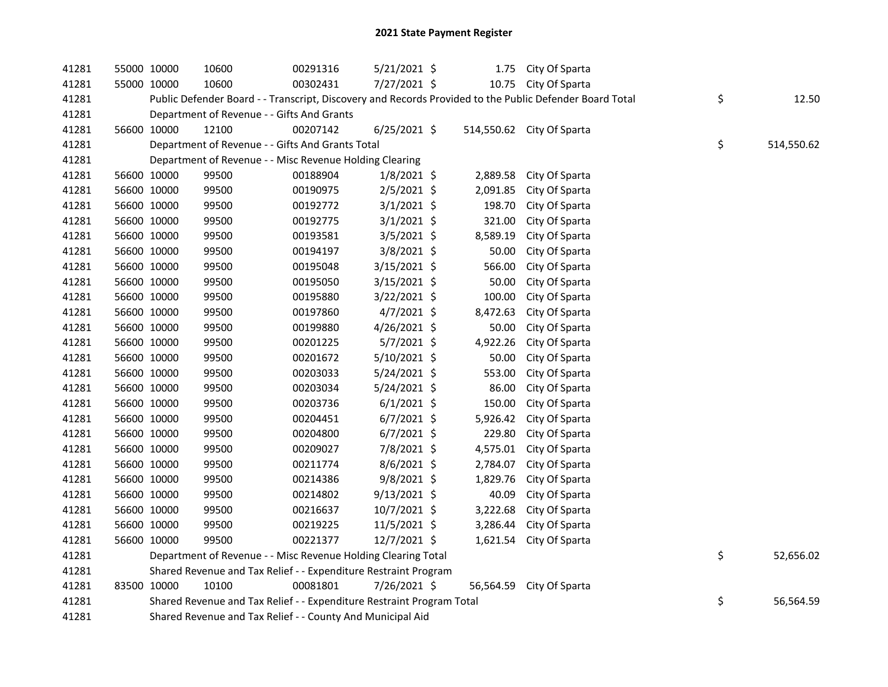| 41281 | 55000 10000                                                | 10600                                                                 | 00291316 | 5/21/2021 \$   |  |           | 1.75 City Of Sparta                                                                                     |  |                  |
|-------|------------------------------------------------------------|-----------------------------------------------------------------------|----------|----------------|--|-----------|---------------------------------------------------------------------------------------------------------|--|------------------|
| 41281 | 55000 10000                                                | 10600                                                                 | 00302431 | 7/27/2021 \$   |  |           | 10.75 City Of Sparta                                                                                    |  |                  |
| 41281 |                                                            |                                                                       |          |                |  |           | Public Defender Board - - Transcript, Discovery and Records Provided to the Public Defender Board Total |  | \$<br>12.50      |
| 41281 |                                                            | Department of Revenue - - Gifts And Grants                            |          |                |  |           |                                                                                                         |  |                  |
| 41281 | 56600 10000                                                | 12100                                                                 | 00207142 | $6/25/2021$ \$ |  |           | 514,550.62 City Of Sparta                                                                               |  |                  |
| 41281 |                                                            | Department of Revenue - - Gifts And Grants Total                      |          |                |  |           |                                                                                                         |  | \$<br>514,550.62 |
| 41281 |                                                            | Department of Revenue - - Misc Revenue Holding Clearing               |          |                |  |           |                                                                                                         |  |                  |
| 41281 | 56600 10000                                                | 99500                                                                 | 00188904 | $1/8/2021$ \$  |  | 2,889.58  | City Of Sparta                                                                                          |  |                  |
| 41281 | 56600 10000                                                | 99500                                                                 | 00190975 | $2/5/2021$ \$  |  | 2,091.85  | City Of Sparta                                                                                          |  |                  |
| 41281 | 56600 10000                                                | 99500                                                                 | 00192772 | $3/1/2021$ \$  |  | 198.70    | City Of Sparta                                                                                          |  |                  |
| 41281 | 56600 10000                                                | 99500                                                                 | 00192775 | $3/1/2021$ \$  |  | 321.00    | City Of Sparta                                                                                          |  |                  |
| 41281 | 56600 10000                                                | 99500                                                                 | 00193581 | $3/5/2021$ \$  |  | 8,589.19  | City Of Sparta                                                                                          |  |                  |
| 41281 | 56600 10000                                                | 99500                                                                 | 00194197 | 3/8/2021 \$    |  | 50.00     | City Of Sparta                                                                                          |  |                  |
| 41281 | 56600 10000                                                | 99500                                                                 | 00195048 | 3/15/2021 \$   |  | 566.00    | City Of Sparta                                                                                          |  |                  |
| 41281 | 56600 10000                                                | 99500                                                                 | 00195050 | 3/15/2021 \$   |  | 50.00     | City Of Sparta                                                                                          |  |                  |
| 41281 | 56600 10000                                                | 99500                                                                 | 00195880 | 3/22/2021 \$   |  | 100.00    | City Of Sparta                                                                                          |  |                  |
| 41281 | 56600 10000                                                | 99500                                                                 | 00197860 | $4/7/2021$ \$  |  | 8,472.63  | City Of Sparta                                                                                          |  |                  |
| 41281 | 56600 10000                                                | 99500                                                                 | 00199880 | 4/26/2021 \$   |  | 50.00     | City Of Sparta                                                                                          |  |                  |
| 41281 | 56600 10000                                                | 99500                                                                 | 00201225 | 5/7/2021 \$    |  | 4,922.26  | City Of Sparta                                                                                          |  |                  |
| 41281 | 56600 10000                                                | 99500                                                                 | 00201672 | 5/10/2021 \$   |  | 50.00     | City Of Sparta                                                                                          |  |                  |
| 41281 | 56600 10000                                                | 99500                                                                 | 00203033 | $5/24/2021$ \$ |  | 553.00    | City Of Sparta                                                                                          |  |                  |
| 41281 | 56600 10000                                                | 99500                                                                 | 00203034 | 5/24/2021 \$   |  | 86.00     | City Of Sparta                                                                                          |  |                  |
| 41281 | 56600 10000                                                | 99500                                                                 | 00203736 | $6/1/2021$ \$  |  | 150.00    | City Of Sparta                                                                                          |  |                  |
| 41281 | 56600 10000                                                | 99500                                                                 | 00204451 | $6/7/2021$ \$  |  | 5,926.42  | City Of Sparta                                                                                          |  |                  |
| 41281 | 56600 10000                                                | 99500                                                                 | 00204800 | $6/7/2021$ \$  |  | 229.80    | City Of Sparta                                                                                          |  |                  |
| 41281 | 56600 10000                                                | 99500                                                                 | 00209027 | 7/8/2021 \$    |  | 4,575.01  | City Of Sparta                                                                                          |  |                  |
| 41281 | 56600 10000                                                | 99500                                                                 | 00211774 | $8/6/2021$ \$  |  | 2,784.07  | City Of Sparta                                                                                          |  |                  |
| 41281 | 56600 10000                                                | 99500                                                                 | 00214386 | 9/8/2021 \$    |  | 1,829.76  | City Of Sparta                                                                                          |  |                  |
| 41281 | 56600 10000                                                | 99500                                                                 | 00214802 | $9/13/2021$ \$ |  | 40.09     | City Of Sparta                                                                                          |  |                  |
| 41281 | 56600 10000                                                | 99500                                                                 | 00216637 | 10/7/2021 \$   |  | 3,222.68  | City Of Sparta                                                                                          |  |                  |
| 41281 | 56600 10000                                                | 99500                                                                 | 00219225 | 11/5/2021 \$   |  | 3,286.44  | City Of Sparta                                                                                          |  |                  |
| 41281 | 56600 10000                                                | 99500                                                                 | 00221377 | 12/7/2021 \$   |  | 1,621.54  | City Of Sparta                                                                                          |  |                  |
| 41281 |                                                            | Department of Revenue - - Misc Revenue Holding Clearing Total         |          |                |  |           |                                                                                                         |  | \$<br>52,656.02  |
| 41281 |                                                            | Shared Revenue and Tax Relief - - Expenditure Restraint Program       |          |                |  |           |                                                                                                         |  |                  |
| 41281 | 83500 10000                                                | 10100                                                                 | 00081801 | 7/26/2021 \$   |  | 56,564.59 | City Of Sparta                                                                                          |  |                  |
| 41281 |                                                            | Shared Revenue and Tax Relief - - Expenditure Restraint Program Total |          |                |  |           |                                                                                                         |  | \$<br>56,564.59  |
| 41281 | Shared Revenue and Tax Relief - - County And Municipal Aid |                                                                       |          |                |  |           |                                                                                                         |  |                  |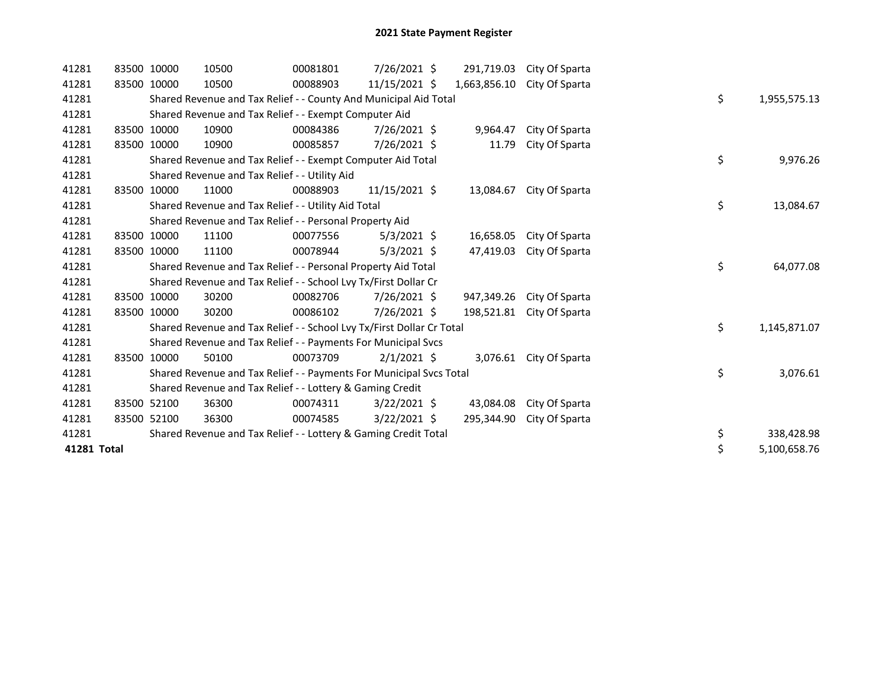| 41281       |       | 83500 10000 | 10500 | 00081801                                                              | 7/26/2021 \$   | 291,719.03   | City Of Sparta |    |              |
|-------------|-------|-------------|-------|-----------------------------------------------------------------------|----------------|--------------|----------------|----|--------------|
| 41281       |       | 83500 10000 | 10500 | 00088903                                                              | 11/15/2021 \$  | 1,663,856.10 | City Of Sparta |    |              |
| 41281       |       |             |       | Shared Revenue and Tax Relief - - County And Municipal Aid Total      |                |              |                | \$ | 1,955,575.13 |
| 41281       |       |             |       | Shared Revenue and Tax Relief - - Exempt Computer Aid                 |                |              |                |    |              |
| 41281       |       | 83500 10000 | 10900 | 00084386                                                              | 7/26/2021 \$   | 9,964.47     | City Of Sparta |    |              |
| 41281       |       | 83500 10000 | 10900 | 00085857                                                              | 7/26/2021 \$   | 11.79        | City Of Sparta |    |              |
| 41281       |       |             |       | Shared Revenue and Tax Relief - - Exempt Computer Aid Total           |                |              |                | \$ | 9,976.26     |
| 41281       |       |             |       | Shared Revenue and Tax Relief - - Utility Aid                         |                |              |                |    |              |
| 41281       | 83500 | 10000       | 11000 | 00088903                                                              | 11/15/2021 \$  | 13,084.67    | City Of Sparta |    |              |
| 41281       |       |             |       | Shared Revenue and Tax Relief - - Utility Aid Total                   |                |              |                | \$ | 13,084.67    |
| 41281       |       |             |       | Shared Revenue and Tax Relief - - Personal Property Aid               |                |              |                |    |              |
| 41281       |       | 83500 10000 | 11100 | 00077556                                                              | $5/3/2021$ \$  | 16,658.05    | City Of Sparta |    |              |
| 41281       |       | 83500 10000 | 11100 | 00078944                                                              | $5/3/2021$ \$  | 47.419.03    | City Of Sparta |    |              |
| 41281       |       |             |       | Shared Revenue and Tax Relief - - Personal Property Aid Total         |                |              |                | \$ | 64,077.08    |
| 41281       |       |             |       | Shared Revenue and Tax Relief - - School Lvy Tx/First Dollar Cr       |                |              |                |    |              |
| 41281       | 83500 | 10000       | 30200 | 00082706                                                              | 7/26/2021 \$   | 947,349.26   | City Of Sparta |    |              |
| 41281       |       | 83500 10000 | 30200 | 00086102                                                              | 7/26/2021 \$   | 198,521.81   | City Of Sparta |    |              |
| 41281       |       |             |       | Shared Revenue and Tax Relief - - School Lvy Tx/First Dollar Cr Total |                |              |                | \$ | 1,145,871.07 |
| 41281       |       |             |       | Shared Revenue and Tax Relief - - Payments For Municipal Svcs         |                |              |                |    |              |
| 41281       |       | 83500 10000 | 50100 | 00073709                                                              | $2/1/2021$ \$  | 3,076.61     | City Of Sparta |    |              |
| 41281       |       |             |       | Shared Revenue and Tax Relief - - Payments For Municipal Svcs Total   |                |              |                | \$ | 3,076.61     |
| 41281       |       |             |       | Shared Revenue and Tax Relief - - Lottery & Gaming Credit             |                |              |                |    |              |
| 41281       |       | 83500 52100 | 36300 | 00074311                                                              | $3/22/2021$ \$ | 43,084.08    | City Of Sparta |    |              |
| 41281       |       | 83500 52100 | 36300 | 00074585                                                              | $3/22/2021$ \$ | 295,344.90   | City Of Sparta |    |              |
| 41281       |       |             |       | Shared Revenue and Tax Relief - - Lottery & Gaming Credit Total       |                |              |                | \$ | 338,428.98   |
| 41281 Total |       |             |       |                                                                       |                |              |                | \$ | 5,100,658.76 |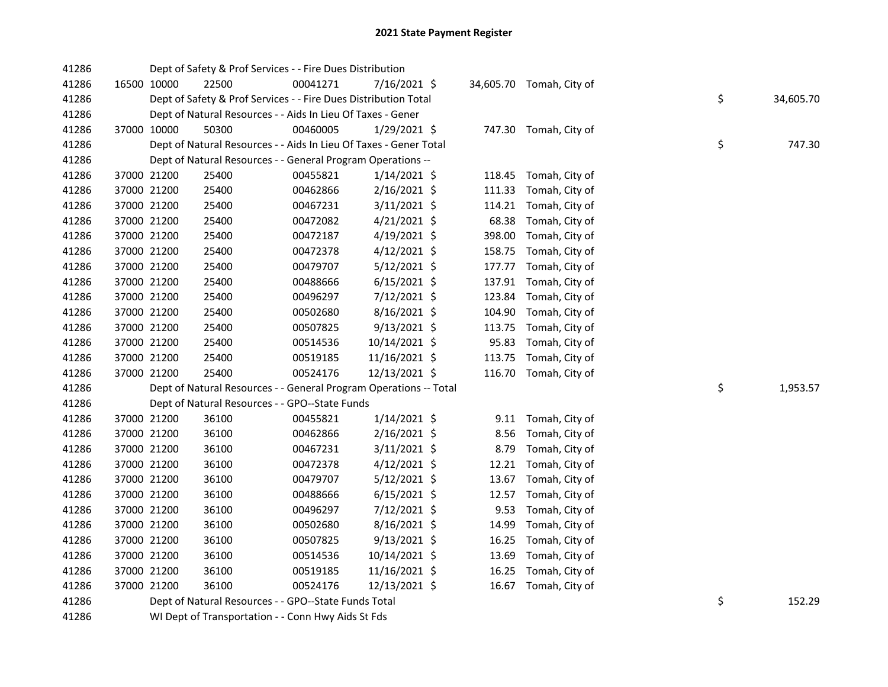| 41286 |             | Dept of Safety & Prof Services - - Fire Dues Distribution         |          |                |        |                          |    |           |
|-------|-------------|-------------------------------------------------------------------|----------|----------------|--------|--------------------------|----|-----------|
| 41286 | 16500 10000 | 22500                                                             | 00041271 | 7/16/2021 \$   |        | 34,605.70 Tomah, City of |    |           |
| 41286 |             | Dept of Safety & Prof Services - - Fire Dues Distribution Total   |          |                |        |                          | \$ | 34,605.70 |
| 41286 |             | Dept of Natural Resources - - Aids In Lieu Of Taxes - Gener       |          |                |        |                          |    |           |
| 41286 | 37000 10000 | 50300                                                             | 00460005 | $1/29/2021$ \$ |        | 747.30 Tomah, City of    |    |           |
| 41286 |             | Dept of Natural Resources - - Aids In Lieu Of Taxes - Gener Total |          |                |        |                          | \$ | 747.30    |
| 41286 |             | Dept of Natural Resources - - General Program Operations --       |          |                |        |                          |    |           |
| 41286 | 37000 21200 | 25400                                                             | 00455821 | $1/14/2021$ \$ |        | 118.45 Tomah, City of    |    |           |
| 41286 | 37000 21200 | 25400                                                             | 00462866 | $2/16/2021$ \$ | 111.33 | Tomah, City of           |    |           |
| 41286 | 37000 21200 | 25400                                                             | 00467231 | $3/11/2021$ \$ | 114.21 | Tomah, City of           |    |           |
| 41286 | 37000 21200 | 25400                                                             | 00472082 | $4/21/2021$ \$ | 68.38  | Tomah, City of           |    |           |
| 41286 | 37000 21200 | 25400                                                             | 00472187 | $4/19/2021$ \$ | 398.00 | Tomah, City of           |    |           |
| 41286 | 37000 21200 | 25400                                                             | 00472378 | $4/12/2021$ \$ | 158.75 | Tomah, City of           |    |           |
| 41286 | 37000 21200 | 25400                                                             | 00479707 | $5/12/2021$ \$ | 177.77 | Tomah, City of           |    |           |
| 41286 | 37000 21200 | 25400                                                             | 00488666 | $6/15/2021$ \$ | 137.91 | Tomah, City of           |    |           |
| 41286 | 37000 21200 | 25400                                                             | 00496297 | 7/12/2021 \$   | 123.84 | Tomah, City of           |    |           |
| 41286 | 37000 21200 | 25400                                                             | 00502680 | 8/16/2021 \$   | 104.90 | Tomah, City of           |    |           |
| 41286 | 37000 21200 | 25400                                                             | 00507825 | $9/13/2021$ \$ |        | 113.75 Tomah, City of    |    |           |
| 41286 | 37000 21200 | 25400                                                             | 00514536 | 10/14/2021 \$  | 95.83  | Tomah, City of           |    |           |
| 41286 | 37000 21200 | 25400                                                             | 00519185 | 11/16/2021 \$  |        | 113.75 Tomah, City of    |    |           |
| 41286 | 37000 21200 | 25400                                                             | 00524176 | 12/13/2021 \$  |        | 116.70 Tomah, City of    |    |           |
| 41286 |             | Dept of Natural Resources - - General Program Operations -- Total |          |                |        |                          | \$ | 1,953.57  |
| 41286 |             | Dept of Natural Resources - - GPO--State Funds                    |          |                |        |                          |    |           |
| 41286 | 37000 21200 | 36100                                                             | 00455821 | $1/14/2021$ \$ |        | 9.11 Tomah, City of      |    |           |
| 41286 | 37000 21200 | 36100                                                             | 00462866 | 2/16/2021 \$   | 8.56   | Tomah, City of           |    |           |
| 41286 | 37000 21200 | 36100                                                             | 00467231 | $3/11/2021$ \$ | 8.79   | Tomah, City of           |    |           |
| 41286 | 37000 21200 | 36100                                                             | 00472378 | $4/12/2021$ \$ | 12.21  | Tomah, City of           |    |           |
| 41286 | 37000 21200 | 36100                                                             | 00479707 | 5/12/2021 \$   | 13.67  | Tomah, City of           |    |           |
| 41286 | 37000 21200 | 36100                                                             | 00488666 | $6/15/2021$ \$ | 12.57  | Tomah, City of           |    |           |
| 41286 | 37000 21200 | 36100                                                             | 00496297 | 7/12/2021 \$   | 9.53   | Tomah, City of           |    |           |
| 41286 | 37000 21200 | 36100                                                             | 00502680 | $8/16/2021$ \$ | 14.99  | Tomah, City of           |    |           |
| 41286 | 37000 21200 | 36100                                                             | 00507825 | $9/13/2021$ \$ | 16.25  | Tomah, City of           |    |           |
| 41286 | 37000 21200 | 36100                                                             | 00514536 | 10/14/2021 \$  | 13.69  | Tomah, City of           |    |           |
| 41286 | 37000 21200 | 36100                                                             | 00519185 | 11/16/2021 \$  | 16.25  | Tomah, City of           |    |           |
| 41286 | 37000 21200 | 36100                                                             | 00524176 | 12/13/2021 \$  |        | 16.67 Tomah, City of     |    |           |
| 41286 |             | Dept of Natural Resources - - GPO--State Funds Total              |          |                |        |                          | \$ | 152.29    |
| 41286 |             | WI Dept of Transportation - - Conn Hwy Aids St Fds                |          |                |        |                          |    |           |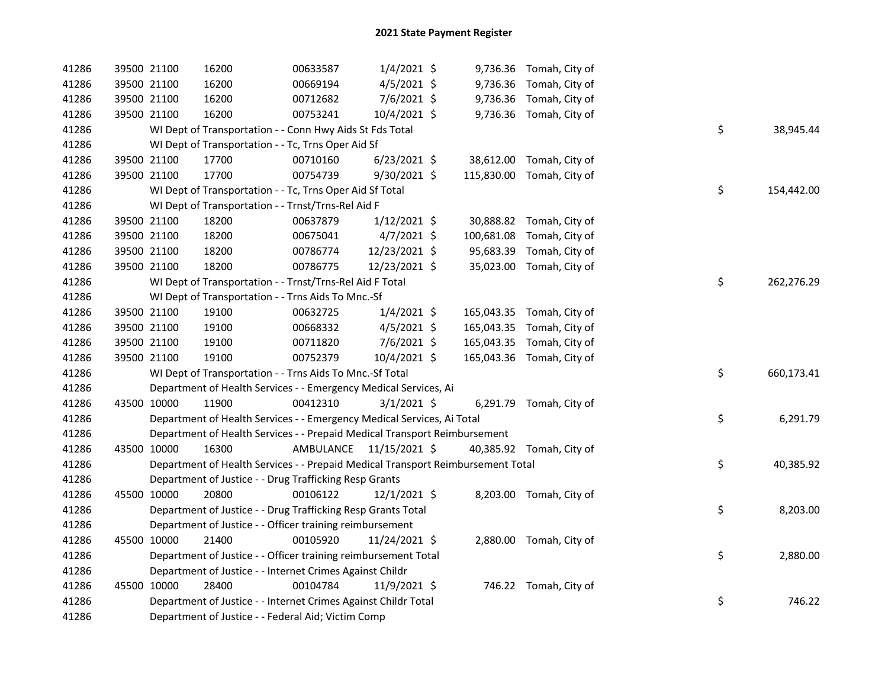| 41286 | 39500 21100 | 16200                                                                           | 00633587                | $1/4/2021$ \$  |  | 9,736.36 Tomah, City of   |    |            |
|-------|-------------|---------------------------------------------------------------------------------|-------------------------|----------------|--|---------------------------|----|------------|
| 41286 | 39500 21100 | 16200                                                                           | 00669194                | $4/5/2021$ \$  |  | 9,736.36 Tomah, City of   |    |            |
| 41286 | 39500 21100 | 16200                                                                           | 00712682                | $7/6/2021$ \$  |  | 9,736.36 Tomah, City of   |    |            |
| 41286 | 39500 21100 | 16200                                                                           | 00753241                | 10/4/2021 \$   |  | 9,736.36 Tomah, City of   |    |            |
| 41286 |             | WI Dept of Transportation - - Conn Hwy Aids St Fds Total                        |                         |                |  |                           | \$ | 38,945.44  |
| 41286 |             | WI Dept of Transportation - - Tc, Trns Oper Aid Sf                              |                         |                |  |                           |    |            |
| 41286 | 39500 21100 | 17700                                                                           | 00710160                | 6/23/2021 \$   |  | 38,612.00 Tomah, City of  |    |            |
| 41286 | 39500 21100 | 17700                                                                           | 00754739                | $9/30/2021$ \$ |  | 115,830.00 Tomah, City of |    |            |
| 41286 |             | WI Dept of Transportation - - Tc, Trns Oper Aid Sf Total                        |                         |                |  |                           | \$ | 154,442.00 |
| 41286 |             | WI Dept of Transportation - - Trnst/Trns-Rel Aid F                              |                         |                |  |                           |    |            |
| 41286 | 39500 21100 | 18200                                                                           | 00637879                | $1/12/2021$ \$ |  | 30,888.82 Tomah, City of  |    |            |
| 41286 | 39500 21100 | 18200                                                                           | 00675041                | $4/7/2021$ \$  |  | 100,681.08 Tomah, City of |    |            |
| 41286 | 39500 21100 | 18200                                                                           | 00786774                | 12/23/2021 \$  |  | 95,683.39 Tomah, City of  |    |            |
| 41286 | 39500 21100 | 18200                                                                           | 00786775                | 12/23/2021 \$  |  | 35,023.00 Tomah, City of  |    |            |
| 41286 |             | WI Dept of Transportation - - Trnst/Trns-Rel Aid F Total                        |                         |                |  |                           | \$ | 262,276.29 |
| 41286 |             | WI Dept of Transportation - - Trns Aids To Mnc.-Sf                              |                         |                |  |                           |    |            |
| 41286 | 39500 21100 | 19100                                                                           | 00632725                | $1/4/2021$ \$  |  | 165,043.35 Tomah, City of |    |            |
| 41286 | 39500 21100 | 19100                                                                           | 00668332                | $4/5/2021$ \$  |  | 165,043.35 Tomah, City of |    |            |
| 41286 | 39500 21100 | 19100                                                                           | 00711820                | $7/6/2021$ \$  |  | 165,043.35 Tomah, City of |    |            |
| 41286 | 39500 21100 | 19100                                                                           | 00752379                | 10/4/2021 \$   |  | 165,043.36 Tomah, City of |    |            |
| 41286 |             | WI Dept of Transportation - - Trns Aids To Mnc.-Sf Total                        |                         |                |  |                           | \$ | 660,173.41 |
| 41286 |             | Department of Health Services - - Emergency Medical Services, Ai                |                         |                |  |                           |    |            |
| 41286 | 43500 10000 | 11900                                                                           | 00412310                | $3/1/2021$ \$  |  | 6,291.79 Tomah, City of   |    |            |
| 41286 |             | Department of Health Services - - Emergency Medical Services, Ai Total          |                         |                |  |                           | \$ | 6,291.79   |
| 41286 |             | Department of Health Services - - Prepaid Medical Transport Reimbursement       |                         |                |  |                           |    |            |
| 41286 | 43500 10000 | 16300                                                                           | AMBULANCE 11/15/2021 \$ |                |  | 40,385.92 Tomah, City of  |    |            |
| 41286 |             | Department of Health Services - - Prepaid Medical Transport Reimbursement Total |                         |                |  |                           | \$ | 40,385.92  |
| 41286 |             | Department of Justice - - Drug Trafficking Resp Grants                          |                         |                |  |                           |    |            |
| 41286 | 45500 10000 | 20800                                                                           | 00106122                | $12/1/2021$ \$ |  | 8,203.00 Tomah, City of   |    |            |
| 41286 |             | Department of Justice - - Drug Trafficking Resp Grants Total                    |                         |                |  |                           | \$ | 8,203.00   |
| 41286 |             | Department of Justice - - Officer training reimbursement                        |                         |                |  |                           |    |            |
| 41286 | 45500 10000 | 21400                                                                           | 00105920                | 11/24/2021 \$  |  | 2,880.00 Tomah, City of   |    |            |
| 41286 |             | Department of Justice - - Officer training reimbursement Total                  |                         |                |  |                           | \$ | 2,880.00   |
| 41286 |             | Department of Justice - - Internet Crimes Against Childr                        |                         |                |  |                           |    |            |
| 41286 | 45500 10000 | 28400                                                                           | 00104784                | 11/9/2021 \$   |  | 746.22 Tomah, City of     |    |            |
| 41286 |             | Department of Justice - - Internet Crimes Against Childr Total                  |                         |                |  |                           | \$ | 746.22     |
| 41286 |             | Department of Justice - - Federal Aid; Victim Comp                              |                         |                |  |                           |    |            |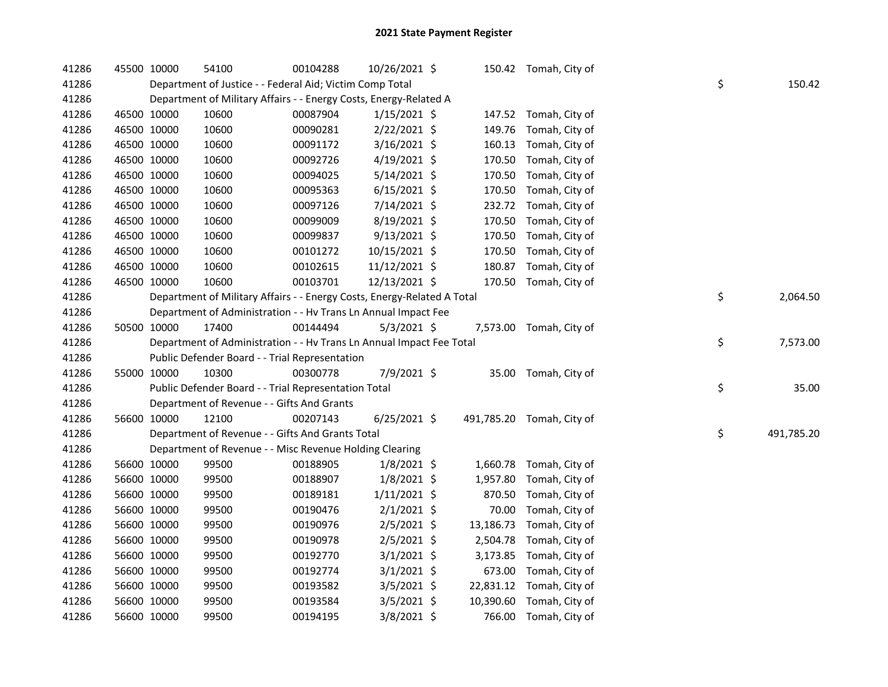| 41286 | 45500 10000                                              | 54100                                                                   | 00104288 | 10/26/2021 \$  |  |           | 150.42 Tomah, City of     |  |    |            |
|-------|----------------------------------------------------------|-------------------------------------------------------------------------|----------|----------------|--|-----------|---------------------------|--|----|------------|
| 41286 | Department of Justice - - Federal Aid; Victim Comp Total |                                                                         |          |                |  |           |                           |  |    | 150.42     |
| 41286 |                                                          | Department of Military Affairs - - Energy Costs, Energy-Related A       |          |                |  |           |                           |  |    |            |
| 41286 | 46500 10000                                              | 10600                                                                   | 00087904 | $1/15/2021$ \$ |  | 147.52    | Tomah, City of            |  |    |            |
| 41286 | 46500 10000                                              | 10600                                                                   | 00090281 | 2/22/2021 \$   |  | 149.76    | Tomah, City of            |  |    |            |
| 41286 | 46500 10000                                              | 10600                                                                   | 00091172 | $3/16/2021$ \$ |  | 160.13    | Tomah, City of            |  |    |            |
| 41286 | 46500 10000                                              | 10600                                                                   | 00092726 | 4/19/2021 \$   |  | 170.50    | Tomah, City of            |  |    |            |
| 41286 | 46500 10000                                              | 10600                                                                   | 00094025 | $5/14/2021$ \$ |  | 170.50    | Tomah, City of            |  |    |            |
| 41286 | 46500 10000                                              | 10600                                                                   | 00095363 | $6/15/2021$ \$ |  | 170.50    | Tomah, City of            |  |    |            |
| 41286 | 46500 10000                                              | 10600                                                                   | 00097126 | 7/14/2021 \$   |  | 232.72    | Tomah, City of            |  |    |            |
| 41286 | 46500 10000                                              | 10600                                                                   | 00099009 | 8/19/2021 \$   |  | 170.50    | Tomah, City of            |  |    |            |
| 41286 | 46500 10000                                              | 10600                                                                   | 00099837 | $9/13/2021$ \$ |  | 170.50    | Tomah, City of            |  |    |            |
| 41286 | 46500 10000                                              | 10600                                                                   | 00101272 | 10/15/2021 \$  |  | 170.50    | Tomah, City of            |  |    |            |
| 41286 | 46500 10000                                              | 10600                                                                   | 00102615 | 11/12/2021 \$  |  | 180.87    | Tomah, City of            |  |    |            |
| 41286 | 46500 10000                                              | 10600                                                                   | 00103701 | 12/13/2021 \$  |  | 170.50    | Tomah, City of            |  |    |            |
| 41286 |                                                          | Department of Military Affairs - - Energy Costs, Energy-Related A Total |          |                |  |           |                           |  | \$ | 2,064.50   |
| 41286 |                                                          | Department of Administration - - Hv Trans Ln Annual Impact Fee          |          |                |  |           |                           |  |    |            |
| 41286 | 50500 10000                                              | 17400                                                                   | 00144494 | $5/3/2021$ \$  |  |           | 7,573.00 Tomah, City of   |  |    |            |
| 41286 |                                                          | Department of Administration - - Hv Trans Ln Annual Impact Fee Total    |          |                |  |           |                           |  | \$ | 7,573.00   |
| 41286 |                                                          | Public Defender Board - - Trial Representation                          |          |                |  |           |                           |  |    |            |
|       |                                                          |                                                                         |          |                |  |           |                           |  |    |            |
| 41286 | 55000 10000                                              | 10300                                                                   | 00300778 | 7/9/2021 \$    |  |           | 35.00 Tomah, City of      |  |    |            |
| 41286 |                                                          | Public Defender Board - - Trial Representation Total                    |          |                |  |           |                           |  | \$ | 35.00      |
| 41286 |                                                          | Department of Revenue - - Gifts And Grants                              |          |                |  |           |                           |  |    |            |
| 41286 | 56600 10000                                              | 12100                                                                   | 00207143 | $6/25/2021$ \$ |  |           | 491,785.20 Tomah, City of |  |    |            |
| 41286 |                                                          | Department of Revenue - - Gifts And Grants Total                        |          |                |  |           |                           |  | \$ | 491,785.20 |
| 41286 |                                                          | Department of Revenue - - Misc Revenue Holding Clearing                 |          |                |  |           |                           |  |    |            |
| 41286 | 56600 10000                                              | 99500                                                                   | 00188905 | $1/8/2021$ \$  |  |           | 1,660.78 Tomah, City of   |  |    |            |
| 41286 | 56600 10000                                              | 99500                                                                   | 00188907 | $1/8/2021$ \$  |  | 1,957.80  | Tomah, City of            |  |    |            |
| 41286 | 56600 10000                                              | 99500                                                                   | 00189181 | $1/11/2021$ \$ |  | 870.50    | Tomah, City of            |  |    |            |
| 41286 | 56600 10000                                              | 99500                                                                   | 00190476 | $2/1/2021$ \$  |  | 70.00     | Tomah, City of            |  |    |            |
| 41286 | 56600 10000                                              | 99500                                                                   | 00190976 | $2/5/2021$ \$  |  | 13,186.73 | Tomah, City of            |  |    |            |
| 41286 | 56600 10000                                              | 99500                                                                   | 00190978 | $2/5/2021$ \$  |  |           | 2,504.78 Tomah, City of   |  |    |            |
| 41286 | 56600 10000                                              | 99500                                                                   | 00192770 | $3/1/2021$ \$  |  |           | 3,173.85 Tomah, City of   |  |    |            |
| 41286 | 56600 10000                                              | 99500                                                                   | 00192774 | $3/1/2021$ \$  |  |           | 673.00 Tomah, City of     |  |    |            |
| 41286 | 56600 10000                                              | 99500                                                                   | 00193582 | $3/5/2021$ \$  |  |           | 22,831.12 Tomah, City of  |  |    |            |
| 41286 | 56600 10000                                              | 99500                                                                   | 00193584 | $3/5/2021$ \$  |  |           | 10,390.60 Tomah, City of  |  |    |            |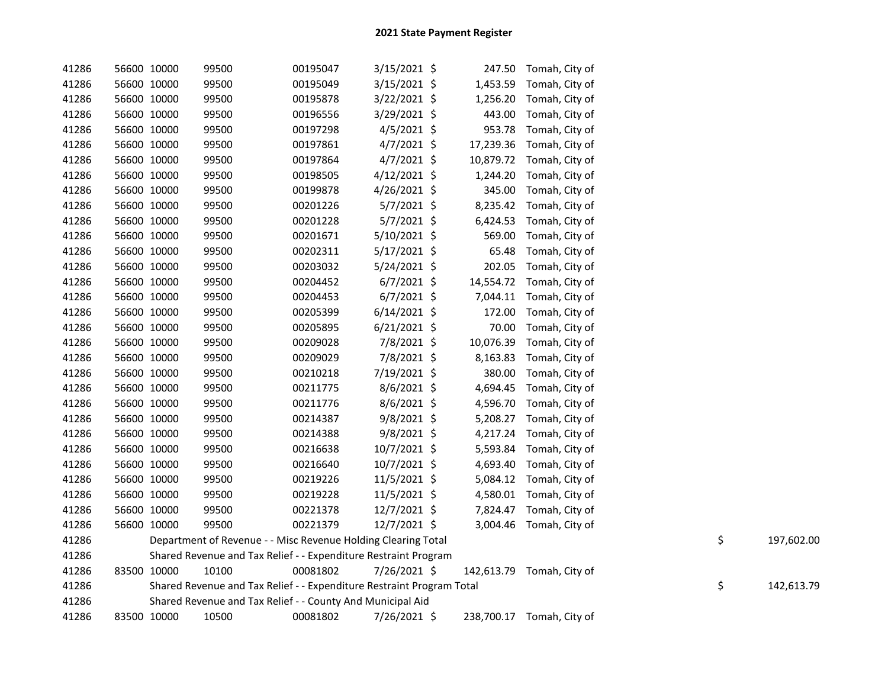| 41286 | 56600 10000 | 99500                                                                 | 00195047 | $3/15/2021$ \$ |           | 247.50 Tomah, City of     |    |            |
|-------|-------------|-----------------------------------------------------------------------|----------|----------------|-----------|---------------------------|----|------------|
| 41286 | 56600 10000 | 99500                                                                 | 00195049 | $3/15/2021$ \$ | 1,453.59  | Tomah, City of            |    |            |
| 41286 | 56600 10000 | 99500                                                                 | 00195878 | 3/22/2021 \$   | 1,256.20  | Tomah, City of            |    |            |
| 41286 | 56600 10000 | 99500                                                                 | 00196556 | 3/29/2021 \$   | 443.00    | Tomah, City of            |    |            |
| 41286 | 56600 10000 | 99500                                                                 | 00197298 | $4/5/2021$ \$  | 953.78    | Tomah, City of            |    |            |
| 41286 | 56600 10000 | 99500                                                                 | 00197861 | $4/7/2021$ \$  | 17,239.36 | Tomah, City of            |    |            |
| 41286 | 56600 10000 | 99500                                                                 | 00197864 | $4/7/2021$ \$  | 10,879.72 | Tomah, City of            |    |            |
| 41286 | 56600 10000 | 99500                                                                 | 00198505 | $4/12/2021$ \$ | 1,244.20  | Tomah, City of            |    |            |
| 41286 | 56600 10000 | 99500                                                                 | 00199878 | 4/26/2021 \$   | 345.00    | Tomah, City of            |    |            |
| 41286 | 56600 10000 | 99500                                                                 | 00201226 | $5/7/2021$ \$  | 8,235.42  | Tomah, City of            |    |            |
| 41286 | 56600 10000 | 99500                                                                 | 00201228 | 5/7/2021 \$    | 6,424.53  | Tomah, City of            |    |            |
| 41286 | 56600 10000 | 99500                                                                 | 00201671 | 5/10/2021 \$   | 569.00    | Tomah, City of            |    |            |
| 41286 | 56600 10000 | 99500                                                                 | 00202311 | $5/17/2021$ \$ | 65.48     | Tomah, City of            |    |            |
| 41286 | 56600 10000 | 99500                                                                 | 00203032 | $5/24/2021$ \$ | 202.05    | Tomah, City of            |    |            |
| 41286 | 56600 10000 | 99500                                                                 | 00204452 | $6/7/2021$ \$  | 14,554.72 | Tomah, City of            |    |            |
| 41286 | 56600 10000 | 99500                                                                 | 00204453 | $6/7/2021$ \$  |           | 7,044.11 Tomah, City of   |    |            |
| 41286 | 56600 10000 | 99500                                                                 | 00205399 | $6/14/2021$ \$ | 172.00    | Tomah, City of            |    |            |
| 41286 | 56600 10000 | 99500                                                                 | 00205895 | $6/21/2021$ \$ | 70.00     | Tomah, City of            |    |            |
| 41286 | 56600 10000 | 99500                                                                 | 00209028 | 7/8/2021 \$    | 10,076.39 | Tomah, City of            |    |            |
| 41286 | 56600 10000 | 99500                                                                 | 00209029 | 7/8/2021 \$    | 8,163.83  | Tomah, City of            |    |            |
| 41286 | 56600 10000 | 99500                                                                 | 00210218 | 7/19/2021 \$   | 380.00    | Tomah, City of            |    |            |
| 41286 | 56600 10000 | 99500                                                                 | 00211775 | $8/6/2021$ \$  | 4,694.45  | Tomah, City of            |    |            |
| 41286 | 56600 10000 | 99500                                                                 | 00211776 | $8/6/2021$ \$  | 4,596.70  | Tomah, City of            |    |            |
| 41286 | 56600 10000 | 99500                                                                 | 00214387 | 9/8/2021 \$    | 5,208.27  | Tomah, City of            |    |            |
| 41286 | 56600 10000 | 99500                                                                 | 00214388 | 9/8/2021 \$    | 4,217.24  | Tomah, City of            |    |            |
| 41286 | 56600 10000 | 99500                                                                 | 00216638 | 10/7/2021 \$   |           | 5,593.84 Tomah, City of   |    |            |
| 41286 | 56600 10000 | 99500                                                                 | 00216640 | 10/7/2021 \$   |           | 4,693.40 Tomah, City of   |    |            |
| 41286 | 56600 10000 | 99500                                                                 | 00219226 | 11/5/2021 \$   |           | 5,084.12 Tomah, City of   |    |            |
| 41286 | 56600 10000 | 99500                                                                 | 00219228 | 11/5/2021 \$   |           | 4,580.01 Tomah, City of   |    |            |
| 41286 | 56600 10000 | 99500                                                                 | 00221378 | 12/7/2021 \$   |           | 7,824.47 Tomah, City of   |    |            |
| 41286 | 56600 10000 | 99500                                                                 | 00221379 | $12/7/2021$ \$ |           | 3,004.46 Tomah, City of   |    |            |
| 41286 |             | Department of Revenue - - Misc Revenue Holding Clearing Total         |          |                |           |                           | \$ | 197,602.00 |
| 41286 |             | Shared Revenue and Tax Relief - - Expenditure Restraint Program       |          |                |           |                           |    |            |
| 41286 | 83500 10000 | 10100                                                                 | 00081802 | 7/26/2021 \$   |           | 142,613.79 Tomah, City of |    |            |
| 41286 |             | Shared Revenue and Tax Relief - - Expenditure Restraint Program Total |          |                |           |                           | \$ | 142,613.79 |
| 41286 |             | Shared Revenue and Tax Relief - - County And Municipal Aid            |          |                |           |                           |    |            |
| 41286 | 83500 10000 | 10500                                                                 | 00081802 | 7/26/2021 \$   |           | 238,700.17 Tomah, City of |    |            |